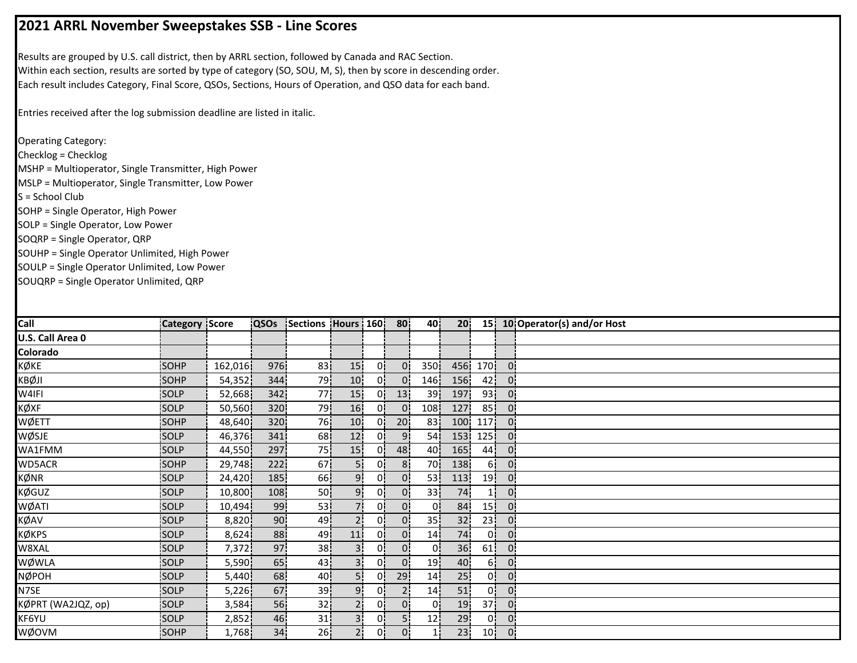## **2021 ARRL November Sweepstakes SSB ‐ Line Scores**

Results are grouped by U.S. call district, then by ARRL section, followed by Canada and RAC Section. Within each section, results are sorted by type of category (SO, SOU, M, S), then by score in descending order. Each result includes Category, Final Score, QSOs, Sections, Hours of Operation, and QSO data for each band.

Entries received after the log submission deadline are listed in italic.

Operating Category: Checklog = Checklog MSHP = Multioperator, Single Transmitter, High Power MSLP = Multioperator, Single Transmitter, Low Power S = School Club SOHP = Single Operator, High Power SOLP = Single Operator, Low Power SOQRP = Single Operator, QRP SOUHP = Single Operator Unlimited, High Power SOULP = Single Operator Unlimited, Low Power SOUQRP = Single Operator Unlimited, QRP

| Call               | <b>Category Score</b> |         | <b>QSOs</b>     | Sections Hours 160 |                 |    | 80              | 40              | 20 <sub>1</sub>  |                 |                | 15 10 Operator(s) and/or Host |
|--------------------|-----------------------|---------|-----------------|--------------------|-----------------|----|-----------------|-----------------|------------------|-----------------|----------------|-------------------------------|
| U.S. Call Area 0   |                       |         |                 |                    |                 |    |                 |                 |                  |                 |                |                               |
| Colorado           |                       |         |                 |                    |                 |    |                 |                 |                  |                 |                |                               |
| KØKE               | SOHP                  | 162,016 | 976             | 83 <sub>1</sub>    | 15              | 0¦ | 0!              | 350             |                  | 456 170         | 0 <sup>1</sup> |                               |
| KBØJI              | SOHP                  | 54,352  | 344             | 79                 | 10              | 0. | $\overline{0}$  | 146             | 156              | 42 <sub>1</sub> | $\overline{0}$ |                               |
| W4IFI              | SOLP                  | 52,668  | 342             | 77                 | 15 <sub>1</sub> | 0¦ | 13              | 39 <sub>1</sub> | 197              | 93              | $\mathbf{0}$   |                               |
| KØXF               | SOLP                  | 50,560  | 320             | 79                 | 16              | 0! | $\overline{0}$  | 108             | 127              | 85              | 0.             |                               |
| WØETT              | <b>SOHP</b>           | 48,640  | 320             | 76!                | 10 <sup>°</sup> | 01 | 20 <sub>1</sub> | 83              | 100 <sub>1</sub> | 117             | $0^{\circ}$    |                               |
| WØSJE              | <b>SOLP</b>           | 46,376  | 341             | 68                 | 12 <sub>1</sub> | 01 | 9 <sub>i</sub>  | 54              | 153              | 125!            | $0^{\circ}$    |                               |
| WA1FMM             | SOLP                  | 44,550  | 297             | 75                 | 15 <sub>1</sub> | 0i | 48              | 40              | 165              | 44              | 0i             |                               |
| WD5ACR             | SOHP                  | 29,748  | 222             | 67                 | 5i              | 0¦ | 8 <sub>i</sub>  | 70 <sub>1</sub> | 138              | 6!              | 0 <sup>1</sup> |                               |
| KØNR               | <b>SOLP</b>           | 24,420  | 185             | 66                 | 9.              | 0! | 0!              | 53.             | 113              | 19              | 0:             |                               |
| <b>KØGUZ</b>       | SOLP                  | 10,800  | 108             | 50 <sub>1</sub>    | 9¦              | 0¦ | 0 <sub>1</sub>  | 33 <sup>1</sup> | 74               | 1               | 0              |                               |
| WØATI              | SOLP                  | 10,494  | 99              | 53 <sup>1</sup>    | 71              | 0! | 0 <sub>1</sub>  | 0!              | 84               | 15 <sup>1</sup> | $\mathbf{0}$   |                               |
| KØAV               | SOLP                  | 8,820   | 90              | 49                 | ا2              | 01 | 0 <sup>1</sup>  | 35 <sup>1</sup> | 32 <sub>1</sub>  | 23 <sup>1</sup> | 0:             |                               |
| KØKPS              | <b>SOLP</b>           | 8,624   | 88              | 49                 | 11              | 0i | $\overline{0}$  | 14 <sub>1</sub> | 74               | 01              | 0.             |                               |
| W8XAL              | SOLP                  | 7,372   | 97              | 38                 | 3i              | 0i | 0 <sup>1</sup>  | 01              | 36               | 61              | 01             |                               |
| WØWLA              | SOLP                  | 5,590   | 65              | 43                 | з:              | 0¦ | 0!              | 19 <sub>1</sub> | 40               | 6¦              | 0 <sub>1</sub> |                               |
| <b>NØPOH</b>       | SOLP                  | 5,440   | 68              | 40                 | 5¦              | 0i | 29              | 14              | 25 <sub>1</sub>  | 0¦              | 0 <sup>1</sup> |                               |
| N7SE               | SOLP                  | 5,226   | 67              | 39                 | 9!              | 0! | 2 <sub>1</sub>  | 14 <sub>1</sub> | 51               | 0!              | 0!             |                               |
| KØPRT (WA2JQZ, op) | SOLP                  | 3,584   | 56              | 32 <sub>1</sub>    | 2¦              | 0! | $\mathbf{0}$    | 0!              | 19               | 37 <sup>1</sup> | 0:             |                               |
| KF6YU              | SOLP                  | 2,852   | 46              | 31                 | 31              | 01 | 5               | 12 <sub>1</sub> | 29               | 0 <sup>1</sup>  | 0.             |                               |
| WØOVM              | <b>SOHP</b>           | 1,768   | 34 <sub>1</sub> | 26 <sub>1</sub>    | 2i              | 0i | 0 <sup>1</sup>  | 11              | 23 <sub>1</sub>  | 10 <sub>1</sub> | 0:             |                               |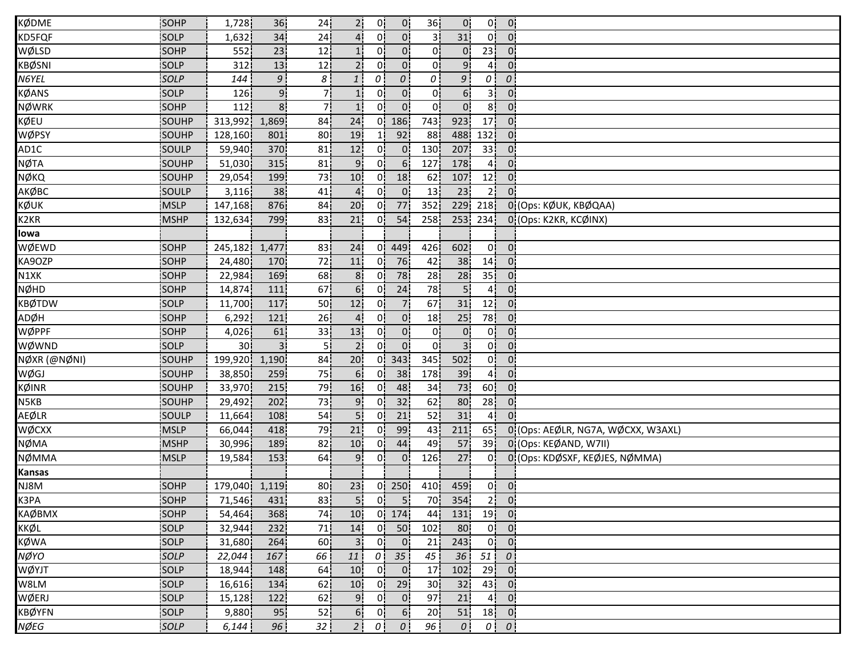| <b>KØDME</b>      | SOHP         | 1,728           | 36             | 24              | 2 <sup>1</sup>  | 0!               | $\overline{0}$                         | 36 <sub>1</sub>  | 0 <sup>1</sup>  | 0!              | $\overline{0}$                           |                                    |
|-------------------|--------------|-----------------|----------------|-----------------|-----------------|------------------|----------------------------------------|------------------|-----------------|-----------------|------------------------------------------|------------------------------------|
| KD5FQF            | SOLP         | 1,632           | 34             | 24              |                 | 0                | 0 <sup>1</sup>                         | 3                | 31              | 0!              | $\overline{0}$                           |                                    |
| WØLSD             | <b>SOHP</b>  | 552             | 23             | 12              |                 | 01               | 0 <sup>1</sup>                         | 0                | $\overline{0}$  | 23 <sup>1</sup> | $\overline{0}$                           |                                    |
| <b>KBØSNI</b>     | <b>SOLP</b>  | 312             | 13             | 12              | 2 <sub>1</sub>  | 0i               | 0 <sup>1</sup>                         | οi               | 9 <sub>i</sub>  | 41              | $\mathbf{0}$                             |                                    |
| N6YEL             | SOLP         | 144             | 9 <sub>1</sub> | 8               | $\mathbf{1}$    | 0                | $\overline{O}$                         | $\theta$         | 9               | οi              | $\cal O$                                 |                                    |
| <b>KØANS</b>      | SOLP         | 126             | 9 <sub>1</sub> | 71              | 11              | 01               | $\overline{0}$                         | 0¦               | 6 <sub>1</sub>  | 3 <sup>1</sup>  | $\overline{0}$                           |                                    |
| <b>NØWRK</b>      | SOHP         | 112             | 8 <sup>1</sup> | 7¦              | 1!              | 0¦               | $\overline{0}$                         | 0!               | $\overline{0}$  | 8 <sup>1</sup>  | 0 <sup>1</sup>                           |                                    |
| KØEU              | SOUHP        | 313,992         | 1,869          | 84              | 24              |                  | $0$   186                              | 743 <sup> </sup> | 923             | 17              | $\overline{0}$                           |                                    |
| WØPSY             | SOUHP        | 128,160         | 801            | 80              | 19              |                  | 92                                     | 88               | 488             | 132             | $\overline{0}$                           |                                    |
| AD1C              | SOULP        | 59,940          | 370            | 81              | 12              | 01               | $\overline{0}$                         | 130              | 207             | 33 <sup>1</sup> | $\overline{0}$                           |                                    |
| <b>NØTA</b>       | SOUHP        | 51,030          | 315            | 81              | 9 <sub>1</sub>  | 0i               | 6 <sub>1</sub>                         | 127              | 178             | 41              | $\mathbf{0}$                             |                                    |
| NØKQ              | SOUHP        | 29,054          | 199            | 73              | 10              | 01               | 18                                     | 62               | 107             | 12              | $\mathbf{0}$                             |                                    |
| АКØВС             | <b>SOULP</b> | 3,116           | 38             | 41              | $\overline{4}$  | 0'               | $\overline{0}$                         | 13               | 23              | 2 <sub>1</sub>  | $0^{\circ}$                              |                                    |
| KØUK              | <b>MSLP</b>  | 147,168         | 876            | 84              | 20              | 0!               | 77                                     | 352              | 229             | 218             |                                          | 0 (Ops: KØUK, KBØQAA)              |
| K <sub>2</sub> KR | <b>MSHP</b>  | 132,634         | 799            | 83              | 21              | 0!               | 54                                     | 258              | 253             | 234             |                                          | 0 (Ops: K2KR, KCØINX)              |
| lowa              |              |                 |                |                 |                 |                  |                                        |                  |                 |                 |                                          |                                    |
| WØEWD             | SOHP         | 245,182         | 1,477          | 83              | 24              | 0!               | 449                                    | 426              | 602             | 0 <sup>1</sup>  | $\overline{0}$                           |                                    |
| KA9OZP            | SOHP         | 24,480          | 170            | 72              | 11              | 01               | 76                                     | 42               | 38              | 14              | $\overline{0}$                           |                                    |
| N1XK              | <b>SOHP</b>  | 22,984          | 169            | 68              | 8 <sub>1</sub>  | 01               | 78                                     | 28               | 28              | 35 <sub>1</sub> | 0 <sup>1</sup>                           |                                    |
| <b>NØHD</b>       | SOHP         | 14,874          | 111            | 67              | 6 <sup>1</sup>  | 0.               | 24                                     | 78               | 5 <sup>1</sup>  | 4 <sub>1</sub>  | 0 <sup>1</sup>                           |                                    |
| <b>KBØTDW</b>     | SOLP         | 11,700          | 117            | 50              | 12              | 0 <sub>1</sub>   | 7 <sup>1</sup>                         | 67               | 31              | 12              | $\overline{0}$ .                         |                                    |
| ADØH              | SOHP         | 6,292           | 121            | 26 <sup>1</sup> | 4 <sub>1</sub>  | 0!               | $\mathbf{0}$                           | 18               | 25              | 78              | $\mathbf{0}$                             |                                    |
| WØPPF             | SOHP         | 4,026           | 61             | 33              | 13              | 0!               | 0 <sub>1</sub>                         | 0                | $\overline{0}$  | 0!              | $\overline{0}$                           |                                    |
| WØWND             | SOLP         | 30 <sup>1</sup> |                | 5ļ              | 2 <sup>1</sup>  | Ωİ               | $0^{\mathsf{i}}$                       | 0i               | 3 <sup>i</sup>  | 0i              | $\overline{0}$                           |                                    |
| NØXR (@NØNI)      | SOUHP        | 199,920         | 1,190          | 84              | 20 <sub>1</sub> | 01               | 343                                    | 345              | 502             | 0i              | $\mathbf{0}$                             |                                    |
| WØGJ              | SOUHP        | 38,850          | 259            | 75              | 6 <sub>1</sub>  | 01               | 38                                     | 178              | 39              | 4i              | $0^{\circ}$                              |                                    |
| <b>KØINR</b>      | SOUHP        | 33,970          | 215            | 79              | 16              | 0'               | 48                                     | 34               | 73              | 60 <sup>1</sup> | $\mathbf{0}$                             |                                    |
| N5KB              | SOUHP        | 29,492          | 202            | 73              | 9 <sub>1</sub>  | 0'               | 32                                     | 62               | 80              | 28              | 0.                                       |                                    |
| <b>AEØLR</b>      | SOULP        | 11,664          | 108            | 54              | 5!              | 0 <sup>1</sup>   | 21                                     | 52               | 31              | 4 <sup>1</sup>  | 0 <sup>1</sup>                           |                                    |
| WØCXX             | <b>MSLP</b>  | 66,044          | 418            | 79              | 21              | 0!               | 99                                     | 43               | 211             | 65!             |                                          | 0 (Ops: AEØLR, NG7A, WØCXX, W3AXL) |
| <b>NØMA</b>       | <b>MSHP</b>  | 30,996          | 189            | 82              | 10              | 01               | 44                                     | 49               | 57              | 39              |                                          | 0 (Ops: KEØAND, W7II)              |
| NØMMA             | <b>IMSLP</b> | 19,584          | 153            | 64              | 9               | 01               | 0 <sup>1</sup>                         | 126              | 27              | 01              |                                          | 0 (Ops: KDØSXF, KEØJES, NØMMA)     |
| <b>Kansas</b>     |              |                 |                |                 |                 |                  |                                        |                  |                 |                 |                                          |                                    |
| NJ8M              | SOHP         | 179,040 1,119   |                | 80              | 23              |                  | $0$ 250                                | 410              | 459             | 0 <sup>1</sup>  | $\overline{0}$                           |                                    |
| K3PA              | SOHP         | 71,546 431      |                | 83              |                 |                  | $5\begin{vmatrix} 0 & 5 \end{vmatrix}$ |                  | 70 354          |                 | $2 \begin{bmatrix} 0 \\ 0 \end{bmatrix}$ |                                    |
| <b>КА</b> ФВМХ    | SOHP         | 54,464          | 368            | 74              | 10              |                  | $0$ 174                                | 44               | 131!            |                 | $19$ 0                                   |                                    |
| KKØL              | SOLP         | 32,944          | 232            | 71              | 14              |                  | $0$ 50                                 | 102              | 80              |                 | $0 \vert 0 \vert$                        |                                    |
| KØWA              | <b>SOLP</b>  | 31,680          | 264            | 60 <sup>1</sup> | 3 <sup>1</sup>  | 0 I              | $\overline{0}$                         | 21               | 243             | 0 <sub>1</sub>  | - 01                                     |                                    |
| NØYO              | SOLP         | 22,044          | 167            | 66              | 11              |                  | $0$ 35                                 | 45               | 36              | 51              | $\theta$                                 |                                    |
| WØYJT             | SOLP         | 18,944          | 148            | 64              | 10              | 0 <sup>1</sup>   | 0 <sub>1</sub>                         | 17 <sub>1</sub>  | 102             | 29              | $\overline{0}$                           |                                    |
| W8LM              | SOLP         | 16,616          | 134            | 62              | 10              | 0 <sup>1</sup>   | 29                                     | 30 <sub>1</sub>  | 32 <sub>1</sub> | 43              | - 01                                     |                                    |
| WØERJ             | SOLP         | 15,128          | 122            | 62              | 9 <sub>i</sub>  | 0 <sub>1</sub>   | 0 <sub>1</sub>                         | 97               | 21              | 4 <sup>1</sup>  | 0 <sup>1</sup>                           |                                    |
| <b>KBØYFN</b>     | SOLP         | 9,880           | 95             | 52              | 6 <sup>1</sup>  | 0                | 6 <sub>1</sub>                         | 20               | 51              | 18              | $\overline{\phantom{0}}$ 0               |                                    |
| NØEG              | SOLP         | 6,144           | 96             | 32 l            | 2 <sub>1</sub>  | $\overline{0}$ . | $\theta$                               | 96               | $\theta$        |                 | $0 \mid 0 \mid$                          |                                    |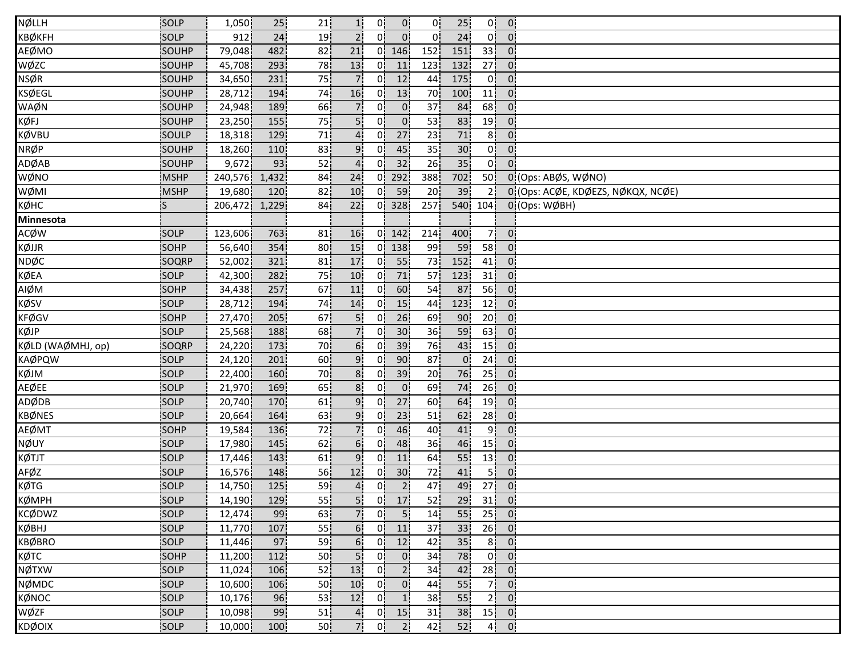| NØLLH             | SOLP         | 1,050   | 25               | 21              | 1!               | 0!             | 0 <sub>1</sub>  | 0!              | 25 <sub>1</sub> | 0¦              | 0 <sub>1</sub>   |                                    |
|-------------------|--------------|---------|------------------|-----------------|------------------|----------------|-----------------|-----------------|-----------------|-----------------|------------------|------------------------------------|
| <b>КВ</b> ФКЕН    | SOLP         | 912     | 24               | 19              | 2 <sup>1</sup>   | 01             | 0'              | $^{\circ}$      | 24              | 0 <sup>1</sup>  | 0 <sup>1</sup>   |                                    |
| AEØMO             | SOUHP        | 79,048  | 482              | 82              | 21               | 0!             | 146             | 152             | 151             | 33 <sup>1</sup> | $0^{\prime}$     |                                    |
| WØZC              | SOUHP        | 45,708  | 293              | 78              | 13               | 0i             | 11              | 123             | 132             | 27 <sub>1</sub> | $\overline{0}$   |                                    |
| <b>NSØR</b>       | SOUHP        | 34,650  | 231              | 75              | 71               | 0i             | 12              | 44              | 175             | 0i              | 0                |                                    |
| <b>KSØEGL</b>     | SOUHP        | 28,712  | 194              | 74              | 16               | 0.             | 13              | 70              | 100             | 11              | $\overline{0}$   |                                    |
| WAØN              | SOUHP        | 24,948  | 189              | 66              | 7.               | 0.             | 0 <sup>1</sup>  | 37 <sub>1</sub> | 84              | 68 <sup>1</sup> | 0 <sub>1</sub>   |                                    |
| KØFJ              | SOUHP        | 23,250  | 155              | 75              | 5!               | 0!             | $\overline{0}$  | 53              | 83              | 19              | 0 <sup>1</sup>   |                                    |
| KØVBU             | SOULP        | 18,318  | 129              | 71              | $4^{\mathsf{i}}$ | 0İ             | 27              | 23              | $71\,$          | 8!              | 0 <sup>1</sup>   |                                    |
| <b>NRØP</b>       | SOUHP        | 18,260  | 110              | 83              | 9 <sub>1</sub>   | 0 <sup>1</sup> | 45              | 35              | 30 <sup>1</sup> | 0!              | 0 <sub>1</sub>   |                                    |
| ADØAB             | SOUHP        | 9,672   | 93               | 52              | $\overline{4}$   | 0i             | 32              | 26              | 35              | 0i              | $0^{\mathrm{i}}$ |                                    |
| WØNO              | <b>MSHP</b>  | 240,576 | 1,432            | 84              | 24               | 0i             | 292             | 388             | 702             | 50              |                  | 0 (Ops: ABØS, WØNO)                |
| WØMI              | <b>MSHP</b>  | 19,680  | 120 <sub>1</sub> | 82              | 10               | 01             | 59              | 20              | 39              | 21              |                  | 0 (Ops: ACØE, KDØEZS, NØKQX, NCØE) |
| кøнс              | lS.          | 206,472 | 1,229            | 84              | 22               | 0'             | 328             | 257             |                 | 540 104         |                  | $0$ (Ops: WØBH)                    |
| Minnesota         |              |         |                  |                 |                  |                |                 |                 |                 |                 |                  |                                    |
| <b>ACØW</b>       | SOLP         | 123,606 | 763              | 81              | 16               | 0'             | 142             | 214             | 400             | 71              | $\mathbf{0}$     |                                    |
| KØJJR             | SOHP         | 56,640  | 354              | 80              | 15 <sup>1</sup>  | 0 <sup>1</sup> | 138             | 99              | 59              | 58 <sup>1</sup> | 0 <sup>1</sup>   |                                    |
| NDØC              | <b>SOQRP</b> | 52,002  | 321              | 81              | 17               | 0i             | 55              | 73              | 152             | 41              | 0.               |                                    |
| KØEA              | SOLP         | 42,300  | 282              | 75              | 10 <sup>1</sup>  | 01             | 71              | 57              | 123             | 31              | 0i               |                                    |
| AIØM              | SOHP         | 34,438  | 257              | 67              | 11               | 0i             | 60              | 54              | 87              | 56              | 0 <sub>1</sub>   |                                    |
| KØSV              | SOLP         | 28,712  | 194              | 74              | 14               | 0 <sup>1</sup> | 15              | 44              | 123             | 12              | $\overline{0}$   |                                    |
| <b>KFØGV</b>      | SOHP         | 27,470  | 205              | 67              | 5!               | 0!             | 26              | 69              | 90              | 20 <sub>1</sub> | 0 <sub>1</sub>   |                                    |
| KØJP              | SOLP         | 25,568  | 188              | 68              | 7!               | 0!             | 30 <sub>1</sub> | 36              | 59              | 63              | $\overline{0}$   |                                    |
| KØLD (WAØMHJ, op) | SOQRP        | 24,220  | 173              | 70              | 6 <sup>i</sup>   | 01             | 39              | 76              | 43              | 15 <sub>1</sub> | 0                |                                    |
| <b>KAØPQW</b>     | <b>SOLP</b>  | 24,120  | 201              | 60              | 9                | 0i             | 90              | 87              | $\overline{0}$  | 24              | 0 <sup>1</sup>   |                                    |
| KØJM              | SOLP         | 22,400  | 160              | 70              | 8 <sup>1</sup>   | 01             | 39              | 20 <sub>1</sub> | 76              | 25 <sub>1</sub> | 01               |                                    |
| <b>AEØEE</b>      | SOLP         | 21,970  | 169              | 65              | 8 <sub>1</sub>   | 0 <sub>1</sub> | 0 <sub>1</sub>  | 69              | 74              | 26              | $\mathbf{0}$     |                                    |
| ADØDB             | SOLP         | 20,740  | 170              | 61              | 9 <sub>1</sub>   | 0 <sup>1</sup> | 27              | 60              | 64              | 19              | 0 <sup>1</sup>   |                                    |
| <b>KBØNES</b>     | SOLP         | 20,664  | 164              | 63              | 9 <sup>1</sup>   | 0!             | 23              | 51              | 62              | 28              | $\mathbf{0}$     |                                    |
| <b>AEØMT</b>      | SOHP         | 19,584  | 136              | 72              | 7!               | 0 <sup>1</sup> | 46              | 40              | 41              | 9¦              | 0:               |                                    |
| NØUY              | SOLP         | 17,980  | 145              | 62              | 6 <sup>1</sup>   | 01             | 48              | 36              | 46              | 15 <sup>1</sup> | 0 <sup>1</sup>   |                                    |
| KØTJT             | <b>SOLP</b>  | 17,446  | 143              | 61              | 9                | 01             | 11              | 64              | 55              | 13              | 0.               |                                    |
| AFØZ              | SOLP         | 16,576  | 148              | 56              | 12               | 0i             | 30 <sub>1</sub> | 72              | 41              | 5 i             | 0.               |                                    |
| KØTG              | SOLP         | 14,750  | 125              | 59              | $\overline{4}$   | 0 <sup>1</sup> | 2 <sub>1</sub>  | 47              | 49              | 27              | 0 <sub>1</sub>   |                                    |
| KØMPH             | SOLP         | 14,190  | 129              | 55              | 5 <sup> </sup>   | 0 <sub>1</sub> | 17              | 52              | 29              |                 | $31$ 0           |                                    |
| <b>KCØDWZ</b>     | SOLP         | 12,474  | 99               | 63              | 7 <sup>1</sup>   | 0 <sup>1</sup> | $\overline{5}$  | 14              | 55              | 25              | $\overline{0}$   |                                    |
| <b>KØBHJ</b>      | SOLP         | 11,770  | 107              | 55              | 6!               | 0 <sup>1</sup> | $\overline{11}$ | 37              | 33              | 26              | $\overline{0}$   |                                    |
| <b>KBØBRO</b>     | SOLP         | 11,446  | 97               | 59              | 6 <sub>1</sub>   | 0 <sup>1</sup> | 12              | 42              | 35 <sub>1</sub> | 8 <sub>1</sub>  | 0 <sub>1</sub>   |                                    |
| KØTC              | <b>SOHP</b>  | 11,200  | 112              | 50              | 5 <sub>1</sub>   | 0 <sup>1</sup> | 0 <sub>1</sub>  | 34              | 78              | 0 <sup>1</sup>  | 0 <sub>1</sub>   |                                    |
| NØTXW             | SOLP         | 11,024  | 106              | 52              | 13               | 0 <sup>1</sup> | 2 <sub>1</sub>  | 34              | 42              | 28              | 0 <sub>1</sub>   |                                    |
| NØMDC             | SOLP         | 10,600  | 106              | 50              | 10               | 0 <sub>i</sub> | 0 <sub>1</sub>  | 44              | 55              | 7 <sup>1</sup>  | 0 <sub>1</sub>   |                                    |
| KØNOC             | SOLP         | 10,176  | 96               | 53              | 12               | 0!             | 1               | 38              | 55 <sub>1</sub> | 2 <sup>1</sup>  | 0 <sub>1</sub>   |                                    |
| WØZF              | SOLP         | 10,098  | 99               | 51              | 4 <sub>1</sub>   | 0 <sup>1</sup> | 15              | 31              | 38              |                 | $15$ 0           |                                    |
| KDØOIX            | SOLP         | 10,000  |                  |                 | 7.               | 0!             | 2 <sup>1</sup>  |                 | 52              |                 |                  |                                    |
|                   |              |         | 100              | 50 <sub>1</sub> |                  |                |                 | 42              |                 | 4 <sup>1</sup>  | $\mathbf{0}$     |                                    |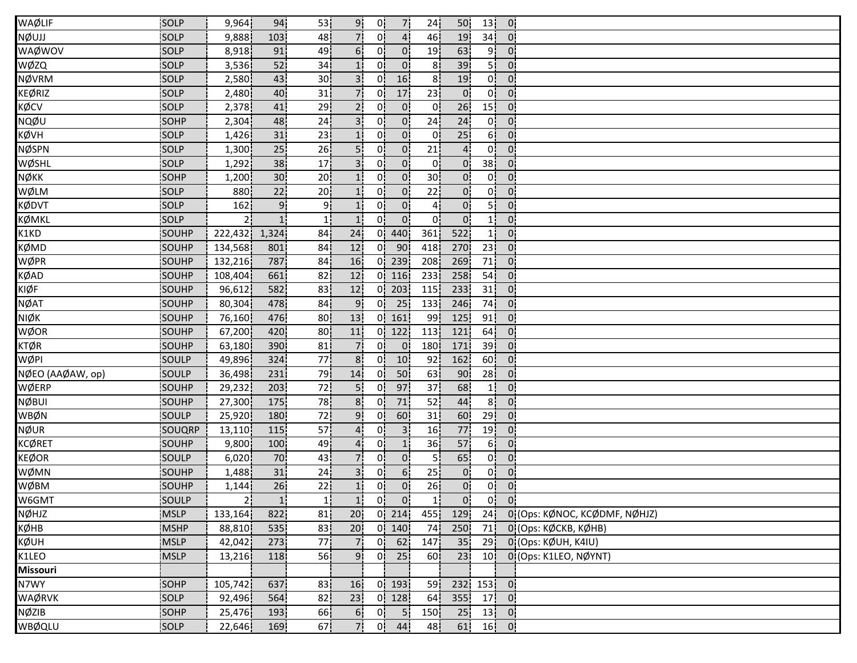| WAØLIF           | SOLP         | 9,964          | 94              | 53              | 9 <sub>1</sub>  | 0!             | 7¦                       | 24              | 50               | 13 <sup>1</sup> | 0 <sub>1</sub>                         |                                  |
|------------------|--------------|----------------|-----------------|-----------------|-----------------|----------------|--------------------------|-----------------|------------------|-----------------|----------------------------------------|----------------------------------|
| NØUJJ            | SOLP         | 9,888          | 103             | 48              |                 | 0'             | $\overline{4}$           | 46              | 19               | 34              | $\overline{0}$                         |                                  |
| WAØWOV           | <b>SOLP</b>  | 8,918          | 91              | 49              | 6.              | 0.             | 0 <sub>1</sub>           | 19              | 63               | 9!              | $\overline{0}$                         |                                  |
| WØZQ             | <b>SOLP</b>  | 3,536          | 52              | 34              | 1 <sup>i</sup>  | 0 i            | $\overline{0}$           | 8               | 39               | 5 <sup>1</sup>  | $\overline{0}$                         |                                  |
| <b>NØVRM</b>     | SOLP         | 2,580          | 43              | 30 <sub>1</sub> | 3 <sup>1</sup>  | 0 <sup>1</sup> | 16                       | 8 <sub>1</sub>  | 19               | 0i              | 0 <sub>1</sub>                         |                                  |
| <b>KEØRIZ</b>    | SOLP         | 2,480          | 40              | 31              | 7.              | 0 <sup>1</sup> | 17                       | 23              | $\overline{0}$   | 0 <sup>1</sup>  | 0 <sup>1</sup>                         |                                  |
| KØCV             | SOLP         | 2,378          | 41              | 29              | 2 <sub>1</sub>  | 0!             | $\mathbf{0}$             | 0!              | 26               | 15              | 0 <sub>1</sub>                         |                                  |
| NQØU             | SOHP         | 2,304          | 48              | 24              | 3 <sup>1</sup>  | 0¦             | $\mathsf{o}$             | 24              | 24               | 0 <sup>1</sup>  | 0 <sup>1</sup>                         |                                  |
| KØVH             | SOLP         | 1,426          | 31              | 23              |                 | 0 <sup>1</sup> | $\overline{0}$           | 0 <sup>1</sup>  | 25               | 6!              | 0:                                     |                                  |
| NØSPN            | <b>SOLP</b>  | 1,300          | 25              | 26              | 5 <sub>1</sub>  | 01             | $\mathbf{0}$             | 21              | $\overline{4}$   | 0 <sup>1</sup>  | $\overline{0}$                         |                                  |
| WØSHL            | SOLP         | 1,292          | 38              | 17 <sub>1</sub> | 3 <sub>1</sub>  | 0i             | 0 <sup>1</sup>           | 01              | 0 <sup>1</sup>   | 38 <sub>1</sub> | $\overline{0}$                         |                                  |
| NØKK             | SOHP         | 1,200          | 30 <sup>1</sup> | 20 <sub>1</sub> |                 | 0i             | 0 <sub>1</sub>           | 30 <sub>1</sub> | 0 <sup>1</sup>   | 0 <sup>1</sup>  | $0^{\prime}$                           |                                  |
| WØLM             | SOLP         | 880            | 22              | 20 <sub>1</sub> | 1 <sub>i</sub>  | 0!             | 0 <sub>1</sub>           | 22              | 0 <sub>i</sub>   | 0 <sup>1</sup>  | $\overline{0}$                         |                                  |
| KØDVT            | SOLP         | 162            | 9 <sub>1</sub>  | 9¦              | 1!              | 0!             | 0 <sup>1</sup>           | 4               | 0 <sup>1</sup>   | 5!              | 0 <sup>1</sup>                         |                                  |
| <b>KØMKL</b>     | SOLP         |                | 1!              | 1 <sub>1</sub>  | 1!              | 0 <sup>1</sup> | 0 <sup>1</sup>           | 0!              | $\overline{0}$   | 1 <sub>1</sub>  | $\mathbf{0}$                           |                                  |
| K1KD             | SOUHP        | 222,432        | 1,324           | 84              | 24              |                | 0 440                    | 361             | 522              | 1!              | 0 <sup>1</sup>                         |                                  |
| KØMD             | SOUHP        | 134,568        | 801             | 84              | 12              | 0!             | - 90¦                    | 418             | 270              | 23              | $\overline{0}$                         |                                  |
| WØPR             | SOUHP        | 132,216        | 787             | 84              | 16              | 01             | 239                      | 208             | 269              | 71              | $\overline{0}$                         |                                  |
| <b>KØAD</b>      | SOUHP        | 108,404        | 661             | 82              | 12              |                | $0$ 116                  | 233             | 258              | 54              | 0 <sub>1</sub>                         |                                  |
| KIØF             | SOUHP        | 96,612         | 582             | 83              | 12              |                | $0$ 203                  | 115             | 233              | 31              | 0 <sup>1</sup>                         |                                  |
| <b>NØAT</b>      | SOUHP        | 80,304         | 478             | 84              | 9 <sub>1</sub>  | 0 <sup>1</sup> | 25                       | 133             | 246              | 74              | 0 <sub>1</sub>                         |                                  |
| NIØK             | SOUHP        | 76,160         | 476             | 80 <sub>1</sub> | 13              |                | $0 \mid 161$             | 99              | 125              | 91              | 0 <sup>1</sup>                         |                                  |
| WØOR             | SOUHP        | 67,200         | 420             | 80 <sub>1</sub> | 11              |                | $0$ 122                  | 113             | 121              | 64              | 0 <sup>1</sup>                         |                                  |
| <b>KTØR</b>      | SOUHP        | 63,180         | 390             | 81              | 71              | 0İ             | $\overline{0}$           | 180             | 171              | 39              | 0                                      |                                  |
| WØPI             | SOULP        | 49,896         | 324             | 77              | 8 <sub>1</sub>  | 01             | 10                       | 92              | 162              | 60              | 0:                                     |                                  |
| NØEO (AAØAW, op) | SOULP        | 36,498         | 231             | 79              | 14              | 0.             | 50                       | 63              | 90               | 28              | $0^{\circ}$                            |                                  |
| WØERP            | SOUHP        | 29,232         | 203             | 72              | 5 <sub>1</sub>  | 0 <sup>1</sup> | 97                       | 37              | 68               | 1 <sub>1</sub>  | $\overline{0}$                         |                                  |
| <b>NØBUI</b>     | SOUHP        | 27,300         | 175             | 78              | 8 <sub>1</sub>  | 0.             | 71                       | 52              | 44               | 8 <sup>1</sup>  | 0.                                     |                                  |
| WBØN             | SOULP        | 25,920         | 180             | 72              | 9!              | 0!             | 60                       | 31              | 60               | 29              | 0 <sub>1</sub>                         |                                  |
| NØUR             | SOUQRP       | 13,110         | 115             | 57              | 4               | 0¦             | 3 <sup>1</sup>           | 16              | 77               | 19              | $\overline{0}$                         |                                  |
| <b>KCØRET</b>    | <b>SOUHP</b> | 9,800          | 100             | 49              |                 | 01             | 1 <sub>1</sub>           | 36              | 57               | 6 <sub>1</sub>  | 0                                      |                                  |
| <b>KEØOR</b>     | SOULP        | 6,020          | 70              | 43              | 71              | 01             | 0 <sub>1</sub>           | 51              | 65               | 0!              | 0:                                     |                                  |
| WØMN             | SOUHP        | 1,488          | 31              | 24              |                 | 0i             | 6 <sub>1</sub>           | 25              | $0^{\mathsf{i}}$ | 0i              | 0 <sub>1</sub>                         |                                  |
| WØBM             | SOUHP        | 1,144          | 26              | 22              | 1 <sub>i</sub>  | 0¦             | $\overline{0}$           | 26              | $\overline{0}$   | 0¦              | $\mathbf{0}$                           |                                  |
| W6GMT            | SOULP        | 2 <sup>1</sup> | 1 <sup>1</sup>  | 1 <sub>1</sub>  | 1 <sup>1</sup>  | 0 <sub>1</sub> | $\overline{\phantom{0}}$ | 1               | 0 <sub>1</sub>   |                 | $\begin{bmatrix} 0 \\ 0 \end{bmatrix}$ |                                  |
| NØHJZ            | <b>MSLP</b>  | 133,164        | 822             | 81              | 20              |                | $0$ 214                  | 455             | 129              |                 |                                        | 24 0 (Ops: KØNOC, KCØDMF, NØHJZ) |
| KØHB             | <b>MSHP</b>  | 88,810         | 535             | 83              | 20 <sub>1</sub> |                | $0$ 140                  | 74              | 250              | 71.             |                                        | 0 (Ops: KØCKB, KØHB)             |
| KØUH             | <b>MSLP</b>  | 42,042         | 273             | 77!             | 7.              | 0 <sup>1</sup> | 62                       | 147             | 35               | 29              |                                        | 0 (Ops: KØUH, K4IU)              |
| K1LEO            | <b>MSLP</b>  | 13,216         | 118             | 56              | 9               |                | $0$ 25                   | 60              | 23               | 10 <sub>1</sub> |                                        | 0 (Ops: K1LEO, NØYNT)            |
| Missouri         |              |                |                 |                 |                 |                |                          |                 |                  |                 |                                        |                                  |
| N7WY             | SOHP         | 105,742        | 637             | 83 <sub>1</sub> | 16              |                | $0$   193                | 59              | 232 <sub>1</sub> | $153$ 0         |                                        |                                  |
| WAØRVK           | SOLP         | 92,496         | 564             | 82              | 23              |                | $0$ 128                  | 64              | 355              | $17$ 0          |                                        |                                  |
| NØZIB            | SOHP         | 25,476         | 193             | 66              | 6 <sub>i</sub>  | 0!             | 5 <sub>1</sub>           | 150             | 25               |                 | $13$ 0                                 |                                  |
| <b>WBØQLU</b>    | SOLP         | 22,646         | 169             | 67 <sup>1</sup> | 7!              |                | $0 \mid 44$              | 48              | 61               |                 | $16$ 0                                 |                                  |
|                  |              |                |                 |                 |                 |                |                          |                 |                  |                 |                                        |                                  |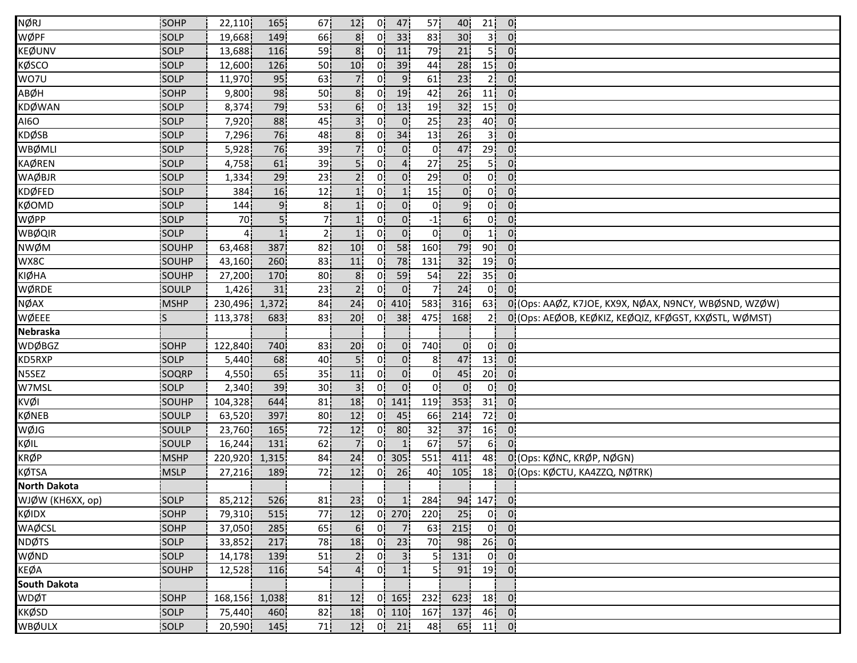| <b>NØRJ</b>                                                                 | SOHP         | 22,110        | 165!           | 67              | 12.             | 0!             | 47                                         | 57              | 40              | 21              | $\overline{0}$ |                                                       |
|-----------------------------------------------------------------------------|--------------|---------------|----------------|-----------------|-----------------|----------------|--------------------------------------------|-----------------|-----------------|-----------------|----------------|-------------------------------------------------------|
| WØPF                                                                        | SOLP         | 19,668        | 149            | 66              | 8 <sup>1</sup>  | 0'             | 33                                         | 83              | 30 <sub>1</sub> | 3!              | $\overline{0}$ |                                                       |
| <b>KEØUNV</b>                                                               | SOLP         | 13,688        | 116            | 59              | 8 <sup>1</sup>  | 0 <sup>1</sup> | 11                                         | 79              | 21              | 5İ.             | $0^{\circ}$    |                                                       |
| KØSCO                                                                       | SOLP         | 12,600        | 126            | 50              | 10              | 01             | 39                                         | 44              | 28              | 15              | $\mathbf{0}$   |                                                       |
| WO7U                                                                        | SOLP         | 11,970        | 95             | 63              | 71              | 01             | 9 <sup>1</sup>                             | 61              | 23              | 2 <sup>1</sup>  | $0^{\circ}$    |                                                       |
| ABØH                                                                        | SOHP         | 9,800         | 98             | 50              | 8 <sub>1</sub>  | 0.             | 19                                         | 42              | 26              | 11              | 0 <sup>1</sup> |                                                       |
| <b>KDØWAN</b>                                                               | SOLP         | 8,374         | 79             | 53              | 6!              | 0!             | 13                                         | 19              | 32              | 15              | 0 <sup>1</sup> |                                                       |
| <b>AI6O</b>                                                                 | SOLP         | 7,920         | 88             | 45              | 3 <sup>1</sup>  | 0!             | $\overline{0}$                             | 25              | 23              | 40              | $\overline{0}$ |                                                       |
| <b>KDØSB</b>                                                                | SOLP         | 7,296         | 76             | 48              | 8 <sup>1</sup>  | 0!             | 34                                         | 13              | 26              | 3ļ              | 0 <sup>1</sup> |                                                       |
| WBØMLI                                                                      | <b>SOLP</b>  | 5,928         | 76             | 39              |                 | 01             | 0 <sup>1</sup>                             | 0               | 47              | 29 <sup>1</sup> | $\overline{0}$ |                                                       |
| <b>KAØREN</b>                                                               | <b>SOLP</b>  | 4,758         | 61             | 39              | 5i              | 0i             | $\overline{4}$                             | 27              | 25              | 5 <sup>1</sup>  | $\mathbf{0}$   |                                                       |
| <b>WAØBJR</b>                                                               | SOLP         | 1,334         | 29             | 23              | 21              | 0i             | $\overline{0}$                             | 29              | $\overline{0}$  | οŀ              | $0^{\circ}$    |                                                       |
| <b>KDØFED</b>                                                               | SOLP         | 384           | 16             | 12              | 1!              | 01             | 1 <sub>1</sub>                             | 15 <sub>1</sub> | $\overline{0}$  | 0¦              | $\overline{0}$ |                                                       |
| <b>KØOMD</b>                                                                | SOLP         | 144           | 9 <sub>1</sub> | 8 <sub>1</sub>  | 1!              | 0.             | $\overline{0}$                             | $\mathbf{0}$    | 9 <sub>1</sub>  | 0!              | 0 <sup>1</sup> |                                                       |
| WØPP                                                                        | SOLP         | 70            | 5ļ             | 7¦              |                 | 0              | $\mathbf{0}$                               | $-1$            | 6!              | 0¦              | $\mathbf{0}$   |                                                       |
| <b>WBØQIR</b>                                                               | SOLP         | 4             |                | 2               |                 | 01             | $\overline{0}$                             | 0!              | 0 <sup>1</sup>  | 1!              | $\overline{0}$ |                                                       |
| NWØM                                                                        | SOUHP        | 63,468        | 387            | 82              | 10              | 0 <sup>1</sup> | 58                                         | 160             | 79              | 90              | $\mathbf{0}$   |                                                       |
| WX8C                                                                        | SOUHP        | 43,160        | 260            | 83              | 11              | 01             | 78                                         | 131             | 32              | 19              | $0^{\circ}$    |                                                       |
| <b>KIØHA</b>                                                                | SOUHP        | 27,200        | 170            | 80              | 8 <sub>1</sub>  | 01             | 59                                         | 54              | 22              | 35 <sub>1</sub> | $\mathbf{0}$   |                                                       |
| WØRDE                                                                       | <b>SOULP</b> | 1,426         | 31             | 23              | 2 <sub>1</sub>  | 01             | $\overline{0}$                             | 71              | 24              | 0 <sup>1</sup>  | $\overline{0}$ |                                                       |
| <b>NØAX</b>                                                                 | <b>MSHP</b>  | 230,496       | 1,372          | 84              | 24              | 0 <sup>1</sup> | 410                                        | 583             | 316             | 63              |                | 0 (Ops: AAØZ, K7JOE, KX9X, NØAX, N9NCY, WBØSND, WZØW) |
| WØEEE                                                                       | ¦S           | 113,378       | 683            | 83              | 20              | 0!             | 38                                         | 475             | 168             | 2 <sup>1</sup>  |                | 0 (Ops: AEØOB, KEØKIZ, KEØQIZ, KFØGST, KXØSTL, WØMST) |
| <b>Nebraska</b>                                                             |              |               |                |                 |                 |                |                                            |                 |                 |                 |                |                                                       |
| <b>WDØBGZ</b>                                                               |              | 122,840       | 740            | 83              | 20              | 01             | $\overline{0}$                             | 740             | 0 <sup>1</sup>  | 0 <sup>1</sup>  | $\overline{0}$ |                                                       |
|                                                                             | <b>SOHP</b>  |               |                |                 |                 |                |                                            |                 |                 |                 |                |                                                       |
| KD5RXP                                                                      | <b>SOLP</b>  | 5,440         | 68             | 40              |                 | 0i             | $0^{\dagger}$                              | 8               | 47              | 13 <sup>1</sup> | $\overline{0}$ |                                                       |
|                                                                             | SOQRP        | 4,550         | 65             | 35              | 11              | 01             | 0                                          | 01              | 45              | 20 <sub>1</sub> | $\mathbf{0}$   |                                                       |
|                                                                             | SOLP         | 2,340         | 39             | 30 <sub>1</sub> | 3 <sup>1</sup>  | 0!             | $\overline{0}$                             | 0               | $\overline{0}$  | 0 <sup>1</sup>  | $0^{\circ}$    |                                                       |
| N5SEZ<br>W7MSL<br>KVØI                                                      | SOUHP        | 104,328       | 644            | 81              | 18              | 0!             | 141                                        | 119             | 353             | 31              | $0^{\circ}$    |                                                       |
|                                                                             | SOULP        | 63,520        | 397            | 80              | 12 <sub>1</sub> | 0!             | 45                                         | 66              | 214             | 72              | $\mathbf{0}$ . |                                                       |
|                                                                             | SOULP        | 23,760        | 165            | 72              | 12              | 0!             | 80                                         | 32              | 37              | 16              | $\mathbf{0}$   |                                                       |
|                                                                             | SOULP        | 16,244        | 131            | 62              | 7 <sup>1</sup>  | 0              | $\mathbf{1}$                               | 67              | 57              | 6i              |                |                                                       |
|                                                                             | <b>MSHP</b>  | 220,920       | 1,315          | 84              | 24              | 01             | 305                                        | 551             | 411             | 48              |                | 0 (Ops: KØNC, KRØP, NØGN)                             |
|                                                                             | <b>MSLP</b>  | 27,216        | 189            | 72i             | 12              | 01             | 26                                         | 40              | 105             | 18 <sub>1</sub> |                | 0 (Ops: KØCTU, KA4ZZQ, NØTRK)                         |
| KØNEB<br>WØJG<br>KØIL<br><b>KRØP</b><br><b>KØTSA</b><br><b>North Dakota</b> |              |               |                |                 |                 |                |                                            |                 |                 |                 |                |                                                       |
| WJØW (KH6XX, op)                                                            | SOLP         | 85,212        | 526            | 81              |                 |                | $\begin{bmatrix} 23 & 0 & 1 \end{bmatrix}$ | 284             |                 | $94 \ 147 \ 0$  |                |                                                       |
|                                                                             | SOHP         | 79,310        | 515            | 77              | 12 <sub>1</sub> |                | $0$ 270                                    | 220             | 25              |                 | $0 \mid 0$     |                                                       |
|                                                                             | SOHP         | 37,050        | 285            | 65              | 6!              | 0 <sup>1</sup> | 7 <sub>1</sub>                             | 63              | 215             |                 | $0$ $0$        |                                                       |
|                                                                             | SOLP         | 33,852        | 217            | 78              | 18              | 0!             | 23                                         | 70              | 98              | 26              | - 01           |                                                       |
|                                                                             | <b>SOLP</b>  | 14,178        | 139            | 51              | 2 <sub>1</sub>  | 0 <sup>1</sup> | 3 <sup>1</sup>                             | 51              | 131             | 0 <sub>1</sub>  | $\mathbf{0}$   |                                                       |
| KØIDX<br>WAØCSL<br><b>NDØTS</b><br>WØND<br>KEØA                             | SOUHP        | 12,528        | 116            | 54              |                 | 0 <sup>1</sup> | 1 <sup>i</sup>                             | 5 i             | 91              | 19              | $\overline{0}$ |                                                       |
| <b>South Dakota</b>                                                         |              |               |                |                 |                 |                |                                            |                 |                 |                 |                |                                                       |
| WDØT                                                                        | SOHP         | 168,156 1,038 |                | 81              | 12 <sub>1</sub> |                | $0 \mid 165$                               | 232             | 623             |                 | $18$ 0         |                                                       |
| <b>KKØSD</b>                                                                | SOLP         | 75,440        | 460            | 82              | 18              |                | $0$ 110                                    | 167             | 137!            |                 | $46$ 0         |                                                       |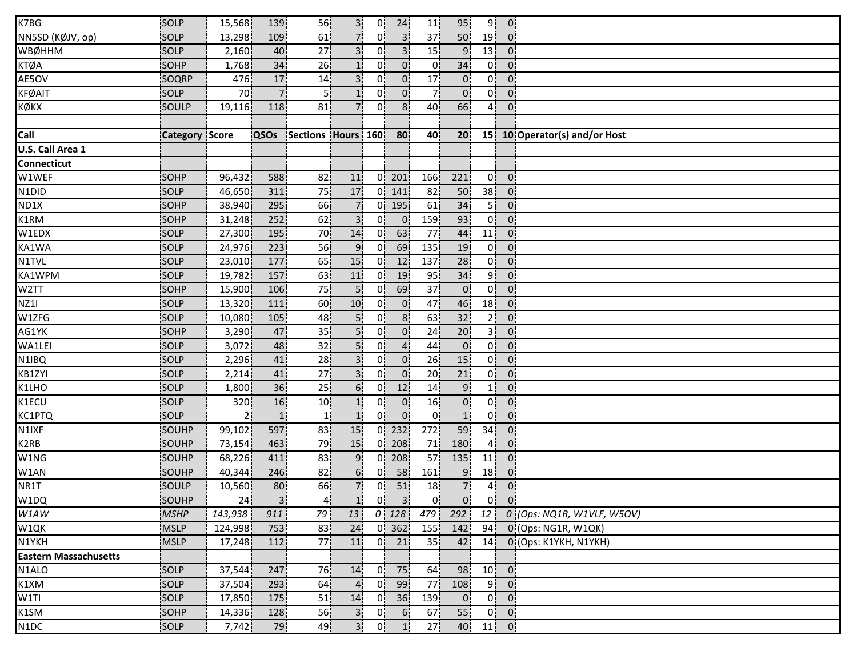| K7BG                         | SOLP            | 15,568         | 139            | 56              | 3 <sup>1</sup>  | 0!             | 24             | 11              | 95               | 9!              | 0 <sub>1</sub>    |                            |
|------------------------------|-----------------|----------------|----------------|-----------------|-----------------|----------------|----------------|-----------------|------------------|-----------------|-------------------|----------------------------|
| NN5SD (KØJV, op)             | SOLP            | 13,298         | 109            | 61              | 7.              | 01             | 3 <sup>1</sup> | 37              | 50               | 19 <sub>1</sub> | 0 <sup>1</sup>    |                            |
| WBØHHM                       | SOLP            | 2,160          | 40             | 27              | 3 <sup>1</sup>  | 0 <sup>1</sup> | 3 <sup>1</sup> | 15 <sup>1</sup> | 9                | 13 <sup>1</sup> | $0^{\circ}$       |                            |
| <b>KTØA</b>                  | SOHP            | 1,768          | 34             | 26              | 1 <sup>i</sup>  | 0i             | 0 <sup>1</sup> | 0 <sub>1</sub>  | 34               | 0İ              | $0^{\circ}$       |                            |
| AE5OV                        | SOQRP           | 476            | 17             | 14              | 3i              | 01             | $\overline{0}$ | 17 <sub>1</sub> | $0^{\circ}$      | 0 <sup>1</sup>  | 0.                |                            |
| <b>KFØAIT</b>                | SOLP            | 70             | 7!             | 5¦              | 1!              | 0.             | 0 <sup>1</sup> | 7 <sup>1</sup>  | 0 <sup>1</sup>   | 0 <sup>1</sup>  | $\overline{0}$    |                            |
| кøкх                         | SOULP           | 19,116         | 118            | 81              | 7.              | 0!             | 8 <sup>1</sup> | 40              | 66               | 4¦              | 0!                |                            |
|                              |                 |                |                |                 |                 |                |                |                 |                  |                 |                   |                            |
| Call                         | <b>Category</b> | Score          | <b>QSOs</b>    | Sections Hours  |                 | 160            | 80             | 40 <sup>1</sup> | 20 <sup>1</sup>  | 15              |                   | 10 Operator(s) and/or Host |
| U.S. Call Area 1             |                 |                |                |                 |                 |                |                |                 |                  |                 |                   |                            |
| <b>Connecticut</b>           |                 |                |                |                 |                 |                |                |                 |                  |                 |                   |                            |
| W1WEF                        | SOHP            | 96,432         | 588            | 82              | 11              | 0i             | 201            | 166             | 221              | 0 <sup>1</sup>  | $\overline{0}$    |                            |
| N1DID                        | SOLP            | 46,650         | 311            | 75              | 17              | 0 <sup>1</sup> | 141            | 82              | 50               | 38 <sub>1</sub> | $\mathbf{0}$      |                            |
| ND1X                         | SOHP            | 38,940         | 295            | 66              | 7:              | 0!             | 195            | 61              | 34               | 5 <sup>1</sup>  | 0 <sup>1</sup>    |                            |
| K1RM                         | SOHP            | 31,248         | 252            | 62              | 3 <sup>1</sup>  | 0!             | 0 <sup>1</sup> | 159             | 93               | 0 <sup>1</sup>  | $\mathbf{0}$      |                            |
| W1EDX                        | SOLP            | 27,300         | 195            | 70              | 14              | 0!             | 63             | 77              | 44               | 11              | 0 <sup>1</sup>    |                            |
| KA1WA                        | SOLP            | 24,976         | 223            | 56              | 9 <sub>1</sub>  | 0 <sup>1</sup> | 69             | 135             | 19               | 0 <sup>1</sup>  | $0^{\prime}$      |                            |
| N1TVL                        | SOLP            | 23,010         | 177            | 65              | 15              | 01             | 12             | 137             | 28               | 0i              | 0.                |                            |
| KA1WPM                       | SOLP            | 19,782         | 157            | 63              | 11              | 0.             | 19             | 95              | 34               | 9i              | 0.                |                            |
| W <sub>2</sub> TT            | SOHP            | 15,900         | 106            | 75              | 5 <sub>1</sub>  | 0.             | 69             | 37              | 0 <sup>1</sup>   | 0 <sup>1</sup>  | 0!                |                            |
| <b>NZ11</b>                  | SOLP            | 13,320         | 111            | 60              | 10 <sub>1</sub> | 0 <sup>1</sup> | $\overline{0}$ | 47              | 46               | 18              | 0 <sub>1</sub>    |                            |
| W1ZFG                        | SOLP            | 10,080         | 105            | 48              | 5!              | 0!             | 8 <sup>1</sup> | 63              | 32               | 2 <sub>1</sub>  | $\mathbf{0}$      |                            |
| AG1YK                        | SOHP            | 3,290          | 47             | 35              | 5!              | 0ļ             | $\mathbf{0}$   | 24              | 20               | зļ              | 0 <sup>1</sup>    |                            |
| WA1LEI                       | SOLP            | 3,072          | 48             | 32              | 5i              | 01             | $\overline{4}$ | 44              | 0 <sup>1</sup>   | 0İ              | 0 <sup>1</sup>    |                            |
| N1IBQ                        | <b>SOLP</b>     | 2,296          | 41             | 28              | 3 <sup>1</sup>  | 01             | 0 <sub>1</sub> | 26              | 15               | 0 <sup>1</sup>  | 0 <sup>1</sup>    |                            |
| KB1ZYI                       | SOLP            | 2,214          | 41             | 27              | 3 <sup>1</sup>  | 0i             | $\overline{0}$ | 20 <sub>1</sub> | 21               | οi              | 01                |                            |
| K1LHO                        | SOLP            | 1,800          | 36             | 25              | 6 <sup>1</sup>  | 0              | 12             | 14              | 9 <sub>1</sub>   | 1 <sup>1</sup>  | 0 <sup>1</sup>    |                            |
| K1ECU                        | SOLP            | 320            | 16             | 10 <sub>1</sub> | 1 <sub>i</sub>  | 0 <sup>1</sup> | $\mathbf{0}$   | 16              | 0 <sup>1</sup>   | 0 <sup>1</sup>  | 0 <sup>1</sup>    |                            |
| KC1PTQ                       | SOLP            | 2 <sub>1</sub> | 1 <sub>i</sub> | 1!              | 1!              | 0!             | $\overline{0}$ | 0!              | 1!               | 0 <sup>1</sup>  | 0 <sub>1</sub>    |                            |
| N1IXF                        | SOUHP           | 99,102         | 597            | 83              | 15 <sub>1</sub> | 0!             | 232            | 272             | 59               | 34 <sup>1</sup> | $\mathbf{0}$      |                            |
| K2RB                         | SOUHP           | 73,154         | 463            | 79              | 15              | 01             | 208            | 71              | 180              | 4¦              | 0 <sup>1</sup>    |                            |
| W1NG                         | SOUHP           | 68,226         | 411            | 83              | 9 <sup>1</sup>  | 01             | 208            | 57              | 135 <sup>1</sup> | 11              | 0 <sub>1</sub>    |                            |
| W1AN                         | SOUHP           | 40,344         | 246            | 82              | 6 <sup>1</sup>  | 0i             | 58             | 161             | $9^{\circ}$      | 18              | 0.                |                            |
| NR1T                         | SOULP           | 10,560         | 80             | 66              | 7 <sub>1</sub>  | 0 <sup>1</sup> | 51             | 18              | 7 <sub>1</sub>   | 4 <sub>1</sub>  | 0 <sup>1</sup>    |                            |
| W1DQ                         | SOUHP           | 24             | 3 <sup>1</sup> | 4               | $1\vert$        | 0 <sub>1</sub> | 3 <sup>1</sup> | 0 <sup>1</sup>  | 0 <sub>1</sub>   |                 | $0$ $0$           |                            |
| W1AW                         | <b>MSHP</b>     | 143,938        | 911            | 79              | 13              |                | $0$   128      | 479             | 292              | 12!             |                   | 0 (Ops: NQ1R, W1VLF, W5OV) |
| W1QK                         | <b>MSLP</b>     | 124,998        | 753            | 83              | 24              | 0!             | 362            | 155             | 142              | 94              |                   | 0 (Ops: NG1R, W1QK)        |
| N1YKH                        | <b>MSLP</b>     | 17,248         | 112            | 77              | 11              | 0!             | 21             | 35 <sup>1</sup> | 42               | 14 <sup>1</sup> |                   | 0 (Ops: K1YKH, N1YKH)      |
| <b>Eastern Massachusetts</b> |                 |                |                |                 |                 |                |                |                 |                  |                 |                   |                            |
| N1ALO                        | SOLP            | 37,544         | 247            | 76              | 14              | 0 <sub>i</sub> | 75             | 64              | 98               |                 | $10$ $0$          |                            |
| K1XM                         | SOLP            | 37,504         | 293            | 64              | 4 <sub>1</sub>  | 0 <sup>1</sup> | 99             | 77              | 108              | 9 <sup>1</sup>  | $\overline{0}$    |                            |
| W1TI                         | SOLP            | 17,850         | 175            | 51              | 14              | 0 <sup>1</sup> | 36             | 139             | 0 <sub>i</sub>   | 0               | 0 <sup>1</sup>    |                            |
| K1SM                         | SOHP            | 14,336         | 128            | 56              | 3 <sup>1</sup>  | 0 <sup>1</sup> | 6 <sup>1</sup> | 67              | 55               |                 | $0 \vert 0 \vert$ |                            |
| N1DC                         | SOLP            | 7,742          | 79             | 49              | 3!              | 0!             | 1 <sub>1</sub> | 27 <sup>1</sup> | 40               |                 | $11$ 0            |                            |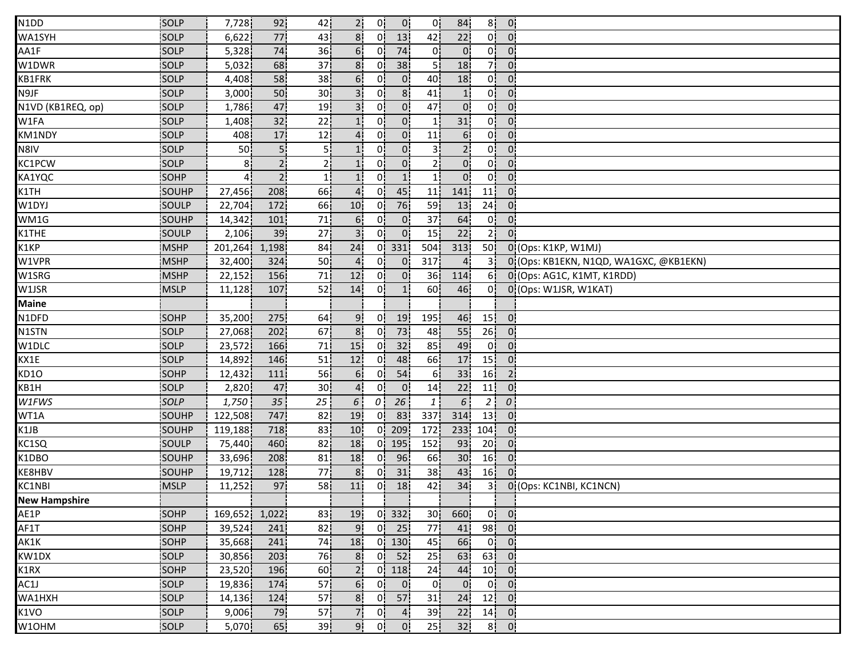| 77<br>22<br>0 <sup>1</sup><br>WA1SYH<br>SOLP<br>8 <sup>1</sup><br>13<br>6,622<br>43<br>0I<br>42<br>$\overline{0}$<br>74<br>36<br>74<br>0İ<br>5,328<br>01<br>$\overline{0}$<br><b>SOLP</b><br>6.<br>0 <sup>1</sup><br>$0^{\circ}$<br>68<br>37<br>38<br>5 i<br>18<br>71<br><b>SOLP</b><br>5,032<br>8 <sup>1</sup><br>0 <sup>1</sup><br>$\overline{0}$<br>58<br>0 <sub>1</sub><br>SOLP<br>38<br>6 <sup>1</sup><br>0i<br>18<br>οi<br>$\mathbf{0}$<br>4,408<br>40i<br>50<br>8 <sup>1</sup><br>0 <sup>1</sup><br>30 <sub>1</sub><br>3 <sup>1</sup><br>01<br>$\overline{0}$<br>SOLP<br>3,000<br>41<br>1 <sub>i</sub><br>0 <sup>1</sup><br>47<br>19<br>0!<br>0 <sup>1</sup><br>47<br>$\overline{0}$<br>$\mathbf{0}$<br>SOLP<br>1,786<br>3.<br>0!<br>32<br>0 <sup>1</sup><br>$\overline{0}$<br>SOLP<br>1,408<br>22<br>0!<br>31<br>1!<br>11<br>17<br>0 <sup>1</sup><br>6 <sup>1</sup><br>0!<br>SOLP<br>12<br>0 <sup>1</sup><br>$0^{\prime}$<br>408<br>11 |  |
|------------------------------------------------------------------------------------------------------------------------------------------------------------------------------------------------------------------------------------------------------------------------------------------------------------------------------------------------------------------------------------------------------------------------------------------------------------------------------------------------------------------------------------------------------------------------------------------------------------------------------------------------------------------------------------------------------------------------------------------------------------------------------------------------------------------------------------------------------------------------------------------------------------------------------------------------|--|
| AA1F<br>W1DWR                                                                                                                                                                                                                                                                                                                                                                                                                                                                                                                                                                                                                                                                                                                                                                                                                                                                                                                                  |  |
|                                                                                                                                                                                                                                                                                                                                                                                                                                                                                                                                                                                                                                                                                                                                                                                                                                                                                                                                                |  |
| KB1FRK<br>N9JF<br>N1VD (KB1REQ, op)<br>W1FA<br>KM1NDY                                                                                                                                                                                                                                                                                                                                                                                                                                                                                                                                                                                                                                                                                                                                                                                                                                                                                          |  |
|                                                                                                                                                                                                                                                                                                                                                                                                                                                                                                                                                                                                                                                                                                                                                                                                                                                                                                                                                |  |
|                                                                                                                                                                                                                                                                                                                                                                                                                                                                                                                                                                                                                                                                                                                                                                                                                                                                                                                                                |  |
|                                                                                                                                                                                                                                                                                                                                                                                                                                                                                                                                                                                                                                                                                                                                                                                                                                                                                                                                                |  |
|                                                                                                                                                                                                                                                                                                                                                                                                                                                                                                                                                                                                                                                                                                                                                                                                                                                                                                                                                |  |
|                                                                                                                                                                                                                                                                                                                                                                                                                                                                                                                                                                                                                                                                                                                                                                                                                                                                                                                                                |  |
| 5!<br>0 <sup>1</sup><br>2 <sub>1</sub><br>0 <sup>1</sup><br>N8IV<br><b>SOLP</b><br>50 <sub>1</sub><br>5!<br>01<br>31<br>$0^{\circ}$                                                                                                                                                                                                                                                                                                                                                                                                                                                                                                                                                                                                                                                                                                                                                                                                            |  |
| 2 <sup>i</sup><br>0<br>$0^{\circ}$<br>Οİ<br>KC1PCW<br>SOLP<br>81<br>2 I<br>0 i<br>2 <sub>1</sub><br>$\overline{0}$<br>1 <sub>i</sub>                                                                                                                                                                                                                                                                                                                                                                                                                                                                                                                                                                                                                                                                                                                                                                                                           |  |
| 2 <sup>1</sup><br>1 <sup>1</sup><br>1 <sub>1</sub><br>$0^{\mathsf{i}}$<br>οi<br>KA1YQC<br>SOHP<br>01<br>1i<br>$0^{\circ}$                                                                                                                                                                                                                                                                                                                                                                                                                                                                                                                                                                                                                                                                                                                                                                                                                      |  |
| K1TH<br>208<br>66<br>4 <sup>1</sup><br>0!<br>45<br>141<br>11<br>SOUHP<br>27,456<br>11<br>$\overline{0}$                                                                                                                                                                                                                                                                                                                                                                                                                                                                                                                                                                                                                                                                                                                                                                                                                                        |  |
| 172<br>66<br>76<br>24<br>W1DYJ<br>SOULP<br>22,704<br>10 <sub>1</sub><br>0.<br>59<br>$\mathbf{0}$<br>13                                                                                                                                                                                                                                                                                                                                                                                                                                                                                                                                                                                                                                                                                                                                                                                                                                         |  |
| WM1G<br>71<br>$\mathbf{0}$<br>37<br>64<br>0!<br>SOUHP<br>14,342<br>101<br>6 <sup>1</sup><br>0!<br>$\overline{0}$ .                                                                                                                                                                                                                                                                                                                                                                                                                                                                                                                                                                                                                                                                                                                                                                                                                             |  |
| K1THE<br>27<br>0 <sup>1</sup><br>0 <sup>1</sup><br>22<br>21<br>39<br>3'<br>15<br>$\Omega$<br>SOULP<br>2,106                                                                                                                                                                                                                                                                                                                                                                                                                                                                                                                                                                                                                                                                                                                                                                                                                                    |  |
| K1KP<br>50<br><b>MSHP</b><br>201,264<br>1,198<br>24<br>0!<br>331<br>504<br>313<br>$0!(\text{Ops}:K1KP,W1MJ)$<br>84                                                                                                                                                                                                                                                                                                                                                                                                                                                                                                                                                                                                                                                                                                                                                                                                                             |  |
| W1VPR<br><b>MSHP</b><br>324<br>50<br>0 <sub>1</sub><br>317<br>32,400<br>01<br>0 (Ops: KB1EKN, N1QD, WA1GXC, @KB1EKN)<br>$\overline{4}$                                                                                                                                                                                                                                                                                                                                                                                                                                                                                                                                                                                                                                                                                                                                                                                                         |  |
| W1SRG<br>71<br>0 (Ops: AG1C, K1MT, K1RDD)<br><b>MSHP</b><br>22,152<br>156<br>12<br>01<br>0<br>36<br>114<br>61                                                                                                                                                                                                                                                                                                                                                                                                                                                                                                                                                                                                                                                                                                                                                                                                                                  |  |
| W1JSR<br>52<br>0 (Ops: W1JSR, W1KAT)<br>107<br>14<br>0.<br>60<br>46<br>01<br><b>MSLP</b><br>11,128<br>1 <sub>i</sub>                                                                                                                                                                                                                                                                                                                                                                                                                                                                                                                                                                                                                                                                                                                                                                                                                           |  |
| <b>Maine</b>                                                                                                                                                                                                                                                                                                                                                                                                                                                                                                                                                                                                                                                                                                                                                                                                                                                                                                                                   |  |
| N1DFD<br>15 <sup>1</sup><br>275<br>64 <sub>1</sub><br>9 <sub>1</sub><br>0!<br>19<br>195<br>46<br>$\overline{0}$<br>SOHP<br>35,200                                                                                                                                                                                                                                                                                                                                                                                                                                                                                                                                                                                                                                                                                                                                                                                                              |  |
| 8 <sub>1</sub><br>73<br>55<br>26<br>202<br>67<br>N1STN<br>SOLP<br>27,068<br>0!<br>48<br>0:                                                                                                                                                                                                                                                                                                                                                                                                                                                                                                                                                                                                                                                                                                                                                                                                                                                     |  |
| 32<br>SOLP<br>23,572<br>166<br>15 <sub>1</sub><br>49<br>0!<br>W1DLC<br>71<br>0 I<br>85<br>0                                                                                                                                                                                                                                                                                                                                                                                                                                                                                                                                                                                                                                                                                                                                                                                                                                                    |  |
| 48<br>15<br>146<br>51<br>66<br>17<br>KX1E<br>SOLP<br>14,892<br>12<br>01<br>0:                                                                                                                                                                                                                                                                                                                                                                                                                                                                                                                                                                                                                                                                                                                                                                                                                                                                  |  |
| KD10<br>56<br>54<br>33<br>16<br><b>SOHP</b><br>12,432<br>111<br>$\overline{2}$<br>01<br>61<br>6.                                                                                                                                                                                                                                                                                                                                                                                                                                                                                                                                                                                                                                                                                                                                                                                                                                               |  |
| KB1H<br>SOLP<br>47<br>30 <sub>1</sub><br>0!<br>2,820<br>4<br>$0^{\cdot}$<br>14 <sub>1</sub><br>22<br>11<br>0.                                                                                                                                                                                                                                                                                                                                                                                                                                                                                                                                                                                                                                                                                                                                                                                                                                  |  |
| 26<br>$\epsilon$<br>W1FWS<br>SOLP<br>35<br>25 <sub>1</sub><br>0<br>1,750<br>6<br>$\theta$<br>$\mathbf{1}$<br>$\overline{2}$                                                                                                                                                                                                                                                                                                                                                                                                                                                                                                                                                                                                                                                                                                                                                                                                                    |  |
| WT1A<br>747<br>19<br>0!<br>83<br>337<br>314<br>13 <sup>1</sup><br>SOUHP<br>122,508<br>82<br>$\overline{0}$ .                                                                                                                                                                                                                                                                                                                                                                                                                                                                                                                                                                                                                                                                                                                                                                                                                                   |  |
| 718<br>$0$   209<br>K1JB<br>SOUHP<br>119,188<br>83<br>10<br>172<br>233!<br>104<br>0:                                                                                                                                                                                                                                                                                                                                                                                                                                                                                                                                                                                                                                                                                                                                                                                                                                                           |  |
| KC1SQ<br>460<br>82<br>18<br>195<br>93<br>20 <sub>1</sub><br>SOULP<br>75,440<br>0!<br>152<br>$\mathbf{0}$                                                                                                                                                                                                                                                                                                                                                                                                                                                                                                                                                                                                                                                                                                                                                                                                                                       |  |
| K1DBO<br>96<br>30 <sub>1</sub><br>16<br>33,696<br>208<br>81<br>18<br>66<br><b>SOUHP</b><br>01<br>0:                                                                                                                                                                                                                                                                                                                                                                                                                                                                                                                                                                                                                                                                                                                                                                                                                                            |  |
| 31<br>16 <sub>1</sub><br>KE8HBV<br>SOUHP<br>19,712<br>128<br>77)<br>8 <sub>1</sub><br>38 <sub>1</sub><br>43<br>01<br>$0^{\circ}$                                                                                                                                                                                                                                                                                                                                                                                                                                                                                                                                                                                                                                                                                                                                                                                                               |  |
| KC1NBI<br><b>MSLP</b><br>97<br>58<br>18<br>42<br>34<br>11,252<br>11<br>0i<br>3i<br>0 (Ops: KC1NBI, KC1NCN)                                                                                                                                                                                                                                                                                                                                                                                                                                                                                                                                                                                                                                                                                                                                                                                                                                     |  |
| <b>New Hampshire</b>                                                                                                                                                                                                                                                                                                                                                                                                                                                                                                                                                                                                                                                                                                                                                                                                                                                                                                                           |  |
| $0$ 332<br>$0$ $0$<br>169,652 1,022<br>83<br>19<br>30 <sup>1</sup><br>660<br>AE1P<br>SOHP                                                                                                                                                                                                                                                                                                                                                                                                                                                                                                                                                                                                                                                                                                                                                                                                                                                      |  |
| 98 0<br>SOHP<br>39,524<br>82<br>9 <sub>1</sub><br>$0$ 25<br>77<br>AF1T<br>241<br>41!                                                                                                                                                                                                                                                                                                                                                                                                                                                                                                                                                                                                                                                                                                                                                                                                                                                           |  |
| 74<br>$0$   130<br>45<br>66<br>0 <sup>1</sup><br>$\overline{0}$<br>AK1K<br><b>SOHP</b><br>35,668<br>241<br>18                                                                                                                                                                                                                                                                                                                                                                                                                                                                                                                                                                                                                                                                                                                                                                                                                                  |  |
| KW1DX<br>76<br>$0$ 52<br>63<br>63<br><b>SOLP</b><br>30,856<br>203<br>8 <sub>1</sub><br>25<br>$\overline{0}$                                                                                                                                                                                                                                                                                                                                                                                                                                                                                                                                                                                                                                                                                                                                                                                                                                    |  |
| K1RX<br>SOHP<br>23,520<br>60<br>2 <sub>i</sub><br>$0$   118<br>44<br>10 <sub>1</sub><br>$\mathbf{0}$<br>196<br>24                                                                                                                                                                                                                                                                                                                                                                                                                                                                                                                                                                                                                                                                                                                                                                                                                              |  |
| 0 <sup>1</sup><br>57<br>0 <sup>1</sup><br>$\overline{0}$<br>0 <sup>1</sup><br>$\overline{0}$<br>AC1J<br>SOLP<br>19,836<br>6 <sub>1</sub><br>$\overline{0}$<br>174                                                                                                                                                                                                                                                                                                                                                                                                                                                                                                                                                                                                                                                                                                                                                                              |  |
| $12$ 0<br>SOLP<br>57<br>8 <sub>1</sub><br>$0$ 57<br>WA1HXH<br>14,136<br>124<br>31 <sub>1</sub><br>24                                                                                                                                                                                                                                                                                                                                                                                                                                                                                                                                                                                                                                                                                                                                                                                                                                           |  |
| $14$ 0<br>K1VO<br>SOLP<br>79<br>57<br>7¦<br>0 <sup>1</sup><br>4 <sub>1</sub><br>39<br>22<br>9,006                                                                                                                                                                                                                                                                                                                                                                                                                                                                                                                                                                                                                                                                                                                                                                                                                                              |  |
| 65<br>9.<br>0 <sup>1</sup><br>8 <sup>1</sup><br>SOLP<br>39 <sub>1</sub><br>$\overline{0}$<br>25<br>32 <sub>1</sub><br>$\overline{0}$<br>W10HM<br>5,070                                                                                                                                                                                                                                                                                                                                                                                                                                                                                                                                                                                                                                                                                                                                                                                         |  |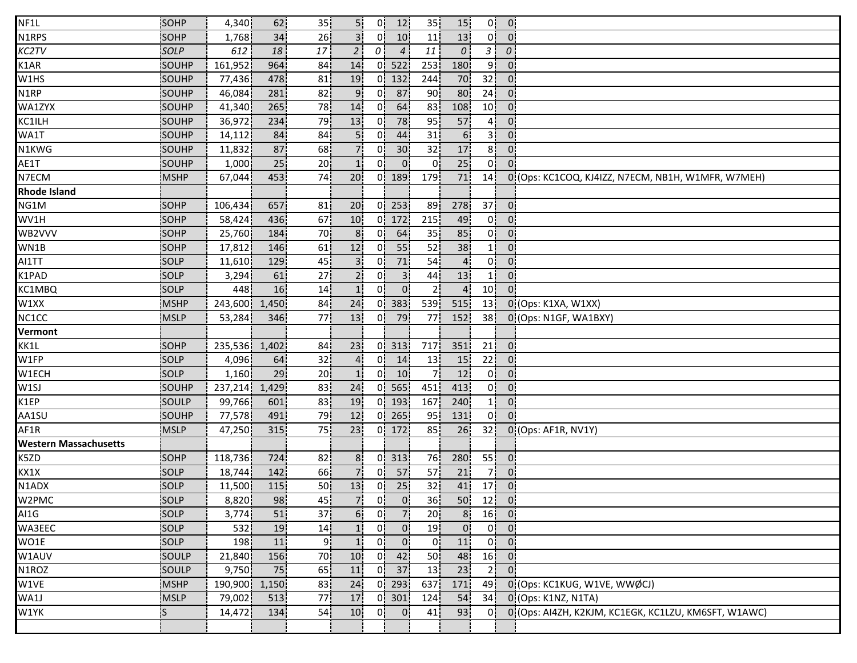| NF1L                         | SOHP         | 4,340   | 62    | 35 <sub>1</sub> | 5!              | 0!             | 12               | 35              | 15             | 0!              | $\overline{0}$             |                                                      |
|------------------------------|--------------|---------|-------|-----------------|-----------------|----------------|------------------|-----------------|----------------|-----------------|----------------------------|------------------------------------------------------|
| N1RPS                        | <b>SOHP</b>  | 1,768   | 34    | 26              |                 | 0.             | 10 <sup>1</sup>  | 11              | 13             | 0!              | 0.                         |                                                      |
| KC2TV                        | <b>SOLP</b>  | 612     | 18    | 17              | $\overline{2}$  | 01             | $\overline{4}$   | 11              | $\mathcal{O}$  | 3 j             | $\theta$                   |                                                      |
| K1AR                         | <b>SOUHP</b> | 161,952 | 964   | 84              | 14              | 0i             | 522              | 253             | 180            | 9i              | $\overline{0}$             |                                                      |
| W1HS                         | SOUHP        | 77,436  | 478   | 81              | 19              | 0i             | 132              | 244             | 70             | 32 <sub>1</sub> | $\mathbf{0}$               |                                                      |
| N1RP                         | SOUHP        | 46,084  | 281   | 82              | 9 <sub>1</sub>  | 0 <sup>1</sup> | 87               | 90              | 80             | 24              | $\overline{0}$             |                                                      |
| WA1ZYX                       | SOUHP        | 41,340  | 265   | 78              | 14              | 0!             | 64               | 83              | 108            | 10 <sup>1</sup> | $\overline{0}$             |                                                      |
| KC1ILH                       | SOUHP        | 36,972  | 234   | 79              | 13              | 0!             | 78               | 95              | 57             | 4¦              | 0 <sup>1</sup>             |                                                      |
| WA1T                         | SOUHP        | 14,112  | 84    | 84              |                 | 0!             | 44               | 31              | 6 <sup>1</sup> | зļ              | 0 <sup>1</sup>             |                                                      |
| N1KWG                        | SOUHP        | 11,832  | 87    | 68              |                 | 0.             | 30 <sup>2</sup>  | 32              | 17             | 8 <sub>1</sub>  | $\overline{0}$             |                                                      |
| AE1T                         | SOUHP        | 1,000   | 25    | 20              |                 | Ωİ             | $0^{\mathsf{i}}$ | 01              | 25             | 0i              | 0.                         |                                                      |
| N7ECM                        | <b>MSHP</b>  | 67,044  | 453   | 74              | 20 <sup>1</sup> | 0i             | 189              | 179i            | 71             | 14 <sub>1</sub> |                            | 0 (Ops: KC1COQ, KJ4IZZ, N7ECM, NB1H, W1MFR, W7MEH)   |
| <b>Rhode Island</b>          |              |         |       |                 |                 |                |                  |                 |                |                 |                            |                                                      |
| NG1M                         | SOHP         | 106,434 | 657   | 81              | 20              |                | $0$   253        | 89¦             | 278            | 37 <sup>1</sup> | 0 <sup>1</sup>             |                                                      |
| WV1H                         | SOHP         | 58,424  | 436   | 67              | 10              |                | $0$ 172          | 215             | 49             | 0!              | $\mathbf{0}$               |                                                      |
| WB2VVV                       | <b>SOHP</b>  | 25,760  | 184   | 70              | 8 <sup>1</sup>  | 0!             | 64               | 35              | 85             | 0!              | 0 <sup>1</sup>             |                                                      |
| WN1B                         | SOHP         | 17,812  | 146   | 61              | 12!             | 0!             | 55               | 52              | 38             | 11              | $\overline{0}$             |                                                      |
| AI1TT                        | <b>SOLP</b>  | 11,610  | 129   | 45              |                 | 01             | 71               | 54              | $\overline{4}$ | 0i              | 0 <sup>1</sup>             |                                                      |
| K1PAD                        | SOLP         | 3,294   | 61    | 27              |                 | 01             | 3 <sub>1</sub>   | 44              | 13             |                 | 0 <sup>1</sup>             |                                                      |
| KC1MBQ                       | SOLP         | 448     | 16    | 14              | 1!              | 01             | $\overline{0}$   | 21              | $\overline{4}$ | 10 <sub>1</sub> | 0:                         |                                                      |
| W1XX                         | <b>MSHP</b>  | 243,600 | 1,450 | 84              | 24              | 0 <sup>1</sup> | 383              | 539             | 515            | 13              |                            | 0 (Ops: K1XA, W1XX)                                  |
| NC1CC                        | <b>MSLP</b>  | 53,284  | 346   | 77              | 13              | 0 <sup>1</sup> | - 79             | 77              | 152            | 38 <sup>1</sup> |                            | 0 (Ops: N1GF, WA1BXY)                                |
| Vermont                      |              |         |       |                 |                 |                |                  |                 |                |                 |                            |                                                      |
| KK1L                         | <b>SOHP</b>  | 235,536 | 1,402 | 84              | 23              | 0 <sup>1</sup> | 313              | 717             | 351            | 21              | $\overline{0}$             |                                                      |
| W1FP                         | <b>SOLP</b>  | 4,096   | 64    | 32              |                 | 01             | 14               | 13              | 15             | 22              | $0^{\circ}$                |                                                      |
| W1ECH                        | SOLP         | 1,160   | 29    | 20 <sub>1</sub> |                 | 01             | 10 <sub>1</sub>  | 71              | 12             | 0 i             | 0.                         |                                                      |
| W1SJ                         | SOUHP        | 237,214 | 1,429 | 83              | 24              | 0.             | 565              | 451             | 413            | 0¦              | 0 <sub>1</sub>             |                                                      |
| K1EP                         | SOULP        | 99,766  | 601   | 83              | 19              | 0.             | 193              | 167             | 240            | 1 <sub>1</sub>  | 0 <sub>1</sub>             |                                                      |
| AA1SU                        | SOUHP        | 77,578  | 491   | 79              | 12              |                | $0$ 265          | 95              | 131            | 0!              | $\mathbf{0}$               |                                                      |
| AF1R                         | <b>MSLP</b>  | 47,250  | 315   | 75              | 23              |                | $0$   172        | 85              | 26             | 32              |                            | 0 (Ops: AF1R, NV1Y)                                  |
| <b>Western Massachusetts</b> |              |         |       |                 |                 |                |                  |                 |                |                 |                            |                                                      |
| K5ZD                         | <b>SOHP</b>  | 118,736 | 724   | 82              | 8 <sub>1</sub>  | 0i             | 313              | 76              | 280            | 55              | 0 <sub>1</sub>             |                                                      |
| KX1X                         | SOLP         | 18,744  | 142   | 66              |                 | 01             | 57               | 57              | 21             | 7i              | 0 <sup>1</sup>             |                                                      |
| N1ADX                        | SOLP         | 11,500  | 115   | 50 <sub>1</sub> | 13              | 0 <sup>1</sup> | 25               | 32              | 41             | 17              | $\mathbf{0}$               |                                                      |
| W2PMC                        | SOLP         | 8,820   | 98    | 45              | 7 <sup>1</sup>  | 0 <sub>i</sub> | 0 <sup>1</sup>   | 36              | 50             |                 | $12$ 0                     |                                                      |
| AI1G                         | SOLP         | 3,774   | 51    | 37 <sub>1</sub> | 6 <sup>1</sup>  | 0 <sup>1</sup> | 7 <sup>1</sup>   | 20 <sup>1</sup> | 8 <sup>1</sup> | 16 <sup>1</sup> | $\overline{\phantom{a}}$ 0 |                                                      |
| WA3EEC                       | SOLP         | 532     | 19    | 14              | 1!              | 0!             | $\mathbf{0}$     | 19              | $\mathbf{0}$   | 0!              | $\overline{0}$             |                                                      |
| WO1E                         | SOLP         | 198     | 11    | 91              |                 | 0 <sub>1</sub> | $\mathbf{0}$     | $\mathbf{0}$    | 11             | 0 <sup>i</sup>  | $\overline{0}$             |                                                      |
| W1AUV                        | <b>SOULP</b> | 21,840  | 156   | 70i             | 10              | 0i             | 42               | 50              | 48             | 16              | $\mathbf{0}$               |                                                      |
| N1ROZ                        | SOULP        | 9,750   | 75    | 65              | 11              | 0i             | 37               | 13              | 23             | 2 <sub>1</sub>  | 0 <sup>1</sup>             |                                                      |
| W1VE                         | <b>MSHP</b>  | 190,900 | 1,150 | 83              | 24              | 0 <sup>1</sup> | 293              | 637             | 171            | 49              |                            | 0 (Ops: KC1KUG, W1VE, WWØCJ)                         |
| WA1J                         | <b>MSLP</b>  | 79,002  | 513   | 77              | 17              |                | $0 \, 301$       | 124             | 54             | 34              |                            | 0 (Ops: K1NZ, N1TA)                                  |
| W1YK                         | ¦S           | 14,472  | 134   | 54              | 10              | 0 <sub>1</sub> | $\mathbf{0}$     | 41              | 93             | 0!              |                            | 0 (Ops: AI4ZH, K2KJM, KC1EGK, KC1LZU, KM6SFT, W1AWC) |
|                              |              |         |       |                 |                 |                |                  |                 |                |                 |                            |                                                      |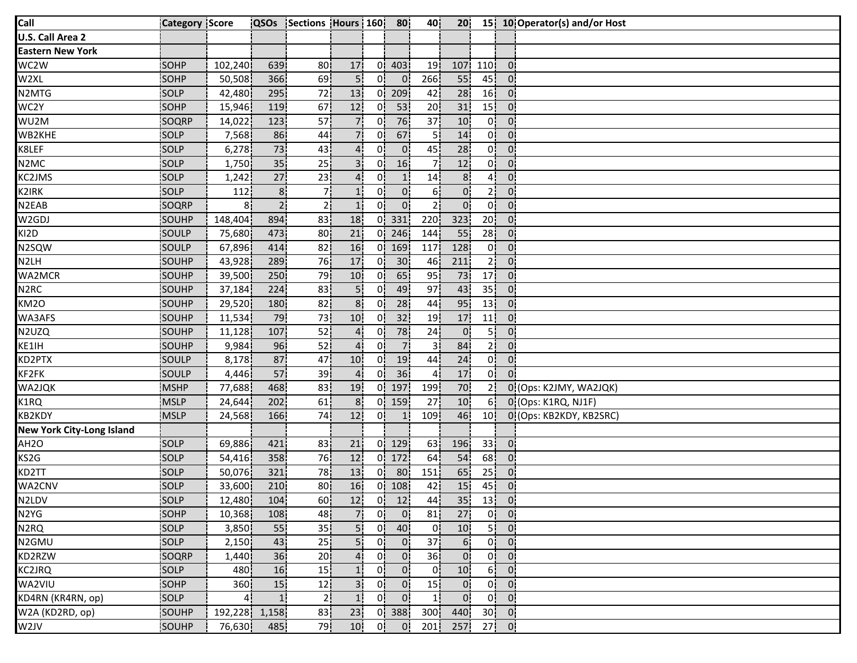| Call                             | <b>Category Score</b> |                | <b>QSOs</b>     | Sections Hours 160 |                 |                | 80              | 40               | 20 <sub>1</sub> |                 |                | 15 10 Operator(s) and/or Host |
|----------------------------------|-----------------------|----------------|-----------------|--------------------|-----------------|----------------|-----------------|------------------|-----------------|-----------------|----------------|-------------------------------|
| U.S. Call Area 2                 |                       |                |                 |                    |                 |                |                 |                  |                 |                 |                |                               |
| <b>Eastern New York</b>          |                       |                |                 |                    |                 |                |                 |                  |                 |                 |                |                               |
| WC2W                             | SOHP                  | 102,240        | 639             | 80                 | 17              | 0İ.            | 403             | 19               | 107             | 110             | $\overline{0}$ |                               |
| W2XL                             | SOHP                  | 50,508         | 366             | 69                 | 5i              | 0i             | 0 <sup>1</sup>  | 266              | 55              | 45              | 0 <sub>1</sub> |                               |
| N2MTG                            | SOLP                  | 42,480         | 295             | 72                 | 13              | 0!             | 209             | 42               | 28              | 16              | $\overline{0}$ |                               |
| WC2Y                             | SOHP                  | 15,946         | <b>119</b>      | 67                 | 12              | 0!             | 53              | 20 <sub>1</sub>  | 31              | 15              | 0 <sup>1</sup> |                               |
| WU2M                             | SOQRP                 | 14,022         | 123             | 57                 | 7.              | 0!             | 76              | 37 <sup>1</sup>  | 10 <sup>1</sup> | 0!              | 0!             |                               |
| WB2KHE                           | SOLP                  | 7,568          | 86              | 44                 | 71              | 0              | 67              | 5!               | 14              | 0!              | 0 <sup>1</sup> |                               |
| K8LEF                            | SOLP                  | 6,278          | 73              | 43                 | 41              | 01             | $\overline{0}$  | 45               | 28              | 01              | 0              |                               |
| N <sub>2</sub> MC                | SOLP                  | 1,750          | 35 <sub>1</sub> | 25                 | 3 <sup>1</sup>  | 0i             | 16              | 7i               | 12              | 0 <sup>1</sup>  | 0 <sup>1</sup> |                               |
| KC2JMS                           | SOLP                  | 1,242          | 27              | 23                 | 4 <sub>1</sub>  | 01             | 1 <sub>i</sub>  | 14               | 8 <sub>1</sub>  | 4i              | 0i             |                               |
| K2IRK                            | SOLP                  | 112            | 8 <sub>1</sub>  | 7¦                 | 1!              | 0.             | 0 <sup>1</sup>  | 6 <sup>1</sup>   | 0 <sup>1</sup>  | 2 <sub>1</sub>  | 0 <sub>1</sub> |                               |
| N2EAB                            | SOQRP                 | 8.             | 2 <sup>1</sup>  | 2 <sub>1</sub>     | 1!              | 0!             | 0 <sup>1</sup>  | 2 <sub>1</sub>   | 0 <sup>1</sup>  | 0!              | 0!             |                               |
| W2GDJ                            | SOUHP                 | 148,404        | 894             | 83                 | 18              | 0!             | 331             | 220              | 323             | 20 <sup>1</sup> | 0 <sup>1</sup> |                               |
| KI2D                             | SOULP                 | 75,680         | 473             | 80                 | 21              | Οŀ             | 246             | 144              | 55              | 28              | 0'             |                               |
| N2SQW                            | SOULP                 | 67,896         | 414             | 82                 | 16              | 01             | 169             | 117              | 128             | 01              | $0^{\prime}$   |                               |
| N <sub>2LH</sub>                 | SOUHP                 | 43,928         | 289             | 76                 | 17              | 0i             | 30 <sup>1</sup> | 46               | 211             | 2i              | 0 <sup>1</sup> |                               |
| WA2MCR                           | SOUHP                 | 39,500         | 250             | 79                 | 10 <sub>1</sub> | 01             | 65              | 95               | 73              | 17              | 01             |                               |
| N <sub>2</sub> RC                | SOUHP                 | 37,184         | 224             | 83                 | 5¦              | 01             | 49              | 97               | 43              | 35 <sub>1</sub> | 0 <sup>1</sup> |                               |
| KM2O                             | SOUHP                 | 29,520         | 180             | 82                 | 8 <sub>1</sub>  | 0 <sup>1</sup> | 28              | 44               | 95              | 13              | 0 <sub>1</sub> |                               |
| WA3AFS                           | SOUHP                 | 11,534         | 79              | 73                 | 10 <sup>1</sup> | 0!             | 32              | 19               | 17              | 11              | 0              |                               |
| N2UZQ                            | SOUHP                 | 11,128         | 107             | 52                 | 4 <sup>1</sup>  | 01             | 78              | 24               | $\overline{0}$  | 5               | 0 <sub>1</sub> |                               |
| KE1IH                            | SOUHP                 | 9,984          | 96              | 52                 | 4 <sup>1</sup>  | 0i             | 7i              | зį               | 84              | 2 <sup>i</sup>  | 0 <sup>1</sup> |                               |
| KD2PTX                           | SOULP                 | 8,178          | 87              | 47                 | 10              | 01             | 19              | 44               | 24              | 0 <sup>1</sup>  | 0 <sup>1</sup> |                               |
| KF2FK                            | SOULP                 | 4,446          | 57              | 39                 | 4i              | 01             | 36              | 41               | 17              | 0 <sup>1</sup>  | $\overline{0}$ |                               |
| WA2JQK                           | <b>MSHP</b>           | 77,688         | 468             | 83                 | 19              | 0!             | 197             | 199 <sup>1</sup> | 70              | 2¦              |                | 0 (Ops: K2JMY, WA2JQK)        |
| K1RQ                             | <b>MSLP</b>           | 24,644         | 202             | 61                 | 8 <sup>1</sup>  | 0ŀ             | 159             | 27               | 10 <sup>1</sup> | 6!              |                | 0 (Ops: K1RQ, NJ1F)           |
| <b>KB2KDY</b>                    | MSLP                  | 24,568         | 166             | 74                 | 12              | 01             | 1!              | 109              | 46              | 10 <sup>1</sup> |                | 0 (Ops: KB2KDY, KB2SRC)       |
| <b>New York City-Long Island</b> |                       |                |                 |                    |                 |                |                 |                  |                 |                 |                |                               |
| AH <sub>20</sub>                 | SOLP                  | 69,886         | 421             | 83                 | 21              | 0 <sup>i</sup> | 129             | 63               | 196             | 33 <sup>1</sup> | $\overline{0}$ |                               |
| KS2G                             | <b>SOLP</b>           | 54,416         | 358             | 76                 | 12              | 01             | 172             | 64               | 54              | 68              | 0 <sub>1</sub> |                               |
| KD2TT                            | SOLP                  | 50,076         | 321             | 78                 | 13              | 01             | 80              | 151              | 65              | 25 <sub>1</sub> | 01             |                               |
| WA2CNV                           | SOLP                  | 33,600         | 210             | 80                 | 16              | 0¦             | 108             | 42               | 15              | 45              | 0 <sub>1</sub> |                               |
| N2LDV                            | SOLP                  | 12,480         | 104             | 60 <sub>1</sub>    | 12              | 0 <sup>1</sup> | 12              | 44               | 35              | 13              | $\overline{0}$ |                               |
| N2YG                             | SOHP                  | 10,368         | 108             | 48                 | 7!              | 0!             | 0 <sup>1</sup>  | 81               | 27              |                 | $0 \quad 0$    |                               |
| N <sub>2</sub> RQ                | SOLP                  | 3,850          | 55              | 35 <sub>1</sub>    | 5.              | 0!             | 40              | 0!               | 10              | 5 <sup>1</sup>  | $\overline{0}$ |                               |
| N2GMU                            | SOLP                  | 2,150          | 43              | 25                 | 5 <sub>1</sub>  | 01             | 0               | 37 <sub>1</sub>  | 6 <sup>1</sup>  | 0 <sup>1</sup>  | $\overline{0}$ |                               |
| KD2RZW                           | SOQRP                 | 1,440          | 36              | 20                 | 4               | 01             | 0 <sub>1</sub>  | 36               | 0 <sup>1</sup>  | 0i              | 0 <sup>1</sup> |                               |
| KC2JRQ                           | SOLP                  | 480            | 16              | 15                 | 1 <sup>i</sup>  | 0i             | 0 <sub>1</sub>  | 01               | 10 <sub>1</sub> | 6¦              | 0 <sub>1</sub> |                               |
| WA2VIU                           | SOHP                  | 360            | 15              | 12                 | 3 <sub>1</sub>  | 0 <sup>1</sup> | 0 <sup>1</sup>  | 15               | 0 <sub>i</sub>  | 0 <sup>1</sup>  | $\overline{0}$ |                               |
| KD4RN (KR4RN, op)                | SOLP                  | 4 <sub>1</sub> | 1 <sub>i</sub>  | 2 <sub>1</sub>     | 1 <sup>1</sup>  | 0!             | 0 <sup>1</sup>  | 1 <sup>1</sup>   | 0 <sup>1</sup>  | 0 I             | $\overline{0}$ |                               |
| W2A (KD2RD, op)                  | SOUHP                 | 192,228        | 1,158           | 83                 | 23              | 0!             | 388             | 300              | 440             |                 | $30$ 0         |                               |
| W2JV                             | SOUHP                 | 76,630         | 485             | 79                 | 10 <sup>1</sup> | 0!             | 0 <sup>1</sup>  | 201              | 257             |                 | $27$ 0         |                               |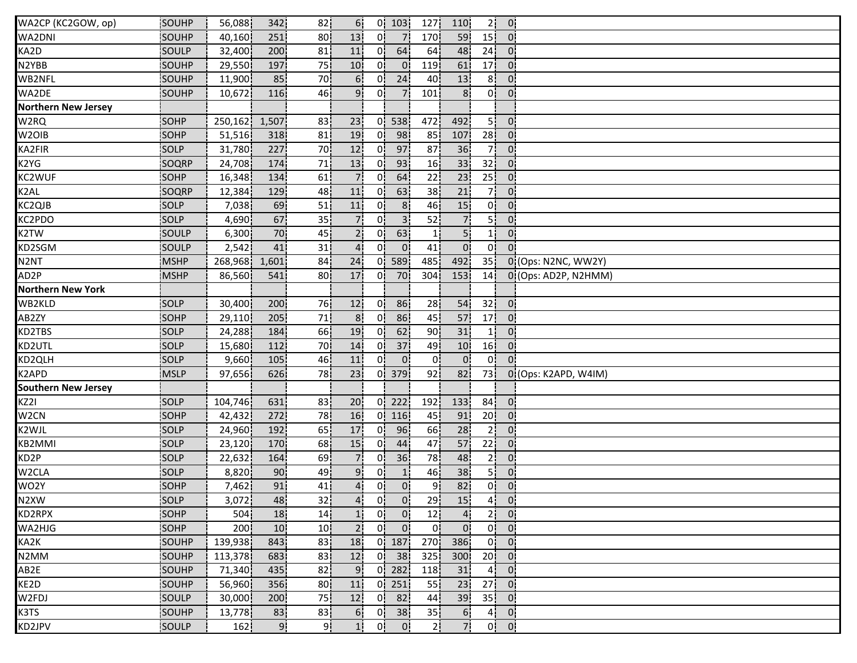| WA2CP (KC2GOW, op)         | SOUHP         | 56,088  | 342        | 82              | 6!              |                | $0$ 103        | 127             | 110             | 2 <sup>1</sup>  | $\overline{0}$   |                      |
|----------------------------|---------------|---------|------------|-----------------|-----------------|----------------|----------------|-----------------|-----------------|-----------------|------------------|----------------------|
| WA2DNI                     | <b>SOUHP</b>  | 40,160  | 251        | 80              | 13              | 01             | 7 <sup>1</sup> | 170             | 59              | 15 <sup>1</sup> | $\Omega$         |                      |
| KA2D                       | SOULP         | 32,400  | 200        | 81              | 11              | 01             | 64             | 64              | 48              | 24              | $\overline{0}$   |                      |
| N2YBB                      | SOUHP         | 29,550  | 197        | 75              | 10 <sup>1</sup> | 01             | 0 <sup>1</sup> | 119             | 61              | 17 <sup>1</sup> | $\mathbf{0}$     |                      |
| WB2NFL                     | SOUHP         | 11,900  | 85         | 70              | 6 <sub>i</sub>  | 0i             | 24             | 40              | 13              | 8 <sup>1</sup>  | $0^{\circ}$      |                      |
| WA2DE                      | SOUHP         | 10,672  | 116        | 46              | 9 <sub>1</sub>  | 0¦             | 7.             | 101             | 8 <sup>1</sup>  | 0 <sup>1</sup>  | 0 <sup>1</sup>   |                      |
| <b>Northern New Jersey</b> |               |         |            |                 |                 |                |                |                 |                 |                 |                  |                      |
| W2RQ                       | SOHP          | 250,162 | 1,507      | 83              | 23              | 0!             | 538            | 472             | 492             | 5!              | 0 <sup>1</sup>   |                      |
| W <sub>2</sub> OIB         | SOHP          | 51,516  | 318        | 81              | 19              | 0 <sup>1</sup> | 98             | 85              | 107             | 28              | 0 <sup>1</sup>   |                      |
| KA2FIR                     | <b>SOLP</b>   | 31,780  | 227        | 70              | 12              | 0 <sup>1</sup> | 97             | 87              | 36              | 71              | $\overline{0}$   |                      |
| K2YG                       | SOQRP         | 24,708  | 174        | 71              | 13              | 0i             | 93             | 16              | 33              | 32              | 0 <sub>1</sub>   |                      |
| KC2WUF                     | SOHP          | 16,348  | 134        | 61              | 7.              | 0i             | 64             | 22              | 23              | 25 <sup>1</sup> | $\overline{0}$   |                      |
| K <sub>2</sub> AL          | SOQRP         | 12,384  | 129        | 48              | 11              | 0'             | 63             | 38 <sub>1</sub> | 21              | 7 <sup>1</sup>  | 0 <sup>1</sup>   |                      |
| KC2QJB                     | SOLP          | 7,038   | 69         | 51              | 11              | 0.             | 8 <sup>1</sup> | 46              | 15              | 0!              | 0 <sup>1</sup>   |                      |
| KC2PDO                     | SOLP          | 4,690   | 67         | 35              | 7!              | 0!             | 3 <sup>1</sup> | 52              | 7 <sub>1</sub>  | 5 <sup>1</sup>  | 0 <sup>1</sup>   |                      |
| K2TW                       | SOULP         | 6,300   | 70         | 45              | 2!              | 0!             | 63             | 1;              | 5!              | 1 <sup>1</sup>  | 0 <sup>1</sup>   |                      |
| KD2SGM                     | <b>SOULP</b>  | 2,542   | 41         | 31              | $\mathbf{4}$    | 0'             | $\overline{0}$ | 41              | $\overline{0}$  | 0 <sup>1</sup>  | $\Omega$         |                      |
| N <sub>2</sub> NT          | <b>MSHP</b>   | 268,968 | 1,601      | 84              | 24              | 0i             | 589            | 485             | 492             | 35 <sub>1</sub> |                  | 0 (Ops: N2NC, WW2Y)  |
| AD2P                       | <b>MSHP</b>   | 86,560  | 541        | 80              | 17              | 01             | 70             | 304             | 153             | 14              |                  | 0 (Ops: AD2P, N2HMM) |
| <b>Northern New York</b>   |               |         |            |                 |                 |                |                |                 |                 |                 |                  |                      |
| WB2KLD                     | SOLP          | 30,400  | <b>200</b> | 76              | 12              | 0!             | 86             | 28              | 54              | 32              | $\overline{0}$   |                      |
| AB2ZY                      | SOHP          | 29,110  | 205        | 71              | 8 <sub>1</sub>  | 0!             | 86             | 45              | 57              | 17 <sup>1</sup> | 0 <sup>1</sup>   |                      |
| KD2TBS                     | SOLP          | 24,288  | 184        | 66              | 19              | 0!             | 62             | 90              | 31              | 11              | 0 <sup>1</sup>   |                      |
| KD2UTL                     | SOLP          | 15,680  | 112        | 70              | 14              | 0 <sup>1</sup> | 37             | 49              | 10 <sup>1</sup> | 16 <sub>1</sub> | $\overline{0}$   |                      |
| KD2QLH                     | SOLP          | 9,660   | 105        | 46              | 11              | 01             | $\overline{0}$ | $\overline{0}$  | $\overline{0}$  | Οİ              | $\Omega$         |                      |
| K2APD                      | <b>MSLP</b>   | 97,656  | 626        | 78              | 23              | 0i             | 379            | 92              | 82              | 73              |                  | 0 (Ops: K2APD, W4IM) |
| <b>Southern New Jersey</b> |               |         |            |                 |                 |                |                |                 |                 |                 |                  |                      |
| KZ2I                       | SOLP          | 104,746 | 631        | 83              | 20 <sub>1</sub> | 0!             | 222            | 192             | 133             | 84              | $\overline{0}$   |                      |
| W <sub>2</sub> CN          | SOHP          | 42,432  | 272        | 78              | 16              | 0!             | 116            | 45              | 91              | 20 <sup>1</sup> | $\overline{0}$ . |                      |
| K2WJL                      | SOLP          | 24,960  | 192        | 65              | 17              | 0!             | 96             | 66              | 28              | 21              | $\overline{0}$   |                      |
| KB2MMI                     | SOLP          | 23,120  | 170        | 68              | 15 <sup>1</sup> | 01             | 44             | 47              | 57              | 22              | $\overline{0}$   |                      |
| KD2P                       | SOLP          | 22,632  | 164        | 69              | 7i              | 01             | 36             | 78              | 48              | 2ļ              | 0 <sub>1</sub>   |                      |
| W2CLA                      | SOLP          | 8,820   | 90         | 49              | 9.              | 01             | 1 <sub>1</sub> | 46              | 38              | 5 I             | $0^{\circ}$      |                      |
| WO2Y                       | SOHP          | 7,462   | 91         | 41              | 4i              | 0i             | 0 <sub>1</sub> | 9 <sub>1</sub>  | 82              | 0 <sup>1</sup>  | 0 <sup>1</sup>   |                      |
| N2XW                       | SOLP          | 3,072   | 48         | 32              | 4 <sup>1</sup>  | 0 <sup>1</sup> | $\overline{0}$ | 29              | 15              | 4 <sup>1</sup>  | $\overline{0}$   |                      |
| KD2RPX                     | SOHP          | 504     | 18         | 14 <sub>1</sub> | 1!              | 0!             | $\overline{0}$ | 12              | 4 <sub>1</sub>  | 2 <sup>1</sup>  | $\overline{0}$   |                      |
| WA2HJG                     | SOHP          | 200     | 10         | 10 <sup>1</sup> | 2 <sup>1</sup>  | 0 <sup>1</sup> | $\mathbf{0}$   | 0.              | 0 <sub>1</sub>  | 0 <sup>1</sup>  | $\mathbf{0}$     |                      |
| KA2K                       | SOUHP         | 139,938 | 843        | 83              | 18              | 0 <sup>1</sup> | 187            | 270             | 386             | 0 <sup>1</sup>  | $\overline{0}$   |                      |
| N2MM                       | <b>ISOUHP</b> | 113,378 | 683        | 83              | 12              | 0i             | 38             | 325             | 300             | 20 <sub>1</sub> | $\overline{0}$   |                      |
| AB2E                       | SOUHP         | 71,340  | 435        | 82              | 9 <sub>1</sub>  | 0i             | 282            | 118             | 31              | 4 <sub>1</sub>  | $\mathbf{0}$     |                      |
| KE2D                       | SOUHP         | 56,960  | 356        | 80              | 11              | 0i             | 251            | 55              | 23              | 27              | 0 <sup>1</sup>   |                      |
| W2FDJ                      | SOULP         | 30,000  | 200        | 75              | 12              | 0 <sup>1</sup> | 82             | 44              | 39              | 35              | $\overline{0}$   |                      |
| K3TS                       | SOUHP         | 13,778  | 83         | 83              | 6 <sub>1</sub>  | 0 <sub>1</sub> | 38             | 35              | 6 <sub>1</sub>  | 4 <sup>1</sup>  | $\overline{0}$   |                      |
| KD2JPV                     | SOULP         | 162     | 9!         | 9¦              | 1!              | 0!             | $\mathbf{0}$   | 2¦              | 7!              | 0!              | $\overline{0}$   |                      |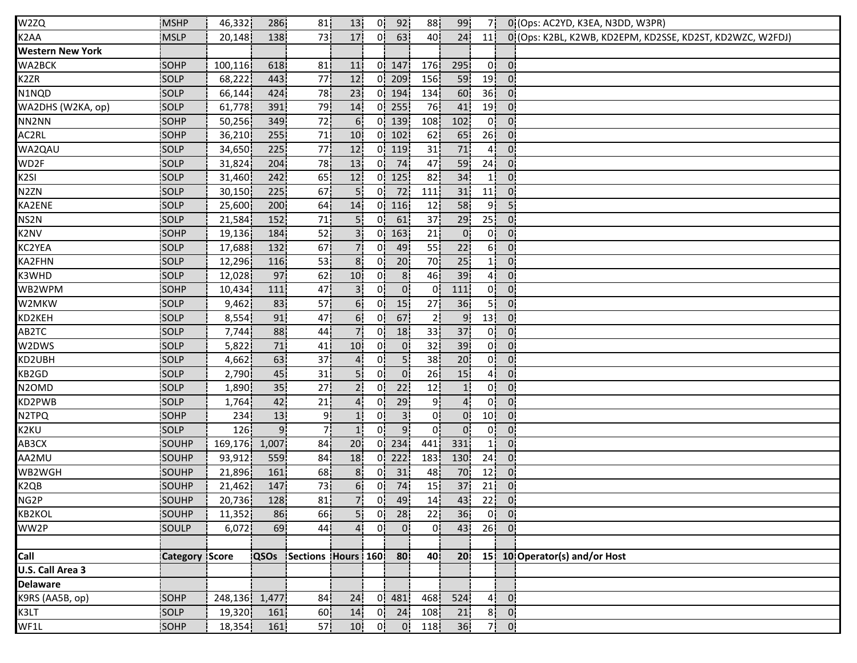| W2ZQ                           | <b>MSHP</b>           | 46,332        | 286             | 81                              | 13              | 0!             | 92              | 88              | 99               | 7!              |                             | 0 (Ops: AC2YD, K3EA, N3DD, W3PR)                          |
|--------------------------------|-----------------------|---------------|-----------------|---------------------------------|-----------------|----------------|-----------------|-----------------|------------------|-----------------|-----------------------------|-----------------------------------------------------------|
| K <sub>2</sub> AA              | <b>MSLP</b>           | 20,148        | 138             | 73                              | 17              | 0!             | 63              | 40              | 24               | 11!             |                             | 0 (Ops: K2BL, K2WB, KD2EPM, KD2SSE, KD2ST, KD2WZC, W2FDJ) |
| <b>Western New York</b>        |                       |               |                 |                                 |                 |                |                 |                 |                  |                 |                             |                                                           |
| WA2BCK                         | SOHP                  | 100, 116      | 618             | 81                              | 11              |                | $0 \ 147$       | 176             | 295              | 0i              | $\overline{0}$              |                                                           |
| K <sub>2</sub> ZR              | SOLP                  | 68,222        | 443             | 77                              | 12              |                | 0 209           | 156             | 59               | 19              | 0 <sub>1</sub>              |                                                           |
| N1NQD                          | SOLP                  | 66,144        | 424             | 78                              | 23              |                | $0$ 194         | 134             | 60               | 36              | 0 <sup>1</sup>              |                                                           |
| WA2DHS (W2KA, op)              | SOLP                  | 61,778        | <b>391</b>      | 79                              | 14              | 0 <sup>1</sup> | 255             | 76              | 41               | 19              | 0 <sup>1</sup>              |                                                           |
| NN2NN                          | SOHP                  | 50,256        | 349             | 72                              | 6!              |                | $0$   139       | 108             | 102              | 0!              | 0 <sup>1</sup>              |                                                           |
| AC2RL                          | SOHP                  | 36,210        | 255             | 71                              | 10              | 0!             | 102             | 62              | 65               | 26              | 0 <sup>1</sup>              |                                                           |
| WA2QAU                         | SOLP                  | 34,650        | 225             | 77                              | 12              |                | 0   119         | 31              | 71               | 41              | $0^{\prime}$                |                                                           |
| WD2F                           | SOLP                  | 31,824        | 204             | 78                              | 13              | 0i             | 74              | 47              | 59               | 24 <sub>1</sub> | 0:                          |                                                           |
| K <sub>2</sub> SI              | SOLP                  | 31,460        | 242             | 65 <sub>1</sub>                 | 12              | 0İ.            | 125             | 82              | 34               | 1 <sup>i</sup>  | 0 <sub>i</sub>              |                                                           |
| N <sub>2</sub> ZN              | SOLP                  | 30,150        | 225             | 67                              | 5 <sup>1</sup>  | 0 <sup>1</sup> | 72              | 111             | 31               | 11              | 0 <sup>1</sup>              |                                                           |
| KA2ENE                         | SOLP                  | 25,600        | 200             | 64                              | 14              | 0!             | 116             | 12              | 58               | 9 <sub>1</sub>  | 5!                          |                                                           |
| NS2N                           | SOLP                  | 21,584        | 152             | 71                              | 5!              | 0!             | 61              | 37 <sub>1</sub> | 29               | 25              | 0:                          |                                                           |
| K2NV                           | SOHP                  | 19,136        | 184             | 52                              | 3 <sup>1</sup>  | 0!             | 163             | 21              | $\overline{0}$   | 0!              | 0:                          |                                                           |
| KC2YEA                         | <b>SOLP</b>           | 17,688        | 132             | 67                              | 7 <sup>1</sup>  | 01             | 49              | 55              | 22               | 6!              | $0^{\prime}$                |                                                           |
| KA2FHN                         | SOLP                  | 12,296        | 116             | 53                              | 8 <sub>1</sub>  | 0i             | 20 <sup>1</sup> | 70              | 25               | 1i              | 0 <sup>1</sup>              |                                                           |
| K3WHD                          | SOLP                  | 12,028        | 97              | 62                              | 10 <sup>1</sup> | 0.             | 8 <sup>1</sup>  | 46              | 39               | 4 I             | 0 <sub>i</sub>              |                                                           |
| WB2WPM                         | SOHP                  | 10,434        | 111             | 47                              | 3 <sup>1</sup>  | 01             | 0 <sup>1</sup>  | 0 <sub>i</sub>  | 111              | 0 <sup>1</sup>  | $\mathbf{0}$                |                                                           |
| W2MKW                          | SOLP                  | 9,462         | 83              | 57                              | 6 <sub>1</sub>  | 0 <sup>1</sup> | 15              | 27              | 36               | 5¦              | 0 <sub>1</sub>              |                                                           |
| KD2KEH                         | SOLP                  | 8,554         | 91              | 47                              | 6 <sup>1</sup>  | 0¦             | 67              | 2 <sup>1</sup>  | 9 <sub>1</sub>   | 13              | 0 <sup>1</sup>              |                                                           |
| AB2TC                          | SOLP                  | 7,744         | 88              | 44                              | 7               | 0 <sup>1</sup> | 18              | 33 <sub>1</sub> | 37               | 0!              | 0 <sup>1</sup>              |                                                           |
| W2DWS                          | SOLP                  | 5,822         | 71              | 41                              | 10 <sup>1</sup> | 01             | $\overline{0}$  | 32              | 39               | 0 <sup>i</sup>  | 0 <sub>1</sub>              |                                                           |
| KD2UBH                         | SOLP                  | 4,662         | 63              | 37                              | 4i              | 01             | 5İ              | 38 <sub>1</sub> | 20 <sup>1</sup>  | 0 <sup>1</sup>  | 0 <sup>1</sup>              |                                                           |
| KB2GD                          | SOLP                  | 2,790         | 45              | 31                              | 5i              | 01             | 0 <sup>1</sup>  | 26              | 15               | 4ί              | 0                           |                                                           |
| N <sub>2</sub> OM <sub>D</sub> | SOLP                  | 1,890         | 35 <sub>1</sub> | 27                              | 2 <sub>1</sub>  | 0.             | 22              | 12              | 1 <sub>i</sub>   | 0 <sup>1</sup>  | 0 <sup>1</sup>              |                                                           |
| KD2PWB                         | SOLP                  | 1,764         | 42              | 21                              | 4 <sup>1</sup>  | 01             | 29              | 9 <sup>1</sup>  | 4!               | 0 <sup>1</sup>  | 0 <sup>1</sup>              |                                                           |
| N2TPQ                          | SOHP                  | 234           | 13              | 9 <sub>1</sub>                  | 1!              | 0!             | 3 <sup>1</sup>  | 0 <sup>1</sup>  | $\overline{0}$   | 10 <sup>1</sup> | 0 <sup>1</sup>              |                                                           |
| K2KU                           | SOLP                  | 126           | 9 <sub>1</sub>  | 71                              | 1 <sup>1</sup>  | 0 <sup>1</sup> | 9 <sub>1</sub>  | 0 <sup>1</sup>  | $\overline{0}$   | 0!              | $\mathbf{0}$                |                                                           |
| AB3CX                          | SOUHP                 | 169,176       | 1,007           | 84                              | 20              | 01             | 234             | 441             | 331              | 11              | 0 <sup>1</sup>              |                                                           |
| AA2MU                          | SOUHP                 | 93,912        | 559             | 84                              | 18              | 01             | 222             | 183             | 130 <sub>1</sub> | 24              | 0 <sup>1</sup>              |                                                           |
| WB2WGH                         | SOUHP                 | 21,896        | 161             | 68                              | 8 <sub>1</sub>  | 01             | 31              | 48              | 70               | 12 <sub>1</sub> | 01                          |                                                           |
| K <sub>2QB</sub>               | SOUHP                 | 21,462        | 147             | 73                              | 6 <sub>1</sub>  | 0 j            | 74              | 15              | 37               | 21              | 0 <sub>1</sub>              |                                                           |
| NG2P                           | SOUHP                 | 20,736        | 128             | 81                              | 7 <sup>1</sup>  | 0 <sub>i</sub> | 49              | 14              | 43               | 22              | $\overline{\phantom{0}}$    |                                                           |
| KB2KOL                         | SOUHP                 | 11,352        | 86              | 66                              | 5 <sup>1</sup>  | 0 <sup>1</sup> | 28              | 22              | 36 <sup>1</sup>  |                 | $0^{\dagger}$ $0^{\dagger}$ |                                                           |
| WW2P                           | SOULP                 | 6,072         | 69              | 44                              | 41              | 0!             | 0 <sup>1</sup>  | 0!              | 43               |                 | $26$ 0                      |                                                           |
|                                |                       |               |                 |                                 |                 |                |                 |                 |                  |                 |                             |                                                           |
| Call                           | <b>Category Score</b> |               |                 | <b>QSOs</b> Sections Hours 1601 |                 |                | <b>80</b>       | 40              | 20               |                 |                             | 15: 10 Operator(s) and/or Host                            |
| U.S. Call Area 3               |                       |               |                 |                                 |                 |                |                 |                 |                  |                 |                             |                                                           |
| <b>Delaware</b>                |                       |               |                 |                                 |                 |                |                 |                 |                  |                 |                             |                                                           |
| K9RS (AA5B, op)                | SOHP                  | 248,136 1,477 |                 | 84                              | 24              |                | $0$   481       | 468             | 524              | 4¦              | 0 <sup>1</sup>              |                                                           |
| K3LT                           | SOLP                  | 19,320        | 161             | 60                              | 14              |                | $0$ 24          | 108             | 21               | 8 <sup>1</sup>  | 0 <sup>1</sup>              |                                                           |
| WF1L                           | SOHP                  | 18,354        | 161             | 57 <sup>1</sup>                 | 10 <sub>1</sub> | 0!             | $\overline{0}$  | 118             | 36               |                 | $7$ 0                       |                                                           |
|                                |                       |               |                 |                                 |                 |                |                 |                 |                  |                 |                             |                                                           |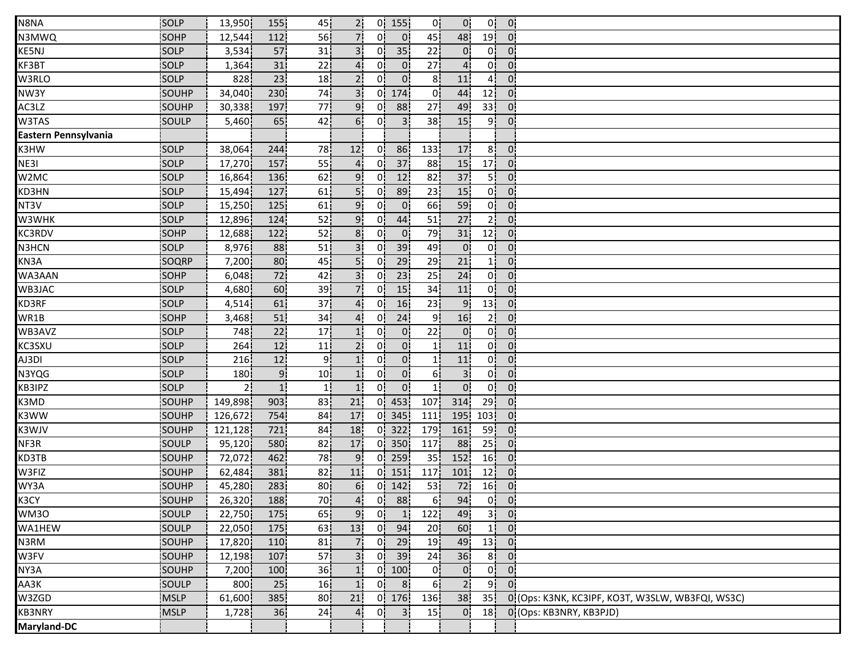| N8NA                 | SOLP        | 13,950  | 155  | 45              | 2 <sup>1</sup>  | 0!             | 155            | 0!              | 0!             | 0!              | 0 <sub>1</sub> |                                                  |
|----------------------|-------------|---------|------|-----------------|-----------------|----------------|----------------|-----------------|----------------|-----------------|----------------|--------------------------------------------------|
| N3MWQ                | <b>SOHP</b> | 12,544  | 112  | 56              | 71              | 01             | 0 <sup>1</sup> | 45              | 48             | 19 <sup>1</sup> | 0 <sup>1</sup> |                                                  |
| KE5NJ                | SOLP        | 3,534   | 57   | 31              | 3'              | 01             | 35             | 22              | 0 <sup>1</sup> | 01              | 0:             |                                                  |
| KF3BT                | SOLP        | 1,364   | 31   | 22              | 41              | 0 <sup>1</sup> | $0^{\dagger}$  | 27 <sub>1</sub> | $4^{\dagger}$  | 0İ              | 0:             |                                                  |
| W3RLO                | SOLP        | 828     | 23   | 18              | 2 <sub>i</sub>  | 01             | 0 <sup>1</sup> | 81              | 11             | 4i              | 0.             |                                                  |
| NW3Y                 | SOUHP       | 34,040  | 230  | 74              | 3 <sup>1</sup>  | 0 <sup>1</sup> | 174            | 0 <sup>1</sup>  | 44             | 12              | $\overline{0}$ |                                                  |
| AC3LZ                | SOUHP       | 30,338  | 197  | 77              | 9 <sup>1</sup>  | 0!             | 88             | 27              | 49             | 33!             | 0!             |                                                  |
| W3TAS                | SOULP       | 5,460   | 65   | 42              | 6 <sup>1</sup>  | 0 <sup>1</sup> | 3 <sup>1</sup> | 38              | 15             | 9               | 0 <sup>1</sup> |                                                  |
| Eastern Pennsylvania |             |         |      |                 |                 |                |                |                 |                |                 |                |                                                  |
| K3HW                 | SOLP        | 38,064  | 244  | 78              | 12              | 01             | 86             | 133             | 17             | 8 <sup>1</sup>  | 0'             |                                                  |
| NE31                 | SOLP        | 17,270  | 157  | 55              | 4 <sup>i</sup>  | 0i             | 37             | 88              | 15             | 17 <sup>1</sup> | 0 <sup>1</sup> |                                                  |
| W2MC                 | SOLP        | 16,864  | 136  | 62              | 9 <sub>1</sub>  | 01             | 12             | 82              | 37             | 5 <sup>1</sup>  | $0^{\circ}$    |                                                  |
| KD3HN                | SOLP        | 15,494  | 127  | 61              | 5!              | 01             | 89             | 23              | 15             | 0 <sup>1</sup>  | 0 <sub>1</sub> |                                                  |
| NT3V                 | SOLP        | 15,250  | 125  | 61              | 9 <sup>1</sup>  | 0!             | $\mathbf{0}$   | 66              | 59             | 0!              | 0!             |                                                  |
| W3WHK                | SOLP        | 12,896  | 124  | 52              | 9 <sub>1</sub>  | 0!             | 44             | 51              | 27             | 2 <sub>1</sub>  | 0 <sup>1</sup> |                                                  |
| KC3RDV               | <b>SOHP</b> | 12,688  | 122  | 52              | 8 <sup>1</sup>  | 01             | $\overline{0}$ | 79              | 31             | 12 <sub>1</sub> | 0 <sup>1</sup> |                                                  |
| N3HCN                | SOLP        | 8,976   | 88   | 51              | 3 <sup>1</sup>  | 0 <sup>1</sup> | 39             | 49              | $\overline{0}$ | 0!              | 0 <sup>1</sup> |                                                  |
| KN3A                 | SOQRP       | 7,200   | 80   | 45              | 5i              | 01             | 29             | 29              | 21             | 1 i             | 0.             |                                                  |
| WA3AAN               | SOHP        | 6,048   | 72   | 42              | 3i              | 01             | 23             | 25              | 24             | 0i              | 0.             |                                                  |
| WB3JAC               | SOLP        | 4,680   | 60   | 39              | 7.              | 0.             | 15             | 34              | 11             | 0 <sup>1</sup>  | 0 <sub>1</sub> |                                                  |
| KD3RF                | SOLP        | 4,514   | 61   | 37              | 4 <sub>1</sub>  | 0 <sup>1</sup> | 16             | 23              | 9              | 13              | 0 <sub>1</sub> |                                                  |
| WR1B                 | SOHP        | 3,468   | 51   | 34              | 4 <sub>1</sub>  | 0!             | 24             | 9 <sub>1</sub>  | 16             | 2 <sub>1</sub>  | $\mathbf{0}$   |                                                  |
| WB3AVZ               | SOLP        | 748     | 22   | 17              | 1!              | 0 <sub>1</sub> | $\overline{0}$ | 22              | $\overline{0}$ | 0 <sup>1</sup>  | 0 <sup>1</sup> |                                                  |
| KC3SXU               | SOLP        | 264     | 12   | 11              | 2 <sub>1</sub>  | 01             | 0 <sub>1</sub> | 11              | 11             | 0 <sup>1</sup>  | 0 <sup>1</sup> |                                                  |
| AJ3DI                | <b>SOLP</b> | 216     | 12   | ا 9             | 1 <sup>i</sup>  | 01             | 0 <sub>1</sub> | 11              | 11             | Οi              | 0 <sup>1</sup> |                                                  |
| N3YQG                | SOLP        | 180     | 9.   | 10 <sub>1</sub> | 1 <sub>i</sub>  | 0.             | 0 <sub>1</sub> | 61              | $\overline{3}$ | οi              | 01             |                                                  |
| KB3IPZ               | SOLP        | 21      | 1!   | $\mathbf{1}$    | 1!              | 0 <sub>1</sub> | 0 <sup>1</sup> | 1!              | 0 <sub>1</sub> | 0!              | $\mathbf{0}$   |                                                  |
| K3MD                 | SOUHP       | 149,898 | 903  | 83              | 21              | 0 <sup>1</sup> | 453            | 107             | 314            | 29              | $\overline{0}$ |                                                  |
| K3WW                 | SOUHP       | 126,672 | 754  | 84              | 17 <sup>1</sup> | 0!             | 345            | 111             | 195            | 103             | $\overline{0}$ |                                                  |
| K3WJV                | SOUHP       | 121,128 | 721  | 84              | 18              | 0!             | 322            | 179             | 161            | 59              | 0 <sub>1</sub> |                                                  |
| NF3R                 | SOULP       | 95,120  | 580  | 82              | 17              | Οİ             | 350            | 117             | 88             | 25 <sup>1</sup> | 0 <sup>1</sup> |                                                  |
| KD3TB                | SOUHP       | 72,072  | 462  | 78              | 9               | 0.             | 259            | 35              | 152            | 16              | 0 <sub>1</sub> |                                                  |
| W3FIZ                | SOUHP       | 62,484  | 381  | 82              | 11              | 0i             | 151            | 117             | 101            | 12 <sub>1</sub> | 01             |                                                  |
| WY3A                 | SOUHP       | 45,280  | 283  | 80              | 6 <sub>1</sub>  | 0 <sup>1</sup> | 142            | 53              | 72             | 16              | 0 <sub>1</sub> |                                                  |
| K3CY                 | SOUHP       | 26,320  | 188  | 70              | 4 <sup>1</sup>  | 0 <sub>1</sub> | 88             | 6 <sup>1</sup>  | 94             |                 | $0$ $0$        |                                                  |
| WM3O                 | SOULP       | 22,750  | 175! | 65              | 9 <sup>1</sup>  | 0 <sup>1</sup> | 1              | 122             | 49             | 3ļ              | $\overline{0}$ |                                                  |
| WA1HEW               | SOULP       | 22,050  | 175  | 63              | 13              | 0 <sup>1</sup> | 94             | 20              | 60             | 1 <sup>1</sup>  | $\overline{0}$ |                                                  |
| N3RM                 | SOUHP       | 17,820  | 110  | 81              | 7 <sup>1</sup>  | 0 <sup>1</sup> | 29             | 19              | 49             | 13 <sup>1</sup> | 0 <sup>1</sup> |                                                  |
| W3FV                 | SOUHP       | 12,198  | 107  | 57              | 3 <sup>1</sup>  | 0 <sup>1</sup> | 39             | 24              | 36             | 8 <sub>1</sub>  | 0 <sup>1</sup> |                                                  |
| NY3A                 | SOUHP       | 7,200   | 100  | 36              | 1i              | 0i             | 100            | 0 <sub>i</sub>  | 0 <sub>i</sub> | ο¦              | 0 <sub>1</sub> |                                                  |
| AA3K                 | SOULP       | 800     | 25   | 16              | 1 <sup>i</sup>  | 0 <sup>1</sup> | 8 <sup>1</sup> | 6 <sup>1</sup>  | 2 <sub>1</sub> | 9 <sup>1</sup>  | 0 <sup>1</sup> |                                                  |
| W3ZGD                | <b>MSLP</b> | 61,600  | 385  | 80 <sub>1</sub> | 21              |                | $0$ 176        | 136             | 38             | 35 <sub>1</sub> |                | 0 (Ops: K3NK, KC3IPF, KO3T, W3SLW, WB3FQI, WS3C) |
| KB3NRY               | MSLP        | 1,728   | 36   | 24              | 4 <sup>1</sup>  | 0 <sup>1</sup> | 3 <sup>1</sup> | 15              | 0 <sub>1</sub> | 18 <sup>1</sup> |                | 0 (Ops: KB3NRY, KB3PJD)                          |
| Maryland-DC          |             |         |      |                 |                 |                |                |                 |                |                 |                |                                                  |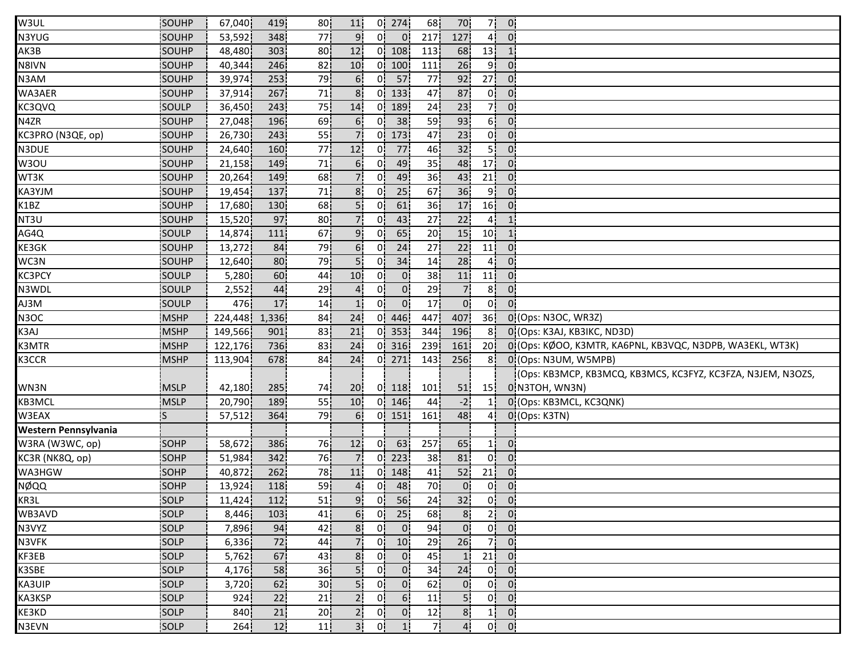| W3UL                 | SOUHP        | 67,040  | 419             | 80              | 11              |                | $0$ 274           | 68  | 70              | 7!              | $\overline{0}$                          |                                                             |
|----------------------|--------------|---------|-----------------|-----------------|-----------------|----------------|-------------------|-----|-----------------|-----------------|-----------------------------------------|-------------------------------------------------------------|
| N3YUG                | SOUHP        | 53,592  | 348             | 77              |                 | 0'             | $\overline{0}$    | 217 | 127             | 4!              | $\mathbf{0}$                            |                                                             |
| AK3B                 | SOUHP        | 48,480  | 303             | 80              | 12              |                | 01108             | 113 | 68              | 13              | 1                                       |                                                             |
| N8IVN                | <b>SOUHP</b> | 40,344  | 246             | 82              | 10              |                | 0 100             | 111 | 26              | 9i              | 0:                                      |                                                             |
| N3AM                 | SOUHP        | 39,974  | 253             | 79              | 6 <sub>1</sub>  | 0i             | $-57$             | 77  | 92              | 27 <sub>1</sub> | $\overline{0}$                          |                                                             |
| WA3AER               | SOUHP        | 37,914  | 267             | 71              | 8 <sup>1</sup>  |                | $0$   133         | 47  | 87              | 0¦              | 0 <sup>1</sup>                          |                                                             |
| KC3QVQ               | SOULP        | 36,450  | 243             | 75              | 14              |                | $0$   189         | 24  | 23              | 7¦              | 0 <sup>1</sup>                          |                                                             |
| N4ZR                 | SOUHP        | 27,048  | 196             | 69              | 6 <sup>1</sup>  | 0!             | 38                | 59  | 93              | 6 <sup>1</sup>  | 0 <sup>1</sup>                          |                                                             |
| KC3PRO (N3QE, op)    | SOUHP        | 26,730  | 243             | 55              |                 |                | $0$   173         | 47  | 23              | 0!              | 0 <sup>1</sup>                          |                                                             |
| N3DUE                | SOUHP        | 24,640  | 160             | 77              | 12              | 01             | 77                | 46  | 32              | 5 <sup>1</sup>  | $0^{\circ}$                             |                                                             |
| W3OU                 | SOUHP        | 21,158  | 149             | 71i             | 6 <sub>1</sub>  | 0i             | 49                | 35  | 48              | 17 <sub>1</sub> | $\overline{0}$                          |                                                             |
| WT3K                 | SOUHP        | 20,264  | 149             | 68              | 7i              | 0¦             | 49                | 36  | 43              | 21 <sub>1</sub> | 0 <sub>1</sub>                          |                                                             |
| KA3YJM               | SOUHP        | 19,454  | 137             | 71              | 8 <sup>1</sup>  | 0!             | 25                | 67  | 36              | 9 <sup>1</sup>  | $\mathbf{0}$                            |                                                             |
| K1BZ                 | SOUHP        | 17,680  | 130             | 68              | 5 <sub>1</sub>  | 0!             | 61                | 36  | 17              | 16!             | $\mathbf{0}$                            |                                                             |
| NT3U                 | SOUHP        | 15,520  | 97              | 80              |                 | 0!             | 43                | 27  | 22              | 4 <sub>1</sub>  | $\mathbf{1}$                            |                                                             |
| AG4Q                 | SOULP        | 14,874  | 111             | 67              | 9'              | 0'             | 65                | 20  | 15              | 10 <sup>1</sup> | $\mathbf{1}$                            |                                                             |
| KE3GK                | SOUHP        | 13,272  | 84              | 79              | 6 <sup>1</sup>  | 01             | 24                | 27  | 22              | 11!             | $0^{\prime}$                            |                                                             |
| WC3N                 | SOUHP        | 12,640  | 80              | 79              | 5i              | 0i             | 34                | 14  | 28              | 41              | 0 <sup>1</sup>                          |                                                             |
| KC3PCY               | SOULP        | 5,280   | 60              | 44              | 10 <sup>1</sup> | 01             | $\overline{0}$    | 38  | 11              | 11              | 0 <sub>1</sub>                          |                                                             |
| N3WDL                | SOULP        | 2,552   | 44              | 29              |                 | 01             | 0 <sub>1</sub>    | 29  | 7 <sub>1</sub>  | 8 <sub>1</sub>  | $\mathbf{0}$                            |                                                             |
| AJ3M                 | <b>SOULP</b> | 476     | 17              | 14              | 1!              | 0 <sup>1</sup> | 0 <sup>1</sup>    | 17  | $\overline{0}$  | 0 <sub>1</sub>  | $\overline{0}$                          |                                                             |
| N3OC                 | MSHP         | 224,448 | 1,336           | 84              | 24              |                | $0 \mid 446 \mid$ | 447 | 407             | 36 <sup>1</sup> |                                         | 0 (Ops: N3OC, WR3Z)                                         |
| K3AJ                 | <b>MSHP</b>  | 149,566 | 901             | 83              | 21              | 0!             | 353               | 344 | 196             | 8!              |                                         | 0 (Ops: K3AJ, KB3IKC, ND3D)                                 |
| K3MTR                | <b>MSHP</b>  | 122,176 | 736             | 83              | 24              |                | $0$ 316           | 239 | 161             | 20 <sub>1</sub> |                                         | 0. (Ops: KØOO, K3MTR, KA6PNL, KB3VQC, N3DPB, WA3EKL, WT3K)  |
| K3CCR                | <b>MSHP</b>  | 113,904 | 678             | 84              | 24              |                | $0$ 271           | 143 | 256             | 8i              |                                         | 0 (Ops: N3UM, W5MPB)                                        |
|                      |              |         |                 |                 |                 |                |                   |     |                 |                 |                                         | (Ops: KB3MCP, KB3MCQ, KB3MCS, KC3FYZ, KC3FZA, N3JEM, N3OZS, |
| WN3N                 | <b>MSLP</b>  | 42,180  | 285             | 74              | 20 <sub>1</sub> |                | $0$   118         | 101 | 51              | 15 <sub>1</sub> |                                         | 0 N3TOH, WN3N)                                              |
| KB3MCL               | <b>MSLP</b>  | 20,790  | 189             | 55              | 10 <sub>1</sub> |                | $0$ 146           | 44  | $-2$            |                 |                                         | 0 (Ops: KB3MCL, KC3QNK)                                     |
| W3EAX                | lS.          | 57,512  | 364             | 79              | 6 <sup>1</sup>  |                | $0$   151         | 161 | 48              | 4!              |                                         | 0 (Ops: K3TN)                                               |
| Western Pennsylvania |              |         |                 |                 |                 |                |                   |     |                 |                 |                                         |                                                             |
| W3RA (W3WC, op)      | SOHP         | 58,672  | 386             | 76              | 12              | 01             | 63                | 257 | 65              | 11              | $\mathbf{0}$                            |                                                             |
| KC3R (NK8Q, op)      | <b>SOHP</b>  | 51,984  | 342             | 76              |                 | 0i             | 223               | 38  | 81              | 0 <sup>1</sup>  | 0 <sup>1</sup>                          |                                                             |
| WA3HGW               | <b>SOHP</b>  | 40,872  | 262             | 78              | 11              | 01.            | 148               | 41  | 52              | 21              | 01                                      |                                                             |
| NØQQ                 | SOHP         | 13,924  | 118             | 59              | 4i              | 0i             | 48                | 70  | $\overline{0}$  | 01              | 0 <sub>1</sub>                          |                                                             |
| KR3L                 | SOLP         | 11,424  | 112             | 51              | 9 <sub>1</sub>  |                | $0$ 56            | 24  | 32 <sup>1</sup> |                 | $0$ $0$                                 |                                                             |
| WB3AVD               | SOLP         | 8,446   | 103             | 41 <sub>1</sub> | 6 <sup>1</sup>  |                | $0$ 25            | 68  | 8 <sub>1</sub>  |                 | $2$ 0                                   |                                                             |
| N3VYZ                | SOLP         | 7,896   | 94!             | 42              | 8 <sup>1</sup>  | 0!             | $\overline{0}$    | 94  | 0!              |                 | $0$ $0$                                 |                                                             |
| N3VFK                | <b>SOLP</b>  | 6,336   | 72              | 44              | 7 <sup>1</sup>  | 01             | 10                | 29  | 26              | 71              | $\overline{0}$                          |                                                             |
| KF3EB                | <b>SOLP</b>  | 5,762   | 67i             | 431             | 8 <sub>1</sub>  | 01             | 0 <sub>1</sub>    | 45  | $\mathbf{1}$    | 21              | $\mathbf{0}$                            |                                                             |
| K3SBE                | SOLP         | 4,176   | 58              | 36 <sub>1</sub> | 51              | 0 <sub>i</sub> | 0i                | 34¦ | 24              | 0 <sub>i</sub>  | 0.                                      |                                                             |
| KA3UIP               | SOLP         | 3,720   | 62              | 30 <sub>1</sub> | 5.              | 0i             | 0i                | 62  | $0^{\circ}$     | 0 <sub>1</sub>  | 0 <sup>1</sup>                          |                                                             |
| KA3KSP               | SOLP         | 924     | 22              | 21 <sub>i</sub> | 2 <sub>1</sub>  | 0 <sup>1</sup> | 6 <sub>1</sub>    | 11  | 5 <sub>i</sub>  | 0!              | $\overline{0}$                          |                                                             |
| KE3KD                | SOLP         | 840     | 21              | 20 <sub>1</sub> | 2 <sub>1</sub>  | 0!             | 0 <sub>1</sub>    | 12  | 8 <sub>1</sub>  | $1\vert$        | $\mathbf{0}$                            |                                                             |
| N3EVN                | SOLP         | 264     | 12 <sub>1</sub> | 11              | 3.              | 0!             | 1!                | 71  | $\overline{4}$  |                 | $0\begin{bmatrix} 0 \\ 0 \end{bmatrix}$ |                                                             |
|                      |              |         |                 |                 |                 |                |                   |     |                 |                 |                                         |                                                             |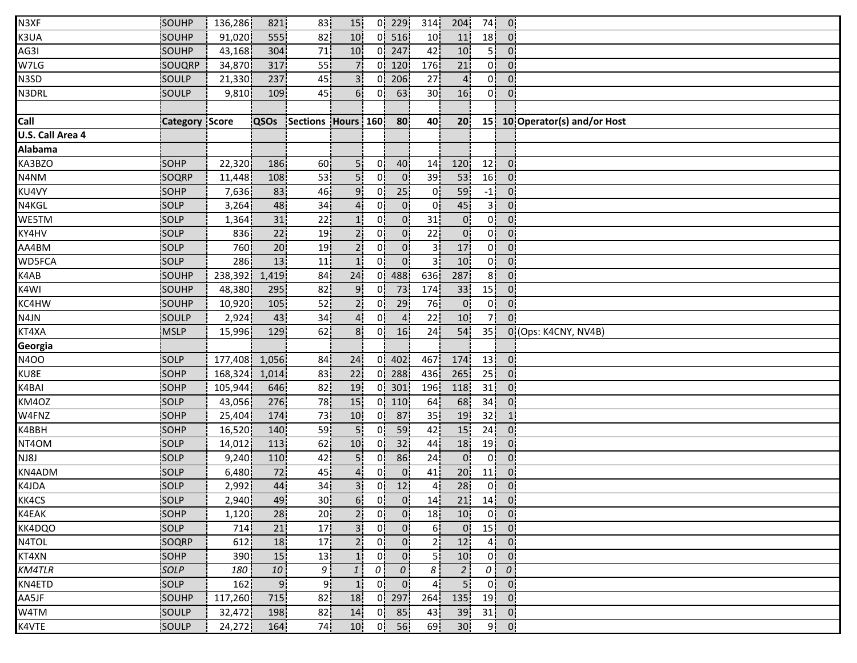| N3XF             | SOUHP                 | 136,286          | 821!           | 83                 | 15              |                | $0$ 229         | 314!            | 204             | 74              | 0 <sub>1</sub>    |                               |
|------------------|-----------------------|------------------|----------------|--------------------|-----------------|----------------|-----------------|-----------------|-----------------|-----------------|-------------------|-------------------------------|
| K3UA             | SOUHP                 | 91,020           | 555            | 82                 | 10              | ΩL             | 516             | 10              | 11              | 18 <sup>1</sup> | 0:                |                               |
| AG3I             | SOUHP                 | 43,168           | 304            | 71                 | 10              | 01             | 247             | 42              | 10 <sup>1</sup> | 5!              | $0^{\prime}$      |                               |
| W7LG             | SOUQRP                | 34,870           | 317            | 55                 | 7 <sup>1</sup>  | 0.             | 120             | 176             | 21              | 01              | 0 <sup>1</sup>    |                               |
| N3SD             | SOULP                 | 21,330           | 237            | 45                 | 3 <sup>1</sup>  | 01             | 206             | 27              | 4 <sup>i</sup>  | οi              | 0                 |                               |
| N3DRL            | SOULP                 | 9,810            | 109            | 45                 | 6!              | 0!             | 63              | 30 <sub>1</sub> | 16              | 0 <sup>1</sup>  | $\overline{0}$    |                               |
|                  |                       |                  |                |                    |                 |                |                 |                 |                 |                 |                   |                               |
| Call             | <b>Category Score</b> |                  | QSOs           | Sections Hours 160 |                 |                | 80              | 40              | 20 <sub>1</sub> |                 |                   | 15 10 Operator(s) and/or Host |
| U.S. Call Area 4 |                       |                  |                |                    |                 |                |                 |                 |                 |                 |                   |                               |
| <b>Alabama</b>   |                       |                  |                |                    |                 |                |                 |                 |                 |                 |                   |                               |
| KA3BZO           | <b>SOHP</b>           | 22,320           | 186            | 60                 | 5 <sup>1</sup>  | 0i             | 40              | 14              | 120             | 12 <sup>1</sup> | 0 <sup>1</sup>    |                               |
| N4NM             | SOQRP                 | 11,448           | 108            | 53                 | 5i              | 01             | $\overline{0}$  | 39              | 53              | 16 <sub>1</sub> | $\overline{0}$    |                               |
| KU4VY            | SOHP                  | 7,636            | 83             | 46                 | 9 <sub>i</sub>  | 01             | 25 <sub>1</sub> | 01              | 59              | $-1$            | 0 <sub>1</sub>    |                               |
| N4KGL            | SOLP                  | 3,264            | 48             | 34                 | 4 <sup>1</sup>  | 0.             | 0 <sup>1</sup>  | 0 <sup>1</sup>  | 45              | 3¦              | 0 <sup>1</sup>    |                               |
| WE5TM            | SOLP                  | 1,364            | 31             | 22                 | 1!              | 0!             | $\mathbf{0}$    | 31 <sub>1</sub> | 0 <sup>1</sup>  | 0 <sup>1</sup>  | 0 <sup>1</sup>    |                               |
| KY4HV            | SOLP                  | 836              | 22             | 19                 | 2!              | 0!             | $\mathbf{0}$    | 22              | $\overline{0}$  | 0!              | 0 <sup>1</sup>    |                               |
| AA4BM            | SOLP                  | 760              | 20             | 19                 | 2 <sub>1</sub>  | 0 <sup>1</sup> | 0 <sup>1</sup>  | 3 <sub>1</sub>  | 17              | 0 <sup>1</sup>  | 0 <sup>1</sup>    |                               |
| <b>WD5FCA</b>    | SOLP                  | 286 <sup>1</sup> | 13             | 11                 | 1 <sup>i</sup>  | 01             | $\overline{0}$  | зі              | 10 <sup>1</sup> | 0i              | 0 <sup>1</sup>    |                               |
| K4AB             | SOUHP                 | 238,392          | 1,419          | 84                 | 24              | 01             | 488             | 636             | 287             | 8 <sub>1</sub>  | 0                 |                               |
| K4WI             | SOUHP                 | 48,380           | 295            | 82                 | 9 <sub>1</sub>  | 0.             | 73              | 174             | 33              | 15              | 0 <sup>1</sup>    |                               |
| KC4HW            | SOUHP                 | 10,920           | 105            | 52                 | 2 <sub>1</sub>  | 0 <sup>1</sup> | 29              | 76              | $\overline{0}$  | ο¦              | 0 <sub>1</sub>    |                               |
| N4JN             | SOULP                 | 2,924            | 43             | 34                 | 4 <sup>1</sup>  | 0!             | $\overline{a}$  | 22              | 10              | 7!              | 0:                |                               |
| KT4XA            | <b>MSLP</b>           | 15,996           | 129            | 62                 | 8 <sup>1</sup>  | 0!             | 16              | 24              | 54              | 35 <sub>1</sub> |                   | 0 (Ops: K4CNY, NV4B)          |
| Georgia          |                       |                  |                |                    |                 |                |                 |                 |                 |                 |                   |                               |
| <b>N4OO</b>      | <b>SOLP</b>           | 177,408          | 1,056          | 84                 | 24              |                | 0 402           | 467             | 174             | 13              | $\mathbf{0}$      |                               |
| KU8E             | SOHP                  | 168,324          | 1,014          | 83                 | 22              | 01             | 288             | 436             | 265             | 25              | 01                |                               |
| K4BAI            | SOHP                  | 105,944          | 646            | 82                 | 19              | 0i             | 301             | 196             | 118             | 31              | 0 <sub>1</sub>    |                               |
| KM4OZ            | SOLP                  | 43,056           | 276            | 78                 | 15              | 0!             | 110             | 64              | 68              | 34              | 0 <sup>1</sup>    |                               |
| W4FNZ            | SOHP                  | 25,404           | 174            | 73                 | 10 <sup>1</sup> | 0'             | 87              | 35              | 19              | 32              | 1 <sub>1</sub>    |                               |
| K4BBH            | SOHP                  | 16,520           | 140            | 59                 | 5!              | 0!             | 59              | 42              | 15              | 24              | 0 <sub>1</sub>    |                               |
| NT4OM            | SOLP                  | 14,012           | 113            | 62                 | 10 <sub>1</sub> | 01             | 32              | 44              | 18              | 19              | 0 <sup>1</sup>    |                               |
| NJ8J             | SOLP                  | 9,240            | 110            | 42                 | 5i              | 01             | 86              | 24              | 0 <sup>1</sup>  | 0 <sup>1</sup>  | 0 <sup>1</sup>    |                               |
| KN4ADM           | SOLP                  | 6,480            | 72             | 45                 | 41              | 0i             | $\mathbf{0}$    | 41              | 20              | 11              | 0                 |                               |
| K4JDA            | SOLP                  | 2,992            | 44             | 34                 | 3 <sup>1</sup>  | 0¦             | 12              | 4 <sub>1</sub>  | 28              | 0 <sup>1</sup>  | 0 <sup>1</sup>    |                               |
| KK4CS            | SOLP                  | 2,940            | 49             | 30 <sub>1</sub>    | 6 <sup>1</sup>  | 0 <sup>1</sup> | $\overline{0}$  | 14              | 21              |                 | $14$ 0            |                               |
| K4EAK            | SOHP                  | 1,120            | 28             | 20 <sub>1</sub>    | 2 <sup>1</sup>  | 0!             | 0 <sup>1</sup>  | 18              | 10              |                 | $0 \vert 0 \vert$ |                               |
| KK4DQO           | SOLP                  | 714              | 21             | 17                 | 3 <sup>1</sup>  | 0 <sup>1</sup> | 0 <sup>1</sup>  | 6!              | $\mathbf{0}$    |                 | $15$ 0            |                               |
| N4TOL            | <b>SOQRP</b>          | 612              | 18             | 17 <sup>1</sup>    | 2 <sub>1</sub>  | $\overline{0}$ | $\overline{0}$  | 21              | 12              | 41              | $\overline{0}$    |                               |
| KT4XN            | <b>SOHP</b>           | 390              | 15             | 13!                | 1 <sub>1</sub>  | 0 <sup>1</sup> | 0 <sub>1</sub>  | 51              | 10              | 0 i             | 0:                |                               |
| <b>KM4TLR</b>    | SOLP                  | 180              | 10             | 9                  | $1 \cdot$       | $\theta$       | $\overline{o}$  | 8 <sup>1</sup>  | 2 <sub>1</sub>  | $\overline{o}$  | $\theta$          |                               |
| KN4ETD           | SOLP                  | 162              | 9 <sub>i</sub> | 9i                 | 1 <sub>i</sub>  | 0 <sup>1</sup> | 0 <sup>1</sup>  | 4 <sup>1</sup>  | 5 <sub>1</sub>  | 0               | $\overline{0}$    |                               |
| AA5JF            | SOUHP                 | 117,260          | 715            | 82                 | 18              |                | $0$ 297         | 264             | 135             |                 | $19$ 0            |                               |
| W4TM             | SOULP                 | 32,472           | 198            | 82                 | 14              | 0 <sup>1</sup> | 85              | 43              | 39              |                 | $31$ 0            |                               |
| K4VTE            | SOULP                 | 24,272           | 164            | 74                 | 10              | 0!             | 56              | 69              | 30 <sub>1</sub> |                 | $9$ 0             |                               |
|                  |                       |                  |                |                    |                 |                |                 |                 |                 |                 |                   |                               |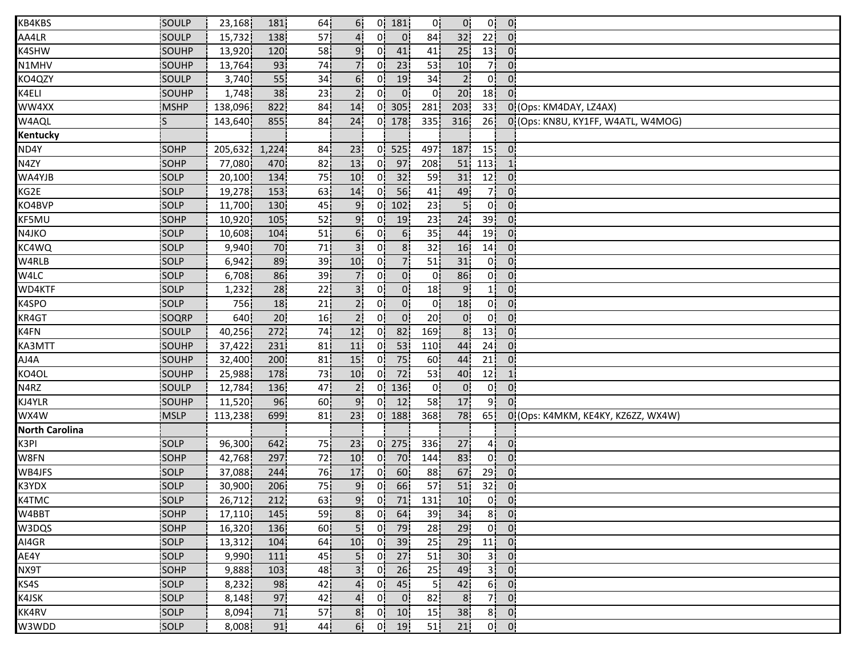| KB4KBS                | SOULP       | 23,168  | 181 <sup> </sup> | 64              | 6 <sup>1</sup>  | 0!             | 181            | 0!              | $\overline{0}$  | 0!              | 0 <sup>1</sup>             |                                    |
|-----------------------|-------------|---------|------------------|-----------------|-----------------|----------------|----------------|-----------------|-----------------|-----------------|----------------------------|------------------------------------|
| AA4LR                 | SOULP       | 15,732  | 138              | 57              | $\mathbf{4}$    | 0'             | $\mathbf{0}$   | 84              | 32              | 22!             | $\overline{0}$             |                                    |
| K4SHW                 | SOUHP       | 13,920  | 120              | 58              | 9 <sup>1</sup>  | 01             | 41             | 41              | 25              | 13 <sup>1</sup> | $\overline{0}$             |                                    |
| N1MHV                 | SOUHP       | 13,764  | 93               | 74              | 71              | 01             | 23             | 53              | 10              | 71              | 0:                         |                                    |
| KO4QZY                | SOULP       | 3,740   | 55 <sub>1</sub>  | 34              | 6 <sub>i</sub>  | 0i             | 19             | 34              | 2 <sub>1</sub>  | 0 <sup>1</sup>  | 0 <sub>1</sub>             |                                    |
| K4ELI                 | SOUHP       | 1,748   | 38               | 23              | 2 <sub>1</sub>  | $\overline{0}$ | $\overline{0}$ | 01              | 20 <sub>1</sub> | 18              | $\mathbf{0}$               |                                    |
| WW4XX                 | <b>MSHP</b> | 138,096 | 822              | 84              | 14              | 0!             | 305            | 281             | 203             | 33              |                            | 0 (Ops: KM4DAY, LZ4AX)             |
| W4AQL                 | ls          | 143,640 | 855              | 84              | 24              |                | $0$   178      | 335!            | 316             | 26              |                            | 0 (Ops: KN8U, KY1FF, W4ATL, W4MOG) |
| Kentucky              |             |         |                  |                 |                 |                |                |                 |                 |                 |                            |                                    |
| ND4Y                  | SOHP        | 205,632 | 1,224            | 84              | 23              | 01             | 525            | 497             | 187             | 15              | $\overline{0}$             |                                    |
| N4ZY                  | <b>SOHP</b> | 77,080  | 470              | 82              | 13              | 0i             | 97             | 208             | 51              | 113             | 1 <sup>i</sup>             |                                    |
| WA4YJB                | SOLP        | 20,100  | 134              | 75              | 10 <sup>1</sup> | 0i             | 32             | 59              | 31              | 12              | 0 <sub>i</sub>             |                                    |
| KG2E                  | SOLP        | 19,278  | 153              | 63              | 14              | 0¦             | 56             | 41              | 49              | 7 <sup>1</sup>  | 0 <sup>1</sup>             |                                    |
| KO4BVP                | SOLP        | 11,700  | 130              | 45              | 9               | 01             | 102            | 23              | 5 <sup>1</sup>  | 0 <sup>1</sup>  | 0 <sup>1</sup>             |                                    |
| KF5MU                 | SOHP        | 10,920  | 105              | 52              | 9 <sub>1</sub>  | 0!             | 19             | 23              | 24              | 39              | 0 <sup>1</sup>             |                                    |
| N4JKO                 | SOLP        | 10,608  | 104              | 51              | 6!              | 0'             | 6 <sup>1</sup> | 35              | 44              | 19              | 0 <sup>1</sup>             |                                    |
| KC4WQ                 | <b>SOLP</b> | 9,940   | 70               | 71              | 3 <sup>1</sup>  | 0 <sup>1</sup> | 8 <sup>1</sup> | 32              | 16              | 14 <sup>1</sup> | 0'                         |                                    |
| W4RLB                 | SOLP        | 6,942   | 89               | 39              | 10 <sup>1</sup> | 01             | 7i             | 51              | 31              | 01              | 0:                         |                                    |
| W4LC                  | SOLP        | 6,708   | 86               | 39              |                 | 01             | $\overline{0}$ | 01              | 86              | 0i              | $0^{\circ}$                |                                    |
| WD4KTF                | SOLP        | 1,232   | 28               | 22              | 3 <sup>1</sup>  | 0.             | 0 <sub>1</sub> | 18              | 9 <sub>1</sub>  | 1 <sub>1</sub>  | 0 <sup>1</sup>             |                                    |
| K4SPO                 | SOLP        | 756     | 18               | 21              | 2 <sub>1</sub>  | 0 <sup>1</sup> | $\overline{0}$ | 01              | 18              | 0¦              | $\overline{0}$             |                                    |
| KR4GT                 | SOQRP       | 640     | 20 <sup>1</sup>  | 16              | 2 <sup>1</sup>  | 0!             | 0 <sup>1</sup> | 20 <sup>1</sup> | 0 <sub>1</sub>  | 0 <sup>1</sup>  | 0 <sup>1</sup>             |                                    |
| K4FN                  | SOULP       | 40,256  | 272              | 74              | 12              | 0!             | 82             | 169             | 8 <sub>1</sub>  | 13              | 0 <sub>1</sub>             |                                    |
| KA3MTT                | SOUHP       | 37,422  | 231              | 81              | 11              | 0 <sub>1</sub> | 53             | 110             | 44              | 24              | 0 <sup>1</sup>             |                                    |
| AJ4A                  | SOUHP       | 32,400  | 200              | 81              | 15              | 0i             | 75             | 60              | 44              | 21              | 0 <sup>1</sup>             |                                    |
| KO4OL                 | SOUHP       | 25,988  | 178              | 73              | 10 <sub>1</sub> | 01             | 72             | 53              | 40              | 12              |                            |                                    |
| N4RZ                  | SOULP       | 12,784  | 136              | 47              | 2 <sub>1</sub>  | 0.             | 136            | 01              | 0 <sub>1</sub>  | 01              | 0 <sub>1</sub>             |                                    |
| KJ4YLR                | SOUHP       | 11,520  | 96               | 60 <sub>1</sub> | 9 <sub>1</sub>  | 0 <sup>1</sup> | 12             | 58              | 17              | 9 <sub>1</sub>  | 0 <sup>1</sup>             |                                    |
| WX4W                  | <b>MSLP</b> | 113,238 | 699              | 81              | 23              | 0!             | 188            | 368             | 78              | 65 <sup>1</sup> |                            | 0 (Ops: K4MKM, KE4KY, KZ6ZZ, WX4W) |
| <b>North Carolina</b> |             |         |                  |                 |                 |                |                |                 |                 |                 |                            |                                    |
| K3PI                  | SOLP        | 96,300  | 642              | 75              | 23              | 0!             | 275            | 336             | 27              | 4¦              | $\overline{0}$             |                                    |
| W8FN                  | <b>SOHP</b> | 42,768  | 297              | 72              | 10              | 01             | 70             | 144             | 83              | 01              | 0 <sup>1</sup>             |                                    |
| WB4JFS                | SOLP        | 37,088  | 244              | 76              | 17              | 01             | 60             | 88              | 67              | 29 <sub>1</sub> | $0^{\circ}$                |                                    |
| K3YDX                 | SOLP        | 30,900  | 206              | 75              | 9 <sub>i</sub>  | 0 <sub>1</sub> | 66             | 57              | 51              | 32              | 0 <sub>1</sub>             |                                    |
| K4TMC                 | SOLP        | 26,712  | 212              | 63              | 9 <sub>i</sub>  | 0 <sup>1</sup> | 71             | 131             | 10              | 0 <sup>1</sup>  | $\overline{\phantom{0}}$ 0 |                                    |
| W4BBT                 | SOHP        | 17,110  | 145              | 59              | 8 <sup>1</sup>  | 0 <sup>1</sup> | 64             | 39              | 34              |                 | $8$ 0                      |                                    |
| W3DQS                 | SOHP        | 16,320  | <b>136</b>       | 60              | 5!              |                | $0$ 79         | 28              | 29              |                 | $0 \quad 0$                |                                    |
| AI4GR                 | SOLP        | 13,312  | 104              | 64I             | 10              | 01             | 39             | 25              | 29              | 11!             | $\overline{0}$             |                                    |
| AE4Y                  | <b>SOLP</b> | 9,990   | 111              | 45              | 5 <sub>1</sub>  | 01             | 27             | 51              | 30 <sub>1</sub> | 31              | 0:                         |                                    |
| NX9T                  | SOHP        | 9,888   | 103              | 48              | 3 <sup>1</sup>  | 0i             | 26             | 25              | 49              | 3ļ              | 0:                         |                                    |
| KS4S                  | SOLP        | 8,232   | 98               | 42              | 4.              | 0 <sup>1</sup> | 45             | 5 <sub>1</sub>  | 42              | 6 <sup>1</sup>  | $0^{\circ}$                |                                    |
| K4JSK                 | SOLP        | 8,148   | 97               | 42              | 4 <sub>1</sub>  | 0 <sub>1</sub> | $\overline{0}$ | 82              | 8 <sub>1</sub>  | 7¦              | 0 <sub>1</sub>             |                                    |
| KK4RV                 | SOLP        | 8,094   | 71               | 57              | 8 <sub>1</sub>  |                | $0$ 10         | 15              | 38              | 8 <sup>1</sup>  | $\overline{0}$             |                                    |
| W3WDD                 | SOLP        | 8,008   | 91               | 44 <sub>1</sub> | 6!              | 0!             | 19             | 51              | 21              |                 | $0 \vert 0 \vert$          |                                    |
|                       |             |         |                  |                 |                 |                |                |                 |                 |                 |                            |                                    |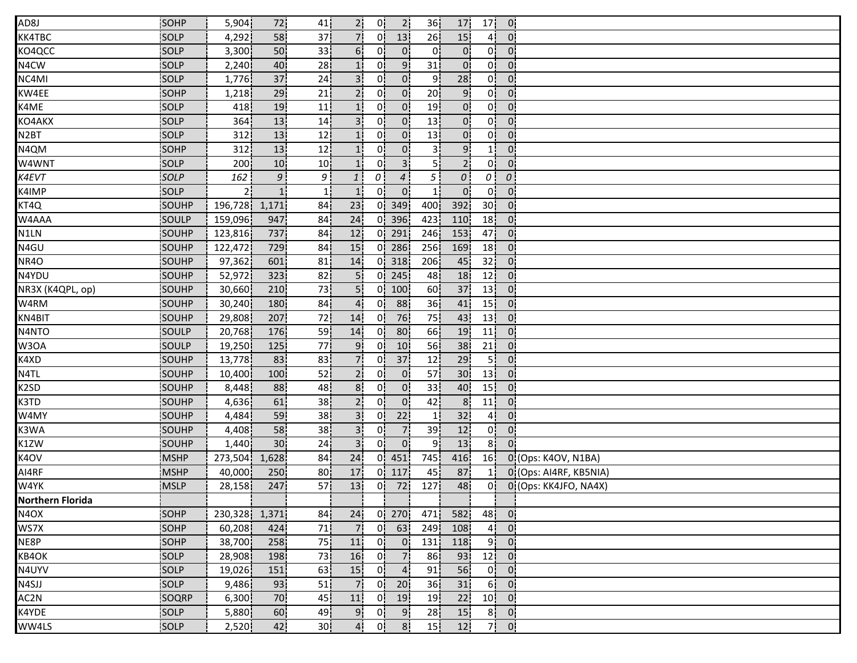| AD8J                    | SOHP         | 5,904   | 72               | 41              | 2 <sup>1</sup> | 0!             | 2 <sup>1</sup> | 36 <sup>1</sup> | 17              | 17              | $\overline{0}$ |                        |
|-------------------------|--------------|---------|------------------|-----------------|----------------|----------------|----------------|-----------------|-----------------|-----------------|----------------|------------------------|
| KK4TBC                  | SOLP         | 4,292   | 58               | 37              | 7 <sup>1</sup> | 01             | 13             | 26              | 15              | 41              | $\overline{0}$ |                        |
| KO4QCC                  | <b>SOLP</b>  | 3,300   | 50               | 33              | 6!             | 01             | 0 <sup>1</sup> | 0               | $\overline{0}$  | 0!              | $\overline{0}$ |                        |
| N4CW                    | SOLP         | 2,240   | 40               | 28              | 1 <sup>i</sup> | Οi             | 9 <sup>1</sup> | 31              | $\overline{0}$  | 0 <sup>1</sup>  | $\mathbf{0}$   |                        |
| NC4MI                   | SOLP         | 1,776   | 37               | 24              | 3i             | 01             | $\overline{0}$ | 9               | 28              | 0i              | $0^{\circ}$    |                        |
| KW4EE                   | SOHP         | 1,218   | 29               | 21              | 2 <sub>i</sub> | 0.             | $\overline{0}$ | 20 <sub>1</sub> | 9 <sub>1</sub>  | 0¦              | $\overline{0}$ |                        |
| K4ME                    | SOLP         | 418     | 19               | 11              | 1!             | 0!             | 0 <sub>i</sub> | 19              | 0 <sup>1</sup>  | 0!              | 0 <sup>1</sup> |                        |
| KO4AKX                  | SOLP         | 364     | 13               | 14              | 3!             | 0!             | $\overline{0}$ | 13              | 0 <sup>1</sup>  | 0¦              | 0 <sup>1</sup> |                        |
| N <sub>2</sub> BT       | SOLP         | 312     | 13               | 12              | 11             | 0!             | 0 <sub>1</sub> | 13              | 0 <sup>1</sup>  | 0!              | 0 <sup>1</sup> |                        |
| N4QM                    | SOHP         | 312     | 13               | 12              | 1 <sup>1</sup> | 0 <sup>1</sup> | $\overline{0}$ | 3!              | 9 <sub>1</sub>  | 1!              | $\mathbf{0}$   |                        |
| W4WNT                   | SOLP         | 200     | 10               | 10 <sub>1</sub> | 1 <sub>i</sub> | 01             | 3 <sup>1</sup> | 5İ              | 2 <sup>1</sup>  | 0i              | $\mathbf{0}$   |                        |
| K4EVT                   | SOLP         | 162     | 9 <sub>1</sub>   | ا 9             | $\mathbf{1}$   | $\theta$       | $\overline{4}$ | 5 <sub>1</sub>  | $\cal O$        | οi              | 0              |                        |
| K4IMP                   | SOLP         | -2 i    | 1i               | 11              | <u>1i</u>      | 01             | $\overline{0}$ | 1i              | $\overline{0}$  | 0 <sup>1</sup>  | $\overline{0}$ |                        |
| KT4Q                    | SOUHP        | 196,728 | 1,171            | 84              | 23             | 0.             | 349            | 400             | 392             | 30 <sub>1</sub> | 0 <sup>1</sup> |                        |
| W4AAA                   | SOULP        | 159,096 | 947              | 84              | 24             | 0!             | 396            | 423             | 110             | 18              | $\overline{0}$ |                        |
| N1LN                    | SOUHP        | 123,816 | 737              | 84              | 12             | 0!             | 291            | 246             | 153             | 47              | $\mathbf{0}$   |                        |
| N4GU                    | SOUHP        | 122,472 | 729              | 84              | 15             | 0!             | 286            | 256             | 169             | 18              | $\mathbf{0}$   |                        |
| <b>NR4O</b>             | <b>SOUHP</b> | 97,362  | 601              | 81              | 14             | 01             | 318            | 206             | 45              | 32              | 0 <sub>1</sub> |                        |
| N4YDU                   | SOUHP        | 52,972  | 323              | 82              |                | 0i             | 245            | 48              | 18              | 12              | 0 <sub>1</sub> |                        |
| NR3X (K4QPL, op)        | SOUHP        | 30,660  | 210              | 73              | 5 <sub>1</sub> | 0!             | 100            | 60              | 37              | 13              | 0 <sup>1</sup> |                        |
| W4RM                    | SOUHP        | 30,240  | 180              | 84              | $\overline{4}$ | 0 <sup>1</sup> | 88             | 36              | 41              | 15              | 0 <sub>1</sub> |                        |
| KN4BIT                  | SOUHP        | 29,808  | 207              | 72              | 14             | 0!             | 76             | 75              | 43              | 13              | $\overline{0}$ |                        |
| N4NTO                   | SOULP        | 20,768  | 176              | 59              | 14             | 0 <sup>1</sup> | 80             | 66              | 19              | 11              | 0 <sub>1</sub> |                        |
| W3OA                    | SOULP        | 19,250  | 125              | 77              | 9              | 01             | 10             | 56              | 38              | 21              | 0 <sup>1</sup> |                        |
| K4XD                    | SOUHP        | 13,778  | 83               | 83              | 7i             | 01             | 37             | 12              | 29              | 5İ              | $\mathbf{0}$   |                        |
| N4TL                    | SOUHP        | 10,400  | 100 <sub>1</sub> | 52              | 2 <sub>i</sub> | 01             | 0 <sub>1</sub> | 57              | 30 <sub>1</sub> | 13              | 0 <sup>1</sup> |                        |
| K <sub>2</sub> SD       | SOUHP        | 8,448   | 88               | 48              | 8 <sub>1</sub> | 0¦             | $\overline{0}$ | 33 <sub>1</sub> | 40              | 15 <sup>1</sup> | $\overline{0}$ |                        |
| K3TD                    | SOUHP        | 4,636   | 61               | 38              | 2 <sup>1</sup> | 0!             | 0 <sup>1</sup> | 42              | 8 <sup>1</sup>  | 11              | 0.             |                        |
| W4MY                    | SOUHP        | 4,484   | 59               | 38              | 3!             | 0 <sup>1</sup> | 22             | 1 <sub>1</sub>  | 32              | 4 <sup>1</sup>  | 0 <sup>1</sup> |                        |
| K3WA                    | SOUHP        | 4,408   | 58               | 38              | 3!             | 0!             | 7 <sub>1</sub> | 39              | 12              | 0 <sup>1</sup>  | $\overline{0}$ |                        |
| K1ZW                    | SOUHP        | 1,440   | 30 <sup>1</sup>  | 24              | 3 <sup>1</sup> | 01             | 0 <sup>1</sup> | 9               | 13              | 8ļ              | $\overline{0}$ |                        |
| K4OV                    | <b>MSHP</b>  | 273,504 | 1,628            | 84              | 24             | 0i             | 451            | 745             | 416             | 16              |                | 0 (Ops: K4OV, N1BA)    |
| AI4RF                   | MSHP         | 40,000  | 250              | 80              | 17             | 0i             | 117            | 45              | 87              |                 |                | 0 (Ops: AI4RF, KB5NIA) |
| W4YK                    | <b>MSLP</b>  | 28,158  | 247              | 57              | 13             | 0 <sup>1</sup> | 72             | 127             | 48              | 0¦              |                | 0 (Ops: KK4JFO, NA4X)  |
| <b>Northern Florida</b> |              |         |                  |                 |                |                |                |                 |                 |                 |                |                        |
| N4OX                    | SOHP         | 230,328 | 1,371            | 84              | 24             | 0!             | 270            | 471             | 582             | 48              | 0 <sub>1</sub> |                        |
| WS7X                    | SOHP         | 60,208  | 424              | 71              | 7              | 0 <sup>1</sup> | 63             | 249             | 108             | 4!              | $\overline{0}$ |                        |
| NE8P                    | SOHP         | 38,700  | 258              | 75              | 11             | 0!             | $\overline{0}$ | 131             | 118             | 9ļ              | 0 <sup>1</sup> |                        |
| KB4OK                   | <b>SOLP</b>  | 28,908  | 198              | 73              | 16             | 01             | 7 <sub>1</sub> | 86              | 93              | 12              | $0^{\circ}$    |                        |
| N4UYV                   | SOLP         | 19,026  | 151              | 63              | 15             | 0 <sup>1</sup> | 4 <sub>1</sub> | 91              | 56              | 0 <sup>1</sup>  | $\overline{0}$ |                        |
| N4SJJ                   | SOLP         | 9,486   | 93               | 51              | <b>7</b>       | 0 <sup>1</sup> | 20             | 36              | 31              | 6 <sup>1</sup>  | 0 <sub>1</sub> |                        |
| AC2N                    | SOQRP        | 6,300   | 70               | 45              | 11             | 0 <sub>1</sub> | 19             | 19              | 22              | 10 <sup>1</sup> | 0 <sup>1</sup> |                        |
| K4YDE                   | SOLP         | 5,880   | 60               | 49              | 9!             | 0!             | 9 <sub>1</sub> | 28              | 15              | 8 <sup>1</sup>  | $\overline{0}$ |                        |
| WW4LS                   | SOLP         | 2,520   | 42               | 30 <sub>1</sub> | 4.             | 0!             | 8 <sup>1</sup> | 15 <sub>1</sub> | 12              | 7               | $\overline{0}$ |                        |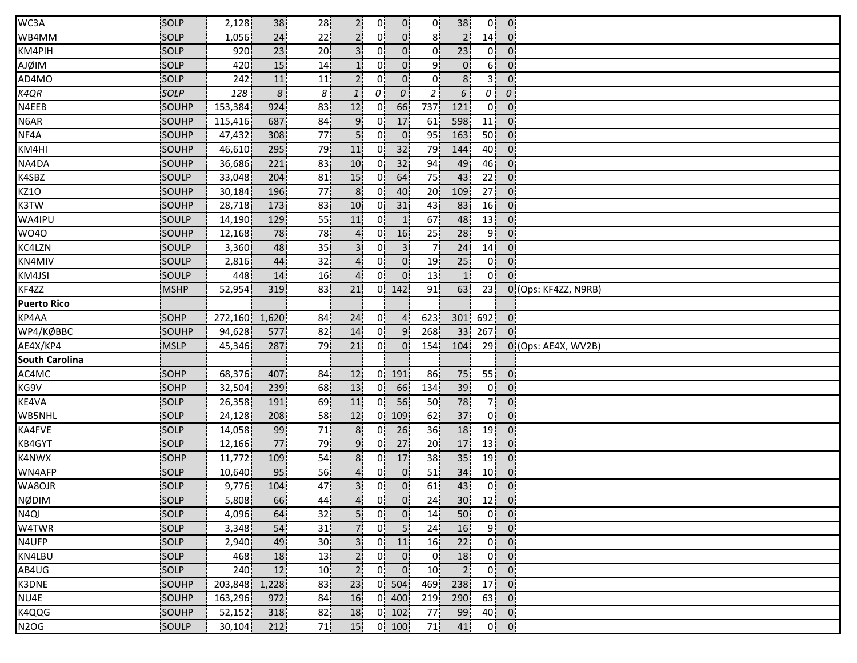| WC3A                  | SOLP        | 2,128            | 38             | 28              | 2¦              | 0!             | $\overline{0}$ | 0¦              | 38               | 0!              | 0 <sub>1</sub>    |                      |
|-----------------------|-------------|------------------|----------------|-----------------|-----------------|----------------|----------------|-----------------|------------------|-----------------|-------------------|----------------------|
| WB4MM                 | <b>SOLP</b> | 1,056            | 24             | 22              |                 | $\Omega$       | 0 <sup>1</sup> | 8               |                  | 14              | $\overline{0}$    |                      |
| KM4PIH                | SOLP        | 920              | 23             | 20 <sup>1</sup> | 3'              | 01             | 0 <sup>1</sup> | 01              | 23               | 0 <sup>1</sup>  | $\overline{0}$    |                      |
| <b>AJØIM</b>          | SOLP        | 420              | 15             | 14              |                 | 0i             | 0 <sup>1</sup> | 9i              | $0^{\mathsf{i}}$ | 6 i             | $\mathbf{0}$      |                      |
| AD4MO                 | SOLP        | 242              | $11\,$         | 11              | $\overline{2}$  | 01             | 0              | 0i              | 8 <sup>i</sup>   | зi              | $\mathbf{0}$      |                      |
| K4QR                  | SOLP        | 128              | 8 <sup>1</sup> | 8 <sup>1</sup>  | $\mathbf{1}$    | $\theta$       | $\overline{0}$ | $\overline{2}$  | 6                | $\theta$        | 0                 |                      |
| N4EEB                 | SOUHP       | 153,384          | 924            | 83              | 12              | 0.             | 66             | 737             | 121              | 0!              | 0 <sup>1</sup>    |                      |
| N6AR                  | SOUHP       | 115,416          | 687            | 84              | 9!              | 0¦             | 17             | 61              | 598              | 11              | 0 <sup>1</sup>    |                      |
| NF4A                  | SOUHP       | 47,432           | 308            | 77              | 5!              | 0!             | 0 <sup>1</sup> | 95              | 163              | 50 <sup>1</sup> | $\overline{0}$    |                      |
| KM4HI                 | SOUHP       | 46,610           | 295            | 79              | 11              | 0 <sup>1</sup> | 32             | 79              | 144              | 40              | $\overline{0}$    |                      |
| NA4DA                 | SOUHP       | 36,686           | 221            | 83              | 10 <sup>1</sup> | 0i             | 32             | 94              | 49               | 46              | $\mathbf{0}$      |                      |
| K4SBZ                 | SOULP       | 33,048           | 204            | 81              | 15 <sub>1</sub> | 01             | 64             | 75              | 43               | 22 <sub>1</sub> | $\mathbf{0}$      |                      |
| <b>KZ10</b>           | SOUHP       | 30,184           | 196            | 77              | 8 <sub>1</sub>  | 01             | 40             | 20 <sub>1</sub> | 109              | 27              | $0^{\circ}$       |                      |
| K3TW                  | SOUHP       | 28,718           | 173            | 83              | 10              | 0!             | 31             | 43              | 83               | 16 <sup>1</sup> | 0 <sup>1</sup>    |                      |
| WA4IPU                | SOULP       | 14,190           | 129            | 55              | 11              | 01             | 1              | 67              | 48               | 13 <sup>1</sup> | $\mathbf{0}$ .    |                      |
| <b>WO40</b>           | SOUHP       | 12,168           | 78             | 78              | 4 <sup>1</sup>  | 0!             | 16             | 25              | 28               | 9!              | $\overline{0}$    |                      |
| KC4LZN                | SOULP       | 3,360            | 48             | 35              |                 | 01             | 3 <sup>1</sup> | 7 <sup>1</sup>  | 24               | 14              | 0                 |                      |
| KN4MIV                | SOULP       | 2,816            | 44             | 32              |                 | 01             | $\overline{0}$ | 19              | 25               | 01              | $\mathbf{0}$      |                      |
| KM4JSI                | SOULP       | 448              | 14             | 16              |                 | 01             | 0 <sub>1</sub> | 13              | $\mathbf{1}$     | 0i              | 0 <sup>1</sup>    |                      |
| KF4ZZ                 | <b>MSHP</b> | 52,954           | 319            | 83              | 21              |                | $0$ 142        | 91              | 63               | 23              |                   | 0 (Ops: KF4ZZ, N9RB) |
| <b>Puerto Rico</b>    |             |                  |                |                 |                 |                |                |                 |                  |                 |                   |                      |
| KP4AA                 | SOHP        | 272,160          | 1,620          | 84              | 24              | 0!             | 4 <sub>1</sub> | 623             | 301              | 692             | $\overline{0}$    |                      |
| WP4/KØBBC             | SOUHP       | 94,628           | 577            | 82              | 14              | 0!             | 9 <sub>1</sub> | 268             | 33 <sup>1</sup>  | 267             | $0^{\circ}$       |                      |
| AE4X/KP4              | <b>MSLP</b> | 45,346           | 287            | 79              | 21              | 0!             | 0 <sup>1</sup> | 154             | 104              | 29              |                   | 0 (Ops: AE4X, WV2B)  |
| <b>South Carolina</b> |             |                  |                |                 |                 |                |                |                 |                  |                 |                   |                      |
| AC4MC                 | SOHP        | 68,376           | 407            | 84              | 12 <sub>1</sub> | 0i.            | 191            | 86              | 75               | 55              | $\mathbf{0}$      |                      |
| KG9V                  | SOHP        | 32,504           | 239            | 68              | 13              | 0 <sup>1</sup> | 66             | 134             | 39               | 0 <sup>1</sup>  | $\overline{0}$    |                      |
| KE4VA                 | SOLP        | 26,358           | 191            | 69              | 11              | 0!             | 56             | 50              | 78               | 개               | $\overline{0}$    |                      |
| WB5NHL                | SOLP        | 24,128           | 208            | 58              | 12              | 0!             | 109            | 62              | 37               | 0!              | 0 <sup>1</sup>    |                      |
| KA4FVE                | SOLP        | 14,058           | 99             | $71\,$          | 8 <sup>1</sup>  | 0!             | 26             | 36              | 18               | 19              | $\overline{0}$    |                      |
| KB4GYT                | <b>SOLP</b> | 12,166           | 77             | 79              | 9 <sup>1</sup>  | 01             | 27             | 20              | 17               | 13 <sub>1</sub> | 0 <sup>1</sup>    |                      |
| K4NWX                 | SOHP        | 11,772           | 109            | 54              | 8 <sub>i</sub>  | 01             | 17             | 38              | 35               | 19              | 0 <sup>1</sup>    |                      |
| WN4AFP                | SOLP        | 10,640           | 95             | 56              | 41              | 01             | $\overline{0}$ | 51              | 34               | 10 <sub>1</sub> | $\mathbf{0}$      |                      |
| WA8OJR                | SOLP        | 9,776            | 104            | 47              | 3 <sup>1</sup>  | 0 <sup>1</sup> | $\overline{0}$ | 61              | 43               | 0 <sup>1</sup>  | 0 <sub>1</sub>    |                      |
| <b>NØDIM</b>          | SOLP        | 5,808            | 66             | 44              | 4 <sup>1</sup>  | 0 <sub>1</sub> | $\overline{0}$ | 24              |                  | $30$ $12$ $0$   |                   |                      |
| N <sub>4QI</sub>      | SOLP        | 4,096            | 64             | 32              | 5 <sup>1</sup>  | 0 <sup>1</sup> | 0 <sub>1</sub> | 14 <sub>1</sub> | 50               |                 | $0 \vert 0 \vert$ |                      |
| W4TWR                 | SOLP        | 3,348            | 54             | 31              |                 | 0!             | 5!             | 24              | 16               |                 | $9$ 0             |                      |
| N4UFP                 | SOLP        | 2,940            | 49             | 30 <sub>1</sub> | 3!              | 01             | 11             | 16              | 22               | 0İ.             | $\overline{0}$    |                      |
| KN4LBU                | <b>SOLP</b> | 468              | 18             | 13              | 2 <sub>1</sub>  | 0i             | 0 <sub>1</sub> | 0ļ              | 18               | 0 <sup>1</sup>  | $\overline{0}$    |                      |
| AB4UG                 | SOLP        | 240 <sup>1</sup> | 12             | 10 <sub>1</sub> | 2 <sub>1</sub>  | 0 <sup>1</sup> | 0 <sup>1</sup> | 10 <sub>1</sub> | 2 <sup>1</sup>   | 0 <sup>1</sup>  | $\overline{0}$    |                      |
| K3DNE                 | SOUHP       | 203,848 1,228    |                | 83 I            | 23 <sub>1</sub> |                | $0$ 504        | 469!            | <b>238</b>       | $17$ 0          |                   |                      |
| NU4E                  | SOUHP       | 163,296          | 972            | 84              | 16              |                | $0 \mid 400$   | 219             | 290              |                 | 63 0              |                      |
| K4QQG                 | SOUHP       | 52,152           | 318            | 82              | 18              |                | $0 \mid 102$   | 77              | 99               | 40 <sub>1</sub> | $\vert$ 0.        |                      |
|                       |             |                  |                |                 |                 |                |                |                 |                  |                 |                   |                      |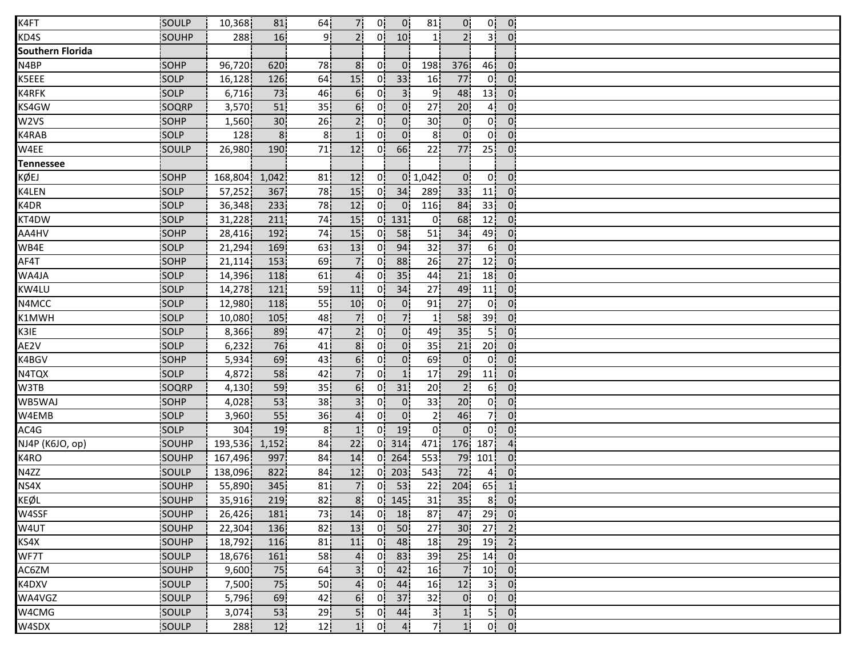| K4FT                    | SOULP        | 10,368  | 81              | 64              | 7.               | 0!             | $\mathbf{0}$    | 81              | 0 <sup>1</sup>  | 0!              | $\mathbf{0}$                             |  |
|-------------------------|--------------|---------|-----------------|-----------------|------------------|----------------|-----------------|-----------------|-----------------|-----------------|------------------------------------------|--|
| KD4S                    | <b>SOUHP</b> | 288     | 16              | ا9              | 2!               | 01             | 10 <sup>1</sup> | 11              | $\overline{2}$  | 31              | $\overline{0}$                           |  |
| <b>Southern Florida</b> |              |         |                 |                 |                  |                |                 |                 |                 |                 |                                          |  |
| N4BP                    | SOHP         | 96,720  | 620             | 78              | 8 <sub>i</sub>   | 0i             | $\mathbf{0}$    | 198             | 376             | 46              | $\overline{0}$                           |  |
| K5EEE                   | SOLP         | 16,128  | 126             | 64              | 15 <sub>1</sub>  | 0 <sup>1</sup> | 33 <sup>1</sup> | 16              | 77              | 0 <sup>1</sup>  | $\overline{0}$                           |  |
| K4RFK                   | SOLP         | 6,716   | 73              | 46              | 6 <sup>1</sup>   | 0 <sup>1</sup> | 3 <sup>1</sup>  | 9¦              | 48              | 13 <sup>1</sup> | 0 <sup>1</sup>                           |  |
| KS4GW                   | SOQRP        | 3,570   | 51              | 35 <sub>1</sub> | 6!               | 0!             | $\overline{0}$  | 27 <sub>1</sub> | 20 <sup>1</sup> | 4 <sub>1</sub>  | 0 <sup>1</sup>                           |  |
| W2VS                    | SOHP         | 1,560   | 30 <sup>1</sup> | 26              | 2!               | 0!             | $\overline{0}$  | 30 <sub>1</sub> | 0 <sup>1</sup>  | 0!              | $\overline{0}$                           |  |
| K4RAB                   | SOLP         | 128     | 8 <sup>1</sup>  | 8               | 1 <sup>1</sup>   | 0!             | 0 <sup>1</sup>  | 8 <sup>1</sup>  | 0 <sup>1</sup>  | 0 <sup>1</sup>  | $\overline{0}$                           |  |
| W4EE                    | SOULP        | 26,980  | 190             | 71              | 12               | 0 <sup>1</sup> | 66              | 22              | 77              | 25 <sup>1</sup> | 0                                        |  |
| <b>Tennessee</b>        |              |         |                 |                 |                  |                |                 |                 |                 |                 |                                          |  |
| KØEJ                    | SOHP         | 168,804 | 1,042           | 81              | 12               | 01             |                 | 0, 1, 042       | 0 <sup>1</sup>  | 0 <sub>i</sub>  | $\overline{0}$                           |  |
| K4LEN                   | SOLP         | 57,252  | 367             | 78              | 15               | 0 <sup>1</sup> | 34              | 289             | 33              | 11              | 0 <sup>1</sup>                           |  |
| K4DR                    | SOLP         | 36,348  | 233             | 78              | 12               | 0.             | $\overline{0}$  | 116             | 84              | 33              | 0 <sup>1</sup>                           |  |
| KT4DW                   | SOLP         | 31,228  | 211             | 74              | 15               |                | $0$ 131         | $\mathbf{0}$    | 68              | 12              | $\overline{0}$ .                         |  |
| AA4HV                   | SOHP         | 28,416  | 192             | 74              | 15               | 01             | 58              | 51              | 34              | 49              | 0 <sup>1</sup>                           |  |
| WB4E                    | SOLP         | 21,294  | 169             | 63              | 13               | 01             | 94              | 32              | 37              | 6 <sup>1</sup>  | $\overline{0}$                           |  |
| AF4T                    | SOHP         | 21,114  | 153             | 69              | 7 <sup>1</sup>   | 01             | 88              | 26              | 27              | 12              | $\mathbf{0}$                             |  |
| WA4JA                   | SOLP         | 14,396  | 118             | 61              |                  | $\Omega$       | 35              | 44              | 21              | 18              | $\mathbf{0}$                             |  |
| KW4LU                   | SOLP         | 14,278  | 121             | 59              | 11               | 0i             | 34              | 27              | 49              | 11              | 0 <sup>1</sup>                           |  |
| N4MCC                   | SOLP         | 12,980  | 118             | 55              | 10               | 0              | 0 <sup>1</sup>  | 91              | 27              | 0 <sup>1</sup>  | 0 <sub>1</sub>                           |  |
| K1MWH                   | SOLP         | 10,080  | 105             | 48              | 7.               | 0!             | 7               | 1!              | 58              | 39 <sup>1</sup> | $\overline{0}$ .                         |  |
| K3IE                    | SOLP         | 8,366   | 89              | 47              | 2 <sup>1</sup>   | 0!             | 0 <sup>1</sup>  | 49              | 35              | 5 <sup>1</sup>  | 0 <sub>1</sub>                           |  |
| AE2V                    | SOLP         | 6,232   | 76              | 41              | 8 <sub>1</sub>   | 0 <sup>1</sup> | 0 <sup>1</sup>  | 35              | 21              | 20 <sub>1</sub> | 0 <sup>1</sup>                           |  |
| K4BGV                   | SOHP         | 5,934   | 69              | 43              | 6 <sub>i</sub>   | 01             | 0 <sup>1</sup>  | 69              | $\overline{0}$  | 0 <sup>1</sup>  | $\overline{0}$                           |  |
| N4TQX                   | SOLP         | 4,872   | 58              | 42              |                  | 01             | 1 <sub>i</sub>  | 17              | 29              | 11              | $\mathbf{0}$                             |  |
| W3TB                    | SOQRP        | 4,130   | 59              | 35              | 6 <sub>1</sub>   | 0 <sup>1</sup> | 31              | 20              | 2 <sub>1</sub>  | 6!              | $\overline{0}$                           |  |
| WB5WAJ                  | SOHP         | 4,028   | 53              | 38 <sub>1</sub> | 3 <sup>1</sup>   | 0¦             | 0 <sup>1</sup>  | 33              | 20 <sub>1</sub> | 0 <sup>1</sup>  | $\overline{0}$                           |  |
| W4EMB                   | SOLP         | 3,960   | 55              | 36              | 4 <sup>1</sup>   | 0 <sup>1</sup> | $\mathbf{0}$    | 2 <sub>1</sub>  | 46              | 7¦              | $\overline{0}$ .                         |  |
| AC4G                    | SOLP         | 304     | 19              | 8 <sub>1</sub>  | $1^{\mathsf{i}}$ | 0 <sup>1</sup> | 19              | 0!              | 0 <sup>1</sup>  | 0 <sup>1</sup>  | $\overline{0}$                           |  |
| NJ4P (K6JO, op)         | SOUHP        | 193,536 | 1,152           | 84              | 22               | 01             | 314             | 471             | 176             | 187             | 4 <sub>1</sub>                           |  |
| K4RO                    | <b>SOUHP</b> | 167,496 | 997             | 84              | 14               | 0i             | 264             | 553             | 79              | 101             | $\mathbf{0}$                             |  |
| N4ZZ                    | SOULP        | 138,096 | 822             | 84              | 12 <sub>1</sub>  | 01             | 203             | 543             | 72              | 4 <sup>1</sup>  | $0^{\circ}$                              |  |
| NS4X                    | SOUHP        | 55,890  | 345             | 81              | 7                | 0 <sup>1</sup> | 53              | 22              | 204             | 65              | $\vert$ 1                                |  |
| KEØL                    | SOUHP        | 35,916  | 219             | 82              | 8 <sup>1</sup>   |                | $0$ 145         | 31              | 35 <sub>1</sub> |                 | $8$ 0                                    |  |
| W4SSF                   | SOUHP        | 26,426  | 181             | 73              | 14               |                | $0$ 18          | 87 <sub>1</sub> | 47              |                 | $29$ 0                                   |  |
| W4UT                    | SOUHP        | 22,304  | 136             | 82              | 13               | 0 <sup>1</sup> | 50              | 27              | 30 <sub>1</sub> |                 | $27 \mid 2$                              |  |
| KS4X                    | SOUHP        | 18,792  | 116             | 81              | 11               | 0 <sup>1</sup> | 48              | 18              | 29              |                 | $19$ 2                                   |  |
| WF7T                    | SOULP        | 18,676  | 161             | 58 <sub>1</sub> | 4 <sub>i</sub>   | 0 i            | 83              | 39              | 25              | 14              | $\overline{0}$                           |  |
| AC6ZM                   | SOUHP        | 9,600   | 75              | 64              | 3 <sup>1</sup>   | 0 <sup>1</sup> | 42              | 16              | $\overline{7}$  | 10 <sub>1</sub> | $\overline{0}$                           |  |
| K4DXV                   | SOULP        | 7,500   | 75              | 50 <sub>1</sub> | 4                | 0 <sup>1</sup> | 44              | 16 <sub>1</sub> | 12              | 3 <sup>1</sup>  | $\overline{0}$                           |  |
| WA4VGZ                  | SOULP        | 5,796   | 69              | 42              | 6 <sup>1</sup>   |                | $0$ 37          | 32              | 0 <sub>1</sub>  |                 | $0$ $0$                                  |  |
| W4CMG                   | SOULP        | 3,074   | 53              | 29              | 5 <sup>1</sup>   |                | $0 \mid 44$     | 3 <sub>1</sub>  | 1               |                 | $5$ 0                                    |  |
| W4SDX                   | SOULP        | 288     | 12              | 12              | 1!               | 0!             | 4 <sub>1</sub>  | 7ļ              | 1!              |                 | $0 \begin{bmatrix} 0 \\ 0 \end{bmatrix}$ |  |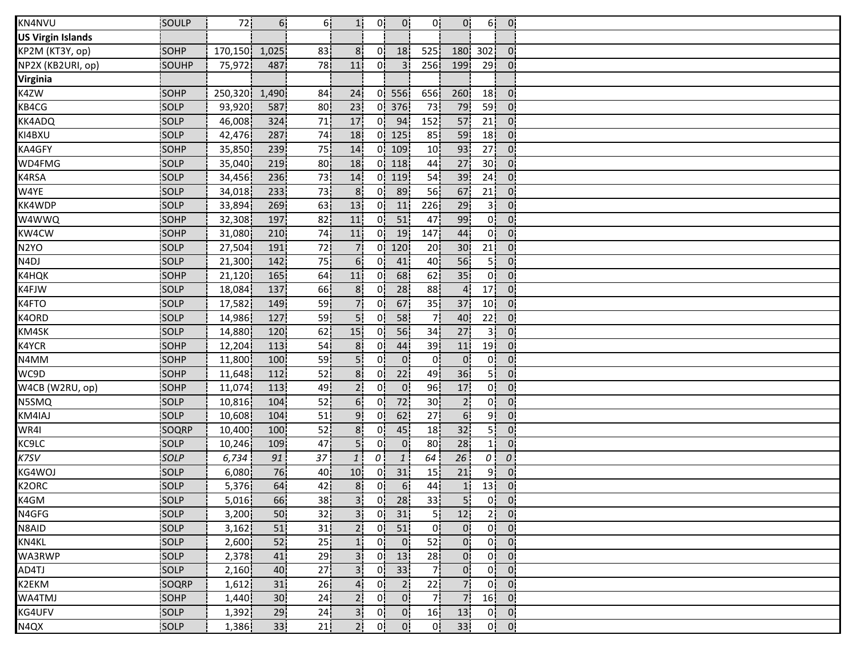| KN4NVU                   | SOULP       | 72      | 6 <sup>1</sup>   | 6!              | 1 <sup>1</sup>  | 0!               | $\overline{0}$  | 0!              | 0!               | 6!              | $\overline{0}$   |  |
|--------------------------|-------------|---------|------------------|-----------------|-----------------|------------------|-----------------|-----------------|------------------|-----------------|------------------|--|
| <b>US Virgin Islands</b> |             |         |                  |                 |                 |                  |                 |                 |                  |                 |                  |  |
| KP2M (KT3Y, op)          | SOHP        | 170,150 | 1,025            | 83              | 8 <sub>1</sub>  | 01               | 18              | 525             | 180              | 302             | $\overline{0}$   |  |
| NP2X (KB2URI, op)        | SOUHP       | 75,972  | 487              | 78              | 11              | 0i               | 3 <sup>1</sup>  | 256             | 199              | 29              | 0 <sub>1</sub>   |  |
| <b>Virginia</b>          |             |         |                  |                 |                 |                  |                 |                 |                  |                 |                  |  |
| K4ZW                     | SOHP        | 250,320 | 1,490            | 84              | 24              | 0!               | 556             | 656             | 260              | 18              | 0 <sup>1</sup>   |  |
| KB4CG                    | SOLP        | 93,920  | 587              | 80 <sub>1</sub> | 23              |                  | $0$ 376         | 73              | 79               | 59              | 0 <sub>1</sub>   |  |
| <b>KK4ADQ</b>            | SOLP        | 46,008  | 324              | 71              | 17              | 0 <sup>1</sup>   | 94              | 152             | 57               | 21              | 0 <sup>1</sup>   |  |
| KI4BXU                   | SOLP        | 42,476  | 287              | 74              | 18              | 0!               | 125             | 85              | 59               | 18              | 0 <sup>1</sup>   |  |
| KA4GFY                   | SOHP        | 35,850  | 239 <sup>1</sup> | 75              | 14              | 0!               | 109             | 10 <sup>1</sup> | 93               | 27 <sup>1</sup> | 0                |  |
| WD4FMG                   | SOLP        | 35,040  | 219              | 80              | 18              | 0 I              | 118             | 44              | 27               | 30 <sub>1</sub> | $\mathbf{0}$     |  |
| K4RSA                    | SOLP        | 34,456  | 236              | 73              | 14              | 0 i              | 119             | 54              | 39               | 24              | $0^{\circ}$      |  |
| W4YE                     | SOLP        | 34,018  | 233              | 73              | 8 <sub>1</sub>  | 0!               | 89              | 56              | 67               | 21              | $\overline{0}$   |  |
| KK4WDP                   | SOLP        | 33,894  | 269              | 63              | 13              | 0!               | 11              | 226             | 29               | 31              | 0 <sup>1</sup>   |  |
| W4WWQ                    | SOHP        | 32,308  | 197              | 82              | 11              | 0!               | 51              | 47              | 99               | 0!              | $\overline{0}$ . |  |
| KW4CW                    | SOHP        | 31,080  | 210              | 74              | 11              | 0!               | 19              | 147             | 44               | 0!              | $\mathbf{0}$     |  |
| N <sub>2</sub> YO        | SOLP        | 27,504  | 191              | 72              | 71              | 0!               | 120             | 20              | 30 <sub>1</sub>  | 21              | 0                |  |
| N <sub>4</sub> DJ        | SOLP        | 21,300  | 142              | 75              | 6 <sup>1</sup>  | 01               | 41              | 40              | 56               | 5İ              | 0 <sub>1</sub>   |  |
| K4HQK                    | SOHP        | 21,120  | 165              | 64              | 11              | 0.               | 68              | 62              | 35               | 0 <sup>1</sup>  | $0^{\circ}$      |  |
| K4FJW                    | SOLP        | 18,084  | 137              | 66              | 8 <sup>1</sup>  | 01               | 28              | 88              | $\overline{4}$   | 17 <sup>1</sup> | 0 <sup>1</sup>   |  |
| K4FTO                    | SOLP        | 17,582  | 149              | 59              | 7 <sup>1</sup>  | 0 <sup>1</sup>   | 67              | 35              | 37               | 10 <sup>1</sup> | $\overline{0}$ . |  |
| K4ORD                    | SOLP        | 14,986  | 127              | 59              | 5!              | 0!               | 58              | 71              | 40               | 22              | $\overline{0}$   |  |
| KM4SK                    | SOLP        | 14,880  | 120              | 62              | 15              | 0!               | 56              | 34              | 27               | 3!              | 0 <sup>1</sup>   |  |
| K4YCR                    | SOHP        | 12,204  | 113              | 54              | 8 <sub>1</sub>  | 01               | 44              | 39              | 11               | 19              | 0 <sup>1</sup>   |  |
| N4MM                     | <b>SOHP</b> | 11,800  | 100              | 59              | 5i              | 01               | 0 <sup>1</sup>  | 0i              | $0^{\mathsf{i}}$ | 0i              | $\mathbf{0}$     |  |
| WC9D                     | SOHP        | 11,648  | 112              | 52              | 8 <sub>i</sub>  | 01               | 22              | 49              | 36               | 5 <sub>1</sub>  | $0^{\circ}$      |  |
| W4CB (W2RU, op)          | SOHP        | 11,074  | 113              | 49              | 2 <sub>1</sub>  | 0¦               | $\overline{0}$  | 96              | 17               | 0 <sup>1</sup>  | $\overline{0}$   |  |
| N5SMQ                    | SOLP        | 10,816  | 104              | 52              | 6 <sup>1</sup>  | 0¦               | 72              | 30 <sub>1</sub> | 2 <sup>1</sup>   | 0¦              | 0 <sup>1</sup>   |  |
| KM4IAJ                   | SOLP        | 10,608  | 104              | 51              | 9 <sub>1</sub>  | 0!               | 62              | 27 <sup>1</sup> | 6 <sup>1</sup>   | 9 <sup>1</sup>  | 0 <sup>1</sup>   |  |
| WR4I                     | SOQRP       | 10,400  | 100              | 52              | 8 <sup>1</sup>  | 0                | 45              | 18              | 32               | 5ļ              | $\overline{0}$   |  |
| KC9LC                    | <b>SOLP</b> | 10,246  | 109              | 47              | 5.              | 0 <sup>1</sup>   | $\overline{0}$  | 80              | 28               | 11              | 0 <sup>1</sup>   |  |
| K7SV                     | SOLP        | 6,734   | 91               | 37              | 1               | $\boldsymbol{0}$ | $\mathbf{1}$    | 64              | 26               | $\theta$        | 0                |  |
| KG4WOJ                   | SOLP        | 6,080   | 76               | 40              | 10 <sup>1</sup> | 01               | 31              | 15              | 21               | 9¦              | $0^{\circ}$      |  |
| K2ORC                    | SOLP        | 5,376   | 64               | 42              | 8 <sub>1</sub>  | οl               | 6 <sup>1</sup>  | 44              | 1                | 13              | 0 <sub>1</sub>   |  |
| K4GM                     | SOLP        | 5,016   | 66               | 38              | 3 <sup>1</sup>  | 0 <sub>1</sub>   | $\overline{28}$ | 33              | $5\vert$         |                 | $0$ $0$          |  |
| N4GFG                    | SOLP        | 3,200   | 50               | 32              | 3 <sup>1</sup>  |                  | $0$ 31          | 5 <sub>1</sub>  | 12               | 2 <sup>1</sup>  | $\overline{0}$   |  |
| N8AID                    | SOLP        | 3,162   | 51               | 31              | 2 <sup>1</sup>  | 0 <sup>1</sup>   | 51              | 0 <sup>1</sup>  | $\overline{0}$   | 0!              | $\overline{0}$   |  |
| KN4KL                    | <b>SOLP</b> | 2,600   | 52               | 25              | 1!              | 0 <sup>1</sup>   | $\overline{0}$  | 52              | $\mathbf{0}$     | 0 <sup>1</sup>  | $\overline{0}$   |  |
| WA3RWP                   | <b>SOLP</b> | 2,378   | 41               | 29              | 3 <sub>1</sub>  | 01               | 13              | 28              | 0.               | 0i              | $\overline{0}$   |  |
| AD4TJ                    | SOLP        | 2,160   | 40               | 27              | 3i              | 0 i              | 33              | 71              | $\overline{0}$   | 0 <sup>1</sup>  | $\overline{0}$   |  |
| K2EKM                    | SOQRP       | 1,612   | 31               | 26              | 4 <sub>1</sub>  | 0 <sub>i</sub>   | 2 <sub>1</sub>  | 22              | 7.               | 0 <sup>1</sup>  | $\overline{0}$   |  |
| WA4TMJ                   | SOHP        | 1,440   | 30 <sub>1</sub>  | 24              | 2 <sub>1</sub>  | 0 <sub>1</sub>   | 0 <sup>1</sup>  | 7¦              | 7 <sub>1</sub>   | 16              | $\overline{0}$   |  |
| KG4UFV                   | SOLP        | 1,392   | 29               | 24              | 3 <sup>1</sup>  | 0 <sup>1</sup>   | 0 <sub>1</sub>  | 16              | 13               | 0 <sup>1</sup>  | $\overline{0}$   |  |
| N4QX                     | SOLP        | 1,386   | 33 <sup>1</sup>  | 21              | 2!              | 0!               | $\mathbf{0}$    | 0 <sub>1</sub>  | 33 <sup>1</sup>  | 0 <sup>1</sup>  | 0 <sup>1</sup>   |  |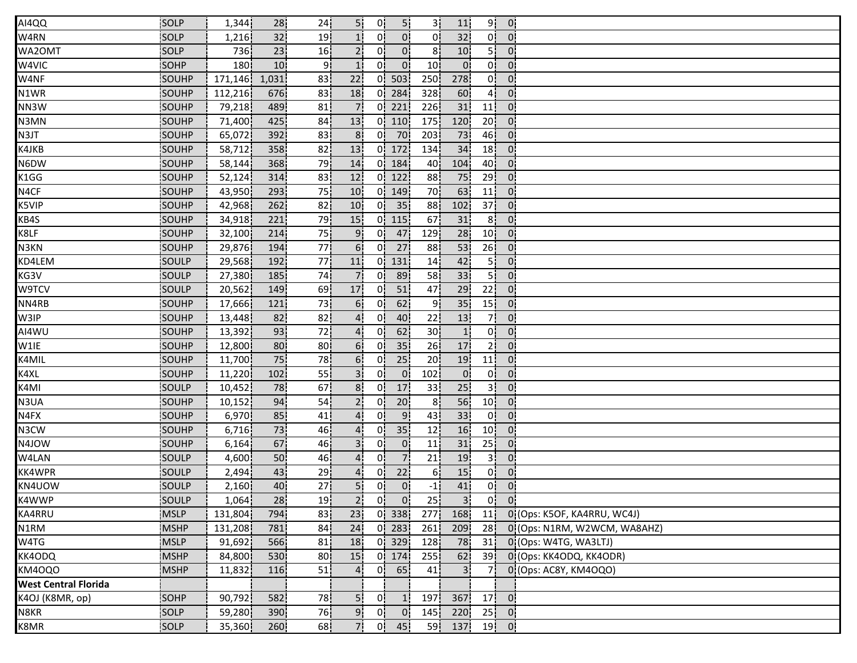| AI4QQ                       | SOLP          | 1,344            | 28              | 24  | 5!              | 0!             | 5!             | 3¦              | 11              | 9 <sup>1</sup>  | 0.             |                              |
|-----------------------------|---------------|------------------|-----------------|-----|-----------------|----------------|----------------|-----------------|-----------------|-----------------|----------------|------------------------------|
| W4RN                        | SOLP          | 1,216            | 32              | 19  |                 | 01             | 0 <sup>1</sup> | 0!              | 32              | 0 <sup>1</sup>  | $0^{\prime}$   |                              |
| WA2OMT                      | SOLP          | 736              | 23              | 16  | 2 <sup>1</sup>  | 0.             | $0^{\circ}$    | 8!              | 10 <sup>1</sup> | 5!              | $\overline{0}$ |                              |
| W4VIC                       | SOHP          | 180 <sup>1</sup> | 10 <sup>1</sup> | ز و | 1 <sup>i</sup>  | 0i             | $\overline{0}$ | 10 <sub>1</sub> | 0 <sup>1</sup>  | 0 <sup>1</sup>  | 0 <sup>1</sup> |                              |
| W4NF                        | SOUHP         | 171,146          | 1,031           | 83  | 22              | 0i             | 503            | 250i            | 278             | 0i              | 0 <sub>i</sub> |                              |
| N1WR                        | SOUHP         | 112,216          | 676             | 83  | 18              | 0.             | 284            | 328             | 60              | 4 <sub>1</sub>  | 0 <sup>1</sup> |                              |
| NN3W                        | SOUHP         | 79,218           | 489             | 81  | 7.              | 0!             | 221            | 226!            | 31              | 11              | 0 <sub>1</sub> |                              |
| N3MN                        | SOUHP         | 71,400           | 425             | 84  | 13              |                | $0$   110      | <b>175</b>      | 120             | 20 <sup>1</sup> | 0 <sup>1</sup> |                              |
| N3JT                        | SOUHP         | 65,072           | 392             | 83  | 8 <sup>1</sup>  | 0!             | 70             | 203             | 73              | 46              | 0:             |                              |
| K4JKB                       | SOUHP         | 58,712           | 358             | 82  | 13              | 0!             | 172            | 134             | 34              | 18 <sup>1</sup> | 0 <sup>1</sup> |                              |
| N6DW                        | SOUHP         | 58,144           | 368             | 79  | 14              | 0i             | 184            | 40              | 104             | 40              | 0:             |                              |
| K1GG                        | SOUHP         | 52,124           | 314             | 83  | 12              | 0i             | 122            | 88              | 75              | 29              | $0^{\circ}$    |                              |
| N4CF                        | SOUHP         | 43,950           | 293             | 75  | 10              | 0.             | 149            | 70 <sup>1</sup> | 63              | 11              | 0 <sub>1</sub> |                              |
| K5VIP                       | SOUHP         | 42,968           | 262             | 82  | 10              | 0'             | 35             | 88              | 102             | 37 <sup>1</sup> | $\overline{0}$ |                              |
| KB4S                        | SOUHP         | 34,918           | 221             | 79  | 15              | 0!             | 115            | 67              | 31              | 8 <sup>1</sup>  | 0 <sub>1</sub> |                              |
| K8LF                        | SOUHP         | 32,100           | 214             | 75  | 9 <sub>1</sub>  | 0!             | 47             | 129             | 28              | 10 <sub>1</sub> | 0 <sup>1</sup> |                              |
| N3KN                        | SOUHP         | 29,876           | 194             | 77  | 6 <sub>1</sub>  | 0 <sup>1</sup> | 27             | 88              | 53              | 26 <sup>1</sup> | 0'             |                              |
| KD4LEM                      | <b>SOULP</b>  | 29,568           | 192             | 77  | 11              | 0 <sup>1</sup> | 131            | 14              | 42              | 5İ              | 0:             |                              |
| KG3V                        | SOULP         | 27,380           | 185             | 74  | 7i              | 0'             | 89             | 58              | 33              | 5 <sub>1</sub>  | 0.             |                              |
| W9TCV                       | SOULP         | 20,562           | 149             | 69  | 17 <sup>1</sup> | 0 <sup>1</sup> | 51             | 47              | 29              | 22              | 0 <sup>1</sup> |                              |
| NN4RB                       | SOUHP         | 17,666           | 121             | 73  | 6 <sub>1</sub>  | 0¦             | 62             | 9 <sub>1</sub>  | 35              | 15              | 0 <sub>1</sub> |                              |
| W3IP                        | SOUHP         | 13,448           | 82              | 82  | $\overline{4}$  | 0!             | 40             | 22              | 13              | 7               | 0 <sub>1</sub> |                              |
| AI4WU                       | SOUHP         | 13,392           | 93              | 72  | 4 <sup>1</sup>  | 0!             | 62             | 30 <sub>1</sub> | 1               | 0 <sup>1</sup>  | 0 <sup>1</sup> |                              |
| W1IE                        | SOUHP         | 12,800           | 80              | 80  | 6 <sup>i</sup>  | 0l             | 35             | 26              | 17              | 2 <sup>i</sup>  | 0 <sup>1</sup> |                              |
| K4MIL                       | <b>ISOUHP</b> | 11,700           | 75              | 78  | 6 <sub>1</sub>  | 01             | 25             | 20              | 19              | 11              | 0:             |                              |
| K4XL                        | SOUHP         | 11,220           | 102             | 55  | 3 <sup>1</sup>  | 0i             | 0 <sub>1</sub> | 102             | $\overline{0}$  | 0i              | 01             |                              |
| K4MI                        | SOULP         | 10,452           | 78              | 67  | 8 <sub>1</sub>  | 0 <sup>1</sup> | 17             | 33              | 25              | 3 <sup>1</sup>  | 0 <sub>1</sub> |                              |
| N3UA                        | SOUHP         | 10,152           | 94              | 54  | 2 <sub>i</sub>  | 0!             | 20             | 8 <sup>1</sup>  | 56              | 10 <sub>1</sub> | $\mathbf{0}$   |                              |
| N4FX                        | SOUHP         | 6,970            | 85              | 41  | 4 <sup>1</sup>  | 0!             | 9 <sub>1</sub> | 43              | 33              | 0 <sup>1</sup>  | 0 <sub>1</sub> |                              |
| N3CW                        | SOUHP         | 6,716            | 73              | 46  | $\overline{4}$  | 0!             | 35             | 12              | 16              | 10 <sup>1</sup> | $\overline{0}$ |                              |
| N4JOW                       | SOUHP         | 6,164            | 67              | 46  | 3 <sup>1</sup>  | 01             | $\overline{0}$ | 11              | 31              | 25 <sub>1</sub> | 0 <sup>1</sup> |                              |
| W4LAN                       | <b>SOULP</b>  | 4,600            | 50              | 46  | 4 <sub>1</sub>  | 01             | 71             | 21              | 19              | 3I              | 0 <sub>1</sub> |                              |
| <b>KK4WPR</b>               | SOULP         | 2,494            | 43              | 29  | 4i              | 0i             | 22             | 61              | 15              | 0i              | 01             |                              |
| KN4UOW                      | SOULP         | 2,160            | 40              | 27  | 5 <sub>1</sub>  | οl             | $\overline{0}$ | $-1$            | 41              | 0¦              | $\overline{0}$ |                              |
| K4WWP                       | SOULP         | 1,064            | 28              | 19  | 2 <sub>1</sub>  | 0 <sub>1</sub> | $\mathbf{0}$   | 25              | 3 <sup>1</sup>  |                 | $0$ $0$        |                              |
| KA4RRU                      | <b>MSLP</b>   | 131,804          | 794             | 83  | 23              |                | $0$ 338        | 277!            | 168             | 11              |                | 0 (Ops: K5OF, KA4RRU, WC4J)  |
| N1RM                        | <b>MSHP</b>   | 131,208          | 781             | 84  | 24              | 0 <sup>1</sup> | 283            | 261             | 209             | 28              |                | 0 (Ops: N1RM, W2WCM, WA8AHZ) |
| W4TG                        | <b>MSLP</b>   | 91,692           | 566             | 81  | 18              | 0 <sup>1</sup> | 329            | 128             | 78              | 31              |                | 0 (Ops: W4TG, WA3LTJ)        |
| KK4ODQ                      | <b>MSHP</b>   | 84,800           | 530             | 80  | 15              | 0 i            | 174            | 255             | 62              | 39 <sub>1</sub> |                | 0 (Ops: KK4ODQ, KK4ODR)      |
| KM4OQO                      | <b>MSHP</b>   | 11,832           | 116             | 51  | 4               | 0 <sup>1</sup> | 65             | 41              | 3 <sup>1</sup>  | 7i              |                | 0 (Ops: AC8Y, KM4OQO)        |
| <b>West Central Florida</b> |               |                  |                 |     |                 |                |                |                 |                 |                 |                |                              |
| K4OJ (K8MR, op)             | SOHP          | 90,792           | 582             | 78  | 5 <sup>1</sup>  | 0 <sub>1</sub> | 1              | 197             | 367             |                 | $17$ 0         |                              |
| N8KR                        | SOLP          | 59,280           | 390             | 76  | 9¦              | 0 <sup>1</sup> | $\overline{0}$ | 145             | 220             | 25              | $\overline{0}$ |                              |
| K8MR                        | SOLP          | 35,360           | 260             | 68  | 7!              | 0 <sup>1</sup> | 45             | 59              | 137             |                 | $19$ 0         |                              |
|                             |               |                  |                 |     |                 |                |                |                 |                 |                 |                |                              |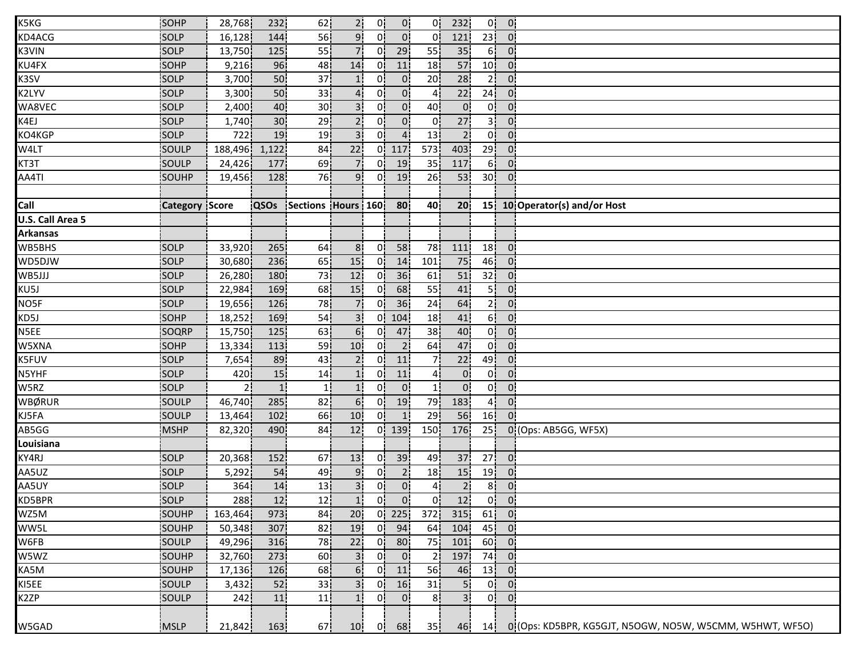| K5KG                    | SOHP                  | 28,768  | 232             | 62                 | 2 <sup>1</sup>  | 0¦             | 0 <sub>1</sub> | 0!               | 232             | 0!              | $\overline{0}$ |                                                           |
|-------------------------|-----------------------|---------|-----------------|--------------------|-----------------|----------------|----------------|------------------|-----------------|-----------------|----------------|-----------------------------------------------------------|
| KD4ACG                  | SOLP                  | 16,128  | 144             | 56                 | 9 <sup>1</sup>  | 01             | 0 <sup>1</sup> | 0!               | 121             | 23              | $0^{\prime}$   |                                                           |
| <b>K3VIN</b>            | SOLP                  | 13,750  | 125             | 55                 | 7 <sup>1</sup>  | 0 <sup>1</sup> | 29             | 55               | 35 <sub>1</sub> | 6!              | $0^{\prime}$   |                                                           |
| KU4FX                   | SOHP                  | 9,216   | 96              | 48                 | 14              | 0 <sup>1</sup> | 11             | 18 <sub>1</sub>  | 57              | 10 <sub>1</sub> | 0 <sup>1</sup> |                                                           |
| K3SV                    | SOLP                  | 3,700   | 50              | 37                 | 1 <sup>i</sup>  | 01             | $\overline{0}$ | 20               | 28              | 2 i             | 0              |                                                           |
| K2LYV                   | SOLP                  | 3,300   | 50 <sup>1</sup> | 33                 | $\overline{4}$  | 0 <sup>1</sup> | 0 <sup>1</sup> | 4 <sub>1</sub>   | 22              | 24              | $\overline{0}$ |                                                           |
| WA8VEC                  | SOLP                  | 2,400   | 40              | 30 <sup>1</sup>    | 3 <sup>1</sup>  | 0!             | 0 <sup>1</sup> | 40               | 0 <sup>1</sup>  | 0               | 0 <sub>1</sub> |                                                           |
| K4EJ                    | SOLP                  | 1,740   | 30 <sub>1</sub> | 29                 | 2 <sub>1</sub>  | 0 <sup>1</sup> | $\overline{0}$ | 0!               | 27              | 3               | 0!             |                                                           |
| KO4KGP                  | SOLP                  | 722     | 19              | 19                 | 3 <sup>1</sup>  | 0 <sup>1</sup> | $\overline{4}$ | 13 <sup>1</sup>  | $\overline{2}$  | 0!              | 0 <sup>1</sup> |                                                           |
| W4LT                    | SOULP                 | 188,496 | 1,122           | 84                 | 22              | 0!             | 117            | 573 <sup>1</sup> | 403             | 29 <sup>1</sup> | 0 <sup>1</sup> |                                                           |
| KT3T                    | SOULP                 | 24,426  | 177             | 69                 | 7i              | 0i             | 19             | 35 <sub>1</sub>  | 117             | 6i              | 0.             |                                                           |
| AA4TI                   | SOUHP                 | 19,456  | 128             | 76                 | 9i              | 0i             | 19             | 26               | 53              | 30 <sub>1</sub> | $0^{\circ}$    |                                                           |
|                         |                       |         |                 |                    |                 |                |                |                  |                 |                 |                |                                                           |
| Call                    | <b>Category Score</b> |         | QSOs            | Sections Hours 160 |                 |                | 80             | 40               | 20 <sub>1</sub> |                 |                | 15 10 Operator(s) and/or Host                             |
| <b>U.S. Call Area 5</b> |                       |         |                 |                    |                 |                |                |                  |                 |                 |                |                                                           |
| <b>Arkansas</b>         |                       |         |                 |                    |                 |                |                |                  |                 |                 |                |                                                           |
| WB5BHS                  | SOLP                  | 33,920  | 265             | 64                 | 8 <sub>1</sub>  | 0 <sup>1</sup> | 58             | 78               | 111             | 18 <sup>1</sup> | $\overline{0}$ |                                                           |
| WD5DJW                  | SOLP                  | 30,680  | 236             | 65                 | 15              | 01             | 14             | 101              | 75              | 46              | 0 <sup>1</sup> |                                                           |
| WB5JJJ                  | SOLP                  | 26,280  | 180             | 73                 | 12              | 01             | 36             | 61               | 51              | 32              | 0              |                                                           |
| KU5J                    | SOLP                  | 22,984  | 169             | 68                 | 15              | 0!             | 68             | 55               | 41              | 5 <sup>1</sup>  | 0!             |                                                           |
| NO5F                    | SOLP                  | 19,656  | 126             | 78                 | 7¦              | 0 <sup>1</sup> | 36             | 24               | 64              | 2 <sup>1</sup>  | 0 <sup>1</sup> |                                                           |
| KD5J                    | SOHP                  | 18,252  | 169             | 54                 | 3 <sup>1</sup>  | 0!             | 104            | 18               | 41              | 6!              | 0 <sub>1</sub> |                                                           |
| N5EE                    | SOQRP                 | 15,750  | 125             | 63                 | 6!              | 0!             | 47             | 38               | 40              | 0!              | 0 <sup>1</sup> |                                                           |
| W5XNA                   | SOHP                  | 13,334  | 113             | 59                 | 10 <sup>1</sup> | 01             | 2 <sub>1</sub> | 64               | 47              | 0İ              | 0 <sup>1</sup> |                                                           |
| K5FUV                   | <b>SOLP</b>           | 7,654   | 89              | 43                 | 2 <sub>1</sub>  | 01             | 11             | 71               | 22              | 49              | 0 <sup>1</sup> |                                                           |
| N5YHF                   | SOLP                  | 420     | 15              | 14                 | 1 <sub>i</sub>  | 01             | 11             | 41               | $\overline{0}$  | 0 <sup>1</sup>  | 0.             |                                                           |
| W5RZ                    | SOLP                  | 21      | 1!              | $\mathbf{1}$       | 1!              | 0 <sub>1</sub> | 0 <sup>1</sup> | 1!               | 0 <sup>1</sup>  | 0 <sup>1</sup>  | $\mathbf{0}$   |                                                           |
| WBØRUR                  | SOULP                 | 46,740  | 285             | 82                 | 6 <sup>1</sup>  | 0 <sup>1</sup> | 19             | 79               | 183             | 4 <sub>1</sub>  | 0 <sup>1</sup> |                                                           |
| KJ5FA                   | SOULP                 | 13,464  | 102             | 66                 | 10 <sup>1</sup> | 0!             | 1              | 29               | 56              | 16              | 0 <sup>1</sup> |                                                           |
| AB5GG                   | MSHP                  | 82,320  | 490             | 84                 | 12              | 0!             | 139            | 150              | 176             | 25 <sup>1</sup> |                | 0 (Ops: AB5GG, WF5X)                                      |
| Louisiana               |                       |         |                 |                    |                 |                |                |                  |                 |                 |                |                                                           |
| KY4RJ                   | SOLP                  | 20,368  | 152             | 67                 | 13              | 0i             | 39             | 49               | 37              | 27 <sub>1</sub> | 0 <sup>1</sup> |                                                           |
| AA5UZ                   | SOLP                  | 5,292   | 54              | 49                 | 91              | 0i             | 2 <sub>1</sub> | 18 <sub>1</sub>  | 15              | 19              | 0              |                                                           |
| AA5UY                   | SOLP                  | 364     | 14              | 13                 | 3 <sup>1</sup>  | 0 <sup>1</sup> | 0 <sub>1</sub> | 4 <sup>1</sup>   | $\overline{2}$  | 8 <sup>1</sup>  | 0 <sub>1</sub> |                                                           |
| KD5BPR                  | SOLP                  | 288     | 12              | 12 <sub>1</sub>    | 1 <sup>1</sup>  | 0 <sup>1</sup> | 0 <sup>1</sup> | 0 <sup>1</sup>   | 12              |                 | $0$ $0$        |                                                           |
| WZ5M                    | SOUHP                 | 163,464 | 973             | 84                 | 20 <sub>1</sub> | 0 <sup>1</sup> | 225            | 372!             | 315             | 61              | $\overline{0}$ |                                                           |
| WW5L                    | SOUHP                 | 50,348  | 307             | 82                 | 19              | 0!             | 94             | 64               | 104             | 45              | $\mathbf{0}$   |                                                           |
| W6FB                    | SOULP                 | 49,296  | 316             | 78                 | 22              | 01             | 80             | 75               | 101             | 60 <sub>1</sub> | 0.             |                                                           |
| W5WZ                    | SOUHP                 | 32,760  | 273             | 60                 | 3 <sup>1</sup>  | 01             | 0 <sub>1</sub> | 21               | 197             | 74.             | 0.             |                                                           |
| KA5M                    | SOUHP                 | 17,136  | 126             | 68                 | 6!              | 0 i            | 11             | 56               | 46              | 13              | 01             |                                                           |
| KI5EE                   | SOULP                 | 3,432   | 52              | 33                 | 3i              | 0i             | 16             | 31               | 5 <sup>1</sup>  | 0 <sup>1</sup>  | 0 <sub>1</sub> |                                                           |
| K2ZP                    | SOULP                 | 242     | 11              | 11                 | 1 <sub>1</sub>  | 0              | 0 <sub>1</sub> | 8 <sup>1</sup>   | 3 <sup>1</sup>  | 0 <sup>1</sup>  | 0 <sup>1</sup> |                                                           |
| W5GAD                   | MSLP                  | 21,842  | 163             | 67!                | 10              | 0!             | 68             | 35 <sub>1</sub>  | 46              | 14              |                | 0: (Ops: KD5BPR, KG5GJT, N5OGW, NO5W, W5CMM, W5HWT, WF5O) |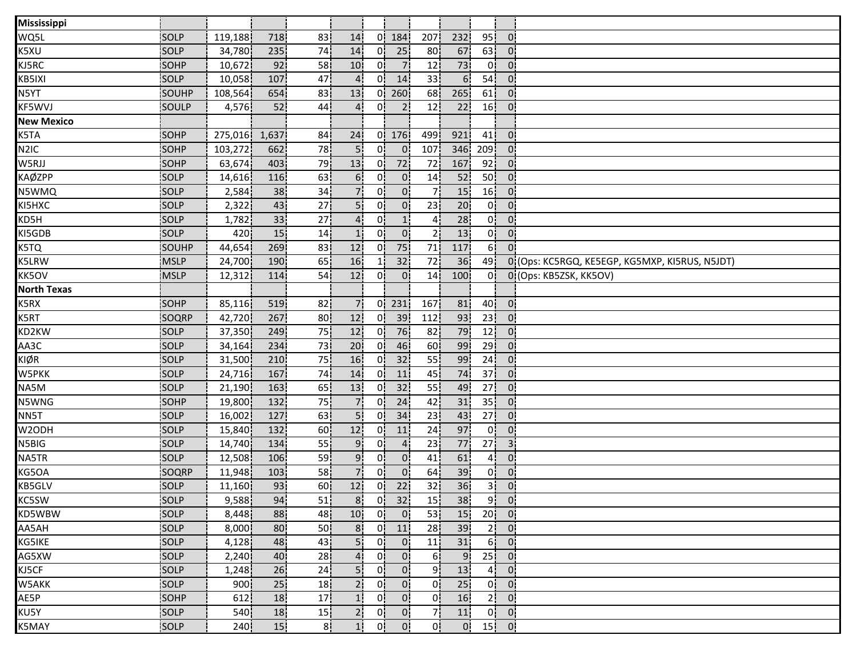| Mississippi        |              |                  |       |                 |                 |                |                |                 |                 |                 |                             |                                                |
|--------------------|--------------|------------------|-------|-----------------|-----------------|----------------|----------------|-----------------|-----------------|-----------------|-----------------------------|------------------------------------------------|
| WQ5L               | SOLP         | 119,188          | 718   | 83              | 14              | 0'             | 184            | 207             | 232             | 95              | $\overline{0}$              |                                                |
| K5XU               | <b>SOLP</b>  | 34,780           | 235   | 74              | 14              | 01             | 25             | 80              | 67              | 63              | $\overline{0}$              |                                                |
| KJ5RC              | <b>SOHP</b>  | 10,672           | 92    | 58              | 10 <sub>1</sub> | 01             | $\overline{7}$ | 12              | 73              | 0 <sup>1</sup>  | $\overline{0}$              |                                                |
| KB5IXI             | <b>SOLP</b>  | 10,058           | 107   | 47              |                 | 01             | 14             | 33 <sub>1</sub> | 6 <sup>1</sup>  | 54              | $\mathbf{0}$                |                                                |
| N5YT               | SOUHP        | 108,564          | 654   | 83              | 13              | 01             | 260            | 68              | 265             | 61              | $\mathbf{0}$                |                                                |
| KF5WVJ             | SOULP        | 4,576            | 52    | 44              | 4 <sup>1</sup>  | 01             | 2 <sup>1</sup> | 12 <sub>1</sub> | 22 <sub>1</sub> | 16              | 0 <sup>1</sup>              |                                                |
| <b>New Mexico</b>  |              |                  |       |                 |                 |                |                |                 |                 |                 |                             |                                                |
| K5TA               | SOHP         | 275,016          | 1,637 | 84              | 24              |                | $0$ 176        | 499             | 921             | 41              | $\overline{0}$              |                                                |
| N <sub>2</sub> IC  | <b>SOHP</b>  | 103,272          | 662   | 78              |                 | 0!             | 0 <sup>1</sup> | 107             | 346             | 209             | $\overline{0}$              |                                                |
| W5RJJ              | SOHP         | 63,674           | 403   | 79              | 13              | 01             | 72             | 72              | 167             | 92 <sub>1</sub> | 0.                          |                                                |
| <b>KAØZPP</b>      | SOLP         | 14,616           | 116   | 63              | 6 <sub>1</sub>  | 01             | 0.             | 14              | 52              | 50              | $\mathbf{0}$                |                                                |
| N5WMQ              | SOLP         | 2,584            | 38    | 34              | 7i              | 01             | 0 <sub>1</sub> | 71              | 15              | 16              | $\mathbf{0}$                |                                                |
| KI5HXC             | <b>SOLP</b>  | 2,322            | 43    | 27              | 5!              | 0!             | 0 <sup>1</sup> | 23              | 20              | 0!              | $\overline{0}$              |                                                |
| KD5H               | SOLP         | 1,782            | 33    | 27 <sup>1</sup> | 4 <sup>1</sup>  | 0!             | 1 <sub>1</sub> | 4 <sub>1</sub>  | 28              | 0!              | $\overline{0}$              |                                                |
| KI5GDB             | SOLP         | 420              | 15    | 14              | 1 <sup>1</sup>  | 0!             | 0 <sub>1</sub> | 2 <sub>1</sub>  | 13              | 0!              | 0 <sup>1</sup>              |                                                |
| K5TQ               | <b>SOUHP</b> | 44,654           | 269   | 83              | 12              | 01             | 75             | 71              | 117             | 6!              | $0^{\circ}$                 |                                                |
| K5LRW              | <b>MSLP</b>  | 24,700           | 190   | 65              | 16              |                | 32             | 72              | 36              | 49              |                             | 01(Ops: KC5RGQ, KE5EGP, KG5MXP, KI5RUS, N5JDT) |
| KK5OV              | <b>MSLP</b>  | 12,312           | 114   | 54              | 12              | 01             | $\overline{0}$ | 14              | 100             | 01              |                             | 0 (Ops: KB5ZSK, KK5OV)                         |
| <b>North Texas</b> |              |                  |       |                 |                 |                |                |                 |                 |                 |                             |                                                |
| K5RX               | <b>SOHP</b>  | 85,116           | 519   | 82              | 7 <sub>1</sub>  | 0              | 231            | 167             | 81              | 40 <sub>1</sub> | $\overline{0}$              |                                                |
| K5RT               | SOQRP        | 42,720           | 267   | 80 <sub>1</sub> | 12 <sub>1</sub> |                | $0$ 39         | 112             | 93              | 23 <sup>1</sup> | $\overline{0}$              |                                                |
| KD2KW              | SOLP         | 37,350           | 249   | 75              | 12              | 0!             | 76             | 82              | 79              | 12              | $\overline{0}$              |                                                |
| AA3C               | SOLP         | 34,164           | 234   | 73              | 20 <sup>1</sup> | 0!             | 46             | 60              | 99              | 29              | 0 <sup>1</sup>              |                                                |
| KIØR               | <b>SOLP</b>  | 31,500           | 210   | 75              | 16              | 01             | 32             | 55              | 99              | 24              | $\overline{0}$              |                                                |
| W5PKK              | SOLP         | 24,716           | 167   | 74              | 14              | 01             | 11             | 45              | 74              | 37 <sub>1</sub> | $\overline{0}$              |                                                |
| NA5M               | SOLP         | 21,190           | 163   | 65              | 13              | 0 <sup>1</sup> | 32             | 55              | 49              | 27 <sub>1</sub> | $\overline{0}$              |                                                |
| N5WNG              | SOHP         | 19,800           | 132   | 75              | 7 <sup>1</sup>  | 0!             | 24             | 42              | 31              | 35 <sub>1</sub> | 0 <sub>1</sub>              |                                                |
| NN5T               | SOLP         | 16,002           | 127   | 63              | 5!              | 0!             | 34             | 23              | 43              | 27              | $\mathbf{0}$                |                                                |
| W2ODH              | SOLP         | 15,840           | 132   | 60              | 12              | 0!             | 11             | 24              | 97              | 0!              | $\overline{0}$              |                                                |
| N5BIG              | <b>SOLP</b>  | 14,740           | 134   | 55              | 9               | 01             | $\overline{4}$ | 23              | 77              | 27 <sub>1</sub> | 3 <sup>1</sup>              |                                                |
| NA5TR              | <b>SOLP</b>  | 12,508           | 106   | 59              | 9.              | 01             | 0 <sub>1</sub> | 41              | 61              | 4 <sub>1</sub>  | $\overline{0}$              |                                                |
| KG5OA              | SOQRP        | 11,948           | 103   | 58              |                 | 0i             | $\overline{0}$ | 64              | 39              | 0 <sup>1</sup>  | $\overline{0}$              |                                                |
| KB5GLV             | SOLP         | 11,160           | 93    | 60 <sup>1</sup> | 12              | 0 <sup>1</sup> | 22             | 32              | 36              | 3 <sup>1</sup>  | 0 <sub>1</sub>              |                                                |
| KC5SW              | SOLP         | 9,588            | 94    | 51              |                 |                | $8$ 0 32       | 15              | 38              |                 | $9$ $0$                     |                                                |
| KD5WBW             | SOLP         | 8,448            | 88    | 48              | 10              | 0 <sup>1</sup> | $\overline{0}$ | 53              | 15 <sub>1</sub> |                 | $20$ 0                      |                                                |
| AA5AH              | SOLP         | 8,000            | 80    | 50 <sub>1</sub> | 8 <sub>1</sub>  |                | $0$ 11         | 28              | 39 <sub>1</sub> |                 | $2$ 0                       |                                                |
| KG5IKE             | <b>SOLP</b>  | 4,128            | 48    | 43              | 5!              | 01             | $\overline{0}$ | 11              | 31              |                 | $6^{\circ}$ 0               |                                                |
| AG5XW              | <b>SOLP</b>  | 2,240            | 40    | 28i             | 4:              | 01             | $\overline{0}$ | 6i              | 9 <sub>l</sub>  |                 | $25$ 0                      |                                                |
| KJ5CF              | SOLP         | 1,248            | 26    | 24              | 5i              | 0 <sub>i</sub> | 0 <sup>1</sup> | 9 <sub>1</sub>  | 13              |                 | $4$ 0                       |                                                |
| W5AKK              | SOLP         | 900i             | 25    | 18 j            | 2 <sub>1</sub>  | 0 <sub>i</sub> | $0^{\circ}$    | 0!              | 25 <sub>1</sub> |                 | $0^{\dagger}$ $0^{\dagger}$ |                                                |
| AE5P               | SOHP         | 612              | 18    | 17 <sub>1</sub> | 1 <sub>i</sub>  | 0 <sup>1</sup> | 0 <sup>1</sup> | 0 <sub>1</sub>  | 16              |                 | 2 0                         |                                                |
| KU5Y               | SOLP         | 540              | 18    | 15              | 2 <sub>1</sub>  | 0 <sub>1</sub> | 0 <sub>1</sub> | 7¦              | 11              |                 | $0 \quad 0$                 |                                                |
| K5MAY              | SOLP         | 240 <sup>1</sup> | 15    | 8!              | 1!              | 0!             | $\mathbf{0}$   | 0!              | 0.              |                 | $15$ 0                      |                                                |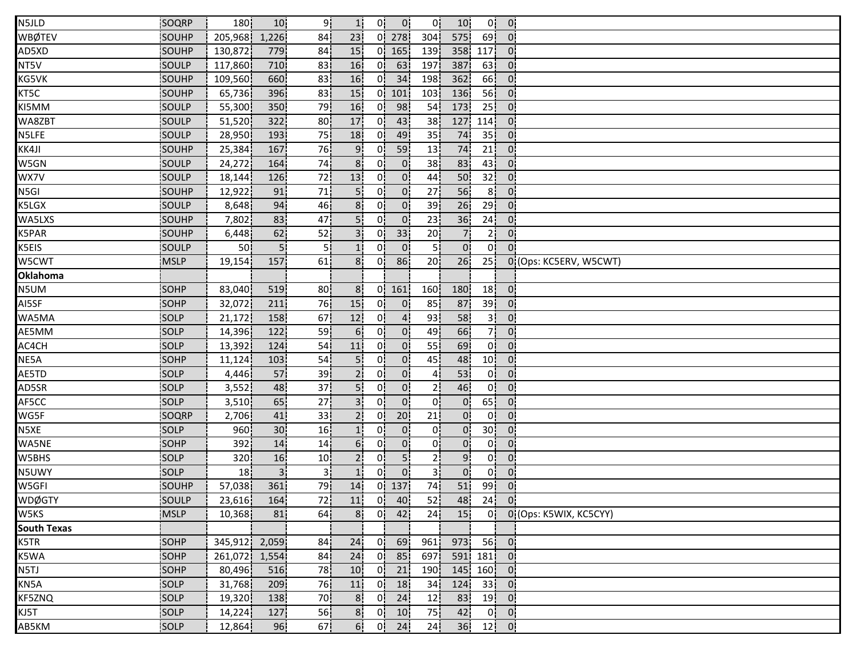| N5JLD              | SOQRP        | 180              | 10              | 9.              | 1!              | 0!             | 0 <sup>1</sup>     | 0!               | 10 <sub>1</sub> | 0!              | $\overline{0}$ |                             |
|--------------------|--------------|------------------|-----------------|-----------------|-----------------|----------------|--------------------|------------------|-----------------|-----------------|----------------|-----------------------------|
| <b>WBØTEV</b>      | SOUHP        | 205,968          | 1,226           | 84              | 23              |                | 01278              | 304              | 575             | 69 <sup>1</sup> | $\overline{0}$ |                             |
| AD5XD              | SOUHP        | 130,872          | 779             | 84              | 15              | 01             | 165                | 139              | 358             | 117             | $\overline{0}$ |                             |
| NT5V               | SOULP        | 117,860          | 710             | 83              | 16              | 01             | 63                 | 197              | 387             | 63              | $\overline{0}$ |                             |
| KG5VK              | SOUHP        | 109,560          | 660             | 83              | 16              | 0i             | 34                 | 198 i            | 362             | 66              | $\mathbf{0}$   |                             |
| KT5C               | SOUHP        | 65,736           | 396             | 83              | 15 <sub>1</sub> | 0!             | 101                | 103              | 136             | 56              | $\overline{0}$ |                             |
| KI5MM              | SOULP        | 55,300           | 350             | 79              | 16              | 0!             | 98                 | 54               | 173             | 25              | $\mathbf{0}$   |                             |
| WA8ZBT             | SOULP        | 51,520           | 322             | 80 <sup>1</sup> | 17              | 0              | 43                 | 38               | 127             | 114             | $\overline{0}$ |                             |
| N5LFE              | SOULP        | 28,950           | 193             | 75              | 18              | 0.             | 49                 | 35               | 74              | 35 <sub>1</sub> | $\overline{0}$ |                             |
| KK4JI              | SOUHP        | 25,384           | 167             | 76              | 9.              | 01             | 59                 | 13               | 74              | 21              | $\overline{0}$ |                             |
| W5GN               | SOULP        | 24,272           | 164             | 74              | 8 <sup>1</sup>  | 0i             | $\overline{0}$     | 38               | 83              | 43              | $\overline{0}$ |                             |
| WX7V               | SOULP        | 18,144           | 126             | 72              | 13 <sup>1</sup> | 01             | 0i                 | 44               | 50              | 32              | $\mathbf{0}$   |                             |
| N5GI               | SOUHP        | 12,922           | 91              | 71              | 5 <sub>1</sub>  | 0¦             | $\overline{0}$     | 27               | 56              | 8 <sup>1</sup>  | $\overline{0}$ |                             |
| K5LGX              | <b>SOULP</b> | 8,648            | 94              | 46              | 8 <sub>1</sub>  | 0!             | $\overline{0}$     | 39               | 26              | 29 <sup>1</sup> | $\mathbf{0}$   |                             |
| WA5LXS             | SOUHP        | 7,802            | 83              | 47              | 5.              | 0!             | $\overline{0}$     | 23               | 36              | 24 <sub>1</sub> | $\overline{0}$ |                             |
| K5PAR              | SOUHP        | 6,448            | 62              | 52              | 3 <sup>1</sup>  | 0!             | 33                 | 20               | $\overline{7}$  | 21              | 0:             |                             |
| K5EIS              | SOULP        | 50               |                 | 51              | 1!              | <sup>01</sup>  | $\overline{0}$     | 51               | 0 <sup>1</sup>  | 0 <sup>1</sup>  | $\overline{0}$ |                             |
| W5CWT              | <b>MSLP</b>  | 19,154           | 157             | 61              | 8 <sub>1</sub>  | 0i             | 86                 | 20               | 26              | 25              |                | 0 (Ops: KC5ERV, W5CWT)      |
| <b>Oklahoma</b>    |              |                  |                 |                 |                 |                |                    |                  |                 |                 |                |                             |
| N5UM               | SOHP         | 83,040           | 519             | 80              | 8 <sub>1</sub>  |                | $0 \mid 161$       | 160 <sub>1</sub> | 180             | 18 <sup>1</sup> | $\overline{0}$ |                             |
| AI5SF              | <b>SOHP</b>  | 32,072           | 211             | 76              | 15              | 0¦             | $\overline{0}$     | 85               | 87              | 39              | 0 <sub>1</sub> |                             |
| WA5MA              | SOLP         | 21,172           | 158             | 67              | 12 <sub>1</sub> | 0¦             | 4 <sub>1</sub>     | 93               | 58              | 3 <sup>1</sup>  | 0:             |                             |
| AE5MM              | SOLP         | 14,396           | 122             | 59              | 6 <sup>1</sup>  | 0!             | 0 <sup>1</sup>     | 49               | 66              | 7!              | 0 <sup>1</sup> |                             |
| AC4CH              | <b>SOLP</b>  | 13,392           | 124             | 54              | 11              | 0 <sup>1</sup> | $\overline{0}$     | 55               | 69              | 0 <sup>1</sup>  | $\mathbf{0}$   |                             |
| NE5A               | <b>SOHP</b>  | 11,124           | 103             | 54              | 5.              | 0i             | $0^{\circ}$        | 45               | 48              | 10 <sub>1</sub> | $\mathbf{0}$   |                             |
| AE5TD              | SOLP         | 4,446            | 57              | 39              | 2 <sub>1</sub>  | 01             | 0                  |                  | 53              | 0i              | $\mathbf{0}$   |                             |
| AD5SR              | SOLP         | 3,552            | 48              | 37 <sub>1</sub> | 5 <sub>1</sub>  | 0i             | 0.                 | 21               | 46              | 0 <sup>1</sup>  | 0.             |                             |
| AF5CC              | SOLP         | 3,510            | 65              | 27              | 3i              | 0¦             | $\overline{0}$     | 0!               | $\overline{0}$  | 65              | $\overline{0}$ |                             |
| WG5F               | SOQRP        | 2,706            | 41              | 33 <sup>1</sup> | 2 <sub>1</sub>  | 0!             | 20                 | 21               | 0 <sup>1</sup>  | 0!              | $\overline{0}$ |                             |
| N5XE               | SOLP         | 960              | 30 <sub>1</sub> | 16              | $1^{\circ}$     | $\mathbf{0}$   | $\mathbf{0}$       | 0.               | $\mathbf{0}$    | 30 <sup>1</sup> | $\overline{0}$ |                             |
| WA5NE              | <b>SOHP</b>  | 392              | 14              | 14              | 6!              | 0 <sup>1</sup> | 0 <sup>1</sup>     | 01               | 0 <sup>1</sup>  | 0İ              | $\overline{0}$ |                             |
| W5BHS              | <b>SOLP</b>  | 320 <sub>1</sub> | 16              | 10              |                 | 01             | 5 <sub>1</sub>     | 21               | 9               | 0i              | $\overline{0}$ |                             |
| N5UWY              | SOLP         | 18 I             |                 | зi              |                 | 0i             | $0^{\circ}$        | 3i               | $\mathbf{0}$    | 0i              | $0^{\circ}$    |                             |
| W5GFI              | SOUHP        | 57,038           | 361             | 79              | 14              |                | $0$ 137            | 74               | 51              | 99              | $\overline{0}$ |                             |
| WDØGTY             | SOULP        | 23,616           | 164             | 72              | 11              |                | $0 \mid 40$        | 52               |                 | 48 24 0         |                |                             |
| W5KS               | <b>MSLP</b>  | 10,368           | 81              | 64.             |                 |                | $8$ 0 42           | 24               |                 |                 |                | 15 0 0 (Ops: K5WIX, KC5CYY) |
| <b>South Texas</b> |              |                  |                 |                 |                 |                |                    |                  |                 |                 |                |                             |
| K5TR               | <b>SOHP</b>  | 345,912 2,059    |                 | 84              | 24              |                | 0 <sup>i</sup> 69i |                  | 961 973 56 0    |                 |                |                             |
| K5WA               | <b>SOHP</b>  | 261,072 1,554    |                 | 84              | 24              |                | $0$ 85             | 697 i            |                 | 591 181 0       |                |                             |
| N5TJ               | SOHP         | 80,496           | 516             | 78              | 10 <sub>1</sub> |                | $0$ 21             |                  | 190 145 160 0   |                 |                |                             |
| KN5A               | SOLP         | 31,768           | 209             | 76              | 11 <sub>1</sub> |                | $0$ 18             |                  | 34 124 33 0     |                 |                |                             |
| KF5ZNQ             | <b>SOLP</b>  | 19,320           | 138             | 70              | 8 <sup>1</sup>  |                | $0$ 24             | 12 <sub>1</sub>  |                 | 83 19 0         |                |                             |
| KJ5T               | <b>SOLP</b>  | 14,224           | 127             | 56              |                 |                | 8 0 10             | 75               | 42              |                 | $0$ 0          |                             |
| AB5KM              | SOLP         | 12,864           | 96              | 67              | 6 <sup>1</sup>  |                | $0$ 24             | 24               |                 | $36$ $12$ $0$   |                |                             |
|                    |              |                  |                 |                 |                 |                |                    |                  |                 |                 |                |                             |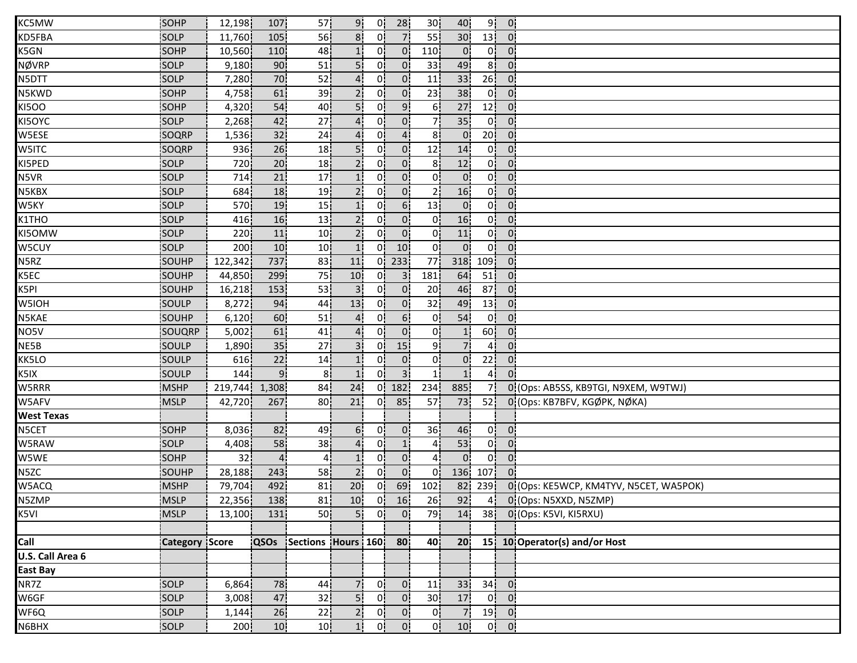| KC5MW             | SOHP                  | 12,198           | 107             | 57 <sub>1</sub>    | 9!              | 0!             | 28             | 30 <sup>1</sup> | 40               | 9!              | $\overline{0}$    |                                        |
|-------------------|-----------------------|------------------|-----------------|--------------------|-----------------|----------------|----------------|-----------------|------------------|-----------------|-------------------|----------------------------------------|
| KD5FBA            | SOLP                  | 11,760           | 105             | 56                 | 8 <sup>1</sup>  | 0              | 7 <sup>1</sup> | 55              | 30 <sup>1</sup>  | 13              | $\overline{0}$    |                                        |
| K5GN              | <b>SOHP</b>           | 10,560           | 110             | 48                 |                 | 01             | $\overline{0}$ | 110             | $\overline{0}$   | 01              | $\overline{0}$    |                                        |
| <b>NØVRP</b>      | SOLP                  | 9,180            | 90              | 51                 | 5i              | 01             | 0 <sup>1</sup> | 33              | 49               | 8 <sup>1</sup>  | $\mathbf{0}$      |                                        |
| N5DTT             | SOLP                  | 7,280            | 70              | 52                 |                 | 0i             | 0 <sup>1</sup> | 11              | 33               | 26 <sup>1</sup> | $0^{\circ}$       |                                        |
| N5KWD             | SOHP                  | 4,758            | 61              | 39                 | 2 <sub>1</sub>  | 0.             | $\overline{0}$ | 23              | 38               | 0 <sup>1</sup>  | $\overline{0}$    |                                        |
| <b>KI5OO</b>      | SOHP                  | 4,320            | 54              | 40                 | 5!              | 0!             | 9 <sub>1</sub> | 6!              | 27               | 12              | 0 <sup>1</sup>    |                                        |
| KI5OYC            | SOLP                  | 2,268            | 42              | 27                 | 4!              | 0!             | $\overline{0}$ | 7!              | 35               | 0!              | 0 <sup>1</sup>    |                                        |
| W5ESE             | SOQRP                 | 1,536            | 32              | 24                 |                 | 0!             | $\overline{4}$ | 8               | $\overline{0}$   | 20 <sup>1</sup> | $\overline{0}$    |                                        |
| W5ITC             | SOQRP                 | 936              | 26              | 18                 | 5!              | 0 <sup>1</sup> | 0 <sup>1</sup> | 12              | 14               | 0 <sup>1</sup>  | $\mathbf{0}$      |                                        |
| KI5PED            | SOLP                  | 720              | 20              | 18                 | 2 <sub>1</sub>  | 01             | 0 <sup>1</sup> | 8i              | 12               | 0i              | $\mathbf{0}$      |                                        |
| N5VR              | SOLP                  | 714              | 21              | 17 <sub>1</sub>    | 1 <sup>i</sup>  | 01             | 0 <sup>1</sup> | 01              | $0^{\mathsf{i}}$ | 0ŀ              | $\mathbf{0}$      |                                        |
| N5KBX             | SOLP                  | 684              | 18              | 19                 | 2 <sub>1</sub>  | 0!             | 0 <sup>1</sup> | 2 <sub>1</sub>  | 16               | 0 <sup>1</sup>  | $\overline{0}$    |                                        |
| W5KY              | SOLP                  | 570              | 19              | 15                 | <u> 1 i</u>     | 0!             | 6 <sup>1</sup> | 13              | $\overline{0}$   | 0!              | 0 <sup>1</sup>    |                                        |
| K1THO             | SOLP                  | 416              | 16              | 13                 | 2!              | 0!             | 0 <sup>1</sup> | 0!              | 16               | 0!              | $\overline{0}$    |                                        |
| KI50MW            | SOLP                  | 220 <sup>1</sup> | 11              | 10 <sup>1</sup>    | 2 <sup>1</sup>  | 0!             | 0 <sup>1</sup> | 0               | 11               | 0!              | $\overline{0}$    |                                        |
| W5CUY             | SOLP                  | 200              | 10              | 10 <sup>1</sup>    | 1!              | 0 <sup>1</sup> | 10             | 0 <sup>1</sup>  | $\overline{0}$   | 0!              | $\overline{0}$    |                                        |
| N5RZ              | SOUHP                 | 122,342          | 737             | 83                 | 11              | 01             | 233            | 77              | 318              | 109             | $\overline{0}$    |                                        |
| K5EC              | SOUHP                 | 44,850           | 299             | 75                 | 10 <sub>1</sub> | 0.             | 3i             | 181             | 64               | 51              | 0 <sup>1</sup>    |                                        |
| K5PI              | SOUHP                 | 16,218           | 153             | 53                 | 3 <sup>1</sup>  | 0¦             | $\overline{0}$ | 20              | 46               | 87 <sub>1</sub> | $0^{\circ}$       |                                        |
| W5IOH             | SOULP                 | 8,272            | 94              | 44                 | 13              | ο¦             | 0 <sub>1</sub> | 32              | 49               | 13              | $\overline{0}$ .  |                                        |
| N5KAE             | SOUHP                 | 6,120            | 60              | 51                 | 4               | 0!             | 6 <sup>1</sup> | $\mathbf{0}$    | 54               | 0!              | $\overline{0}$    |                                        |
| NO5V              | SOUQRP                | 5,002            | 61              | 41                 | 4 <sup>1</sup>  | 0 <sup>1</sup> | 0 <sup>1</sup> | 0               | $\mathbf{1}$     | 60              | $\overline{0}$    |                                        |
| NE5B              | SOULP                 | 1,890            | 35              | 27                 | 3 <sup>1</sup>  | 01             | 15             | ا 9             | $\overline{7}$   | 41              | $\overline{0}$    |                                        |
| KK5LO             | <b>SOULP</b>          | 616              | 22              | 14                 | 1 <sup>1</sup>  | 01             | 0 <sup>1</sup> | 0i              | $\overline{0}$   | 22 <sub>1</sub> | $\mathbf{0}$      |                                        |
| K5IX              | SOULP                 | 144              | 9.              | 81                 | 1!              | 0i             | 3 <sup>1</sup> | 11              | 1 <sup>i</sup>   | 41              |                   |                                        |
| W5RRR             | <b>MSHP</b>           | 219,744          | 1,308           | 84                 | 24              | 0!             | 182            | 234             | 885              | 7i              |                   | 0 (Ops: AB5SS, KB9TGI, N9XEM, W9TWJ)   |
| W5AFV             | MSLP                  | 42,720           | 267             | 80                 | 21              | 01             | 85             | 57              | 73               | 52              |                   | 0 (Ops: KB7BFV, KGØPK, NØKA)           |
| <b>West Texas</b> |                       |                  |                 |                    |                 |                |                |                 |                  |                 |                   |                                        |
| N5CET             | SOHP                  | 8,036            | 82              | 49                 | 6 <sup>1</sup>  | 0 <sub>1</sub> | $\mathbf{0}$   | 36              | 46               | 0 <sup>1</sup>  | $\overline{0}$    |                                        |
| W5RAW             | <b>SOLP</b>           | 4,408            | 58              | 38                 |                 | 01             | 11             | 4               | 53               | 0               | $\mathbf{0}$      |                                        |
| W5WE              | SOHP                  | 32               | $\overline{4}$  | 41                 | 11              | 01             | $\overline{0}$ | $\overline{4}$  | $\overline{0}$   | 01              | $\mathbf{0}$      |                                        |
| N5ZC              | SOUHP                 | 28,188           | 243             | 58                 | 2 <sub>1</sub>  | 01             | $\overline{0}$ | 01              | 136              | 107             | $0^{\circ}$       |                                        |
| W5ACQ             | <b>MSHP</b>           | 79,704           | 492             | 81                 | 20              | 0 <sup>1</sup> | 69             | 102             | 82               | 239             |                   | 0 (Ops: KE5WCP, KM4TYV, N5CET, WA5POK) |
| N5ZMP             | <b>MSLP</b>           | 22,356           | 138             | 81                 | 10              | 0 <sub>1</sub> | 16             | 26              | 92               |                 |                   | 4 0 (Ops: N5XXD, N5ZMP)                |
| K5VI              | <b>MSLP</b>           | 13,100           | 131             | 50 <sup>1</sup>    | 5 <sup>1</sup>  | 0              | 0 <sub>1</sub> | 79              | 14               | 38 <sup>1</sup> |                   | 0 (Ops: K5VI, KI5RXU)                  |
|                   |                       |                  |                 |                    |                 |                |                |                 |                  |                 |                   |                                        |
| Call              | <b>Category Score</b> |                  | <b>QSOs</b>     | Sections Hours 160 |                 |                | 80             | 40              | 20 <sup>1</sup>  |                 |                   | 15 10 Operator(s) and/or Host          |
| U.S. Call Area 6  |                       |                  |                 |                    |                 |                |                |                 |                  |                 |                   |                                        |
| <b>East Bay</b>   |                       |                  |                 |                    |                 |                |                |                 |                  |                 |                   |                                        |
| NR7Z              | SOLP                  | 6,864            | 78              | 44                 | 7 <sup>1</sup>  | 0 <sup>1</sup> | 0 <sub>1</sub> | 11              | 33               |                 | $34$ 0            |                                        |
| W6GF              | SOLP                  | 3,008            | 47              | 32                 | 5 <sup>1</sup>  | 0 <sub>1</sub> | 0 <sup>1</sup> | 30 <sub>1</sub> | 17               | 0 <sup>1</sup>  | 0 <sub>1</sub>    |                                        |
| WF6Q              | SOLP                  | 1,144            | 26              | 22                 | 2 <sup>1</sup>  | 0 <sup>1</sup> | $\overline{0}$ | 0 <sub>1</sub>  | 7 <sup>1</sup>   |                 | $19$ 0            |                                        |
| N6BHX             | SOLP                  | 200              | 10 <sub>1</sub> | 10 <sup>1</sup>    | 1!              | 0!             | $\mathbf{0}$   | 0 <sup>1</sup>  | 10               |                 | $0 \vert 0 \vert$ |                                        |
|                   |                       |                  |                 |                    |                 |                |                |                 |                  |                 |                   |                                        |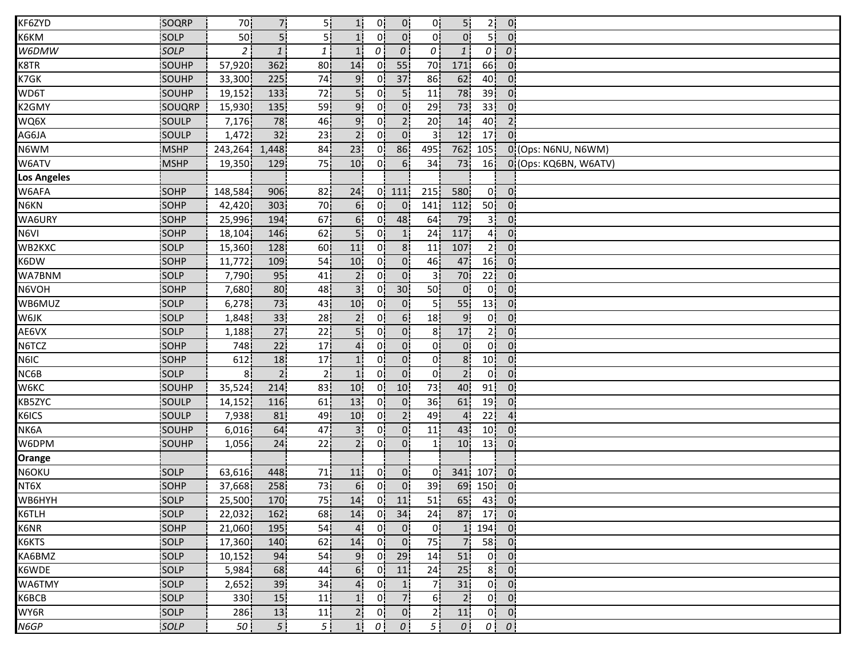| KF6ZYD             | SOQRP       | 70               | 7.             | 5¦              | 1 <sub>i</sub>  | 0!             | 0!              | 0!              | 5!             | 2 <sup>1</sup>   | $\overline{0}$                           |                       |
|--------------------|-------------|------------------|----------------|-----------------|-----------------|----------------|-----------------|-----------------|----------------|------------------|------------------------------------------|-----------------------|
| K6KM               | SOLP        | 50               | 5ļ             | 5               | 1 <sup>1</sup>  | 0              | $\overline{0}$  | 0!              | $\mathbf{0}$   | 5 I              | $\Omega$                                 |                       |
| W6DMW              | SOLP        | 2 <sup>1</sup>   | 1              | $1\overline{ }$ | 1 <sup>1</sup>  | $\theta$       | $\overline{o}$  | 0               | 1              | $\theta$         | $\theta$ !                               |                       |
| K8TR               | SOUHP       | 57,920           | 362            | 80              | 14              | 0i             | 55              | 70              | 171            | 66               | $\overline{0}$                           |                       |
| K7GK               | SOUHP       | 33,300           | 225            | 74              | 9 <sub>1</sub>  | 0i             | 37              | 86              | 62             | 40               | 0 <sub>1</sub>                           |                       |
| WD6T               | SOUHP       | 19,152           | 133            | 72              | 5 <sub>i</sub>  | 0¦             | 5 <sup>1</sup>  | 11              | 78             | 39               | $\overline{0}$                           |                       |
| K2GMY              | SOUQRP      | 15,930           | 135            | 59              | 9 <sub>1</sub>  | 0¦             | 0 <sub>i</sub>  | 29              | 73             | 33 <sup>1</sup>  | 0 <sup>1</sup>                           |                       |
| WQ6X               | SOULP       | 7,176            | 78             | 46              | 9 <sub>1</sub>  | 0!             | 2 <sub>1</sub>  | 20 <sub>1</sub> | 14             | 40               | 2 <sub>1</sub>                           |                       |
| AG6JA              | SOULP       | 1,472            | 32             | 23              | 2 <sup>1</sup>  | 0!             | 0 <sup>1</sup>  | 3               | 12             | 17               | $\Omega$                                 |                       |
| N6WM               | <b>MSHP</b> | 243,264          | 1,448          | 84              | 23              | 0!             | 86              | 495             | 762            | 105              |                                          | 0 (Ops: N6NU, N6WM)   |
| W6ATV              | MSHP        | 19,350           | 129            | 75              | 10 <sup>1</sup> | 01             | 6 <sup>1</sup>  | 34              | 73             | 16               |                                          | 0 (Ops: KQ6BN, W6ATV) |
| <b>Los Angeles</b> |             |                  |                |                 |                 |                |                 |                 |                |                  |                                          |                       |
| W6AFA              | SOHP        | 148,584          | 906            | 82              | 24              | 0!             | 111             | 215             | 580            | 0!               | $\overline{0}$                           |                       |
| N6KN               | SOHP        | 42,420           | 303            | 70              | 6 <sup>1</sup>  | 0!             | $\mathbf{0}$    | 141             | 112            | 50 <sub>1</sub>  | 0 <sup>1</sup>                           |                       |
| WA6URY             | SOHP        | 25,996           | 194            | 67              | 6 <sup>1</sup>  | 0!             | 48              | 64              | 79             | 3 <sup>1</sup>   | 0 <sup>1</sup>                           |                       |
| N6VI               | <b>SOHP</b> | 18,104           | 146            | 62              | 5!              | 0!             | 1               | 24              | 117            | 41               | 0 <sup>1</sup>                           |                       |
| WB2KXC             | SOLP        | 15,360           | 128            | 60              | 11              | 0 <sub>1</sub> | 8 <sup>1</sup>  | 11              | 107            | 2 <sup>1</sup>   | 0 <sup>1</sup>                           |                       |
| K6DW               | SOHP        | 11,772           | 109            | 54              | 10 <sup>1</sup> | 01             | 0 <sup>1</sup>  | 46              | 47             | 16               | $\overline{0}$                           |                       |
| WA7BNM             | SOLP        | 7,790            | 95             | 41              | 2i              | 01             | $\overline{0}$  | 31              | 70             | 22               | $\mathbf{0}$                             |                       |
| N6VOH              | SOHP        | 7,680            | 80             | 48              | 3 <sup>1</sup>  | 0!             | 30 <sub>1</sub> | 50 <sub>1</sub> | $\overline{0}$ | 0 <sup>1</sup>   | 0 <sup>1</sup>                           |                       |
| WB6MUZ             | SOLP        | 6,278            | 73             | 43              | 10 <sub>1</sub> | 0 <sup>1</sup> | 0 <sub>i</sub>  | 5 <sub>1</sub>  | 55             | 13               | 0 <sub>1</sub>                           |                       |
| W6JK               | SOLP        | 1,848            | 33             | 28              | 2 <sub>1</sub>  | 0!             | 6 <sup>1</sup>  | 18              | $\overline{9}$ | 0 <sup>1</sup>   | $\overline{0}$                           |                       |
| AE6VX              | SOLP        | 1,188            | 27             | 22              | 5ļ              | 0 <sub>1</sub> | 0 <sup>1</sup>  | 8 <sub>1</sub>  | 17             | 2 <sup>1</sup>   | 0 <sub>1</sub>                           |                       |
| N6TCZ              | SOHP        | 748              | 22             | 17              | 4 <sup>1</sup>  | 0 <sup>1</sup> | 0 <sub>1</sub>  | 0               | $\overline{0}$ | 0 <sup>1</sup>   | $\overline{0}$                           |                       |
| N6IC               | SOHP        | 612              | 18             | 17              | 1 <sup>i</sup>  | 01             | 0 <sup>1</sup>  | 0 <sup>1</sup>  | 8 <sub>1</sub> | 10 <sub>1</sub>  | $\overline{0}$                           |                       |
| NC6B               | SOLP        | 81               | 2 <sub>1</sub> | 2 <sub>1</sub>  | 1 <sub>i</sub>  | 01             | 0 <sup>1</sup>  | 0 <sub>i</sub>  | $\overline{2}$ | 0 <sup>1</sup>   | $0^{\circ}$                              |                       |
| W6KC               | SOUHP       | 35,524           | 214            | 83              | 10              | 0!             | 10              | 73              | 40             | 91               | 0 <sup>1</sup>                           |                       |
| KB5ZYC             | SOULP       | 14,152           | 116            | 61              | 13              | 0!             | 0 <sup>1</sup>  | 36              | 61             | 19               | $\overline{0}$                           |                       |
| K6ICS              | SOULP       | 7,938            | 81             | 49              | 10 <sup>1</sup> | 0!             | 2 <sup>1</sup>  | 49              | $\overline{4}$ | 22 <sup>1</sup>  | 4 <sub>1</sub>                           |                       |
| NK6A               | SOUHP       | 6,016            | 64             | 47              | 3 <sup>1</sup>  | 0!             | 0 <sup>1</sup>  | 11              | 43             | 10 <sup>1</sup>  | $\overline{0}$                           |                       |
| W6DPM              | SOUHP       | 1,056            | 24             | 22              | 2 <sup>i</sup>  | 0i             | $\overline{0}$  | 1!              | 10             | 13 <sup>1</sup>  | $\overline{0}$                           |                       |
| Orange             |             |                  |                |                 |                 |                |                 |                 |                |                  |                                          |                       |
| N6OKU              | SOLP        | 63,616           | 448            | 71              | 11              | 01             | 0 <sub>1</sub>  | 01              | 341            | 107              | $\overline{0}$                           |                       |
| NT6X               | SOHP        | 37,668           | 258            | 73              | 6 <sub>1</sub>  | ο¦             | $\overline{0}$  | 39              | 69             | 150 <sup>1</sup> | $\overline{0}$                           |                       |
| WB6HYH             | SOLP        | 25,500           | 170            | 75              | 14              | 0 <sub>1</sub> | 11              | 51              | 65             | $43$ 0           |                                          |                       |
| K6TLH              | SOLP        | 22,032           | 162            | 68              | 14              |                | $0$ 34          | 24 <sub>1</sub> | 87.            |                  | $17$ 0                                   |                       |
| K6NR               | SOHP        | 21,060           | 195            | 54              | $\overline{4}$  | 0!             | $\overline{0}$  | 0!              | $\mathbf{1}$   | $194$ 0          |                                          |                       |
| K6KTS              | SOLP        | 17,360           | 140            | 62              | 14              | 0 <sup>1</sup> | $\overline{0}$  | 75 <sub>1</sub> | 7 <sub>1</sub> |                  | 58 0                                     |                       |
| KA6BMZ             | <b>SOLP</b> | 10,152           | 94             | 54              | 9 <sub>1</sub>  | 0 <sup>1</sup> | 29              | 14              | 51             |                  | $0$   $0$                                |                       |
| K6WDE              | SOLP        | 5,984            | 68             | 44              | 6 <sup>1</sup>  | 0 <sup>1</sup> | 11              | 24              | 25             | 8 <sup>1</sup>   | $\overline{0}$                           |                       |
| WA6TMY             | SOLP        | 2,652            | 39             | 34              | 4               | 0 <sup>1</sup> | 1               | 7¦              | 31             |                  | $0$ $0$                                  |                       |
| K6BCB              | SOLP        | 330 <sub>1</sub> | 15             | 11              | 1 <sup>1</sup>  | 0 <sub>1</sub> | 7 <sup>1</sup>  | 6 <sup>1</sup>  | 2 <sub>1</sub> |                  | $0$ $0$                                  |                       |
| WY6R               | SOLP        | 286              | 13             | 11              | 2 <sub>1</sub>  | 0 <sup>1</sup> | 0 <sup>1</sup>  | 2 <sub>1</sub>  | 11             |                  | $0 \begin{bmatrix} 0 \\ 0 \end{bmatrix}$ |                       |
| N6GP               | SOLP        | 50 <sub>1</sub>  | 5 <sup>1</sup> | 5 <sup>1</sup>  | 1!              | $\overline{O}$ | $\theta$        | 5 <sup>1</sup>  | $\theta$       |                  | $0 \mid 0 \mid$                          |                       |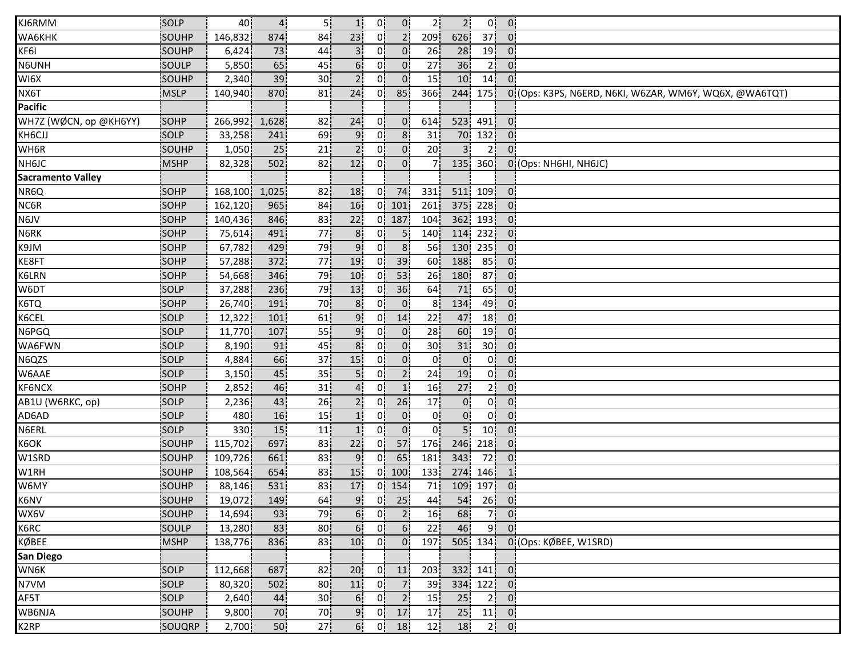| KJ6RMM                   | SOLP         | 40         | 4 <sub>1</sub>  | 5 <sub>1</sub>  | 1!              | 0 <sup>1</sup> | 0 <sup>1</sup>                               | 2 <sup>1</sup>   | 2!               | 0!                                                                    | $\overline{0}$ .           |                                                         |
|--------------------------|--------------|------------|-----------------|-----------------|-----------------|----------------|----------------------------------------------|------------------|------------------|-----------------------------------------------------------------------|----------------------------|---------------------------------------------------------|
| <b>WA6KHK</b>            | SOUHP        | 146,832    | 874             | 84              | 23              | 0!             | 2 <sup>1</sup>                               | 209              | 626              | 37                                                                    | $\Omega$                   |                                                         |
| KF6I                     | SOUHP        | 6,424      | 73              | 44              |                 | 01             | 0'                                           | 26               | 28               | 19                                                                    | $\overline{0}$             |                                                         |
| N6UNH                    | SOULP        | 5,850      | 65              | 45              | 6.              | 0i             | 0 <sup>1</sup>                               | 27               | 36               | 2 <sup>i</sup>                                                        | 0 <sup>1</sup>             |                                                         |
| WI6X                     | SOUHP        | 2,340      | 39 <sub>1</sub> | 30              |                 | 0i             | 0 <sup>1</sup>                               | 15               | 10 <sub>1</sub>  | 14 <sub>1</sub>                                                       | $\overline{0}$             |                                                         |
| NX6T                     | <b>MSLP</b>  | 140,940    | 870             | 81              | 24              | 01             | 85                                           | 366              | 244              | 175                                                                   |                            | 0: (Ops: K3PS, N6ERD, N6KI, W6ZAR, WM6Y, WQ6X, @WA6TQT) |
| <b>Pacific</b>           |              |            |                 |                 |                 |                |                                              |                  |                  |                                                                       |                            |                                                         |
| WH7Z (WØCN, op @KH6YY)   | SOHP         | 266,992    | 1,628           | 82              | 24              | 0!             | $\mathbf{0}$                                 | 614              | 523              | 491                                                                   | 0 <sup>1</sup>             |                                                         |
| KH6CJJ                   | SOLP         | 33,258     | 241             | 69              | 9 <sub>1</sub>  | 0!             | 8 <sup>1</sup>                               | 31               | 70               | 132                                                                   | 0 <sup>1</sup>             |                                                         |
| WH6R                     | SOUHP        | 1,050      | 25              | 21              | 2 <sup>1</sup>  | 0 <sup>1</sup> | $\overline{0}$                               | 20               | $\overline{3}$   | 2 <sup>1</sup>                                                        | $0^{\circ}$                |                                                         |
| NH6JC                    | <b>MSHP</b>  | 82,328     | 502             | 82              | 12 <sub>1</sub> | 0i             | $\overline{0}$                               | 71               | 135              | 360                                                                   |                            | 0 (Ops: NH6HI, NH6JC)                                   |
| <b>Sacramento Valley</b> |              |            |                 |                 |                 |                |                                              |                  |                  |                                                                       |                            |                                                         |
| NR6Q                     | SOHP         | 168,100    | 1,025           | 82 I            | 18              | 0!             | 74                                           | 331              | 511              | 109                                                                   | $\overline{0}$             |                                                         |
| NC6R                     | SOHP         | 162,120    | 965             | 84              | 16              | 0!             | 101                                          | 261              | 375              | 228                                                                   | 0.                         |                                                         |
| N6JV                     | SOHP         | 140,436    | 846             | 83              | 22              | 0!             | 187                                          | 104              | 362              | 193                                                                   | $\mathbf{0}$               |                                                         |
| N6RK                     | SOHP         | 75,614     | 491             | 77              | 8 <sub>1</sub>  | 0!             | 5                                            | 140              | 114              | 232                                                                   | $\overline{0}$             |                                                         |
| K9JM                     | SOHP         | 67,782     | 429             | 79              | 9 <sub>1</sub>  | 01             | 8 <sup>1</sup>                               | 56               | 130 <sup>1</sup> | 235!                                                                  | 0 <sup>1</sup>             |                                                         |
| KE8FT                    | <b>SOHP</b>  | 57,288     | 372             | 77              | 19              | 01             | 39                                           | 60               | 188              | 85                                                                    | $0^{\circ}$                |                                                         |
| K6LRN                    | SOHP         | 54,668     | 346             | 79              | 10 <sup>1</sup> | 01             | 53                                           | 26               | 180              | 87                                                                    | 0 <sup>1</sup>             |                                                         |
| W6DT                     | SOLP         | 37,288     | 236             | 79              | 13              | 01             | 36                                           | 64               | 71               | 65                                                                    | $0^{\circ}$                |                                                         |
| K6TQ                     | SOHP         | 26,740     | 191             | 70              | 8 <sub>1</sub>  | 0              | 0 <sub>1</sub>                               | 8 <sup>1</sup>   | 134              | 49                                                                    | 0 <sup>1</sup>             |                                                         |
| K6CEL                    | SOLP         | 12,322     | 101             | 61              | 9!              | 0!             | 14                                           | 22               | 47               | 18 <sup>1</sup>                                                       | $\mathbf{0}$ .             |                                                         |
| N6PGQ                    | SOLP         | 11,770     | 107             | 55              | 9 <sub>1</sub>  | 0!             | 0 <sub>1</sub>                               | 28               | 60               | 19                                                                    | 0 <sup>1</sup>             |                                                         |
| WA6FWN                   | <b>SOLP</b>  | 8,190      | 91              | 45              | 8 <sub>1</sub>  | 0l             | 0 <sup>1</sup>                               | 30 <sub>1</sub>  | 31               | 30 <sub>1</sub>                                                       | 0 <sup>1</sup>             |                                                         |
| N6QZS                    | <b>SOLP</b>  | 4,884      | 66              | 37              | 15              | 01             | 0 <sup>1</sup>                               | 01               | $0^{\mathsf{i}}$ | 0i                                                                    | $\mathbf{0}$               |                                                         |
| W6AAE                    | SOLP         | 3,150      | 45              | 35              |                 | 01             | 2 <sub>1</sub>                               | 24               | 19               | 0i                                                                    | 0.                         |                                                         |
| <b>KF6NCX</b>            | SOHP         | 2,852      | 46              | 31              | $\overline{4}$  | 0¦             | 1                                            | 16               | 27               | 2 <sup>1</sup>                                                        | $\overline{0}$             |                                                         |
| AB1U (W6RKC, op)         | SOLP         | 2,236      | 43              | 26              | $2^1$           | 0 <sup>1</sup> | 26                                           | 17               | $\overline{0}$   | 0 <sup>1</sup>                                                        | 0.                         |                                                         |
| AD6AD                    | SOLP         | 480        | 16              | 15              | 1!              | 0!             | $\mathbf{0}$                                 | 0!               | 0 <sub>1</sub>   | 0¦                                                                    | $\overline{0}$ .           |                                                         |
| N6ERL                    | SOLP         | 330        | 15              | 11              |                 | 0!             | $\overline{0}$                               | 01               | 5 <sup>1</sup>   | 10 <sup>1</sup>                                                       | $\overline{0}$             |                                                         |
| K6OK                     | SOUHP        | 115,702    | 697             | 83              | 22              | 01             | 57                                           | 176 <sup>1</sup> | 246              | 218                                                                   | $\mathbf{0}$               |                                                         |
| W1SRD                    | <b>SOUHP</b> | 109,726    | 661             | 83              | 9.              | 01             | 65                                           | 181              | 343              | 72                                                                    | 0 <sup>1</sup>             |                                                         |
| W1RH                     | SOUHP        | 108,564    | 654             | 83              | 15              | 01             | 100                                          | 133              | 274              | 146                                                                   | $\mathbf{1}$               |                                                         |
| W6MY                     | SOUHP        | 88,146     | 531             | 83              | 17              |                | $0$   154                                    | 71               | 109              | 197                                                                   | 0 <sub>1</sub>             |                                                         |
| K6NV                     | SOUHP        | 19,072 149 |                 | 64              |                 |                | $\begin{bmatrix} 9 \\ 0 \\ 25 \end{bmatrix}$ | 44 <sub>1</sub>  |                  | $\begin{array}{ c c c c c } \hline 54 & 26 & 0 \\ \hline \end{array}$ |                            |                                                         |
| WX6V                     | SOUHP        | 14,694     | 93              | 79              | 6 <sup>1</sup>  | 0 <sup>1</sup> | $\overline{2}$                               | 16               | 68               | 7ļ                                                                    | $\overline{0}$             |                                                         |
| K6RC                     | SOULP        | 13,280     | 83              | 80 <sub>1</sub> | 6!              | 0 <sup>1</sup> | 6 <sup>1</sup>                               | 22               | 46               | 9!                                                                    | $\overline{0}$             |                                                         |
| KØBEE                    | <b>MSHP</b>  | 138,776    | 836             | 83              | 10 <sub>1</sub> | 0 <sup>1</sup> | 0 <sub>1</sub>                               | 197              |                  | 505 134                                                               |                            | 0 (Ops: KØBEE, W1SRD)                                   |
| San Diego                |              |            |                 |                 |                 |                |                                              |                  |                  |                                                                       |                            |                                                         |
| WN6K                     | SOLP         | 112,668    | 687             | 82              | 20 <sub>1</sub> | 0i             | 11                                           | 203              | 332 <sub>1</sub> | 141                                                                   | $\overline{\phantom{a}}$ 0 |                                                         |
| N7VM                     | SOLP         | 80,320     | 502             | 80 i            | 11 <sub>1</sub> | 0 <sup>1</sup> | 7 <sub>1</sub>                               | 39 <sub>1</sub>  | 334 <sub>1</sub> | 122                                                                   | - 0¦                       |                                                         |
| AF5T                     | SOLP         | 2,640      | 44              | 30 <sub>1</sub> | 6 <sub>i</sub>  | 0 <sup>1</sup> | 2 <sub>1</sub>                               | 15               | 25               | 2 <sup>1</sup>                                                        | 0 <sup>1</sup>             |                                                         |
| WB6NJA                   | SOUHP        | 9,800      | 70              | 70              | 9 <sub>1</sub>  | 0 <sub>1</sub> | 17                                           | 17               | 25               | 11                                                                    | $\overline{0}$             |                                                         |
| K <sub>2</sub> RP        | SOUQRP       | 2,700      | 50 <sub>1</sub> | 27 <sub>1</sub> | 6!              | 0!             | 18 <sup>1</sup>                              | 12               | 18               | 2 <sup>1</sup>                                                        | 0 <sup>1</sup>             |                                                         |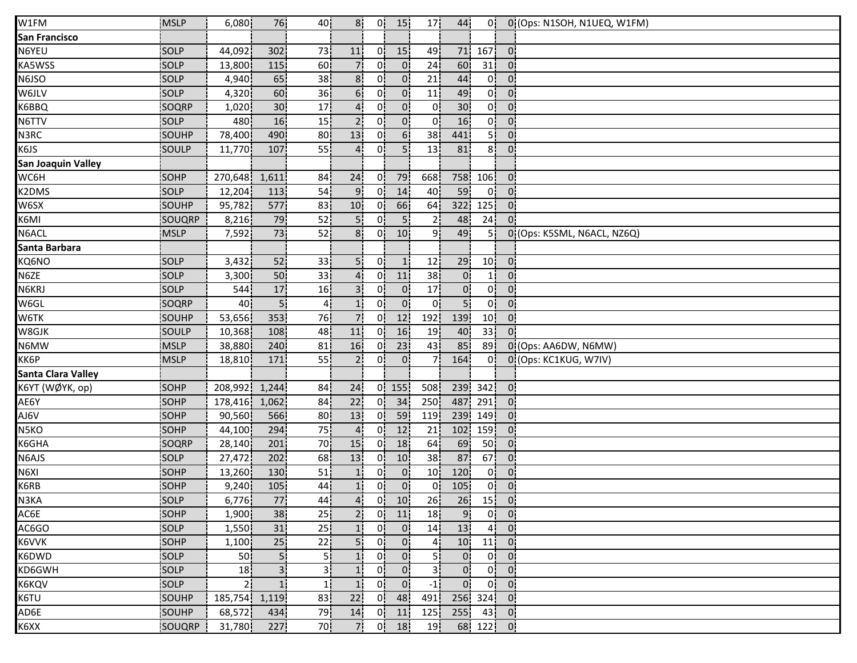| W1FM                      | MSLP         | 6,080          | 76               | 40              | 8 <sup>1</sup>  | 0!             | 15              | 17 <sup>1</sup> | 44               | 0 <sup>1</sup>  |                            | 0 (Ops: N1SOH, N1UEQ, W1FM) |
|---------------------------|--------------|----------------|------------------|-----------------|-----------------|----------------|-----------------|-----------------|------------------|-----------------|----------------------------|-----------------------------|
| <b>San Francisco</b>      |              |                |                  |                 |                 |                |                 |                 |                  |                 |                            |                             |
| N6YEU                     | <b>SOLP</b>  | 44,092         | 302              | 73              | 11              | 01             | 15 <sup>1</sup> | 49              | 71               | 167             | $0^{\prime}$               |                             |
| KA5WSS                    | SOLP         | 13,800         | 115              | 60              | 7i              | 01             | $\overline{0}$  | 24              | 60               | 31              | 0:                         |                             |
| N6JSO                     | SOLP         | 4,940          | 65               | 38 <sub>1</sub> | 8 <sub>1</sub>  | 0i             | 0 <sup>1</sup>  | 21              | 44               | 0 <sup>1</sup>  | 0 <sub>1</sub>             |                             |
| W6JLV                     | SOLP         | 4,320          | 60               | 36              | 6 <sup>1</sup>  | 0.             | 0 <sub>1</sub>  | 11              | 49               | 0 <sup>1</sup>  | 0 <sup>1</sup>             |                             |
| K6BBQ                     | SOQRP        | 1,020          | 30 <sub>1</sub>  | 17              | 4 <sup>1</sup>  | 0 <sup>1</sup> | $\mathbf{0}$    | 0!              | 30 <sub>1</sub>  | 0 <sup>1</sup>  | 0 <sup>1</sup>             |                             |
| N6TTV                     | SOLP         | 480            | 16               | 15              | 2!              | 0!             | $\mathbf{0}$    | 0!              | 16               | 0!              | 0 <sub>1</sub>             |                             |
| N3RC                      | SOUHP        | 78,400         | 490              | 80              | 13              | 0!             | 6 <sup>1</sup>  | 38 <sub>1</sub> | 441              | 5ļ              | 0 <sup>1</sup>             |                             |
| K6JS                      | SOULP        | 11,770         | 107              | 55              | $\mathbf{4}$    | 0 <sub>1</sub> | 5İ              | 13              | 81               | 8!              | $0^{\circ}$                |                             |
| <b>San Joaquin Valley</b> |              |                |                  |                 |                 |                |                 |                 |                  |                 |                            |                             |
| WC6H                      | SOHP         | 270,648        | 1,611            | 84              | 24              | 0İ             | 79              | 668             | 758 <sub>1</sub> | 106             | 0 <sub>1</sub>             |                             |
| K2DMS                     | SOLP         | 12,204         | 113              | 54              | 9 <sub>1</sub>  | 0.             | 14              | 40              | 59               | 0 <sup>1</sup>  | 0 <sup>1</sup>             |                             |
| W6SX                      | SOUHP        | 95,782         | 577              | 83              | 10 <sup>1</sup> | 0.             | 66              | 64              | 322              | 125             | 0 <sub>1</sub>             |                             |
| K6MI                      | SOUQRP       | 8,216          | 79               | 52              | 5!              | 01             | 5 <sub>1</sub>  | 2 <sub>1</sub>  | 48               | 24              | 0 <sup>1</sup>             |                             |
| N6ACL                     | <b>MSLP</b>  | 7,592          | 73               | 52              | 8 <sup>1</sup>  | 0!             | 10              | ا 9             | 49               | 5!              |                            | 0 (Ops: K5SML, N6ACL, NZ6Q) |
| Santa Barbara             |              |                |                  |                 |                 |                |                 |                 |                  |                 |                            |                             |
| KQ6NO                     | <b>SOLP</b>  | 3,432          | 52               | 33              | 5 <sub>i</sub>  | 0i             | 1               | 12              | 29               | 10 <sub>1</sub> | $\overline{0}$             |                             |
| N6ZE                      | SOLP         | 3,300          | 50               | 33              | 41              | 01             | 11              | 38              | $\mathbf{0}$     |                 | 0                          |                             |
| N6KRJ                     | SOLP         | 544            | 17               | 16              | 31              | 0.             | $\overline{0}$  | 17 <sub>1</sub> | 0 <sub>1</sub>   | 0 <sup>1</sup>  | $\mathbf{0}$               |                             |
| W6GL                      | SOQRP        | 40             | 5 <sup>1</sup>   | $\overline{4}$  | 1 <sub>i</sub>  | 0 <sup>1</sup> | $\overline{0}$  | 0 <sup>1</sup>  | 5 <sub>1</sub>   | 0 <sup>1</sup>  | 0 <sub>1</sub>             |                             |
| W6TK                      | SOUHP        | 53,656         | 353              | 76              | 7!              | 0!             | 12              | 192             | 139              | 10 <sup>1</sup> | 0 <sub>1</sub>             |                             |
| W8GJK                     | SOULP        | 10,368         | 108              | 48              | 11              | 0!             | 16              | 19              | 40               | 33 <sup>1</sup> | 0 <sup>1</sup>             |                             |
| N6MW                      | <b>MSLP</b>  | 38,880         | 240              | 81              | 16              | 0 <sup>1</sup> | 23              | 43              | 85               | 89              |                            | 0 (Ops: AA6DW, N6MW)        |
| KK6P                      | <b>MSLP</b>  | 18,810         | 171              | 55              | 2 <sub>i</sub>  | 0i             | 0 <sub>1</sub>  | 7i              | 164              | 0i              |                            | 0 (Ops: KC1KUG, W7IV)       |
| <b>Santa Clara Valley</b> |              |                |                  |                 |                 |                |                 |                 |                  |                 |                            |                             |
| K6YT (WØYK, op)           | SOHP         | 208,992        | 1,244            | 84              | 24              |                | $0$ 155         | 508             | 239              | 342             | 0 <sub>i</sub>             |                             |
| AE6Y                      | SOHP         | 178,416        | 1,062            | 84              | 22              | 0¦             | 34              | 250             | 487              | 291             | 0 <sup>1</sup>             |                             |
| AJ6V                      | SOHP         | 90,560         | 566              | 80              | 13              | 0!             | 59              | 119             | 239              | 149             | 0 <sup>1</sup>             |                             |
| N5KO                      | SOHP         | 44,100         | 294              | 75              | $\overline{4}$  | 0!             | 12              | 21              | 102              | 159             | 0 <sub>1</sub>             |                             |
| K6GHA                     | <b>SOQRP</b> | 28,140         | 201              | 70              | 15              | 01             | 18              | 64              | 69               | 50              | 0 <sup>1</sup>             |                             |
| N6AJS                     | <b>SOLP</b>  | 27,472         | 202              | 68              | 13              | 01             | 10 <sub>1</sub> | 38              | 87               | 67              | 0:                         |                             |
| N6XI                      | SOHP         | 13,260         | 130 <sub>1</sub> | 51              | 1 <sub>1</sub>  | 01             | 0 <sub>1</sub>  | 10 <sub>1</sub> | 120              | 0i              | 01                         |                             |
| K6RB                      | SOHP         | 9,240          | 105              | 44              | 1 <sub>i</sub>  | 0i             | $\overline{0}$  | 0i              | 105              | 0¦              | 0 <sub>1</sub>             |                             |
| N3KA                      | SOLP         | 6,776          | 77               | 44              | 4 <sup>1</sup>  | 0 <sub>1</sub> | 10 <sup>1</sup> | 26              | 26               |                 | $15$ 0                     |                             |
| AC6E                      | SOHP         | 1,900          | 38               | 25              | 2 <sub>1</sub>  | 0 <sup>1</sup> | 11              | 18 <sup>1</sup> | 9!               |                 | $0$ $0$                    |                             |
| AC6GO                     | SOLP         | 1,550          | 31               | 25              | 1!              | 0 <sub>1</sub> | 0 <sub>1</sub>  | 14              | 13               | 4ļ              | $\overline{0}$             |                             |
| K6VVK                     | <b>SOHP</b>  | 1,100          | 25               | 22              | 5.              | 0İ             | 0 <sub>1</sub>  | 41              | 10               | 11              | 0!                         |                             |
| K6DWD                     | <b>SOLP</b>  | <b>501</b>     | 51               | 51              | 1 <sub>1</sub>  | 01             | $\overline{0}$  | 51              | 0 <sup>1</sup>   | 0 <sup>1</sup>  | 0 <sup>1</sup>             |                             |
| KD6GWH                    | SOLP         | 18             | 3i               | зі              | 11              | 0i             | 0 <sub>1</sub>  | 31              | $0^{\circ}$      | 0 <sup>1</sup>  | 0:                         |                             |
| K6KQV                     | SOLP         | 2 <sub>1</sub> | 1 <sub>i</sub>   | $\mathbf{1}$    | 1 <sub>i</sub>  | 0 <sub>i</sub> | 0 <sup>1</sup>  | $-1$            | 0 <sub>1</sub>   | 0 <sup>1</sup>  | $\overline{0}$             |                             |
| K6TU                      | SOUHP        | 185,754 1,119  |                  | 83              | 22              | 0 <sup>1</sup> | 48              | 491             |                  | 256 324         | $\overline{\phantom{a}}$ 0 |                             |
| AD6E                      | SOUHP        | 68,572         | 434              | 79              | 14              | 0 <sup>1</sup> | 11              | 125             | 255!             |                 | $43$ 0                     |                             |
| K6XX                      | SOUQRP       | 31,780         | 227              | 70              | 7.              | 0!             | 18              | 19 <sup>1</sup> |                  | 68 122          | $\overline{0}$             |                             |
|                           |              |                |                  |                 |                 |                |                 |                 |                  |                 |                            |                             |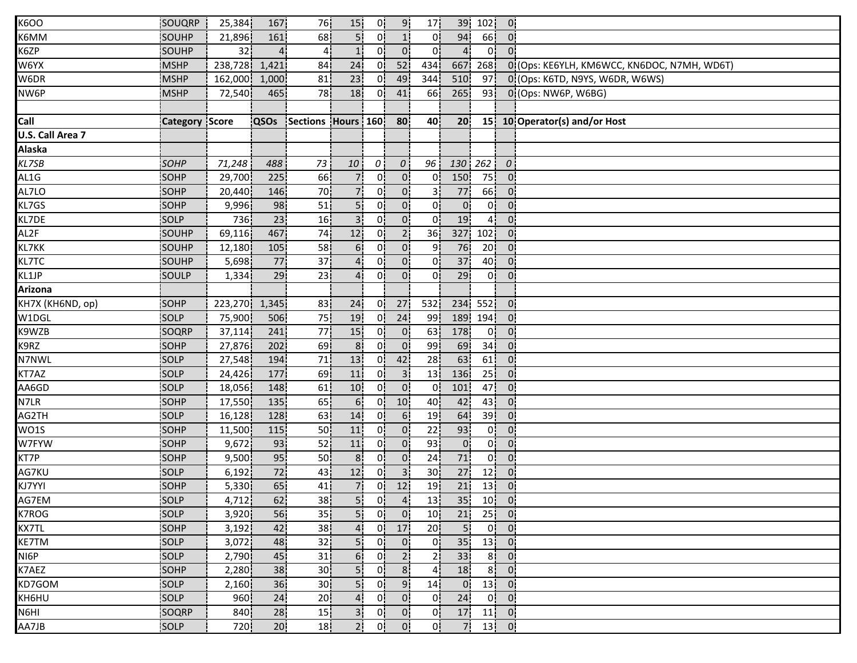| <b>K6OO</b>      | SOUQRP                | 25,384        | 167   | 76                      | 15 <sub>1</sub> | 0!             | 9 <sub>1</sub>  | 17 <sub>1</sub> | 39               | 102             | $\overline{0}$ |                                             |
|------------------|-----------------------|---------------|-------|-------------------------|-----------------|----------------|-----------------|-----------------|------------------|-----------------|----------------|---------------------------------------------|
| K6MM             | SOUHP                 | 21,896        | 161   | 68                      | 5 <sup>1</sup>  | 0!             | 1 <sup>1</sup>  | 0               | 94               | 66              | $\overline{0}$ |                                             |
| K6ZP             | SOUHP                 | 32            |       | $\overline{4}$          | 1 <sup>1</sup>  | 0 <sup>1</sup> | 0 <sup>1</sup>  | 0 <sup>1</sup>  | $\overline{a}$   | 0 <sup>1</sup>  | $0^{\circ}$    |                                             |
| W6YX             | <b>MSHP</b>           | 238,728       | 1,421 | 84                      | 24              | 0 <sup>1</sup> | 52              | 434]            | 667              | 268             |                | 0 (Ops: KE6YLH, KM6WCC, KN6DOC, N7MH, WD6T) |
| W6DR             | <b>MSHP</b>           | 162,000       | 1,000 | 81                      | 23              | 01             | 49              | 344             | 510 <sub>1</sub> | 97              |                | 0 (Ops: K6TD, N9YS, W6DR, W6WS)             |
| NW6P             | <b>MSHP</b>           | 72,540        | 465   | 78                      | 18              | 0¦             | 41              | 66              | 265              | 93              |                | 0 (Ops: NW6P, W6BG)                         |
|                  |                       |               |       |                         |                 |                |                 |                 |                  |                 |                |                                             |
| Call             | <b>Category Score</b> |               |       | QSOs Sections Hours 160 |                 |                | 80              | 40              | 20 <sub>1</sub>  |                 |                | 15 10 Operator(s) and/or Host               |
| U.S. Call Area 7 |                       |               |       |                         |                 |                |                 |                 |                  |                 |                |                                             |
| <b>Alaska</b>    |                       |               |       |                         |                 |                |                 |                 |                  |                 |                |                                             |
| KL7SB            | SOHP                  | 71,248        | 488   | 73                      | 10              | $\mathcal{O}$  | $\theta$ :      | 96              | 130              | 262             | $\theta$       |                                             |
| AL1G             | SOHP                  | 29,700        | 225   | 66                      | 71              | 01             | 0 <sub>1</sub>  | 01              | 150              | 75              | 0 <sub>1</sub> |                                             |
| AL7LO            | SOHP                  | 20,440        | 146   | 70                      | 7¦              | 0.             | 0 <sup>1</sup>  | 31              | <b>77</b>        | 66              | 0 <sup>1</sup> |                                             |
| KL7GS            | SOHP                  | 9,996         | 98    | 51                      | 5!              | 0!             | 0 <sup>1</sup>  | 0!              | 0 <sup>1</sup>   | 0!              | $\overline{0}$ |                                             |
| KL7DE            | SOLP                  | 736           | 23    | 16                      | 3 <sup>1</sup>  | 0!             | 0 <sup>1</sup>  | 0!              | 19               | 4 <sub>1</sub>  | 0 <sup>1</sup> |                                             |
| AL2F             | SOUHP                 | 69,116        | 467   | 74                      | 12              | $\mathbf{0}$   | 2 <sup>1</sup>  | 36 <sup>1</sup> | 327              | 102             | 0 <sup>1</sup> |                                             |
| KL7KK            | SOUHP                 | 12,180        | 105   | 58                      | 6!              | 0              | $\overline{0}$  | 91              | 76               | 20 <sup>1</sup> | 0'             |                                             |
| <b>KL7TC</b>     | SOUHP                 | 5,698         | 77    | 37                      | 4 <sup>i</sup>  | οi             | 0 <sup>1</sup>  | Οi              | 37               | 40              | 0 <sub>1</sub> |                                             |
| KL1JP            | <b>SOULP</b>          | 1,334         | 29    | 23                      | 41              | 0i             | $\overline{0}$  | 01              | 29               | 0ļ              | $0^{\circ}$    |                                             |
| Arizona          |                       |               |       |                         |                 |                |                 |                 |                  |                 |                |                                             |
| KH7X (KH6ND, op) | SOHP                  | 223,270 1,345 |       | 83                      | 24              | 0 <sup>1</sup> | 27              | 532             | 234              | 552             | $\overline{0}$ |                                             |
| W1DGL            | SOLP                  | 75,900        | 506   | 75                      | 19              | 0 <sup>1</sup> | 24              | 99              | 189              | 194             | 0 <sup>1</sup> |                                             |
| K9WZB            | SOQRP                 | 37,114        | 241   | 77                      | 15              | 0!             | 0 <sup>1</sup>  | 63              | 178              | 0 <sup>1</sup>  | 0 <sup>1</sup> |                                             |
| K9RZ             | SOHP                  | 27,876        | 202   | 69                      | 8 <sup>1</sup>  | 0i             | 0 <sub>1</sub>  | 99              | 69               | 34              | 0 <sup>1</sup> |                                             |
| N7NWL            | <b>SOLP</b>           | 27,548        | 194   | 71                      | 13              | 01             | 42              | 28              | 63               | 61              | 0 <sub>1</sub> |                                             |
| KT7AZ            | SOLP                  | 24,426        | 177   | 69                      | 11              | 0i             | 3 <sup>1</sup>  | 13 <sub>1</sub> | 136              | 25              | $0^{\circ}$    |                                             |
| AA6GD            | SOLP                  | 18,056        | 148   | 61                      | 10              | 0!             | 0 <sup>1</sup>  | 0!              | 101              | 47              | $0^{\circ}$    |                                             |
| N7LR             | SOHP                  | 17,550        | 135   | 65                      | 6 <sup>1</sup>  | 0¦             | 10 <sub>1</sub> | 40              | 42               | 43              | 0 <sup>1</sup> |                                             |
| AG2TH            | SOLP                  | 16,128        | 128   | 63                      | 14              | 0 <sup>1</sup> | 6 <sup>1</sup>  | 19              | 64               | 39 <sup>1</sup> | 0 <sup>1</sup> |                                             |
| WO1S             | SOHP                  | 11,500        | 115   | 50                      | 11              | 0!             | $\mathbf{0}$    | 22              | 93               | 0!              | 0 <sup>1</sup> |                                             |
| W7FYW            | <b>SOHP</b>           | 9,672         | 93    | 52                      | 11              | 01             | 0 <sub>1</sub>  | 93              | 0 <sub>1</sub>   | 0ļ              | 0 <sup>1</sup> |                                             |
| KT7P             | <b>SOHP</b>           | 9,500         | 95    | 50                      | 8 <sub>1</sub>  | 0i             | 0 <sub>1</sub>  | 24              | <b>71i</b>       | 0 <sup>1</sup>  | 0 <sup>1</sup> |                                             |
| AG7KU            | SOLP                  | 6,192         | 72    | 43                      | 12              | 0i             | 3 <sub>1</sub>  | 30 <sub>1</sub> | 27               | 12              | $0^{\circ}$    |                                             |
| KJ7YYI           | SOHP                  | 5,330         | 65    | 41                      | 7 <sup>1</sup>  | 0 <sup>1</sup> | 12              | 19              | 21               | 13              | 0 <sup>1</sup> |                                             |
| AG7EM            | SOLP                  | 4,712         | 62    | 38                      | $\overline{5}$  | 0 <sub>i</sub> | $\overline{4}$  | 13              | 35               |                 | $10$ $0$       |                                             |
| K7ROG            | SOLP                  | 3,920         | 56    | 35 <sub>1</sub>         | 5 <sup>1</sup>  | 0 <sup>1</sup> | $\overline{0}$  | 10 <sup>1</sup> | 21               |                 | $25$ 0         |                                             |
| KX7TL            | SOHP                  | 3,192         | 42    | 38                      | 4 <sub>1</sub>  | 0!             | 17              | 20 <sub>1</sub> | 5 <sub>1</sub>   |                 | $0$ 0          |                                             |
| <b>KE7TM</b>     | <b>SOLP</b>           | 3,072         | 48    | 32                      | 5 <sub>1</sub>  | 0!             | $\overline{0}$  | 0!              | 35 <sub>1</sub>  | 13              | $\overline{0}$ |                                             |
| NI6P             | <b>SOLP</b>           | 2,790         | 45    | 31                      | 6 <sub>1</sub>  | 01             | 2 <sub>1</sub>  | 21              | 33 <sup>1</sup>  | 8 <sub>1</sub>  | 0 <sub>1</sub> |                                             |
| K7AEZ            | SOHP                  | 2,280         | 38    | 30 <sub>1</sub>         | 5 <sub>i</sub>  | 0 <sup>1</sup> | 8 <sup>1</sup>  | 4 <sub>1</sub>  | 18               | 8 <sub>1</sub>  | $\overline{0}$ |                                             |
| KD7GOM           | SOLP                  | 2,160         | 36    | 30 <sub>1</sub>         | 5 <sub>1</sub>  | 0i             | 9 <sub>1</sub>  | 14 <sub>1</sub> | $\overline{0}$   |                 | $13$ 0         |                                             |
| KH6HU            | SOLP                  | 960           | 24    | 20                      | $\overline{4}$  | 0 <sub>1</sub> | 0 <sup>1</sup>  | 0i              | 24               | 0!              | $\overline{0}$ |                                             |
| N6HI             | SOQRP                 | 840           | 28    | 15                      | 3 <sup>1</sup>  | 0 <sub>1</sub> | 0 <sub>1</sub>  | 0 <sup>1</sup>  | 17               |                 | $11$ 0         |                                             |
| AA7JB            | SOLP                  | 720           | 20    | 18                      | 2!              | 0!             | 0 <sub>1</sub>  | 0!              | 7.               |                 | $13$ 0         |                                             |
|                  |                       |               |       |                         |                 |                |                 |                 |                  |                 |                |                                             |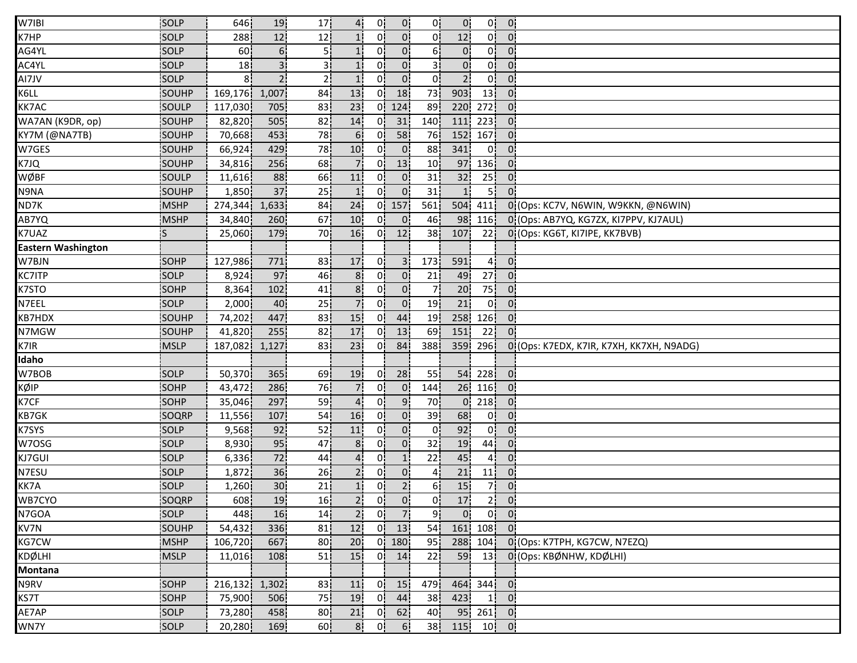| W7IBI                     | SOLP         | 646           | 19              | 17 <sub>1</sub> | 4 <sub>1</sub>  | 0!             | 0 <sup>1</sup> | 0!               | $\overline{0}$  | 0!              | $\mathbf{0}$                             |                                          |
|---------------------------|--------------|---------------|-----------------|-----------------|-----------------|----------------|----------------|------------------|-----------------|-----------------|------------------------------------------|------------------------------------------|
| K7HP                      | SOLP         | 288           | 12              | 12              |                 | $0^{\prime}$   | 0 <sup>1</sup> | 0!               | 12              | 0!              | $\overline{0}$                           |                                          |
| AG4YL                     | SOLP         | 60            | 6!              | 51              |                 | 0 <sup>1</sup> | 0 <sup>1</sup> | 6!               | $\overline{0}$  | 0 <sup>1</sup>  | $0^{\prime}$                             |                                          |
| AC4YL                     | SOLP         | 18 I          | 3i              | зi              | 1 <sub>i</sub>  | 01             | 0              | 3i               | 0 <sup>1</sup>  | 01              | 0:                                       |                                          |
| AI7JV                     | SOLP         | 81            | 2 <sub>i</sub>  | 21              | 1 <sup>i</sup>  | 01             | 0 <sup>1</sup> | 01               | 2 <sub>1</sub>  | 0i              | 0                                        |                                          |
| K6LL                      | SOUHP        | 169,176       | 1,007           | 84              | 13              | 0!             | 18             | 73               | 903             | 13 <sup>1</sup> | 0 <sup>1</sup>                           |                                          |
| <b>KK7AC</b>              | SOULP        | 117,030       | 705             | 83              | 23              | 0!             | 124            | 89               | 220             | 272             | 0 <sub>1</sub>                           |                                          |
| WA7AN (K9DR, op)          | SOUHP        | 82,820        | 505             | 82              | 14              | 0!             | 31             | 140              | 111             | 223             | 0 <sup>1</sup>                           |                                          |
| KY7M (@NA7TB)             | SOUHP        | 70,668        | 453             | 78              | 6 <sup>1</sup>  | 0!             | 58             | 76               | 152             | 167             | 0 <sup>1</sup>                           |                                          |
| W7GES                     | SOUHP        | 66,924        | 429             | 78              | 10              | $0^{\prime}$   | $\overline{0}$ | 88 <sup>1</sup>  | 341             | $\overline{0}$  | 0'                                       |                                          |
| K7JQ                      | <b>SOUHP</b> | 34,816        | 256             | 68              | 7 <sub>1</sub>  | 0i             | 13             | 10 <sub>1</sub>  | 97              | 136             | 0:                                       |                                          |
| WØBF                      | SOULP        | 11,616        | 88              | 66              | 11              | 0.             | 0 <sub>1</sub> | 31               | 32 <sub>1</sub> | 25              | 01                                       |                                          |
| N9NA                      | SOUHP        | 1,850         | 37              | 25              | 1 <sup>i</sup>  | 0.             | $\overline{0}$ | 31               | 1!              | 51              | $0^{\circ}$                              |                                          |
| ND7K                      | <b>MSHP</b>  | 274,344       | 1,633           | 84              | 24              | 0!             | 157            | 561              | 504             | 411             |                                          | 0 (Ops: KC7V, N6WIN, W9KKN, @N6WIN)      |
| AB7YQ                     | <b>MSHP</b>  | 34,840        | 260             | 67              | 10              | 0!             | $\mathbf{0}$   | 46               | 98              | 116             |                                          | 0 (Ops: AB7YQ, KG7ZX, KI7PPV, KJ7AUL)    |
| K7UAZ                     |              | 25,060        | 179             | 70              | 16              | 0!             | 12             | 38 <sub>1</sub>  | 107             | 22              |                                          | 0 (Ops: KG6T, KI7IPE, KK7BVB)            |
| <b>Eastern Washington</b> |              |               |                 |                 |                 |                |                |                  |                 |                 |                                          |                                          |
| W7BJN                     | <b>SOHP</b>  | 127,986       | 771             | 83              | 17              | 0i             | 3 <sup>i</sup> | 173              | 591             | 41              | $\mathbf{0}$                             |                                          |
| <b>KC7ITP</b>             | <b>SOLP</b>  | 8,924         | 97              | 46              | 8ί              | 0.             | 0 <sub>1</sub> | 21               | 49              | 27              | 0 <sub>1</sub>                           |                                          |
| K7STO                     | SOHP         | 8,364         | 102             | 41              | 8 <sub>1</sub>  | 01             | 0 <sub>1</sub> | 71               | 20 <sub>1</sub> | 75              | 0 <sub>1</sub>                           |                                          |
| N7EEL                     | SOLP         | 2,000         | 40              | 25              | 7 <sub>1</sub>  | 0 <sup>1</sup> | $\overline{0}$ | 19               | 21              | 0 <sub>1</sub>  | 0 <sub>1</sub>                           |                                          |
| <b>KB7HDX</b>             | SOUHP        | 74,202        | 447             | 83              | 15              | 0!             | 44             | 19               | 258             | 126             | 0 <sub>1</sub>                           |                                          |
| N7MGW                     | SOUHP        | 41,820        | 255             | 82              | 17              | 0!             | 13             | 69               | 151             | 22              | 0 <sup>1</sup>                           |                                          |
| K7IR                      | <b>MSLP</b>  | 187,082       | 1,127           | 83              | 23              | 01             | 84             | 388              | 359             | <b>296</b>      |                                          | 0 (Ops: K7EDX, K7IR, K7XH, KK7XH, N9ADG) |
| Idaho                     |              |               |                 |                 |                 |                |                |                  |                 |                 |                                          |                                          |
| W7BOB                     | <b>SOLP</b>  | 50,370        | 365             | 69              | 19              | 01             | 28             | 55               | 54              | <b>228</b>      | 0:                                       |                                          |
| KØIP                      | SOHP         | 43,472        | 286             | 76              | 71              | 0.             | 0 <sub>1</sub> | 144              | 26              | 116             | $\overline{0}$                           |                                          |
| K7CF                      | SOHP         | 35,046        | 297             | 59              | $\overline{4}$  | 0 <sup>1</sup> | 9 <sub>1</sub> | 70               | 0 <sup>1</sup>  | 218             | 0 <sup>1</sup>                           |                                          |
| <b>KB7GK</b>              | SOQRP        | 11,556        | 107             | 54              | 16              | 0!             | $\mathbf{0}$   | 39               | 68              | 0!              | 0 <sup>1</sup>                           |                                          |
| K7SYS                     | SOLP         | 9,568         | 92              | 52              | 11              | 0!             | $\mathbf{0}$   | 0!               | 92              | 0!              | 0 <sup>1</sup>                           |                                          |
| W7OSG                     | SOLP         | 8,930         | 95              | 47              | 8 <sub>1</sub>  | 01             | 0 <sup>1</sup> | 32               | 19              | 44              | 0 <sup>1</sup>                           |                                          |
| KJ7GUI                    | SOLP         | 6,336         | 72              | 44              | 4 <sub>i</sub>  | 01             | 1 <sub>1</sub> | 22               | 45              | 41              | 0:                                       |                                          |
| N7ESU                     | SOLP         | 1,872         | 36              | 26              | 2 <sub>i</sub>  | 01             | $\overline{0}$ | 41               | 21              | 11              | 01                                       |                                          |
| KK7A                      | SOLP         | 1,260         | 30 <sub>1</sub> | 21              | 1 <sub>1</sub>  | 0 <sub>1</sub> | 2 <sub>1</sub> | 6 <sup>1</sup>   | 15              | 7¦              | 0 <sub>1</sub>                           |                                          |
| WB7CYO                    | SOQRP        | 608           | 19              | 16 <sub>1</sub> | 2 <sub>1</sub>  | 0 <sub>1</sub> | $\overline{0}$ | 0 <sup>1</sup>   | 17              |                 | $2 \begin{bmatrix} 0 \\ 0 \end{bmatrix}$ |                                          |
| N7GOA                     | SOLP         | 448           | 16              | 14              | 2 <sup>1</sup>  | 0 <sup>1</sup> | $\overline{7}$ | 9!               | 0 <sup>1</sup>  |                 | $0$ $0$                                  |                                          |
| KV7N                      | SOUHP        | 54,432        | 336             | 81              | 12              |                | $0$ 13         | 54               |                 | 161 108         | $\overline{0}$                           |                                          |
| KG7CW                     | <b>MSHP</b>  | 106,720       | 667!            | 80              | 20 <sub>1</sub> | 01             | 180            | 95               | 288             | 104             |                                          | 0 (Ops: K7TPH, KG7CW, N7EZQ)             |
| <b>KDØLHI</b>             | <b>IMSLP</b> | 11,016        | 108             | 51              | 15 <sub>1</sub> | 0!             | 14             | 22               | 59              | 13              |                                          | 0 (Ops: KBØNHW, KDØLHI)                  |
| Montana                   |              |               |                 |                 |                 |                |                |                  |                 |                 |                                          |                                          |
| N9RV                      | SOHP         | 216,132 1,302 |                 | 83              | 11              | 0 <sup>1</sup> | 15             | 479 <sub>1</sub> |                 | 464 344 0       |                                          |                                          |
|                           | SOHP         |               |                 |                 | 19              | 0              |                |                  | 423             | 1 <sup>1</sup>  | $\overline{0}$                           |                                          |
| KS7T                      |              | 75,900        | 506             | 75              |                 |                | 44             | 38               |                 |                 |                                          |                                          |
| AE7AP                     | SOLP         | 73,280        | 458             | 80 <sub>1</sub> | 21              | 0 <sup>1</sup> | 62             | 40 <sub>1</sub>  |                 | $95 \ 261 \ 0$  |                                          |                                          |
| WN7Y                      | SOLP         | 20,280        | 169             | 60 <sup>1</sup> | 8 <sub>1</sub>  | 0!             | 6 <sup>1</sup> | 38               | 115!            |                 | $10$ 0                                   |                                          |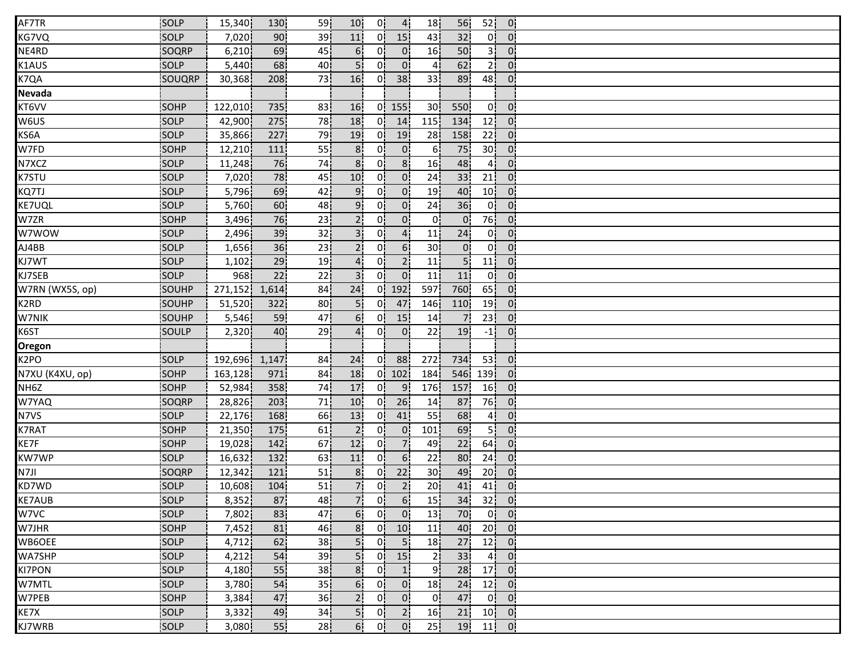| AF7TR             | SOLP        | 15,340  | 130              | 59              | 10              | 0!             | $\overline{4}$   | 18              | 56              | 52              | $\mathbf{0}$                |  |
|-------------------|-------------|---------|------------------|-----------------|-----------------|----------------|------------------|-----------------|-----------------|-----------------|-----------------------------|--|
| KG7VQ             | SOLP        | 7,020   | 90               | 39              | 11              | 0.             | 15               | 43              | 32              | 0!              | $\Omega$                    |  |
| NE4RD             | SOQRP       | 6,210   | 69               | 45              | 6 <sup>1</sup>  | 01             | $\overline{0}$   | 16              | 50 <sup>1</sup> | 31              | $0^{\circ}$                 |  |
| K1AUS             | SOLP        | 5,440   | 68               | 40              | 5i              | 0!             | $0^{\mathsf{i}}$ | 4               | 62              | <b>21</b>       | $\overline{0}$              |  |
| K7QA              | SOUQRP      | 30,368  | 208              | 73              | 16 <sub>1</sub> | 0 <sup>1</sup> | 38 <sub>1</sub>  | 33 <sub>1</sub> | 89              | 48              | 0 <sub>1</sub>              |  |
| Nevada            |             |         |                  |                 |                 |                |                  |                 |                 |                 |                             |  |
| KT6VV             | SOHP        | 122,010 | 735              | 83              | 16              |                | $0$   155        | 30 <sub>1</sub> | 550             | 0!              | $\overline{0}$              |  |
| W6US              | SOLP        | 42,900  | 275              | 78              | 18              | 0!             | 14               | 115             | 134             | 12              | 0 <sup>1</sup>              |  |
| KS6A              | SOLP        | 35,866  | 227              | 79              | 19              | 0!             | 19               | 28              | 158             | 22              | $0^{\circ}$                 |  |
| W7FD              | SOHP        | 12,210  | 111              | 55              | 8 <sub>1</sub>  | 01             | $\overline{0}$   | 6.              | 75              | 30 <sup>1</sup> | 0 <sup>1</sup>              |  |
| N7XCZ             | SOLP        | 11,248  | 76               | 74              | 8 <sup>i</sup>  | 0i             | 8 <sup>1</sup>   | 16              | 48              | 4i              | $\overline{0}$              |  |
| K7STU             | SOLP        | 7,020   | 78               | 45              | 10              | 01             | 0 <sup>1</sup>   | 24              | 33              | 21 <sub>1</sub> | $\overline{0}$              |  |
| KQ7TJ             | SOLP        | 5,796   | 69               | 42              | 9.              | 0 <sub>1</sub> | $\overline{0}$   | 19              | 40              | 10 <sup>1</sup> | $\overline{0}$              |  |
| <b>KE7UQL</b>     | SOLP        | 5,760   | 60               | 48              | 9.              | 0!             | $\overline{0}$   | 24              | 36              | 0 <sup>1</sup>  | 0 <sup>1</sup>              |  |
| W7ZR              | SOHP        | 3,496   | 76               | 23              | 2!              | 0!             | 0 <sup>1</sup>   | 0!              | $\overline{0}$  | 76              | $\overline{0}$ .            |  |
| W7WOW             | <b>SOLP</b> | 2,496   | 39               | 32              |                 | 0!             | 4 <sub>1</sub>   | 11              | 24              | 0!              | 0 <sup>1</sup>              |  |
| AJ4BB             | SOLP        | 1,656   | 36               | 23              | 2 <sup>1</sup>  | 0 <sup>1</sup> | 6 <sup>1</sup>   | 30              | $\mathbf{0}$    | 0 <sup>1</sup>  | $\overline{0}$              |  |
| KJ7WT             | SOLP        | 1,102   | 29               | 19              |                 | 0i             | 2 <sup>1</sup>   | 11              | 5 <sup>1</sup>  | 11 <sup>1</sup> | $\overline{0}$              |  |
| KJ7SEB            | SOLP        | 968     | 22               | 22              |                 | Οi             | 0                | 11              | 11              | 0 <sup>1</sup>  | $\overline{0}$              |  |
| W7RN (WX5S, op)   | SOUHP       | 271,152 | 1,614            | 84¦             | 24              |                | $0$ 192          | 597             | 760             | 65!             | 0 <sub>1</sub>              |  |
| K2RD              | SOUHP       | 51,520  | 322              | 80              | 5 <sub>1</sub>  | 0 <sup>1</sup> | 47               | 146             | 110             | 19              | 0 <sub>1</sub>              |  |
| W7NIK             | SOUHP       | 5,546   | 59               | 47              | 6!              | 0 <sup>1</sup> | 15               | 14              | 7 <sup>1</sup>  | 23              | 0:                          |  |
| K6ST              | SOULP       | 2,320   | 40               | 29              | 4 <sub>1</sub>  | 0!             | $\mathbf{0}$     | 22              | 19              | $-1$            | 0 <sup>1</sup>              |  |
| Oregon            |             |         |                  |                 |                 |                |                  |                 |                 |                 |                             |  |
| K <sub>2</sub> PO | <b>SOLP</b> | 192,696 | 1,147            | 84              | 24              | 0i             | 88               | 272             | 734             | 53 <sub>1</sub> | $\overline{0}$              |  |
| N7XU (K4XU, op)   | SOHP        | 163,128 | 971i             | 84              | 18              | 01             | 102              | 184             | 546             | 139             | $\mathbf{0}$                |  |
| NH6Z              | SOHP        | 52,984  | 358              | 74              | 17              | 0¦             | 9 <sub>1</sub>   | 176             | 157             | 16              | $\overline{0}$              |  |
| W7YAQ             | SOQRP       | 28,826  | 203              | 71              | 10              | 0 <sup>1</sup> | 26               | 14              | 87              | 76              | $\overline{0}$              |  |
| N7VS              | SOLP        | 22,176  | 168              | 66              | 13              | 0!             | 41               | 55              | 68              | 4 <sub>1</sub>  | $\overline{0}$              |  |
| <b>K7RAT</b>      | SOHP        | 21,350  | 175              | 61              | 2!              | 0!             | $\mathbf{0}$     | 101             | 69              | 5ļ              | $\overline{0}$              |  |
| KE7F              | <b>SOHP</b> | 19,028  | 142              | 67              | 12              | 01             | 71               | 49              | 22              | 64              | $\overline{0}$              |  |
| KW7WP             | <b>SOLP</b> | 16,632  | 132 <sub>1</sub> | 63              | 11              | 0i             | 6 <sub>1</sub>   | 22              | 80              | 24              | $\overline{0}$              |  |
| N7JI              | SOQRP       | 12,342  | 121              | 51              | 8 <sup>1</sup>  | 01             | 22               | 30              | 49              | 20 <sub>1</sub> | 0 <sup>1</sup>              |  |
| KD7WD             | SOLP        | 10,608  | 104              | 51              | 7               | 0 <sup>1</sup> | 2 <sub>1</sub>   | 20              | 41              | 41              | 0 <sub>1</sub>              |  |
| <b>KE7AUB</b>     | SOLP        | 8,352   | 87               | 48              | 7 <sup>1</sup>  | 0 <sub>i</sub> | 6 <sup>1</sup>   | 15              | 34              | 32              | $\overline{\mathbf{0}}$     |  |
| W7VC              | SOLP        | 7,802   | 83               | 47              | 6 <sup>1</sup>  | 0 <sup>1</sup> | 0 <sup>1</sup>   | 13              | 70              |                 | $0 \vert 0 \vert$           |  |
| W7JHR             | SOHP        | 7,452   | 81               | 46              | 8 <sub>1</sub>  | 0!             | 10 <sup>1</sup>  | 11              | 40              | 20 <sup>1</sup> | - 0!                        |  |
| WB6OEE            | SOLP        | 4,712   | 62               | 38              | 51              | 0 <sup>1</sup> | 5 <sub>1</sub>   | 18              | 27              | 12              | $\overline{0}$              |  |
| WA7SHP            | <b>SOLP</b> | 4,212   | 54               | 39              | 5i              | 01.            | 15               | 21              | 33 <sup>1</sup> | 4 <sub>1</sub>  | $0^{\circ}$                 |  |
| <b>KI7PON</b>     | SOLP        | 4,180   | 55               | 38              | 8 <sub>i</sub>  | 0i             | 1 <sub>1</sub>   | 9¦              | 28              | 17              | $\overline{0}$              |  |
| W7MTL             | SOLP        | 3,780   | 54               | 35 <sub>1</sub> | 6 <sub>1</sub>  | 0 <sub>i</sub> | $\overline{0}$   | 18              | 24              | 12              | $\overline{0}$              |  |
| W7PEB             | SOHP        | 3,384   | 47               | 36              | 2 <sub>1</sub>  | 0 <sup>1</sup> | 0 <sup>1</sup>   | 0 <sub>1</sub>  | 47              | 0!              | 0 <sup>1</sup>              |  |
| KE7X              | SOLP        | 3,332   | 49               | 34              | 5 <sub>1</sub>  | 0¦             | 2 <sub>1</sub>   | 16              | 21              | 10              | $\overline{\phantom{0}}$ 0. |  |
| KJ7WRB            | SOLP        | 3,080   | 55 <sub>1</sub>  | 28 <sub>1</sub> | 6!              | 0!             | $\mathbf{0}$     | 25 <sup>1</sup> | 19              | 11              | $\overline{0}$              |  |
|                   |             |         |                  |                 |                 |                |                  |                 |                 |                 |                             |  |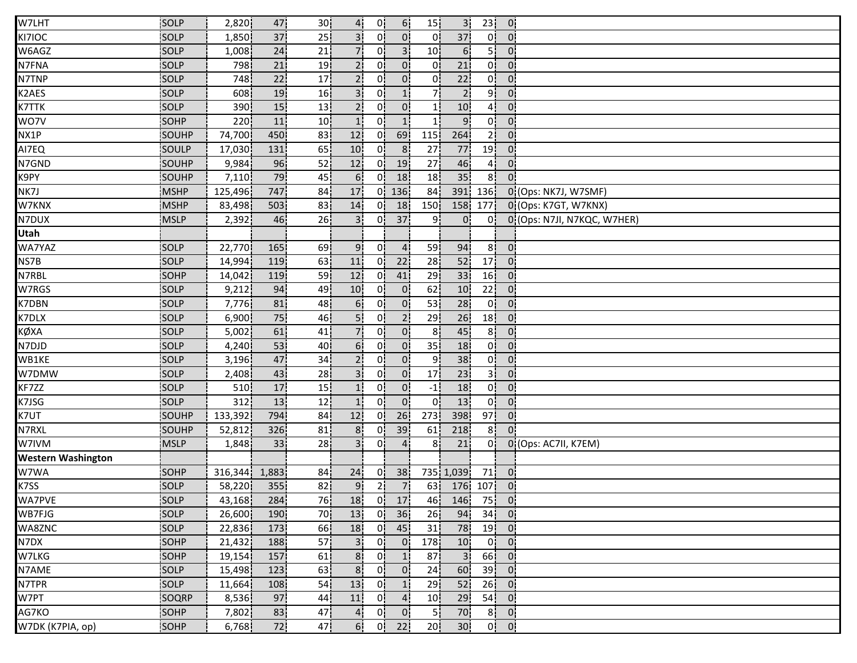| W7LHT                     | SOLP        | 2,820   | 47    | 30 <sup>1</sup> | 4.              | 0!             | 6 <sup>1</sup> | 15              | 3 <sup>1</sup>  | 23 <sup>1</sup> | $\overline{0}$                          |                             |
|---------------------------|-------------|---------|-------|-----------------|-----------------|----------------|----------------|-----------------|-----------------|-----------------|-----------------------------------------|-----------------------------|
| KI7IOC                    | SOLP        | 1,850   | 37    | 25              |                 | 01             | 0 <sup>i</sup> | $\overline{0}$  | 37              | 0!              | $0^{\circ}$                             |                             |
| W6AGZ                     | <b>SOLP</b> | 1,008   | 24    | 21              |                 | 01             | 3 <sup>1</sup> | 10 <sup>1</sup> | 6 <sup>1</sup>  | 51              | $0^{\circ}$                             |                             |
| N7FNA                     | <b>SOLP</b> | 798     | 21    | 19              | 2 <sub>1</sub>  | 0 i            | 0              | Οi              | 21              | 0i              | $\overline{0}$                          |                             |
| N7TNP                     | SOLP        | 748     | 22    | 17              | 2i              | 0 <sup>1</sup> | 0 <sub>1</sub> | 0               | 22              | Οi              | $0^{\circ}$                             |                             |
| K2AES                     | SOLP        | 608     | 19    | 16              | 3 <sup>1</sup>  | 0 <sup>1</sup> | 1 <sub>1</sub> | 71              | 2 <sub>1</sub>  | 9 <sup>1</sup>  | $\overline{0}$                          |                             |
| K7TTK                     | SOLP        | 390     | 15    | 13              | 2 <sub>1</sub>  | 0 <sup>1</sup> | 0!             | 11              | 10              | 4 <sub>1</sub>  | 0 <sup>1</sup>                          |                             |
| WO7V                      | SOHP        | 220     | 11    | 10 <sup>1</sup> | 1!              | 0!             | 1!             | 11              | 9               | 0¦              | 0 <sup>1</sup>                          |                             |
| NX1P                      | SOUHP       | 74,700  | 450   | 83              | 12              | 0!             | 69             | 115             | 264             | 2!              | $\overline{0}$                          |                             |
| AI7EQ                     | SOULP       | 17,030  | 131   | 65              | 10              | 01             | 8 <sup>1</sup> | 27              | 77              | 19              | $0^{\circ}$                             |                             |
| N7GND                     | SOUHP       | 9,984   | 96    | 52              | 12              | 0i             | 19             | 27              | 46              | 41              | 0 <sup>1</sup>                          |                             |
| K9PY                      | SOUHP       | 7,110   | 79    | 45              | 6 <sup>1</sup>  | 0.             | 18             | 18              | 35              | 81              | 0 <sup>1</sup>                          |                             |
| NK7J                      | <b>MSHP</b> | 125,496 | 747   | 84              | 17              | 01.            | 136            | 84              | 391             | 136             |                                         | 0 (Ops: NK7J, W7SMF)        |
| W7KNX                     | <b>MSHP</b> | 83,498  | 503   | 83              | 14              | 0.             | 18             | 150             | 158             | 177             |                                         | 0 (Ops: K7GT, W7KNX)        |
| N7DUX                     | <b>MSLP</b> | 2,392   | 46    | 26 <sub>1</sub> | 3!              | 0!             | 37             | 9               | $\overline{0}$  | 0!              |                                         | 0 (Ops: N7JI, N7KQC, W7HER) |
| Utah                      |             |         |       |                 |                 |                |                |                 |                 |                 |                                         |                             |
| WA7YAZ                    | <b>SOLP</b> | 22,770  | 165   | 69              | 9               | 01             | 4              | 59              | 94              | 8 <sup>1</sup>  | $\overline{0}$                          |                             |
| NS7B                      | SOLP        | 14,994  | 119   | 63              | 11              | 0 <sup>i</sup> | 22             | 28              | 52              | 17 <sup>1</sup> | 0 <sup>1</sup>                          |                             |
| N7RBL                     | <b>SOHP</b> | 14,042  | 119   | 59              | 12              | 01             | 41             | 29              | 33              | 16              | 0 <sub>1</sub>                          |                             |
| W7RGS                     | SOLP        | 9,212   | 94    | 49              | 10 <sub>1</sub> | 0 <sup>1</sup> | $\overline{0}$ | 62              | 10 <sub>1</sub> | 22              | $\mathbf{0}$                            |                             |
| K7DBN                     | SOLP        | 7,776   | 81    | 48              | 6 <sup>1</sup>  | 01             | $\overline{0}$ | 53              | 28              | 0 <sup>1</sup>  | 0 <sup>1</sup>                          |                             |
| K7DLX                     | SOLP        | 6,900   | 75    | 46              | 5!              | 0!             | 2 <sub>1</sub> | 29              | 26              | 18              | $\mathbf{0}$                            |                             |
| KØXA                      | SOLP        | 5,002   | 61    | 41              |                 | 0!             | $\overline{0}$ | 8 <sup>1</sup>  | 45              | 8 <sup>1</sup>  | 0 <sup>1</sup>                          |                             |
| N7DJD                     | SOLP        | 4,240   | 53    | 40              | 6 <sup>1</sup>  | 01             | $\overline{0}$ | 35              | 18              | 0 <sup>1</sup>  | 0 <sup>1</sup>                          |                             |
| WB1KE                     | <b>SOLP</b> | 3,196   | 47    | 34              | 2 <sub>1</sub>  | 01             | 01             | ا 9             | 38              | 0i              | $0^{\circ}$                             |                             |
| W7DMW                     | SOLP        | 2,408   | 43    | 28              |                 | 01             | 0              | 17)             | 23              | 3i              | 0:                                      |                             |
| KF7ZZ                     | SOLP        | 510     | 17    | 15              |                 | 01             | 0 <sub>1</sub> | $-1$            | 18              | 0¦              | $0^{\circ}$                             |                             |
| K7JSG                     | SOLP        | 312     | 13    | 12              |                 | 0 <sup>1</sup> | 0 <sup>1</sup> | 0!              | 13              | 0 <sup>1</sup>  | $\overline{0}$                          |                             |
| K7UT                      | SOUHP       | 133,392 | 794   | 84              | 12              | 0!             | 26             | 273             | 398             | 97 <sup>1</sup> | $\overline{0}$                          |                             |
| N7RXL                     | SOUHP       | 52,812  | 326   | 81              | 8 <sup>1</sup>  | 0!             | 39             | 61              | 218             | 8!              | $0^{\circ}$                             |                             |
| W7IVM                     | <b>MSLP</b> | 1,848   | 33    | 28              | 3 <sup>1</sup>  | 0 <sup>1</sup> | 4 <sup>1</sup> | 8               | 21              | 01              |                                         | 0 (Ops: AC7II, K7EM)        |
| <b>Western Washington</b> |             |         |       |                 |                 |                |                |                 |                 |                 |                                         |                             |
| W7WA                      | SOHP        | 316,344 | 1,883 | 84              | 24              | 0.             | 38             |                 | 735 1,039       | 71              | $\mathbf{0}$                            |                             |
| K7SS                      | SOLP        | 58,220  | 355   | 82              | 9 <sub>1</sub>  | 2 <sub>1</sub> | 7 <sub>1</sub> | 63              | 176             | 107             | $\overline{0}$                          |                             |
| WA7PVE                    | SOLP        | 43,168  | 284   | 76              | 18              |                | $0 \mid 17$    |                 | 46 146 75 0     |                 |                                         |                             |
| WB7FJG                    | SOLP        | 26,600  | 190   | 70              | 13              |                | $0$ 36         | 26              | 94              |                 | $34$ 0                                  |                             |
| WA8ZNC                    | SOLP        | 22,836  | 173   | 66              | 18              | 0!             | 45             | 31              | 78              | 19 <sup>1</sup> | - 0!                                    |                             |
| N7DX                      | SOHP        | 21,432  | 188   | 57              | 3 <sup>1</sup>  | 01             | 0 <sup>1</sup> | 178             | 10              | 0 <sup>1</sup>  | $\overline{0}$                          |                             |
| W7LKG                     | <b>SOHP</b> | 19,154  | 157   | 61 <sub>1</sub> | 8 <sub>1</sub>  | 0 <sup>1</sup> | 1 <sub>1</sub> | 87              | 3 <sub>1</sub>  | 66              | 0 <sub>1</sub>                          |                             |
| N7AME                     | SOLP        | 15,498  | 123   | 63              | 8 <sub>1</sub>  | 0i             | 0 <sub>i</sub> | 24              | 60              | 39 <sub>1</sub> | $\mathbf{0}$                            |                             |
| N7TPR                     | <b>SOLP</b> | 11,664  | 108   | 54              | 13              | 0 <sub>i</sub> | 1 <sub>i</sub> | 29              | 52              | 26              | $\overline{\phantom{a}}$ 0              |                             |
| W7PT                      | SOQRP       | 8,536   | 97    | 44¦             | 11              | 0!             | 4 <sub>1</sub> | 10              | 29              | 54              | $\overline{0}$                          |                             |
| AG7KO                     | SOHP        | 7,802   | 83    | 47 <sub>1</sub> | 4.              | 0 <sup>1</sup> | 0 <sup>1</sup> | 5¦              | 70              |                 | $8$ 0                                   |                             |
| W7DK (K7PIA, op)          | SOHP        | 6,768   | 72    | 47              | 6!              | 0 <sup>1</sup> | 22             | 20              | 30 <sub>1</sub> |                 | $0\begin{bmatrix} 0 \\ 0 \end{bmatrix}$ |                             |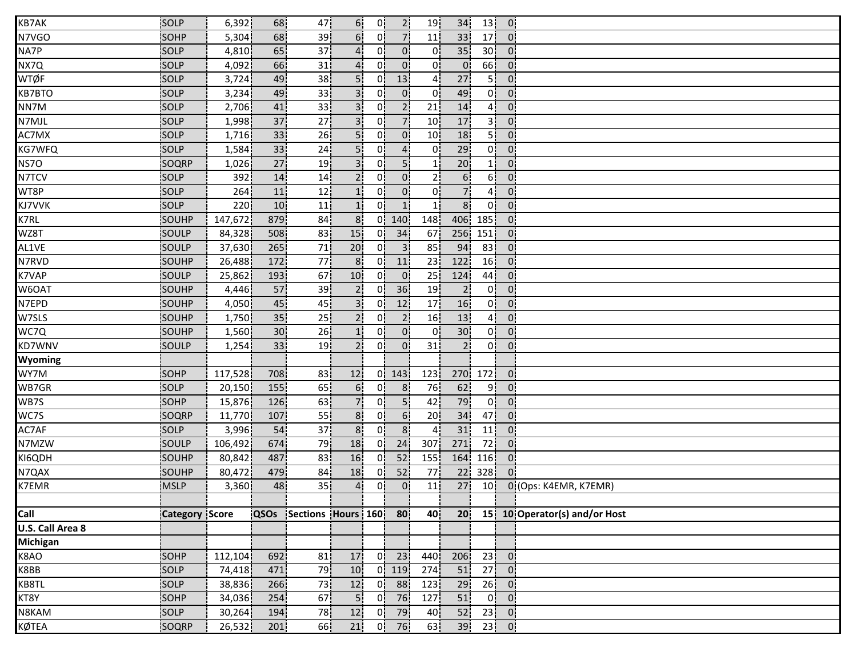| KB7AK            | SOLP                  | 6,392   | 68              | 47                      | 6 <sup>1</sup>  | 0!             | 2 <sub>1</sub> | 19              | 34               | 13               | 0 <sup>1</sup> |                               |
|------------------|-----------------------|---------|-----------------|-------------------------|-----------------|----------------|----------------|-----------------|------------------|------------------|----------------|-------------------------------|
| N7VGO            | <b>SOHP</b>           | 5,304   | 68              | 39                      | 6!              | 01             | 7 <sup>1</sup> | 11              | 33               | 17               | $0^{\prime}$   |                               |
| NA7P             | <b>SOLP</b>           | 4,810   | 65              | 37                      | $\mathbf{4}$    | 01             | 0 <sup>1</sup> | 0.              | 35               | 30 <sup>1</sup>  | $0^{\prime}$   |                               |
| NX7Q             | <b>SOLP</b>           | 4,092   | 66              | 31                      | 4 <sup>i</sup>  | 0i             | $0^{\dagger}$  | 0 i             | 0 <sup>1</sup>   | 66               | 0:             |                               |
| <b>WTØF</b>      | SOLP                  | 3,724   | 49              | 38                      | 5i              | 01             | 13             | 41              | 27               | 5 i              | $0^{\circ}$    |                               |
| <b>KB7BTO</b>    | SOLP                  | 3,234   | 49              | 33                      | 3 <sup>1</sup>  | 01             | 0 <sup>1</sup> | 0 <sup>1</sup>  | 49               | 0 <sup>1</sup>   | 0 <sub>1</sub> |                               |
| NN7M             | SOLP                  | 2,706   | 41              | 33 <sup>1</sup>         | 3!              | 0!             | 2 <sub>1</sub> | 21              | 14               | 4 <sup>1</sup>   | 0!             |                               |
| N7MJL            | SOLP                  | 1,998   | 37              | 27                      | 3!              | 0!             | 7 <sub>1</sub> | 10 <sup>1</sup> | 17               | 3                | 0!             |                               |
| AC7MX            | <b>SOLP</b>           | 1,716   | 33 <sup>1</sup> | 26                      | 5!              | 0!             | $\overline{0}$ | 10              | 18               | 5ļ               | 0 <sup>1</sup> |                               |
| KG7WFQ           | SOLP                  | 1,584   | 33              | 24                      | 5 <sup>i</sup>  | 0 <sup>1</sup> | $\overline{4}$ | 01              | 29               | 0 <sup>1</sup>   | 0 <sup>1</sup> |                               |
| NS7O             | SOQRP                 | 1,026   | 27              | 19 <sub>1</sub>         | 3 <sup>i</sup>  | 01             | 5 <sup>1</sup> | 1i              | 20               | 1 i              | 0.             |                               |
| N7TCV            | SOLP                  | 392     | 14              | 14                      | 2 <sub>i</sub>  | 01             | 0 <sub>1</sub> | 21              | 6                | 6 i              | 0.             |                               |
| WT8P             | SOLP                  | 264     | 11              | 12                      | 1 <sub>i</sub>  | 01             | 0 <sup>1</sup> | 0 <sup>1</sup>  | 71               | 4 <sup>1</sup>   | 0 <sub>1</sub> |                               |
| KJ7VVK           | SOLP                  | 220     | 10              | 11                      | 1 <sup>1</sup>  | 0!             | 1 <sub>1</sub> | 1!              | 8 <sup>1</sup>   | 0!               | 0!             |                               |
| K7RL             | SOUHP                 | 147,672 | 879             | 84                      | 8 <sup>1</sup>  | 0!             | 140            | 148             | 406              | 185!             | 0 <sub>1</sub> |                               |
| WZ8T             | SOULP                 | 84,328  | 508             | 83                      | 15 <sup>1</sup> | 0!             | 34             | 67              | 256              | 151              | $\mathbf{0}$   |                               |
| AL1VE            | <b>SOULP</b>          | 37,630  | 265             | 71                      | 20              | 0 <sup>1</sup> | 3 <sup>1</sup> | 85              | 94               | 83               | $0^{\circ}$    |                               |
| N7RVD            | SOUHP                 | 26,488  | 172             | 77                      | 8 <sub>1</sub>  | 01             | 11             | 23              | 122              | 16               | 0:             |                               |
| K7VAP            | SOULP                 | 25,862  | 193             | 67                      | 10 <sup>1</sup> | 01             | $\overline{0}$ | 25              | 124              | 44               | 0:             |                               |
| W6OAT            | SOUHP                 | 4,446   | 57              | 39                      | 2 <sub>1</sub>  | 0 <sup>1</sup> | 36             | 19              | 2 <sub>1</sub>   | 0 <sup>1</sup>   | $\mathbf{0}$   |                               |
| N7EPD            | SOUHP                 | 4,050   | 45              | 45                      | 3 <sup>1</sup>  | 0 <sup>1</sup> | 12             | 17              | 16               | 0 <sup>1</sup>   | $\overline{0}$ |                               |
| W7SLS            | SOUHP                 | 1,750   | 35 <sub>1</sub> | 25                      | 2 <sup>1</sup>  | 0!             | 2 <sub>1</sub> | 16 <sup>1</sup> | 13               | 4 <sup>1</sup>   | 0 <sub>1</sub> |                               |
| WC7Q             | SOUHP                 | 1,560   | 30 <sub>1</sub> | 26                      | 1!              | 0!             | 0 <sup>1</sup> | 0!              | 30 <sup>1</sup>  | 0!               | 0 <sup>1</sup> |                               |
| KD7WNV           | <b>SOULP</b>          | 1,254   | 33              | 19                      | 2 <sup>i</sup>  | 0i             | 0 <sup>1</sup> | 31              | 2 <sub>1</sub>   | 0 <sup>i</sup>   | 0 <sup>1</sup> |                               |
| <b>Wyoming</b>   |                       |         |                 |                         |                 |                |                |                 |                  |                  |                |                               |
| WY7M             | <b>SOHP</b>           | 117,528 | 708             | 83                      | 12 <sub>i</sub> | 0.             | 143            | 123             | 270 <sub>1</sub> | 172 <sub>1</sub> | $0^{\prime}$   |                               |
| WB7GR            | SOLP                  | 20,150  | 155             | 65                      | 6 <sup>1</sup>  | 0 <sub>1</sub> | 8 <sup>1</sup> | 76              | 62               | 9 <sub>1</sub>   | $\overline{0}$ |                               |
| WB7S             | SOHP                  | 15,876  | 126             | 63                      | 7!              | 0.             | 5 <sup>1</sup> | 42              | 79               | 0 <sup>1</sup>   | 0 <sub>i</sub> |                               |
| WC7S             | SOQRP                 | 11,770  | 107             | 55                      | 8 <sub>1</sub>  | 0!             | 6 <sup>1</sup> | 20 <sub>1</sub> | 34               | 47               | 0 <sub>1</sub> |                               |
| AC7AF            | SOLP                  | 3,996   | 54              | 37                      | 8 <sub>1</sub>  | 0!             | 8 <sup>1</sup> | 41              | 31               | 11               | $\mathbf{0}$   |                               |
| N7MZW            | <b>SOULP</b>          | 106,492 | 674             | 79                      | 18              | 01             | 24             | 307             | 271              | 72               | 0 <sub>1</sub> |                               |
| KI6QDH           | SOUHP                 | 80,842  | 487             | 83                      | 16              | 01             | 52             | 155             | 164              | 116              | 0 <sub>1</sub> |                               |
| N7QAX            | SOUHP                 | 80,472  | 479             | 84                      | 18              | 0i             | 52             | 77              | 22               | 328              | $0^{\circ}$    |                               |
| K7EMR            | <b>MSLP</b>           | 3,360   | 48              | 35                      | 4 <sup>1</sup>  | 0i             | $\overline{0}$ | 11              | 27               | 10 <sub>1</sub>  |                | 0 (Ops: K4EMR, K7EMR)         |
|                  |                       |         |                 |                         |                 |                |                |                 |                  |                  |                |                               |
| Call             | <b>Category Score</b> |         |                 | QSOs Sections Hours 160 |                 |                | 80             | 40              | 20               |                  |                | 15 10 Operator(s) and/or Host |
| U.S. Call Area 8 |                       |         |                 |                         |                 |                |                |                 |                  |                  |                |                               |
| <b>Michigan</b>  |                       |         |                 |                         |                 |                |                |                 |                  |                  |                |                               |
| K8AO             | <b>SOHP</b>           | 112,104 | 692             | 81                      | 17              | 0 <sup>1</sup> | 23             | 440             | 206              | 23               | $\overline{0}$ |                               |
| K8BB             | SOLP                  | 74,418  | 471             | 79                      | 10              | 0 <sup>1</sup> | 119            | 274             | 51               | 27               | $\overline{0}$ |                               |
| KB8TL            | SOLP                  | 38,836  | 266             | 73                      | 12              | 0 <sup>1</sup> | 88             | 123             | 29               | 26               | $\mathbf{0}$   |                               |
| KT8Y             | SOHP                  | 34,036  | 254             | 67                      | 5 <sub>1</sub>  | 0 <sup>1</sup> | 76             | 127             | 51               | 0 <sup>1</sup>   | $\overline{0}$ |                               |
| N8KAM            | SOLP                  | 30,264  | 194             | 78                      | 12              | 0 <sup>1</sup> | 79             | 40              | 52               | 23               | $\overline{0}$ |                               |
| KØTEA            | SOQRP                 | 26,532  | 201             | 66                      | 21              | 0!             | 76             | 63              | 39               |                  | $23$ 0         |                               |
|                  |                       |         |                 |                         |                 |                |                |                 |                  |                  |                |                               |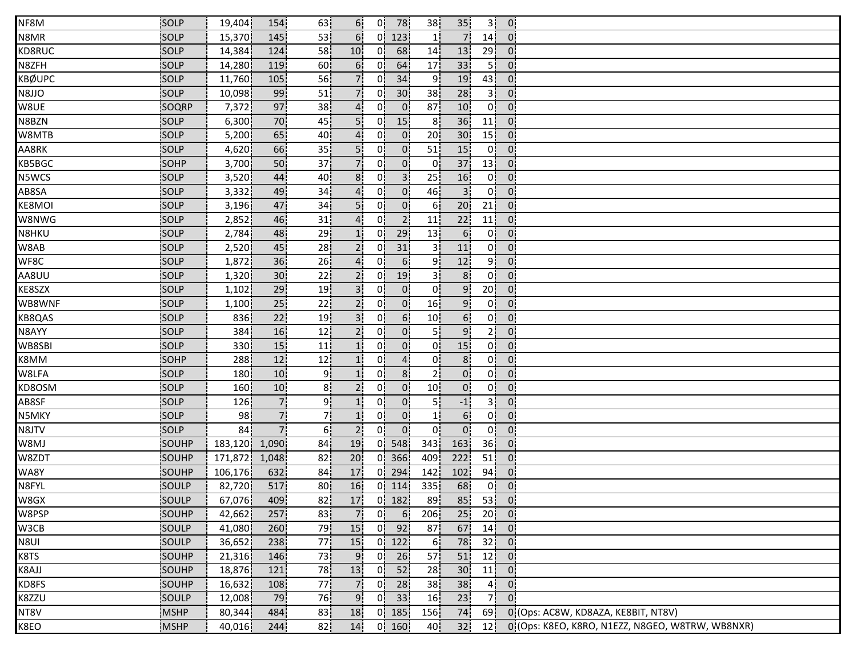| NF8M          | SOLP         | 19,404           | 154             | 63              | 6!              |                | $0$ 78          | 38 <sub>1</sub> | 35 <sub>1</sub> | 3 <sup>1</sup>  | $\mathbf{0}$               |                                                  |
|---------------|--------------|------------------|-----------------|-----------------|-----------------|----------------|-----------------|-----------------|-----------------|-----------------|----------------------------|--------------------------------------------------|
| N8MR          | SOLP         | 15,370           | 145             | 53              | 6.              | 0'             | 123             |                 | $\overline{7}$  | 14 <sup>1</sup> | $\overline{0}$             |                                                  |
| KD8RUC        | <b>SOLP</b>  | 14,384           | 124             | 58              | 10              | 0 <sup>1</sup> | 68              | 14              | 13              | 29              | $\overline{0}$             |                                                  |
| N8ZFH         | <b>SOLP</b>  | 14,280           | 119             | 60              | 6.              | 01             | 64              | 17              | 33              | - 5 i           | $\overline{0}$             |                                                  |
| <b>KBØUPC</b> | SOLP         | 11,760           | 105             | 56              | 7i              | 0i             | 34              | 91              | 19              | 43              | 0 <sub>1</sub>             |                                                  |
| N8JJO         | SOLP         | 10,098           | 99              | 51              | 7¦              | 0¦             | 30 <sub>1</sub> | 38              | 28              | 3 <sup>1</sup>  | $\overline{0}$             |                                                  |
| W8UE          | SOQRP        | 7,372            | 97              | 38              | 4 <sub>1</sub>  | 0!             | $\overline{0}$  | 87              | 10 <sup>1</sup> | 0!              | $\mathbf{0}$               |                                                  |
| N8BZN         | SOLP         | 6,300            | 70              | 45              | 5!              | 0!             | 15              | 8               | 36              | 11              | $\overline{0}$             |                                                  |
| W8MTB         | SOLP         | 5,200            | 65              | 40              | 4 <sup>1</sup>  | 01             | $\overline{0}$  | 20 <sub>1</sub> | 30 <sup>1</sup> | 15              | $\overline{0}$             |                                                  |
| AA8RK         | <b>SOLP</b>  | 4,620            | 66              | 35              | 5!              | 0.             | $\overline{0}$  | 51              | 15              | 0 <sub>1</sub>  | $\overline{0}$             |                                                  |
| KB5BGC        | <b>SOHP</b>  | 3,700            | 50              | 37              | 71              | Οİ             | $\overline{0}$  | 01              | 37              | 13 <sup>1</sup> | $\overline{0}$             |                                                  |
| N5WCS         | SOLP         | 3,520            | 44              | 40              | 8 <sub>i</sub>  | 0i             | $\overline{3}$  | 25              | 16              | 0 <sup>1</sup>  | $\overline{0}$             |                                                  |
| AB8SA         | SOLP         | 3,332            | 49              | 34              | 4               | 0.             | $\overline{0}$  | 46              | 3 <sup>1</sup>  | 0!              | $\overline{0}$             |                                                  |
| KE8MOI        | SOLP         | 3,196            | 47              | 34              | 5!              | 0!             | $\overline{0}$  | 6!              | 20 <sub>1</sub> | 21              | $\overline{0}$             |                                                  |
| W8NWG         | SOLP         | 2,852            | 46              | 31              | 4!              | 0!             | 2 <sub>1</sub>  | 11              | 22              | 11              | $\overline{0}$             |                                                  |
| N8HKU         | SOLP         | 2,784            | 48              | 29              |                 | 0!             | 29              | 13              | 6 <sub>1</sub>  | 0!              | $\overline{0}$             |                                                  |
| W8AB          | <b>SOLP</b>  | 2,520            | 45              | 28              | 2 <sup>1</sup>  | 0 <sup>1</sup> | 31              | 31              | 11              | 0!              | $\overline{0}$             |                                                  |
| WF8C          | <b>SOLP</b>  | 1,872            | 36              | 26              | 4 <sub>i</sub>  | 01             | 6 <sub>1</sub>  | ا 9             | 12              | 9 i             | $\overline{0}$             |                                                  |
| AA8UU         | <b>SOLP</b>  | 1,320            | 30 <sub>1</sub> | 22              |                 | 0 <sup>1</sup> | 19              | 3               | 8               | 0i              | $0^{\circ}$                |                                                  |
| KE8SZX        | SOLP         | 1,102            | 29              | 19 <sub>1</sub> | 3 <sub>i</sub>  | 01             | $\overline{0}$  | 0 <sup>1</sup>  | 9 <sub>1</sub>  | 20 <sub>1</sub> | $\overline{0}$             |                                                  |
| WB8WNF        | SOLP         | 1,100            | 25              | 22              | 2 <sub>1</sub>  | 0              | $\overline{0}$  | 16              | 9 <sub>1</sub>  | 0 <sup>1</sup>  | 0 <sub>1</sub>             |                                                  |
| KB8QAS        | SOLP         | 836              | 22              | 19 <sub>1</sub> | 3 <sup>1</sup>  | 0!             | 6!              | 10 <sub>1</sub> | 6 <sub>1</sub>  | 0!              | $\mathbf{0}$ .             |                                                  |
| N8AYY         | SOLP         | 384              | 16              | 12              | 2!              | 0!             | $\overline{0}$  | 5ļ              | 9 <sup>1</sup>  | 2 <sup>1</sup>  | $\overline{0}$             |                                                  |
| WB8SBI        | SOLP         | 330 <sub>1</sub> | 15              | 11              |                 | 0 <sup>1</sup> | $\overline{0}$  | 01              | 15              | 0 <sup>1</sup>  | $\overline{0}$             |                                                  |
| K8MM          | <b>SOHP</b>  | 288              | 12              | 12              |                 | 0!             | 4               | 01              | 8 <sub>1</sub>  | 0İ              | $\overline{0}$             |                                                  |
| W8LFA         | SOLP         | 180 <sup>1</sup> | 10 <sub>1</sub> | 9i              |                 | 01             | 8 <sup>1</sup>  | 2i              | 0 <sub>i</sub>  | 0 i             | $\mathbf{0}$               |                                                  |
| KD8OSM        | SOLP         | 160 <sub>1</sub> | 10              | 8 <sub>1</sub>  | 2i              | 0.             | $\overline{0}$  | 10 <sub>1</sub> | $\overline{0}$  | 0¦              | $\overline{0}$             |                                                  |
| AB8SF         | SOLP         | 126              | 7 <sup>1</sup>  | ا9              | 1!              | 0 <sub>1</sub> | 0 <sup>1</sup>  | 5¦              | $-1$            | 3 <sup>1</sup>  | $\overline{0}$             |                                                  |
| N5MKY         | SOLP         | 98               | 7!              | 7¦              | 1!              | 0!             | $\mathbf{0}$    | 1!              | 6!              | 0!              | $\mathbf{0}$               |                                                  |
| N8JTV         | SOLP         | 84 l             | 7!              | 6!              | 2!              | 0!             | $\overline{0}$  | 0 <sup>1</sup>  | $\overline{0}$  | 0 <sup>1</sup>  | $\overline{0}$             |                                                  |
| W8MJ          | <b>SOUHP</b> | 183,120          | 1,090           | 84              | 19              | 01             | 548             | 343             | 163             | 36 <sub>1</sub> | $\overline{0}$             |                                                  |
| W8ZDT         | <b>SOUHP</b> | 171,872          | 1,048           | 82 <sub>1</sub> | 20 <sup>1</sup> | 01             | 366             | 409             | 222             | 51              | $\overline{0}$             |                                                  |
| WA8Y          | SOUHP        | 106,176          | 632             | 84 i            | 17              |                | $0$   294       | 142             | 102             | 94              | 0 <sub>1</sub>             |                                                  |
| N8FYL         | SOULP        | 82,720           | 517             | 80 <sub>1</sub> | 16              |                | $0$ 114         | 335             | 68              | 0 <sup>1</sup>  | $\overline{0}$             |                                                  |
| W8GX          | SOULP        | 67,076           | 409             | 82              | 17 <sup>1</sup> |                | $0$ 182         | 89              | 85              | $53$ 0          |                            |                                                  |
| W8PSP         | SOUHP        | 42,662           | 257             | 83              | 7 <sup>1</sup>  | 0!             | 6 <sub>1</sub>  | 206             | 25              | 20 <sub>1</sub> | $\overline{\phantom{0}}$ 0 |                                                  |
| W3CB          | SOULP        | 41,080           | 260             | 79              | 15              | 0!             | 92              | 87              | 67              | 14              | $\vert$ 0.                 |                                                  |
| N8UI          | SOULP        | 36,652           | 238             | 77              | 15              |                | $0$   122       | 6!              | 78              | 32              | $\overline{0}$             |                                                  |
| K8TS          | <b>SOUHP</b> | 21,316           | 146             | 73              | $9^{\circ}$     | 0i             | 26              | 57              | 51              | 12 <sub>1</sub> | $\overline{0}$             |                                                  |
| K8AJJ         | SOUHP        | 18,876           | 121             | 78              | 13              | 01             | 52              | 28              | 30 <sub>1</sub> | 11              | $\mathbf{0}$               |                                                  |
| KD8FS         | SOUHP        | 16,632           | 108             | 77              | 7i              | 01             | 28              | 38              | 38              | 4 <sub>1</sub>  | 0 <sub>1</sub>             |                                                  |
| K8ZZU         | SOULP        | 12,008           | 79              | 76              | 9 <sub>i</sub>  |                | $0$ 33          | 16              | 23              | 7.              | $\overline{0}$             |                                                  |
| NT8V          | <b>MSHP</b>  | 80,344           | 484             | 83              | 18              |                | $0$ 185         | 156             | 74              | 69              |                            | 0 (Ops: AC8W, KD8AZA, KE8BIT, NT8V)              |
| K8EO          | <b>MSHP</b>  | 40,016           | 244             | 82              | 14              |                | 0   160         | 40              | 32              | 12 <sub>1</sub> |                            | 0 (Ops: K8EO, K8RO, N1EZZ, N8GEO, W8TRW, WB8NXR) |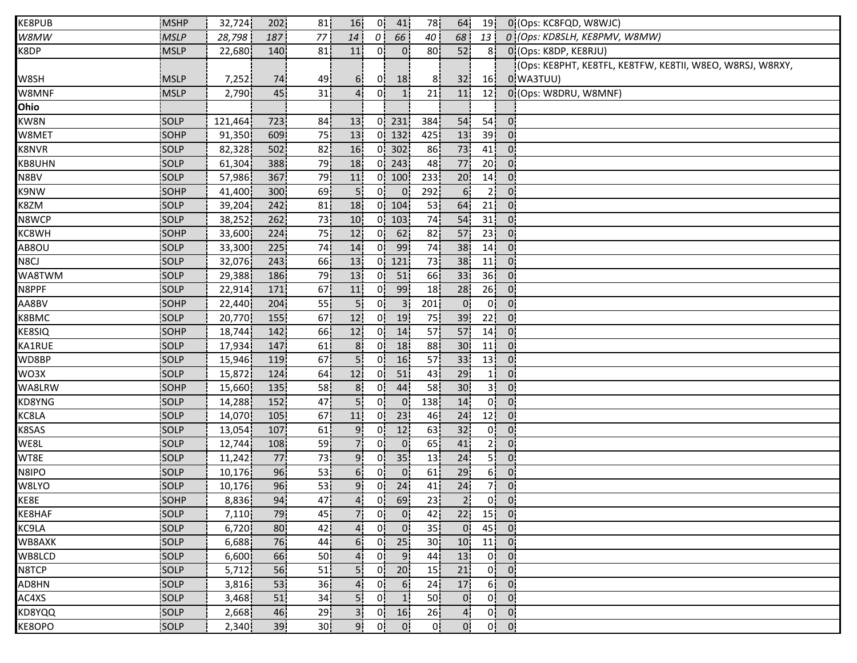| KE8PUB       | <b>MSHP</b> | 32,724  | 202 | 81              | 16              | 0!             | 41              | 78              | 64              | 19              |                | 0 (Ops: KC8FQD, W8WJC)                                    |
|--------------|-------------|---------|-----|-----------------|-----------------|----------------|-----------------|-----------------|-----------------|-----------------|----------------|-----------------------------------------------------------|
| W8MW         | <b>MSLP</b> | 28,798  | 187 | 77              | 14              | $\theta$       | 66              | 40              | 68              | 13              |                | 0 (Ops: KD8SLH, KE8PMV, W8MW)                             |
| K8DP         | <b>MSLP</b> | 22,680  | 140 | 81              | 11              | 01             | $\overline{0}$  | 80              | 52              | 8 <sub>1</sub>  |                | 0 (Ops: K8DP, KE8RJU)                                     |
|              |             |         |     |                 |                 |                |                 |                 |                 |                 |                | (Ops: KE8PHT, KE8TFL, KE8TFW, KE8TII, W8EO, W8RSJ, W8RXY, |
| W8SH         | <b>MSLP</b> | 7,252   | 74i | 491             | 6.              | 0 <sub>1</sub> | 18 <sub>1</sub> | 8.              | 32 <sub>1</sub> | 16 <sub>1</sub> |                | 0 WA3TUU)                                                 |
| W8MNF        | <b>MSLP</b> | 2,790   | 45  | 31              | $\overline{4}$  | 0 <sub>1</sub> | 1 <sub>1</sub>  | 21              | 11              | 12              |                | 0 (Ops: W8DRU, W8MNF)                                     |
| Ohio         |             |         |     |                 |                 |                |                 |                 |                 |                 |                |                                                           |
| KW8N         | SOLP        | 121,464 | 723 | 84              | 13              |                | $0$ 231         | 384             | 54              | 54              | $\overline{0}$ |                                                           |
| W8MET        | SOHP        | 91,350  | 609 | 75              | 13              |                | $0$ 132         | 425             | 13              | 39              | $\overline{0}$ |                                                           |
| <b>K8NVR</b> | SOLP        | 82,328  | 502 | 82              | 16              | 01             | 302             | 86              | 73              | 41              | $0^{\prime}$   |                                                           |
| KB8UHN       | <b>SOLP</b> | 61,304  | 388 | 79              | 18              | 01.            | 243             | 48              | 77              | 20 <sub>1</sub> | $\overline{0}$ |                                                           |
| N8BV         | SOLP        | 57,986  | 367 | 79              | 11 <sup>1</sup> |                | 0 100           | 233             | 20 <sub>1</sub> | 14 <sub>1</sub> | $\mathbf{0}$   |                                                           |
| K9NW         | SOHP        | 41,400  | 300 | 69              | 5 <sub>1</sub>  | 0!             | 0 <sub>1</sub>  | 292             | 6 <sup>1</sup>  | 2 <sub>1</sub>  | $\overline{0}$ |                                                           |
| K8ZM         | <b>SOLP</b> | 39,204  | 242 | 81              | 18              |                | $0 \mid 104$    | 53              | 64              | 21              | $\mathbf{0}$   |                                                           |
| N8WCP        | SOLP        | 38,252  | 262 | 73              | 10              |                | $0$   103       | 74              | 54              | 31              | $\overline{0}$ |                                                           |
| KC8WH        | SOHP        | 33,600  | 224 | 75              | 12              | 0!             | 62              | 82              | 57              | 23              | 0:             |                                                           |
| AB8OU        | SOLP        | 33,300  | 225 | 74              | 14              | 0'             | 99              | 74              | 38              | 14              | $\overline{0}$ |                                                           |
| N8CJ         | SOLP        | 32,076  | 243 | 66              | 13              |                | $0$   121       | 73              | 38              | 11              | $\overline{0}$ |                                                           |
| WA8TWM       | SOLP        | 29,388  | 186 | 79              | 13              | 0i             | 51              | 66              | 33              | 36              | $\overline{0}$ |                                                           |
| N8PPF        | SOLP        | 22,914  | 171 | 67              | 11              | 0 <sup>1</sup> | 99              | 18              | 28              | 26              | $\mathbf{0}$   |                                                           |
| AA8BV        | <b>SOHP</b> | 22,440  | 204 | 55              | 5 <sub>1</sub>  | 0              | 3 <sup>1</sup>  | 201             | $\overline{0}$  | 0 <sup>1</sup>  | 0 <sub>1</sub> |                                                           |
| K8BMC        | SOLP        | 20,770  | 155 | 67              | 12 <sub>1</sub> | 0!             | 19              | 75              | 39              | 22              | $\mathbf{0}$   |                                                           |
| KE8SIQ       | <b>SOHP</b> | 18,744  | 142 | 66              | 12              | 0!             | 14              | 57              | 57              | 14              | 0:             |                                                           |
| KA1RUE       | <b>SOLP</b> | 17,934  | 147 | 61              | 8 <sub>1</sub>  | 0 <sup>1</sup> | 18              | 88              | 30 <sub>1</sub> | 11 <sub>1</sub> | $\mathbf{0}$   |                                                           |
| WD8BP        | SOLP        | 15,946  | 119 | 67              | 5 <sup>1</sup>  | 0i             | 16              | 57              | 33              | 13              | $\overline{0}$ |                                                           |
| WO3X         | SOLP        | 15,872  | 124 | 64              | 12              | 01             | 51              | 43              | 29              | 11              | $0^{\circ}$    |                                                           |
| WA8LRW       | SOHP        | 15,660  | 135 | 58              | 8 <sub>1</sub>  | 0'             | 44              | 58              | 30 <sub>1</sub> | 3I              | $\overline{0}$ |                                                           |
| KD8YNG       | SOLP        | 14,288  | 152 | 47              | 5!              | 0!             | 0 <sup>1</sup>  | 138             | 14              | 0!              | 0 <sup>1</sup> |                                                           |
| KC8LA        | SOLP        | 14,070  | 105 | 67              | 11              | 0 <sub>1</sub> | 23              | 46              | 24              | 12              | $\mathbf{0}$   |                                                           |
| K8SAS        | SOLP        | 13,054  | 107 | 61              | 9.              | 01             | 12              | 63              | 32              | 0!              | $\mathbf{0}$   |                                                           |
| WE8L         | <b>SOLP</b> | 12,744  | 108 | 59              | 71              | 0 <sup>1</sup> | $\overline{0}$  | 65              | 41              | 21              | $\mathbf{0}$   |                                                           |
| WT8E         | SOLP        | 11,242  | 77  | 73              | 9.              | 01             | 35              | 13              | 24              | 5İ              | $\overline{0}$ |                                                           |
| N8IPO        | SOLP        | 10,176  | 96  | 53              | 6 <sub>1</sub>  | 01             | $\overline{0}$  | 61              | 29              | 6 <sup>1</sup>  | $\overline{0}$ |                                                           |
| W8LYO        | SOLP        | 10,176  | 96  | 53              | 9 <sub>1</sub>  | 0 <sup>1</sup> | 24              | 41              | 24              | 71              | $\overline{0}$ |                                                           |
| KE8E         | SOHP        | 8,836   | 94  | 47              | $\overline{4}$  | 0              | 69              | 23              | 2 <sub>1</sub>  | 0 <sup>1</sup>  | $\overline{0}$ |                                                           |
| KE8HAF       | SOLP        | 7,110   | 79  | 45              | 7¦              | 0 <sup>1</sup> | $\mathbf{0}$    | 42 <sub>1</sub> | 22              | $15$ 0          |                |                                                           |
| KC9LA        | SOLP        | 6,720   | 80  | 42              | 4.              | $\overline{0}$ | $\mathbf{0}$    | 35 <sub>1</sub> | $\overline{0}$  | 45              | $\overline{0}$ |                                                           |
| WB8AXK       | SOLP        | 6,688   | 76  | 44              | 6 <sup>1</sup>  | 0 <sup>1</sup> | 25              | 30 <sup>1</sup> | 10 <sup>1</sup> | 11              | $\overline{0}$ |                                                           |
| WB8LCD       | <b>SOLP</b> | 6,600   | 66  | 50              | 4               | 0 <sup>1</sup> | 9 <sub>1</sub>  | 44              | 13              | 0 <sup>1</sup>  | $\overline{0}$ |                                                           |
| N8TCP        | SOLP        | 5,712   | 56  | 51              | 5i              | 0 i            | 20              | 15              | 21              | 0 <sub>i</sub>  | $\mathbf{0}$   |                                                           |
| AD8HN        | SOLP        | 3,816   | 53  | 36              | 4               | 0i             | 6 <sub>1</sub>  | 24              | 17              | 6¦              | 0.             |                                                           |
| AC4XS        | SOLP        | 3,468   | 51  | 34              | 5 <sub>i</sub>  | 0 <sub>1</sub> | 1 <sub>1</sub>  | 50              | $\overline{0}$  | 0 <sup>1</sup>  | $\mathbf{0}$   |                                                           |
| KD8YQQ       | <b>SOLP</b> | 2,668   | 46  | 29              | 3 <sup>1</sup>  |                | $0$ 16          | 26              | $\overline{4}$  | 0!              | $\mathbf{0}$   |                                                           |
| KE8OPO       | SOLP        | 2,340   | 39  | 30 <sup>1</sup> | 9!              | 0 <sup>1</sup> | $\mathbf{0}$    | 0!              | 0:              | 0 <sup>1</sup>  | $\overline{0}$ |                                                           |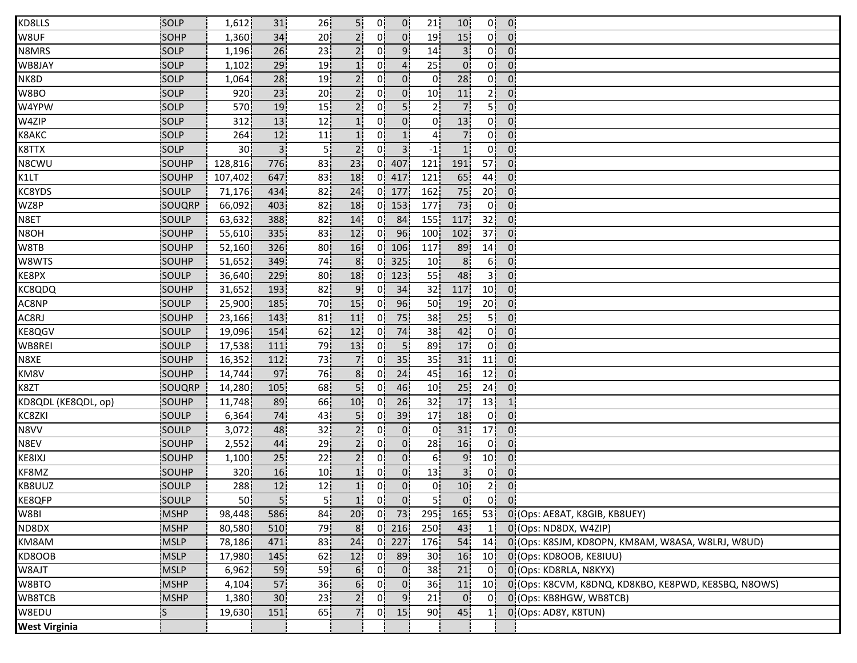| KD8LLS               | SOLP         | 1,612           | 31              | 26              | 5!              | 0!             | $\overline{0}$ | 21              | 10 <sup>1</sup> | 0!              | $\overline{0}$ .                       |                                                      |
|----------------------|--------------|-----------------|-----------------|-----------------|-----------------|----------------|----------------|-----------------|-----------------|-----------------|----------------------------------------|------------------------------------------------------|
| W8UF                 | SOHP         | 1,360           | 34              | 20              |                 | 0'             | 0 <sup>1</sup> | 19              | 15              | 0!              | $\overline{0}$                         |                                                      |
| N8MRS                | <b>SOLP</b>  | 1,196           | 26              | 23              |                 | 0.             | 9 <sub>1</sub> | 14              | 3 <sup>1</sup>  | 0!              | $\overline{0}$                         |                                                      |
| WB8JAY               | <b>SOLP</b>  | 1,102           | 29              | 19i             | 1 <sup>i</sup>  | Οİ             | $\overline{4}$ | 25              | $\overline{0}$  | 0i              | $\overline{0}$                         |                                                      |
| NK8D                 | SOLP         | 1,064           | 28              | 19              | 21              | 0i             | 0 <sup>1</sup> | 01              | 28              | 0i              | $0^{\circ}$                            |                                                      |
| W8BO                 | SOLP         | 920             | 23              | 20 <sub>1</sub> | 2 <sub>1</sub>  | 0¦             | $\overline{0}$ | 10 <sub>1</sub> | 11              | 2 <sup>1</sup>  | $\overline{0}$                         |                                                      |
| W4YPW                | SOLP         | 570             | 19              | 15 <sub>1</sub> | 2 <sub>i</sub>  | 0!             | 5 <sub>i</sub> | 2               | 7 <sub>1</sub>  | 5 <sup>1</sup>  | 0 <sup>1</sup>                         |                                                      |
| W4ZIP                | SOLP         | 312             | 13              | 12              | 1!              | 0!             | $\overline{0}$ | 0               | 13              | 0!              | 0 <sup>1</sup>                         |                                                      |
| <b>K8AKC</b>         | SOLP         | 264             | 12              | 11              | $\mathbf{1}$    | 0!             | 1 <sup>1</sup> | 4               | $\overline{7}$  | 0!              | $\overline{0}$                         |                                                      |
| K8TTX                | SOLP         | 30 <sub>1</sub> | 3 <sup>1</sup>  | 5 <sub>1</sub>  | $2^1$           | 0 <sup>1</sup> | 3 <sup>1</sup> | $-1$            | $\mathbf{1}$    | 0 <sup>1</sup>  | $\overline{0}$                         |                                                      |
| N8CWU                | SOUHP        | 128,816         | 776i            | 83              | 23              | 0i             | 407            | 121             | 191             | 57 <sub>1</sub> | $\mathbf{0}$                           |                                                      |
| K1LT                 | SOUHP        | 107,402         | 647             | 83              | 18              | 01.            | 417            | 121             | 65              | 44              | 0 <sup>1</sup>                         |                                                      |
| KC8YDS               | SOULP        | 71,176          | 434             | 82              | 24              |                | $0$ 177        | 162             | 75              | 20 <sup>1</sup> | $\overline{0}$                         |                                                      |
| WZ8P                 | SOUQRP       | 66,092          | 403             | 82              | 18              |                | $0$   153      | 177             | 73              | 0!              | 0 <sup>1</sup>                         |                                                      |
| N8ET                 | SOULP        | 63,632          | 388             | 82              | 14              | 0!             | 84             | 155             | 117             | 32              | $\overline{0}$ .                       |                                                      |
| N8OH                 | SOUHP        | 55,610          | 335             | 83              | 12              | 0!             | 96             | 100             | 102             | 37              | 0 <sup>1</sup>                         |                                                      |
| W8TB                 | SOUHP        | 52,160          | 326             | 80              | 16              | 0!             | 106            | 117             | 89              | 14 <sup>1</sup> | $\mathbf{0}$                           |                                                      |
| W8WTS                | SOUHP        | 51,652          | 349             | 74              | 8 <sub>1</sub>  | 01             | 325            | 10 <sub>1</sub> | 8 <sup>1</sup>  | 6!              | $\mathbf{0}$                           |                                                      |
| KE8PX                | SOULP        | 36,640          | 229             | 80              | 18              | 01             | 123            | 55              | 48              | 3İ              | 0 <sup>1</sup>                         |                                                      |
| <b>KC8QDQ</b>        | SOUHP        | 31,652          | 193             | 82              | 9 <sub>1</sub>  | 0 <sup>1</sup> | 34             | 32 <sub>1</sub> | 117             | 10 <sup>1</sup> | $\overline{0}$                         |                                                      |
| AC8NP                | SOULP        | 25,900          | 185             | 70              | 15              | 0 <sup>1</sup> | 96             | 50              | 19              | 20 <sup>1</sup> | 0 <sup>1</sup>                         |                                                      |
| AC8RJ                | SOUHP        | 23,166          | 143             | 81              | 11              | 0!             | 75             | 38              | 25              | 5¦              | $\mathbf{0}$                           |                                                      |
| KE8QGV               | SOULP        | 19,096          | 154             | 62              | 12              | 0!             | 74             | 38              | 42              | 0!              | 0 <sup>1</sup>                         |                                                      |
| WB8REI               | SOULP        | 17,538          | 111             | 79              | 13              | 01             | 5 <sub>1</sub> | 89              | 17              | 0 <sup>1</sup>  | $\overline{0}$                         |                                                      |
| N8XE                 | SOUHP        | 16,352          | 112             | 73              | 71              | 01             | 35             | 35              | 31              | 11              | $\mathbf{0}$                           |                                                      |
| KM8V                 | SOUHP        | 14,744          | 97              | 76              | 8 <sup>1</sup>  | 01             | 24             | 45              | 16              | 12 <sub>1</sub> | 0 <sup>1</sup>                         |                                                      |
| K8ZT                 | SOUQRP       | 14,280          | 105             | 68              | 5!              | 0!             | 46             | 10 <sub>1</sub> | 25              | 24              | 0 <sup>1</sup>                         |                                                      |
| KD8QDL (KE8QDL, op)  | SOUHP        | 11,748          | 89              | 66              | 10              | 01             | 26             | 32              | 17              | 13              | $\mathbf{1}$                           |                                                      |
| KC8ZKI               | SOULP        | 6,364           | 74              | 43              | 5!              | 0!             | 39             | 17              | 18              | 0 <sup>1</sup>  | 0 <sup>1</sup>                         |                                                      |
| N8VV                 | SOULP        | 3,072           | 48              | 32              | 2¦              | 0!             | $\overline{0}$ | 0               | 31              | 17 <sup>1</sup> | $\overline{0}$                         |                                                      |
| N8EV                 | SOUHP        | 2,552           | 44              | 29              | 2 <sub>1</sub>  | 01             | 0 <sub>1</sub> | 28              | 16              | 0 <sub>1</sub>  | 0 <sup>1</sup>                         |                                                      |
| KE8IXJ               | SOUHP        | 1,100           | 25              | 22              | 2 <sub>1</sub>  | 01             | 0 <sup>1</sup> | 6 <sub>1</sub>  | 9 <sub>1</sub>  | 10 <sub>1</sub> | $0^{\circ}$                            |                                                      |
| KF8MZ                | SOUHP        | 320             | 16              | 10 <sub>1</sub> |                 | 0i             | $\overline{0}$ | 13              | 3 <sup>1</sup>  | Οi              | 0.                                     |                                                      |
| KB8UUZ               | SOULP        | 288             | 12              | 12              | 1 <sub>i</sub>  | οl             | $\overline{0}$ | οļ              | 10 <sub>1</sub> | 2 <sub>1</sub>  | 0 <sup>1</sup>                         |                                                      |
| KE8QFP               | SOULP        | 50              | 5 <sub>1</sub>  | 5 <sub>1</sub>  | 1 <sup>1</sup>  | 0 <sub>1</sub> | 0 <sub>1</sub> | 5 <sub>1</sub>  | 0 <sub>1</sub>  |                 | $\begin{bmatrix} 0 \\ 0 \end{bmatrix}$ |                                                      |
| W8BI                 | <b>MSHP</b>  | 98,448          | 586             | 84              | 20 <sup>1</sup> | 0!             | 73             | 295             | 165             | 53 <sup>1</sup> |                                        | 0 (Ops: AE8AT, K8GIB, KB8UEY)                        |
| ND8DX                | <b>MSHP</b>  | 80,580          | 510             | 79              | 8 <sub>1</sub>  | 0!             | 216            | 250             | 43              |                 |                                        | 0 (Ops: ND8DX, W4ZIP)                                |
| KM8AM                | <b>MSLP</b>  | 78,186          | 471             | 83              | 24              | 0I             | 227            | 176             | 54              | 14              |                                        | 0!(Ops: K8SJM, KD8OPN, KM8AM, W8ASA, W8LRJ, W8UD)    |
| KD8OOB               | <b>IMSLP</b> | 17,980          | 145             | 62              | 12              | 01             | 89             | 30 <sub>1</sub> | 16              | 10 <sub>1</sub> |                                        | 0 (Ops: KD8OOB, KE8IUU)                              |
| W8AJT                | <b>MSLP</b>  | 6,962           | 59              | 59              | 6 <sub>1</sub>  | 0i             | $\overline{0}$ | 38              | 21              | οi              |                                        | 0 (Ops: KD8RLA, N8KYX)                               |
| W8BTO                | <b>MSHP</b>  | 4,104           | 57              | 36              | 6.              | 0i             | 0 <sup>1</sup> | 36              | 11              | 10 <sub>1</sub> |                                        | 0 (Ops: K8CVM, K8DNQ, KD8KBO, KE8PWD, KE8SBQ, N8OWS) |
| WB8TCB               | <b>MSHP</b>  | 1,380           | 30 <sub>1</sub> | 23              | 2i              | 01             | 9 <sub>1</sub> | 21              | $\overline{0}$  | 0!              |                                        | 0 (Ops: KB8HGW, WB8TCB)                              |
| W8EDU                | lS.          | 19,630          | 151             | 65              | 7!              | 0 <sup>1</sup> | 15             | 90              | 45              | 11              |                                        | 0 (Ops: AD8Y, K8TUN)                                 |
| <b>West Virginia</b> |              |                 |                 |                 |                 |                |                |                 |                 |                 |                                        |                                                      |
|                      |              |                 |                 |                 |                 |                |                |                 |                 |                 |                                        |                                                      |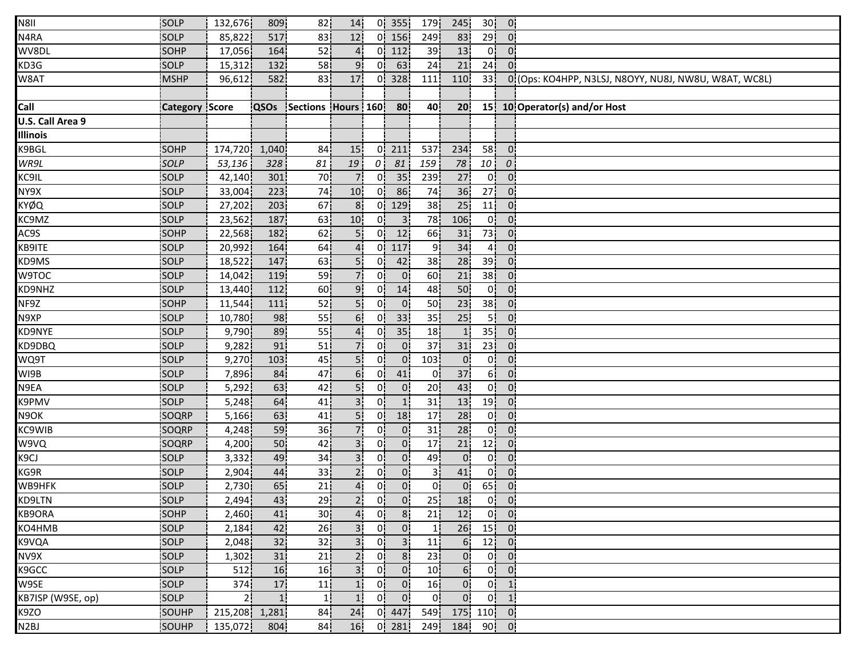| N8II              | SOLP                  | 132,676        | 809             | 82                    | 14             |                | $0$ 355         | 179             | 245             | 30 <sup>1</sup> | 0 <sub>1</sub>                           |                                                       |
|-------------------|-----------------------|----------------|-----------------|-----------------------|----------------|----------------|-----------------|-----------------|-----------------|-----------------|------------------------------------------|-------------------------------------------------------|
| N4RA              | SOLP                  | 85,822         | 517             | 83                    | 12             |                | $0$   156       | 249             | 83              | 29              | $\Omega$                                 |                                                       |
| WV8DL             | SOHP                  | 17,056         | 164             | 52                    |                |                | $0$   112       | 39              | 13              | 0!              | $0^{\circ}$                              |                                                       |
| KD3G              | <b>SOLP</b>           | 15,312         | 132             | 58                    | 9 <sub>i</sub> | 0i             | 63              | 24              | 21              | 24              | $\overline{0}$                           |                                                       |
| W8AT              | MSHP                  | 96,612         | 582             | 83                    | 17             | 0¦             | 328             | 111             | 110             | 33 <sup>1</sup> |                                          | 0 (Ops: KO4HPP, N3LSJ, N8OYY, NU8J, NW8U, W8AT, WC8L) |
|                   |                       |                |                 |                       |                |                |                 |                 |                 |                 |                                          |                                                       |
| Call              | <b>Category Score</b> |                | <b>QSOs</b>     | Sections Hours 160 80 |                |                |                 | 40              | 20 <sub>1</sub> |                 |                                          | 15 10 Operator(s) and/or Host                         |
| U.S. Call Area 9  |                       |                |                 |                       |                |                |                 |                 |                 |                 |                                          |                                                       |
| <b>Illinois</b>   |                       |                |                 |                       |                |                |                 |                 |                 |                 |                                          |                                                       |
| K9BGL             | <b>SOHP</b>           | 174,720        | 1,040           | 84                    | 15             | 01             | 211             | 537             | 234             | 58              | $\overline{0}$                           |                                                       |
| WR9L              | <b>SOLP</b>           | 53,136         | 328             | 81                    | 19             | 01             | 81              | 159             | 78              | 10 <sup>1</sup> | $\overline{0}$                           |                                                       |
| KC9IL             | SOLP                  | 42,140         | 301             | 70                    |                | 0i             | 35 <sup>1</sup> | 239             | 27              | 0 <sup>1</sup>  | $0^{\circ}$                              |                                                       |
| NY9X              | SOLP                  | 33,004         | 223             | 74                    | 10             | 0.             | 86              | 74              | 36              | 27 <sub>1</sub> | $\mathbf{0}$                             |                                                       |
| KYØQ              | SOLP                  | 27,202         | 203             | 67                    | 8 <sup>1</sup> | 0!             | 129             | 38              | 25              | 11              | 0 <sup>1</sup>                           |                                                       |
| KC9MZ             | SOLP                  | 23,562         | 187             | 63                    | 10             | 0!             | 3 <sub>1</sub>  | 78              | 106             | 0 <sup>1</sup>  | $\overline{0}$                           |                                                       |
| AC9S              | SOHP                  | 22,568         | 182             | 62                    |                | 0!             | 12              | 66              | 31              | 73!             | 0 <sup>1</sup>                           |                                                       |
| KB9ITE            | SOLP                  | 20,992         | 164             | 64                    |                |                | $0$ 117         | 9ļ              | 34              | 41              | $0^{\circ}$                              |                                                       |
| KD9MS             | SOLP                  | 18,522         | 147             | 63                    |                | 01             | 42              | 38              | 28              | 39 <sub>1</sub> | $\overline{0}$                           |                                                       |
| W9TOC             | SOLP                  | 14,042         | 119             | 59                    |                | 01             | 0 <sub>1</sub>  | 60              | 21              | 38 <sub>1</sub> | $\mathbf{0}$                             |                                                       |
| KD9NHZ            | SOLP                  | 13,440         | 112             | 60                    | 9.             | 0!             | 14              | 48              | 50              | 0 <sup>1</sup>  | $0^{\circ}$                              |                                                       |
| NF9Z              | <b>SOHP</b>           | 11,544         | 111             | 52                    | 5 <sub>1</sub> | 0 <sup>1</sup> | $\overline{0}$  | 50              | 23              | 38              | 0 <sub>1</sub>                           |                                                       |
| N9XP              | SOLP                  | 10,780         | 98              | 55                    | 6!             | 0!             | 33              | 35              | 25              | 5¦              | 0 <sup>1</sup>                           |                                                       |
| KD9NYE            | SOLP                  | 9,790          | 89              | 55                    | 4!             | 0!             | 35              | 18              | $\vert$ 1       | 35              | 0 <sup>1</sup>                           |                                                       |
| KD9DBQ            | SOLP                  | 9,282          | 91              | 51                    |                | 0I             | $\overline{0}$  | 37              | 31              | 23 <sup>1</sup> | $\mathbf{0}$                             |                                                       |
| WQ9T              | <b>SOLP</b>           | 9,270          | 103             | 45                    |                | 01             | 0 <sup>1</sup>  | 103             | $\overline{0}$  | 0i              | $\mathbf{0}$                             |                                                       |
| WI9B              | SOLP                  | 7,896          | 84              | 47                    | 6 <sub>1</sub> | 01             | 41              | 01              | 37              | 6 <sup>1</sup>  | 0 <sup>1</sup>                           |                                                       |
| N9EA              | SOLP                  | 5,292          | 63              | 42                    | 5i             | 0¦             | 0 <sup>1</sup>  | 20 <sub>1</sub> | 43              | 0!              | $\overline{0}$                           |                                                       |
| K9PMV             | <b>SOLP</b>           | 5,248          | 64              | 41                    |                | 01             | 1 <sup>1</sup>  | 31              | 13              | 19 <sup>1</sup> | $\overline{0}$                           |                                                       |
| N9OK              | SOQRP                 | 5,166          | 63              | 41                    | 5!             | 0!             | 18              | 17              | 28              | 0!              | $\overline{0}$                           |                                                       |
| KC9WIB            | SOQRP                 | 4,248          | 59              | 36                    |                | 0!             | $\overline{0}$  | 31              | 28              | 0 <sup>1</sup>  | $\overline{0}$                           |                                                       |
| W9VQ              | SOQRP                 | 4,200          | 50              | 42                    |                | 01             | $\overline{0}$  | 17              | 21              | 12              | 0 <sup>1</sup>                           |                                                       |
| K <sub>9</sub> CJ | <b>SOLP</b>           | 3,332          | 49              | 34                    | 3              | 01             | 0 <sub>1</sub>  | 49              | $\overline{0}$  | 0 <sup>1</sup>  | $0^{\circ}$                              |                                                       |
| KG9R              | SOLP                  | 2,904          | 44              | 33                    |                | 01             | 0 <sub>1</sub>  | 31              | 41              | 0i              | $0^{\circ}$                              |                                                       |
| WB9HFK            | SOLP                  | 2,730          | 65              | 21                    | 4 <sub>i</sub> | 0i             | 0 <sup>1</sup>  | οl              | $\overline{0}$  | 65              | 0 <sub>1</sub>                           |                                                       |
| KD9LTN            | SOLP                  | 2,494          | 43              | 29                    | 2 <sup>1</sup> | 0 <sup>1</sup> | 0 <sub>1</sub>  | 25              | 18              |                 | $0$ $0$                                  |                                                       |
| KB9ORA            | SOHP                  | 2,460          | 41              | 30 <sub>1</sub>       | $\overline{4}$ | 0 <sup>1</sup> | 8 <sup>1</sup>  | 21              | 12              |                 | $0 \begin{bmatrix} 0 \\ 0 \end{bmatrix}$ |                                                       |
| KO4HMB            | SOLP                  | 2,184          | 42              | 26 <sub>1</sub>       | 3 <sup>1</sup> | 0!             | $\overline{0}$  | -11             | 26              |                 | $15$ 0                                   |                                                       |
| K9VQA             | <b>SOLP</b>           | 2,048          | 32 <sub>1</sub> | 32 <sub>1</sub>       | 3 <sub>1</sub> | 01             | 3 <sub>1</sub>  | 11              | 61              |                 | $12$ 0                                   |                                                       |
| NV9X              | <b>SOLP</b>           | 1,302          | 31              | 21                    | 2 <sub>1</sub> | 01             | 8 <sub>1</sub>  | 23              | $\overline{0}$  | 0 i             | $\overline{0}$                           |                                                       |
| K9GCC             | SOLP                  | 512            | 16              | 16 <sub>1</sub>       | 3 <sup>1</sup> | 0 <sub>i</sub> | 0 <sup>1</sup>  | 10 <sub>1</sub> | 6 <sub>1</sub>  |                 | $0$ $0$                                  |                                                       |
| W9SE              | SOLP                  | 374            | 17              | 11                    | 11             | 0 <sub>i</sub> | 0 <sub>1</sub>  | 16 <sub>1</sub> | $\overline{0}$  |                 | $0$ 1                                    |                                                       |
| KB7ISP (W9SE, op) | SOLP                  | 2 <sub>1</sub> | 1 <sup>i</sup>  | 11                    | 1!             | 0 <sup>1</sup> | 0 <sup>1</sup>  | 0!              | 0 <sup>1</sup>  |                 | $0$ 1                                    |                                                       |
| K9ZO              | SOUHP                 | 215,208 1,281  |                 | 84                    | 24             |                | $0 \mid 447$    | 549             |                 | 175 110 0       |                                          |                                                       |
| N <sub>2</sub> BJ | SOUHP                 | 135,072        | 804             | 84                    | 16             |                | $0$ 281         | 249             |                 | 184 90 0        |                                          |                                                       |
|                   |                       |                |                 |                       |                |                |                 |                 |                 |                 |                                          |                                                       |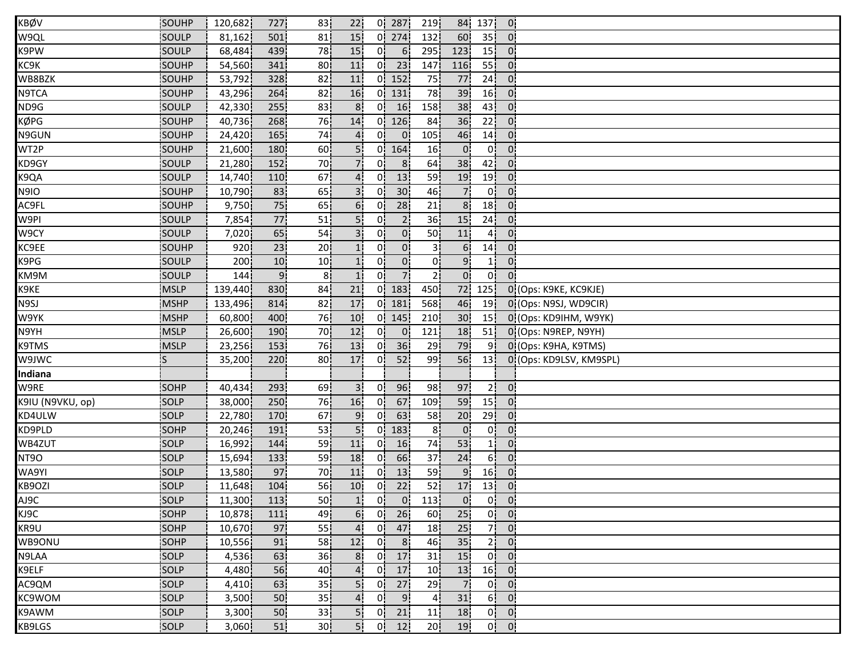| KBØV             | SOUHP       | 120,682 | 727              | 83              | 22              | 0!             | 287             | 219             | 84              | 137             | $\mathbf{0}$     |                         |
|------------------|-------------|---------|------------------|-----------------|-----------------|----------------|-----------------|-----------------|-----------------|-----------------|------------------|-------------------------|
| W9QL             | SOULP       | 81,162  | 501              | 81              | 15              | 0 <sup>1</sup> | 274             | 132             | 60              | 35 <sub>1</sub> | 0 <sup>1</sup>   |                         |
| K9PW             | SOULP       | 68,484  | 439              | 78              | 15              | 0!             | 6 <sup>1</sup>  | 295             | 123             | 15 <sup>1</sup> | $0^{\circ}$      |                         |
| KC9K             | SOUHP       | 54,560  | 341              | 80              | 11              | 0i             | 23              | 147             | 116             | 55              | $0^{\circ}$      |                         |
| WB8BZK           | SOUHP       | 53,792  | 328              | 82              | 11              |                | $0$   152       | 75              | 77              | 24 <sub>1</sub> | 0 <sub>1</sub>   |                         |
| N9TCA            | SOUHP       | 43,296  | 264              | 82              | 16              |                | $0$ 131         | 78              | 39              | 16              | 0 <sup>1</sup>   |                         |
| ND9G             | SOULP       | 42,330  | 255              | 83              | 8 <sup>1</sup>  | 0 <sup>1</sup> | 16              | 158             | 38 <sup>1</sup> | 43              | 0 <sup>1</sup>   |                         |
| KØPG             | SOUHP       | 40,736  | 268              | 76              | 14              |                | $0$   126       | 84              | 36              | 22              | 0 <sup>1</sup>   |                         |
| N9GUN            | SOUHP       | 24,420  | 165              | 74              | $\overline{4}$  | 0!             | $\overline{0}$  | 105             | 46              | 14 <sub>1</sub> | 0 <sup>1</sup>   |                         |
| WT2P             | SOUHP       | 21,600  | 180              | 60              | 5i              |                | $0 \mid 164$    | 16              | $\overline{0}$  | 0 <sub>1</sub>  | $0^{\circ}$      |                         |
| KD9GY            | SOULP       | 21,280  | 152 <sub>1</sub> | 70              | 71              | 01             | 8 <sup>1</sup>  | 64              | 38 <sub>1</sub> | 42              | $\overline{0}$   |                         |
| K9QA             | SOULP       | 14,740  | 110              | 67              |                 | 0i             | 13              | 59              | 19              | 19              | 0 <sub>1</sub>   |                         |
| N9IO             | SOUHP       | 10,790  | 83               | 65              | 3 <sup>1</sup>  | 0¦             | 30 <sup>°</sup> | 46              | 7 <sub>1</sub>  | 0 <sup>1</sup>  | $\overline{0}$   |                         |
| AC9FL            | SOUHP       | 9,750   | 75               | 65!             | 6!              | 0.             | 28              | 21              | 8 <sub>1</sub>  | 18              | 0 <sup>1</sup>   |                         |
| W9PI             | SOULP       | 7,854   | 77               | 51              | 5¦              | 0!             | 2 <sub>1</sub>  | 36              | 15              | 24              | $\overline{0}$   |                         |
| W9CY             | SOULP       | 7,020   | 65               | 54              |                 | 0!             | 0 <sup>1</sup>  | 50              | 11              | 4!              | 0 <sup>1</sup>   |                         |
| KC9EE            | SOUHP       | 920     | 23               | 20 <sup>1</sup> |                 | 01             | $\overline{0}$  | 3               | 6 <sup>1</sup>  | 14              | $\overline{0}$   |                         |
| K9PG             | SOULP       | 200     | 10 <sup>1</sup>  | 10              | 1 <sub>1</sub>  | 0i             | 0 <sup>1</sup>  | 0i              | 9 <sub>1</sub>  | 11              | $0^{\circ}$      |                         |
| KM9M             | SOULP       | 144     | 9 <sub>i</sub>   | 8 <sub>1</sub>  |                 | 01             | 7 <sup>1</sup>  | 21              | 0 <sub>i</sub>  | οl              | $0^{\circ}$      |                         |
| K9KE             | <b>MSLP</b> | 139,440 | 830              | 84              | 21              | 0!             | 183             | 450             | 72              | 125             |                  | 0 (Ops: K9KE, KC9KJE)   |
| N9SJ             | <b>MSHP</b> | 133,496 | 814              | 82              | 17              |                | $0$ 181         | 568             | 46              | 19              |                  | 0 (Ops: N9SJ, WD9CIR)   |
| W9YK             | <b>MSHP</b> | 60,800  | 400              | 76              | 10              |                | $0$ 145         | 210             | 30 <sub>1</sub> | 15 <sup>1</sup> |                  | 0 (Ops: KD9IHM, W9YK)   |
| N9YH             | <b>MSLP</b> | 26,600  | 190              | 70              | 12              | 0!             | $\mathbf{0}$    | 121             | 18              | 51              |                  | 0 (Ops: N9REP, N9YH)    |
| K9TMS            | <b>MSLP</b> | 23,256  | 153              | 76              | 13              | 0 <sup>1</sup> | 36              | 29              | 79              | 9 <sub>1</sub>  |                  | 0 (Ops: K9HA, K9TMS)    |
| W9JWC            | is          | 35,200  | 220              | 80              | 17              | 0i             | 52              | 99              | 56              | 13 <sup>1</sup> |                  | 0 (Ops: KD9LSV, KM9SPL) |
| Indiana          |             |         |                  |                 |                 |                |                 |                 |                 |                 |                  |                         |
| W9RE             | SOHP        | 40,434  | 293              | 69              | 3!              | 0 I            | 96              | 98              | 97              | 2 <sup>1</sup>  | $\overline{0}$   |                         |
| K9IU (N9VKU, op) | SOLP        | 38,000  | 250              | 76              | 16              | 01             | 67              | 109             | 59              | 15              | 0 <sup>1</sup>   |                         |
| KD4ULW           | SOLP        | 22,780  | 170              | 67              | 9!              | 0 <sup>1</sup> | 63              | 58              | 20 <sup>1</sup> | 29              | $\overline{0}$ . |                         |
| KD9PLD           | SOHP        | 20,246  | 191              | 53              | 5 <sub>1</sub>  |                | $0$ 183         | 8 <sup>1</sup>  | $\overline{0}$  | 0!              | $\mathbf{0}$     |                         |
| WB4ZUT           | SOLP        | 16,992  | 144              | 59              | 11              | 01             | 16              | 74              | 53              | 11              | 0 <sup>1</sup>   |                         |
| NT9O             | <b>SOLP</b> | 15,694  | 133              | 59              | 18              | 01             | 66              | 37              | 24              | 6 <sup>1</sup>  | $\overline{0}$   |                         |
| WA9YI            | SOLP        | 13,580  | 97               | 70              | 11              | 01             | 13              | 59              | 9               | 16              | 0 <sub>1</sub>   |                         |
| KB9OZI           | SOLP        | 11,648  | 104              | 56              | 10 <sup>1</sup> | 0i             | 22              | 52              | 17              | 13              | 0 <sub>1</sub>   |                         |
| AJ9C             | SOLP        | 11,300  | 113              | 50              | 1 <sub>1</sub>  | 0 <sup>1</sup> | $\overline{0}$  | 113             | $\overline{0}$  |                 | $0$ $0$          |                         |
| KJ9C             | SOHP        | 10,878  | 111              | 49              | 6!              |                | $0$ 26          | 60              | 25 <sup>1</sup> |                 | $0$ $0$          |                         |
| KR9U             | SOHP        | 10,670  | 97               | 55              | 4 <sub>1</sub>  | 0!             | 47              | 18              | 25              | 7               | $\overline{0}$   |                         |
| WB9ONU           | SOHP        | 10,556  | 91               | 58              | 12              | 0!             | 8 <sup>1</sup>  | 46 <sup>1</sup> | 35              | 2 <sup>1</sup>  | 0 <sup>1</sup>   |                         |
| N9LAA            | <b>SOLP</b> | 4,536   | 63               | 36 <sub>1</sub> | 8 <sub>1</sub>  | 01.            | 17              | 31              | 15              | 0 i             | $\mathbf{0}$     |                         |
| K9ELF            | SOLP        | 4,480   | 56               | 40              |                 | 0 i            | 17              | 10 <sub>1</sub> | 13              | 16              | $0^{\circ}$      |                         |
| AC9QM            | SOLP        | 4,410   | 63               | 35 <sub>1</sub> | 5i              | 0 <sup>1</sup> | 27              | 29              | 7 <sub>1</sub>  | 0 <sup>1</sup>  | $\overline{0}$   |                         |
| KC9WOM           | SOLP        | 3,500   | 50               | 35 <sub>1</sub> | 4.              | 0 <sup>1</sup> | 9 <sub>1</sub>  | 4 <sub>1</sub>  | 31              | 6!              | 0 <sup>1</sup>   |                         |
| K9AWM            | SOLP        | 3,300   | 50               | 33              | 5!              | 0 <sup>1</sup> | 21              | 11              | 18              | 0 <sub>1</sub>  | 0 <sup>1</sup>   |                         |
| KB9LGS           | SOLP        | 3,060   | 51               | 30 <sub>1</sub> | 5!              | 0!             | 12              | 20 <sub>1</sub> | 19              | 0 <sup>1</sup>  | $\mathbf{0}$     |                         |
|                  |             |         |                  |                 |                 |                |                 |                 |                 |                 |                  |                         |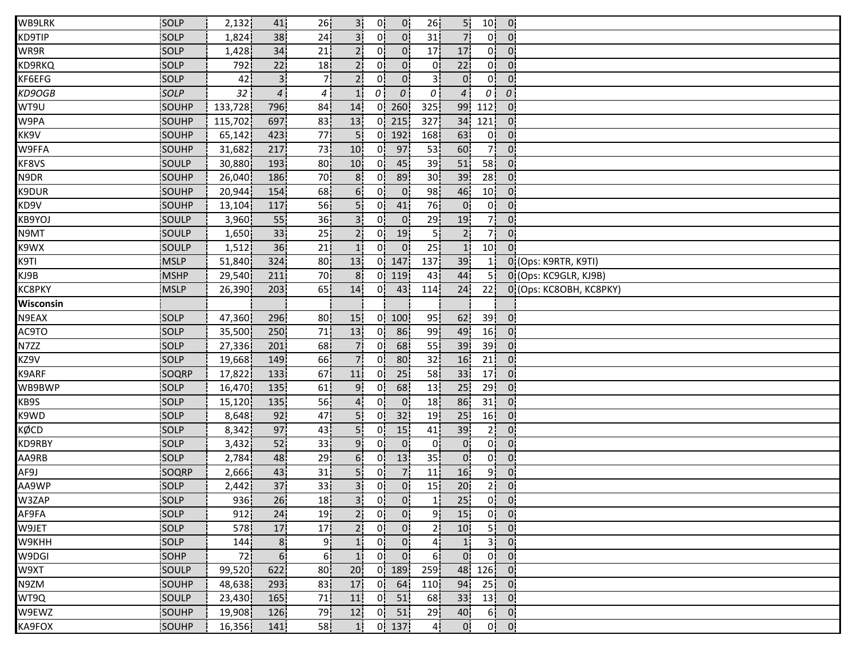| WB9LRK        | SOLP         | 2,132            | 41               | 26              | 3 I             | 0!             | $\overline{0}$ | 26               | 5!              | 10 <sup>1</sup> | $\overline{0}$             |                         |
|---------------|--------------|------------------|------------------|-----------------|-----------------|----------------|----------------|------------------|-----------------|-----------------|----------------------------|-------------------------|
| KD9TIP        | <b>SOLP</b>  | 1,824            | 38               | 24              |                 | 0'             | 0 <sup>1</sup> | 31               | $\overline{7}$  | 01              | $\overline{0}$             |                         |
| WR9R          | SOLP         | 1,428            | 34               | 21              | 2 <sup>1</sup>  | 01             | 0 <sup>1</sup> | 17               | 17              | 0 <sup>1</sup>  | $\overline{0}$             |                         |
| KD9RKQ        | SOLP         | 792              | 22               | 18              | 21              | 0i             | $\overline{0}$ | 01               | 22              | 0i              | 0 <sub>1</sub>             |                         |
| KF6EFG        | SOLP         | 42               | 3 <sup>1</sup>   | 71              | $\overline{2}$  | 01             | $\overline{0}$ | 31               | $\overline{0}$  | 0 <sup>1</sup>  | $\mathbf{0}$               |                         |
| KD9OGB        | SOLP         | 32 <sup>1</sup>  | 4 <sup>1</sup>   | 4               | $\mathbf{1}$    | $\overline{0}$ | $\overline{0}$ | $\mathfrak{o}$   | $\overline{4}$  | $\theta$        | 0                          |                         |
| WT9U          | SOUHP        | 133,728          | 796 <sup>1</sup> | 84              | 14              | 0!             | 260            | 325              | 99              | 112             | $\overline{0}$             |                         |
| W9PA          | SOUHP        | 115,702          | 697              | 83              | 13              | 0!             | 215            | 327              | 34              | 121             | $\overline{0}$             |                         |
| KK9V          | SOUHP        | 65,142           | 423              | 77              | 5 <sup>1</sup>  |                | $0$   192      | 168              | 63              | 0 <sub>1</sub>  | $\overline{0}$             |                         |
| W9FFA         | SOUHP        | 31,682           | 217              | 73              | 10              | 0 <sup>1</sup> | 97             | 53               | 60              | 7ļ              | 0 <sup>1</sup>             |                         |
| KF8VS         | <b>SOULP</b> | 30,880           | 193              | 80              | 10              | Οİ             | 45             | 39               | 51              | 58 <sub>1</sub> | $\overline{0}$             |                         |
| N9DR          | SOUHP        | 26,040           | 186              | 70              | 8 <sup>1</sup>  | 0i             | 89             | 30 <sub>1</sub>  | 39              | 28 <sub>1</sub> | $\mathbf{0}$               |                         |
| K9DUR         | SOUHP        | 20,944           | 154              | 68              | 6 <sub>1</sub>  | 0!             | $\overline{0}$ | 98               | 46              | 10 <sup>1</sup> | $\overline{0}$             |                         |
| KD9V          | SOUHP        | 13,104           | 117              | 56              | 5¦              | 0!             | 41             | 76               | $\overline{0}$  | 0 <sup>1</sup>  | 0 <sup>1</sup>             |                         |
| KB9YOJ        | SOULP        | 3,960            | 55               | 36              | 3 <sup>1</sup>  | 0!             | $\overline{0}$ | 29               | 19              | 7¦              | $\mathbf{0}$               |                         |
| N9MT          | SOULP        | 1,650            | 33 <sup>1</sup>  | 25              | 2 <sup>1</sup>  | 0!             | 19             | 5ļ               | 2 <sub>1</sub>  | 7!              | 0 <sup>1</sup>             |                         |
| K9WX          | SOULP        | 1,512            | 36               | 21              | $\mathbf{1}$    | 0 <sup>1</sup> | 0 <sup>1</sup> | 25               | $\mathbf{1}$    | 10 <sub>1</sub> | $\overline{0}$             |                         |
| K9TI          | <b>IMSLP</b> | 51,840           | 324              | 80              | 13              | 0!             | 147            | 137              | 39              |                 |                            | 0 (Ops: K9RTR, K9TI)    |
| KJ9B          | <b>MSHP</b>  | 29,540           | 211              | 70              | 8               | 01             | 119            | 43               | 44              |                 |                            | 0 (Ops: KC9GLR, KJ9B)   |
| <b>KC8PKY</b> | <b>MSLP</b>  | 26,390           | 203              | 65              | 14              | 0i             | 43             | 114              | 24              | 22              |                            | 0 (Ops: KC8OBH, KC8PKY) |
| Wisconsin     |              |                  |                  |                 |                 |                |                |                  |                 |                 |                            |                         |
| N9EAX         | SOLP         | 47,360           | 296              | 80¦             | 15              |                | $0 \mid 100$   | 95               | 62              | 39              | 0 <sub>1</sub>             |                         |
| AC9TO         | SOLP         | 35,500           | 250              | 71              | 13              | 0!             | 86             | 99               | 49              | 16              | $\overline{0}$             |                         |
| N7ZZ          | SOLP         | 27,336           | 201              | 68              | 7 <sup>1</sup>  | 0 <sup>1</sup> | 68             | 55               | 39              | 39 <sub>1</sub> | 0 <sup>1</sup>             |                         |
| KZ9V          | SOLP         | 19,668           | 149              | 66              | 7 <sup>1</sup>  | 01             | 80             | 32               | 16              | 21              | $\overline{0}$             |                         |
| K9ARF         | SOQRP        | 17,822           | 133              | 67              | 11              | 0i             | 25             | 58               | 33              | 17              | 0 <sup>1</sup>             |                         |
| WB9BWP        | SOLP         | 16,470           | 135              | 61              | 9 <sub>1</sub>  | 01             | 68             | 13               | 25              | 29 <sup>1</sup> | $\overline{0}$             |                         |
| KB9S          | SOLP         | 15,120           | 135              | 56              |                 | 0!             | 0 <sup>1</sup> | 18               | 86              | 31              | $\overline{0}$             |                         |
| K9WD          | SOLP         | 8,648            | 92               | 47              | 5!              | 0 <sup>1</sup> | 32             | 19               | 25              | 16 <sup>1</sup> | 0 <sup>1</sup>             |                         |
| KØCD          | SOLP         | 8,342            | 97               | 43              |                 | 0!             | 15             | 41               | 39              | 2 <sub>1</sub>  | 0 <sup>1</sup>             |                         |
| KD9RBY        | <b>SOLP</b>  | 3,432            | 52               | 33              | 9 <sub>1</sub>  | 01             | 0 <sup>1</sup> | 0 <sub>1</sub>   | $\overline{0}$  | 0 <sup>1</sup>  | 0 <sup>1</sup>             |                         |
| AA9RB         | <b>SOLP</b>  | 2,784            | 48               | 29              | 6 <sub>1</sub>  | 01             | 13             | 35 <sub>1</sub>  | $\overline{0}$  | 0i              | 0 <sup>1</sup>             |                         |
| AF9J          | SOQRP        | 2,666            | 43               | 31              |                 | 01             | 7 <sup>1</sup> | 11               | 16              | 9 i             | 0 <sup>1</sup>             |                         |
| AA9WP         | <b>SOLP</b>  | 2,442            | 37               | 33              | 3 <sub>1</sub>  | 0i             | $\overline{0}$ | 15               | 20              | 21              | 0 <sub>1</sub>             |                         |
| W3ZAP         | SOLP         | 936              | 26               | 18              | 3 <sup>1</sup>  | 0 <sub>1</sub> | 0 <sup>1</sup> | 1                | 25              |                 | $0$ $0$                    |                         |
| AF9FA         | SOLP         | 912              | 24               | 19              | 2 <sup>i</sup>  | 0 <sup>1</sup> | 0 <sup>1</sup> | 9!               | 15 <sup>1</sup> |                 | $0 \vert 0 \vert$          |                         |
| W9JET         | SOLP         | 578 <sup>!</sup> | 17               | 17              | 2!              | 0!             | $\mathbf{0}$   | 2¦               | 10 <sub>1</sub> |                 | $5$ 0                      |                         |
| W9KHH         | SOLP         | 144              | 8 <sub>1</sub>   | 91              | 1!              | 0 <sup>1</sup> | 0 <sub>1</sub> | 4!               | 1 <sup>1</sup>  | 3 <sup>1</sup>  | $\overline{0}$             |                         |
| W9DGI         | <b>SOHP</b>  | <b>721</b>       | 6 <sup>1</sup>   | 6i              | 1 <sub>i</sub>  | 0 <sup>1</sup> | 0 <sup>1</sup> | 6!               | 0 <sup>1</sup>  | 0 <sup>1</sup>  | $\overline{0}$             |                         |
| W9XT          | SOULP        | 99,520           | 622              | 80              | 20 <sub>1</sub> |                | $0$ 189        | 259              | 48              | 126             | $\overline{0}$             |                         |
| N9ZM          | SOUHP        | 48,638           | 293              | 83 I            | 17              | 0 i            | 64             | 110 <sup> </sup> | 94              |                 | $25$ 0                     |                         |
| WT9Q          | SOULP        | 23,430           | 165              | 71              | 11              |                | $0$ 51         | 68               | 33              | 13 <sub>1</sub> | $\overline{\phantom{a}}$ 0 |                         |
| W9EWZ         | SOUHP        | 19,908           | 126              | 79              | 12              |                | $0$ 51         | 29               | 40              | 6 <sup>1</sup>  | $\overline{0}$             |                         |
| KA9FOX        | SOUHP        | 16,356           | 141              | 58 <sub>1</sub> | 1!              |                | $0$ 137        | 4 <sub>1</sub>   | $\mathbf{0}$    |                 | $0 \vert 0 \vert$          |                         |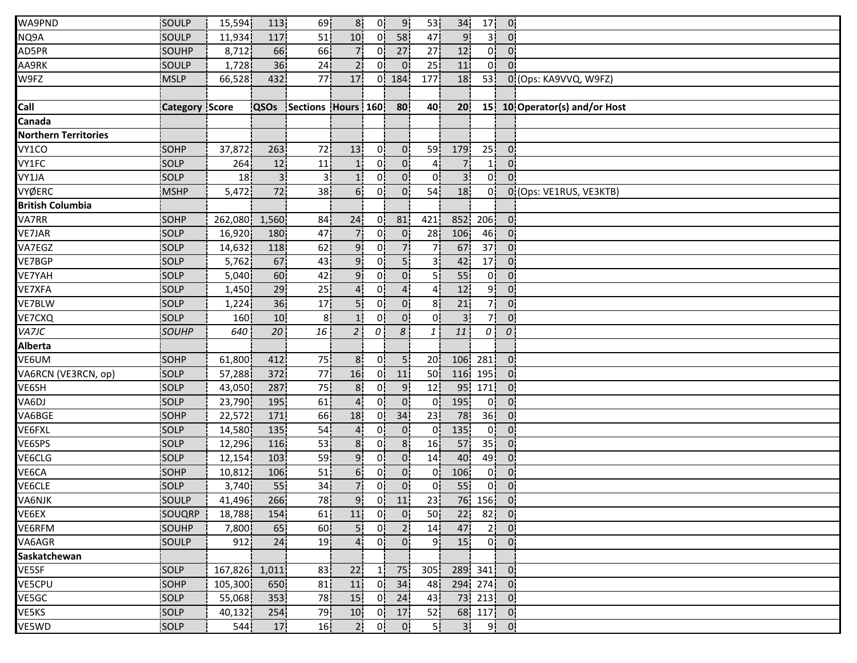| 10 <sup>1</sup><br>58<br>NQ9A<br>SOULP<br>11,934<br>117<br>51<br>0'<br>9 <sub>1</sub><br>47<br>31<br>$\overline{0}$<br>AD5PR<br>66<br>66<br>27<br>SOUHP<br>8,712<br>27<br>12<br>01<br>71<br>01<br>$0^{\circ}$<br>25 <sup>1</sup><br>SOULP<br>36<br>24<br>2 <sub>i</sub><br>01<br>$\overline{0}$<br>11<br>0!<br>$0^{\circ}$<br>1,728<br><b>MSLP</b><br>432<br>77<br>17<br>0i<br>184<br>177<br>18<br>53 <sub>1</sub><br>0 (Ops: KA9VVQ, W9FZ)<br>66,528<br>15 10 Operator(s) and/or Host<br><b>Category Score</b><br><b>QSOs</b><br>Sections Hours 160<br>80<br>40<br>20 <sub>1</sub> |  |
|-------------------------------------------------------------------------------------------------------------------------------------------------------------------------------------------------------------------------------------------------------------------------------------------------------------------------------------------------------------------------------------------------------------------------------------------------------------------------------------------------------------------------------------------------------------------------------------|--|
| AA9RK<br>W9FZ<br>Call<br>Canada                                                                                                                                                                                                                                                                                                                                                                                                                                                                                                                                                     |  |
|                                                                                                                                                                                                                                                                                                                                                                                                                                                                                                                                                                                     |  |
|                                                                                                                                                                                                                                                                                                                                                                                                                                                                                                                                                                                     |  |
|                                                                                                                                                                                                                                                                                                                                                                                                                                                                                                                                                                                     |  |
|                                                                                                                                                                                                                                                                                                                                                                                                                                                                                                                                                                                     |  |
|                                                                                                                                                                                                                                                                                                                                                                                                                                                                                                                                                                                     |  |
|                                                                                                                                                                                                                                                                                                                                                                                                                                                                                                                                                                                     |  |
| <b>Northern Territories</b>                                                                                                                                                                                                                                                                                                                                                                                                                                                                                                                                                         |  |
| 25<br>VY1CO<br>SOHP<br>263<br>13<br>$\overline{0}$<br>59<br>179<br>37,872<br>72<br>01<br>0 <sup>1</sup>                                                                                                                                                                                                                                                                                                                                                                                                                                                                             |  |
| 0 <sub>1</sub><br>SOLP<br>12<br>0i<br>$\overline{7}$<br>VY1FC<br>11<br>1 i<br>0 <sup>1</sup><br>264<br>1 <sup>i</sup><br>$\overline{4}$                                                                                                                                                                                                                                                                                                                                                                                                                                             |  |
| 0 <sup>1</sup><br>0 <sup>1</sup><br>3 <sup>1</sup><br>3i<br>0 <sub>i</sub><br>VY1JA<br>SOLP<br>01<br>01<br>18<br>зі<br>1i                                                                                                                                                                                                                                                                                                                                                                                                                                                           |  |
| VYØERC<br>72<br>6!<br>0 <sub>1</sub><br><b>MSHP</b><br>38 <sub>1</sub><br>01<br>54 <sub>1</sub><br>18<br>0 <sup>1</sup><br>5,472<br>0 (Ops: VE1RUS, VE3KTB)                                                                                                                                                                                                                                                                                                                                                                                                                         |  |
| <b>British Columbia</b>                                                                                                                                                                                                                                                                                                                                                                                                                                                                                                                                                             |  |
| VA7RR<br>852<br>SOHP<br>1,560<br>24<br>0'<br>81<br>421<br>206<br>0 <sub>1</sub><br>262,080<br>84                                                                                                                                                                                                                                                                                                                                                                                                                                                                                    |  |
| VE7JAR<br>SOLP<br>16,920<br>47<br>$\mathbf{0}$<br>28<br>106<br>46 <sub>1</sub><br>180<br>71<br>0<br>0:                                                                                                                                                                                                                                                                                                                                                                                                                                                                              |  |
| 9 <sub>1</sub><br>71<br>VA7EGZ<br>SOLP<br>118<br>62<br>0 <sup>1</sup><br>67<br>37 <sup>1</sup><br>0 <sup>1</sup><br>14,632<br>71                                                                                                                                                                                                                                                                                                                                                                                                                                                    |  |
| 67<br>9i<br>5 <sup>1</sup><br>VE7BGP<br>SOLP<br>42<br>17 <sub>1</sub><br>5,762<br>43<br>01<br>3 i<br>0 <sup>1</sup>                                                                                                                                                                                                                                                                                                                                                                                                                                                                 |  |
| <b>VE7YAH</b><br>60<br>91<br>$\overline{0}$<br>55<br>SOLP<br>5,040<br>42<br>0.<br>5 i<br>01<br>$0^{\circ}$                                                                                                                                                                                                                                                                                                                                                                                                                                                                          |  |
| 29<br>4 <sub>1</sub><br>9 <sub>1</sub><br>SOLP<br>25<br>0 <sub>1</sub><br>4 <sub>1</sub><br>12<br>0 <sup>1</sup><br>VE7XFA<br>1,450<br>4                                                                                                                                                                                                                                                                                                                                                                                                                                            |  |
| 36<br>7 <br>VE7BLW<br>17<br>5 <sub>1</sub><br>0 <sup>1</sup><br>$\overline{0}$<br>0 <sub>1</sub><br>SOLP<br>1,224<br>8 <sup>1</sup><br>21                                                                                                                                                                                                                                                                                                                                                                                                                                           |  |
| 7 <br>8 <sub>1</sub><br>0!<br>$\mathbf{0}$<br>0!<br>VE7CXQ<br>SOLP<br>10 <sub>1</sub><br>1!<br>$\overline{3}$<br>0 <sup>1</sup><br>160                                                                                                                                                                                                                                                                                                                                                                                                                                              |  |
| 8<br>$\cal O$<br>VA7JC<br>20<br>16<br>2 <sub>1</sub><br>11<br>$\theta$ !<br>SOUHP<br>640<br>$\boldsymbol{0}$<br>1 <sup>1</sup>                                                                                                                                                                                                                                                                                                                                                                                                                                                      |  |
| Alberta                                                                                                                                                                                                                                                                                                                                                                                                                                                                                                                                                                             |  |
| 75<br>VE6UM<br>412<br>8<br>5 <sub>1</sub><br>20<br>106<br>281<br><b>SOHP</b><br>61,800<br>Οi<br>$\mathbf{0}$                                                                                                                                                                                                                                                                                                                                                                                                                                                                        |  |
| VA6RCN (VE3RCN, op)<br>SOLP<br>372<br>77<br>16<br>116 <sub>1</sub><br>195<br>57,288<br>11<br>50 <sup>1</sup><br>01<br>01                                                                                                                                                                                                                                                                                                                                                                                                                                                            |  |
| VE6SH<br>SOLP<br>287<br>75<br>9 <sub>1</sub><br>95<br>171<br>0 <sup>1</sup><br>43,050<br>8.<br>01<br>12                                                                                                                                                                                                                                                                                                                                                                                                                                                                             |  |
| 0 <sup>1</sup><br>0 <sup>1</sup><br>195<br>VA6DJ<br>SOLP<br>23,790<br>195<br>61<br>$\overline{4}$<br>0 <sup>1</sup><br>0 <sup>1</sup><br>0 <sup>1</sup>                                                                                                                                                                                                                                                                                                                                                                                                                             |  |
| 36 <sup>1</sup><br>VA6BGE<br>SOHP<br>22,572<br>171<br>18<br>0!<br>34<br>23 <sup>1</sup><br>78<br>0 <sup>1</sup><br>66                                                                                                                                                                                                                                                                                                                                                                                                                                                               |  |
| VE6FXL<br>SOLP<br>135<br>$\mathbf{0}$<br>135<br>0!<br>0 <sup>1</sup><br>14,580<br>54<br>0!<br>0!<br>$\mathbf{4}$                                                                                                                                                                                                                                                                                                                                                                                                                                                                    |  |
| 53<br>8 <sub>i</sub><br>VE6SPS<br>SOLP<br>116<br>0i<br>8 <sup>1</sup><br>16<br>57<br>35 <sup>1</sup><br>12,296<br>0 <sup>1</sup>                                                                                                                                                                                                                                                                                                                                                                                                                                                    |  |
| 9<br>VE6CLG<br>SOLP<br>103<br>59<br>01<br>0 <sub>1</sub><br>40<br>49<br>12,154<br>14<br>0:                                                                                                                                                                                                                                                                                                                                                                                                                                                                                          |  |
| VE6CA<br>SOHP<br>6i<br>$\overline{0}$<br>0i<br>10,812<br>106<br>51<br>01<br>01<br>106<br>$0^{\circ}$                                                                                                                                                                                                                                                                                                                                                                                                                                                                                |  |
| 0 <sub>1</sub><br>VE6CLE<br>55<br>71<br>0 <sub>1</sub><br>0 <sup>1</sup><br>55<br>0 <sup>1</sup><br>SOLP<br>3,740<br>34<br>0 <sub>1</sub>                                                                                                                                                                                                                                                                                                                                                                                                                                           |  |
| 266<br>9 <sub>1</sub><br>0 <sub>1</sub><br>23 <sup>1</sup><br>76 156 0<br>11<br>VA6NJK<br>SOULP<br>41,496<br>78                                                                                                                                                                                                                                                                                                                                                                                                                                                                     |  |
| 0 <sub>1</sub><br>$\overline{0}$<br>$82$ 0<br>11<br>VE6EX<br>18,788<br>154<br>61<br>50 <sub>1</sub><br>22<br>SOUQRP                                                                                                                                                                                                                                                                                                                                                                                                                                                                 |  |
| 2 <sup>1</sup><br>VE6RFM<br>5!<br>0!<br>2 <sub>1</sub><br>47<br>$\overline{0}$<br>SOUHP<br>7,800<br>65<br>60 <sub>1</sub><br>14 <sub>1</sub>                                                                                                                                                                                                                                                                                                                                                                                                                                        |  |
| 0 <sup>1</sup><br>24<br>4 <sup>1</sup><br>0 <sup>1</sup><br>9ļ<br>15<br>$0^{\dagger}$ $0^{\dagger}$<br>VA6AGR<br>SOULP<br>912<br>19 <sub>1</sub>                                                                                                                                                                                                                                                                                                                                                                                                                                    |  |
| Saskatchewan                                                                                                                                                                                                                                                                                                                                                                                                                                                                                                                                                                        |  |
| VE5SF<br>75<br>305 <sub>1</sub><br>289 341<br>SOLP<br>167,826 1,011<br>83<br>22<br>$\overline{\phantom{a}}$ 0<br>11                                                                                                                                                                                                                                                                                                                                                                                                                                                                 |  |
| VE5CPU<br>11<br> 0 <br>34<br>294 274 0<br>SOHP<br>105,300<br>81<br>48<br>650                                                                                                                                                                                                                                                                                                                                                                                                                                                                                                        |  |
| SOLP<br>15 <sup>1</sup><br> 0 <br>73 213 0<br>24<br>43<br>VE5GC<br>55,068<br>353<br>78                                                                                                                                                                                                                                                                                                                                                                                                                                                                                              |  |
| 17<br>68 117 0<br>VE5KS<br>SOLP<br>79<br>10<br>0 <sup>1</sup><br>52<br>40,132<br>254                                                                                                                                                                                                                                                                                                                                                                                                                                                                                                |  |
|                                                                                                                                                                                                                                                                                                                                                                                                                                                                                                                                                                                     |  |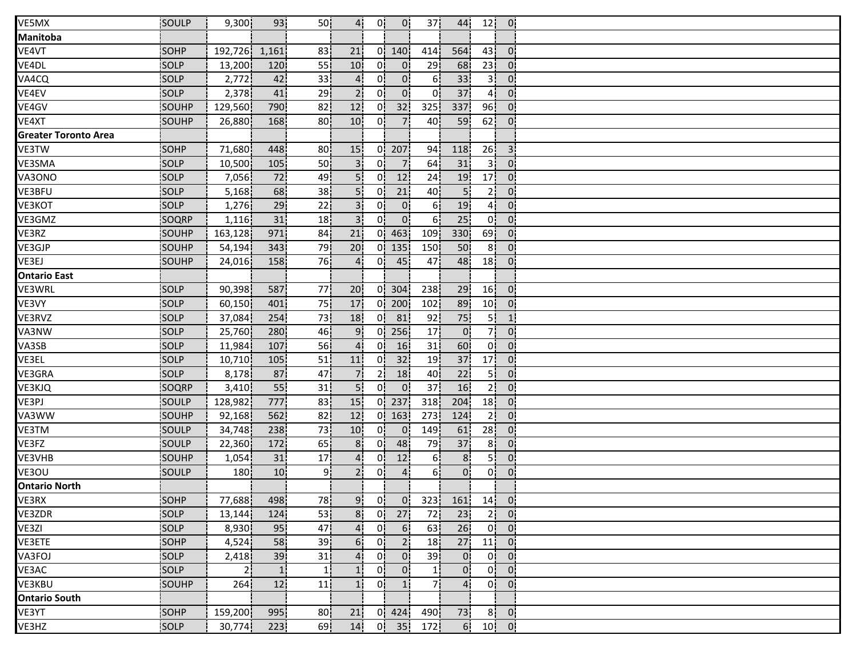| VE5MX                       | SOULP       | 9,300         | 93              | 50 <sup>1</sup> | 4 <sub>1</sub>  | 0              | $\overline{0}$   | 37   | 44                     |                 | $12$ 0            |  |
|-----------------------------|-------------|---------------|-----------------|-----------------|-----------------|----------------|------------------|------|------------------------|-----------------|-------------------|--|
| Manitoba                    |             |               |                 |                 |                 |                |                  |      |                        |                 |                   |  |
| VE4VT                       | <b>SOHP</b> | 192,726 1,161 |                 | 83              | 21              |                | 0 140            | 414  | 564                    | 43              | $\overline{0}$    |  |
| VE4DL                       | <b>SOLP</b> | 13,200        | 120             | 55              | 10 <sup>1</sup> | 01             | $\overline{0}$   | 29   | 68                     | 23 <sub>1</sub> | $\mathbf{0}$      |  |
| VA4CQ                       | SOLP        | 2,772         | 42              | 33 <sub>1</sub> | 4.              | 0i             | 0                | 6i   | 33                     | 3İ              | $\overline{0}$    |  |
| VE4EV                       | SOLP        | 2,378         | 41              | 29              | 2 <sub>1</sub>  | 0 <sup>1</sup> | 0 <sup>1</sup>   | 0    | 37                     | 4 <sup>1</sup>  | $\overline{0}$    |  |
| VE4GV                       | SOUHP       | 129,560       | 790             | 82              | 12 <sub>1</sub> | 0 <sup>1</sup> | 32               | 325  | 337                    | 96 <sup>1</sup> | $\mathbf{0}$      |  |
| VE4XT                       | SOUHP       | 26,880        | 168             | 80              | 10 <sub>1</sub> | 0!             | 7 <sub>1</sub>   | 40   | 59                     | 62              | $\mathbf{0}$      |  |
| <b>Greater Toronto Area</b> |             |               |                 |                 |                 |                |                  |      |                        |                 |                   |  |
| VE3TW                       | <b>SOHP</b> | 71,680        | 448             | 80¦             | 15              |                | 0 <sup>207</sup> | 94   | 118                    | 26 <sup>1</sup> | 3 <sup>1</sup>    |  |
| VE3SMA                      | SOLP        | 10,500        | 105             | 50 <sub>1</sub> | 3 <sup>1</sup>  | Οi             | $\overline{7}$   | 64   | 31                     | 3 i             | $\overline{0}$    |  |
| VA3ONO                      | SOLP        | 7,056         | 72              | 49              | 5 <sub>i</sub>  | 0 i            | 12               | 24   | 19                     | 17 <sub>1</sub> | $\overline{0}$    |  |
| VE3BFU                      | <b>SOLP</b> | 5,168         | 68              | 38 <sub>1</sub> | 5 <sub>1</sub>  | 01             | 21               | 40   | 5 <sub>1</sub>         | 2 <sub>1</sub>  | $\overline{0}$    |  |
| <b>VE3KOT</b>               | SOLP        | 1,276         | 29              | 22              | 3 <sup>1</sup>  | 0.             | 0 <sub>1</sub>   | 6!   | 19                     | 4i              | 0:                |  |
| VE3GMZ                      | SOQRP       | 1,116         | 31              | 18 <sup>1</sup> | 3 <sup>1</sup>  | 0!             | 0 <sup>1</sup>   | 6!   | 25                     | 0!              | $\overline{0}$    |  |
| VE3RZ                       | SOUHP       | 163,128       | 971             | 84              | 21              |                | $0 \mid 463$     | 109  | 330 <sup>1</sup>       | 69              | $\overline{0}$    |  |
| VE3GJP                      | SOUHP       | 54,194        | 343             | 79              | 20              |                | $0$   135        | 150  | 50                     | 8 <sup>i</sup>  | $\overline{0}$    |  |
| VE3EJ                       | SOUHP       | 24,016        | 158             | 76              | 4 <sub>i</sub>  | 01             | 45               | 47   | 48                     | 18 <sub>1</sub> | $\overline{0}$    |  |
| <b>Ontario East</b>         |             |               |                 |                 |                 |                |                  |      |                        |                 |                   |  |
| VE3WRL                      | SOLP        | 90,398        | 587             | 77              | 20 <sub>1</sub> |                | $0 \mid 304$     | 238  | 29                     | 16              | $\overline{0}$    |  |
| VE3VY                       | SOLP        | 60,150        | 401             | 75              | 17              |                | $0$   200        | 102  | 89                     | 10 <sup>1</sup> | $\overline{0}$    |  |
| VE3RVZ                      | SOLP        | 37,084        | 254             | 73              | 18              | 0!             | 81               | 92   | 75                     | 5 <sup>1</sup>  | $\vert$ 1         |  |
| VA3NW                       | SOLP        | 25,760        | 280             | 46              | 9.              |                | $0$   256        | 17   | $\overline{0}$         | 7!              | $\overline{0}$    |  |
| VA3SB                       | SOLP        | 11,984        | 107             | 56              |                 | 01             | 16               | 31   | 60                     | 0 <sub>1</sub>  | $\mathbf{0}$      |  |
| VE3EL                       | <b>SOLP</b> | 10,710        | 105             | 51              | 11              | 0 <sup>1</sup> | 32               | 19   | 37                     | 17 <sub>1</sub> | $\overline{0}$    |  |
| VE3GRA                      | SOLP        | 8,178         | 87              | 47              |                 | 21             | 18               | 40   | 22                     | 51              | $\overline{0}$    |  |
| VE3KJQ                      | SOQRP       | 3,410         | 55              | 31              | 5 <sup>1</sup>  | $\mathbf{0}$   | 0 <sup>1</sup>   | 37   | 16                     | 2 <sup>1</sup>  | $\overline{0}$    |  |
| VE3PJ                       | SOULP       | 128,982       | 777             | 83              | 15 <sub>1</sub> |                | $0$ 237          | 318  | 204                    | 18 <sup>1</sup> | $\overline{0}$    |  |
| VA3WW                       | SOUHP       | 92,168        | 562             | 82              | 12 <sub>1</sub> |                | $0 \mid 163$     | 273  | 124                    | 2!              | $\overline{0}$    |  |
| VE3TM                       | SOULP       | 34,748        | 238             | 73              | 10 <sub>1</sub> | 0!             | $\overline{0}$   | 149  | 61                     | 28              | $\overline{0}$    |  |
| VE3FZ                       | SOULP       | 22,360        | 172             | 65              | 8 <sub>1</sub>  | 0!             | 48               | 79   | 37                     | 8 <sup>1</sup>  | $\mathbf{0}$      |  |
| VE3VHB                      | SOUHP       | 1,054         | 31              | 17 <sup>1</sup> | 4               | 0 <sup>1</sup> | 12               | 61   | 8 <sub>1</sub>         | 5i              | $\overline{0}$    |  |
| VE3OU                       | SOULP       | 180           | 10 <sub>1</sub> | 9i              | 2 <sub>1</sub>  | 01             | $\overline{4}$   | 61   | $0^{\circ}$            | 0 <sup>1</sup>  | 0 <sub>i</sub>    |  |
| <b>Ontario North</b>        |             |               |                 |                 |                 |                |                  |      |                        |                 |                   |  |
| VE3RX                       | SOHP        | 77,688        | 498             | 78              | 9 <sup>1</sup>  | 0              |                  |      | $0$ , 323, 161, 14, 0, |                 |                   |  |
| VE3ZDR                      | SOLP        | 13,144        | 124             | 53              | 8 <sup>1</sup>  |                | $0\overline{27}$ | 72   | 23                     |                 | 2 0               |  |
| VE3ZI                       | <b>SOLP</b> | 8,930         | 95              | 47              | $\overline{a}$  | 0!             | 6 <sup>1</sup>   | 63!  | 26                     |                 | $0 \vert 0 \vert$ |  |
| VE3ETE                      | <b>SOHP</b> | 4,524         | 58              | 39 <sub>1</sub> | 6.              | 0 <sup>1</sup> | 2!               | 18   | 27                     | 11 <sub>1</sub> | - Ol              |  |
| VA3FOJ                      | <b>SOLP</b> | 2,418         | 39              | 31              | 4 <sub>i</sub>  | 0i             | 0 <sub>1</sub>   | 39 j | $\mathbf{0}$           | 0 <sup>1</sup>  | $\mathbf{0}$      |  |
| VE3AC                       | SOLP        | 2i            | $\mathbf{1}$    | 1 j             |                 | 0 <sub>i</sub> | 0 <sub>1</sub>   | 11   | $0^{\circ}$            | 0 <sup>1</sup>  | $\overline{0}$    |  |
| VE3KBU                      | SOUHP       | 264           | 12              | 11              | 1 <sup>1</sup>  | 0 <sub>1</sub> | 1 <sub>i</sub>   | 71   | 4 <sub>1</sub>         | 0 <sup>1</sup>  | - 01              |  |
| <b>Ontario South</b>        |             |               |                 |                 |                 |                |                  |      |                        |                 |                   |  |
| VE3YT                       | SOHP        | 159,200       | 995             | 80 <sub>1</sub> | 21              |                | $0 \quad 424$    | 490¦ | 73                     |                 | $8$ 0             |  |
| VE3HZ                       | SOLP        | 30,774        | 223!            | 69              | 14              |                | $0$ 35           | 172! | 6 <sup>1</sup>         |                 | $10$ $0$          |  |